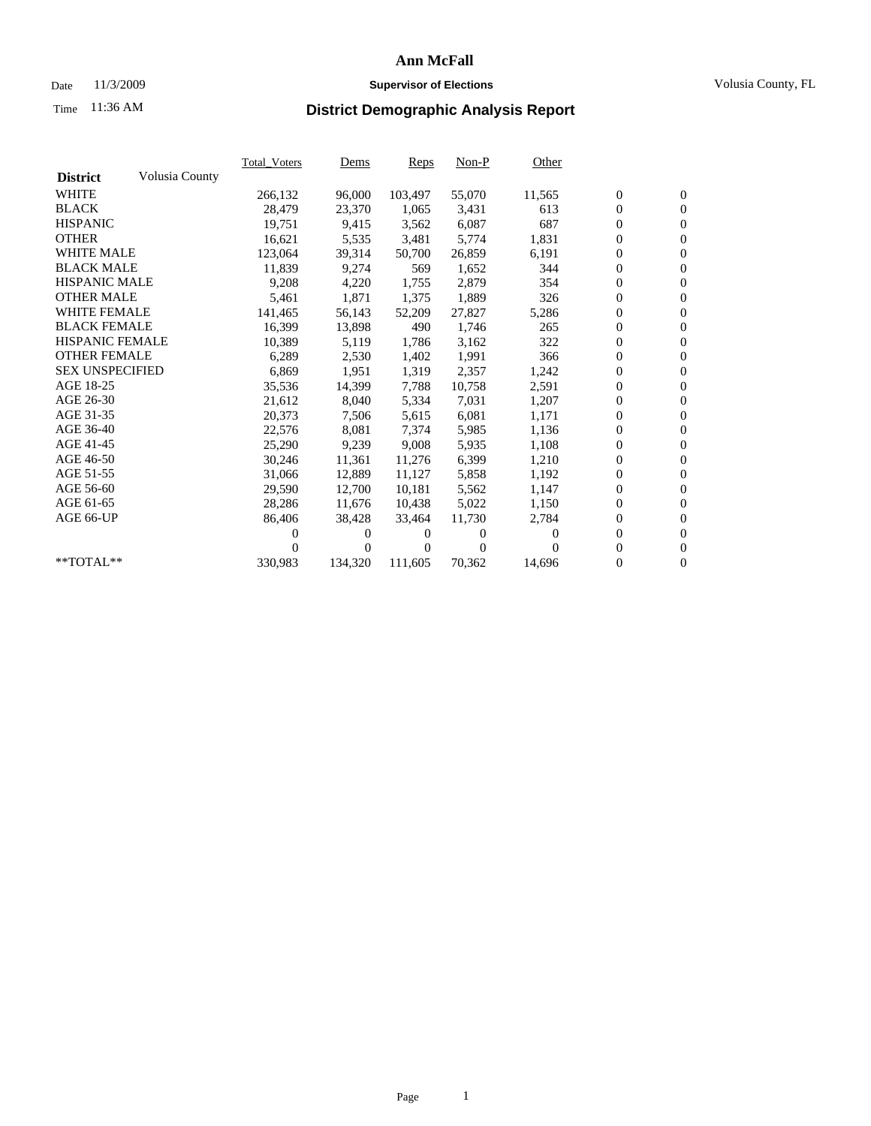## Date 11/3/2009 **Supervisor of Elections** Volusia County, FL

# Time **District Demographic Analysis Report** 11:36 AM

|                        |                | Total Voters | <b>Dems</b> | Reps     | $Non-P$  | Other    |                  |                  |  |
|------------------------|----------------|--------------|-------------|----------|----------|----------|------------------|------------------|--|
| <b>District</b>        | Volusia County |              |             |          |          |          |                  |                  |  |
| <b>WHITE</b>           |                | 266,132      | 96,000      | 103,497  | 55,070   | 11,565   | $\boldsymbol{0}$ | $\boldsymbol{0}$ |  |
| <b>BLACK</b>           |                | 28,479       | 23,370      | 1,065    | 3,431    | 613      | $\boldsymbol{0}$ | $\mathbf{0}$     |  |
| <b>HISPANIC</b>        |                | 19,751       | 9,415       | 3,562    | 6,087    | 687      | $\overline{0}$   | $\mathbf{0}$     |  |
| <b>OTHER</b>           |                | 16,621       | 5,535       | 3,481    | 5,774    | 1,831    | $\overline{0}$   | $\mathbf{0}$     |  |
| <b>WHITE MALE</b>      |                | 123,064      | 39,314      | 50,700   | 26,859   | 6,191    | $\boldsymbol{0}$ | $\mathbf{0}$     |  |
| <b>BLACK MALE</b>      |                | 11,839       | 9,274       | 569      | 1,652    | 344      | $\overline{0}$   | $\mathbf{0}$     |  |
| <b>HISPANIC MALE</b>   |                | 9,208        | 4,220       | 1,755    | 2,879    | 354      | $\boldsymbol{0}$ | $\overline{0}$   |  |
| <b>OTHER MALE</b>      |                | 5,461        | 1,871       | 1,375    | 1,889    | 326      | $\boldsymbol{0}$ | $\mathbf{0}$     |  |
| <b>WHITE FEMALE</b>    |                | 141,465      | 56,143      | 52,209   | 27,827   | 5,286    | 0                | $\mathbf{0}$     |  |
| <b>BLACK FEMALE</b>    |                | 16,399       | 13,898      | 490      | 1,746    | 265      | $\boldsymbol{0}$ | $\overline{0}$   |  |
| <b>HISPANIC FEMALE</b> |                | 10,389       | 5,119       | 1,786    | 3,162    | 322      | 0                | $\mathbf{0}$     |  |
| <b>OTHER FEMALE</b>    |                | 6,289        | 2,530       | 1,402    | 1,991    | 366      | 0                | $\theta$         |  |
| <b>SEX UNSPECIFIED</b> |                | 6,869        | 1,951       | 1,319    | 2,357    | 1,242    | $\boldsymbol{0}$ | $\overline{0}$   |  |
| AGE 18-25              |                | 35,536       | 14,399      | 7,788    | 10,758   | 2,591    | 0                | $\mathbf{0}$     |  |
| AGE 26-30              |                | 21,612       | 8,040       | 5,334    | 7,031    | 1,207    | 0                | $\mathbf{0}$     |  |
| AGE 31-35              |                | 20,373       | 7,506       | 5,615    | 6,081    | 1,171    | $\mathbf{0}$     | $\overline{0}$   |  |
| AGE 36-40              |                | 22,576       | 8,081       | 7,374    | 5,985    | 1,136    | 0                | $\mathbf{0}$     |  |
| AGE 41-45              |                | 25,290       | 9,239       | 9,008    | 5,935    | 1,108    | 0                | $\mathbf{0}$     |  |
| AGE 46-50              |                | 30,246       | 11,361      | 11,276   | 6,399    | 1,210    | $\boldsymbol{0}$ | $\mathbf{0}$     |  |
| AGE 51-55              |                | 31,066       | 12,889      | 11,127   | 5,858    | 1,192    | 0                | $\mathbf{0}$     |  |
| AGE 56-60              |                | 29,590       | 12,700      | 10.181   | 5,562    | 1,147    | 0                | $\mathbf{0}$     |  |
| AGE 61-65              |                | 28,286       | 11,676      | 10,438   | 5,022    | 1,150    | $\boldsymbol{0}$ | $\mathbf{0}$     |  |
| AGE 66-UP              |                | 86,406       | 38,428      | 33,464   | 11,730   | 2,784    | 0                | $\mathbf{0}$     |  |
|                        |                | 0            | 0           | $^{(1)}$ | 0        | $\Omega$ | 0                | $\mathbf{0}$     |  |
|                        |                |              | $\theta$    | 0        | $\Omega$ |          | 0                | $\mathbf{0}$     |  |
| $*$ TOTAL $**$         |                | 330,983      | 134,320     | 111,605  | 70,362   | 14,696   | 0                | $\mathbf{0}$     |  |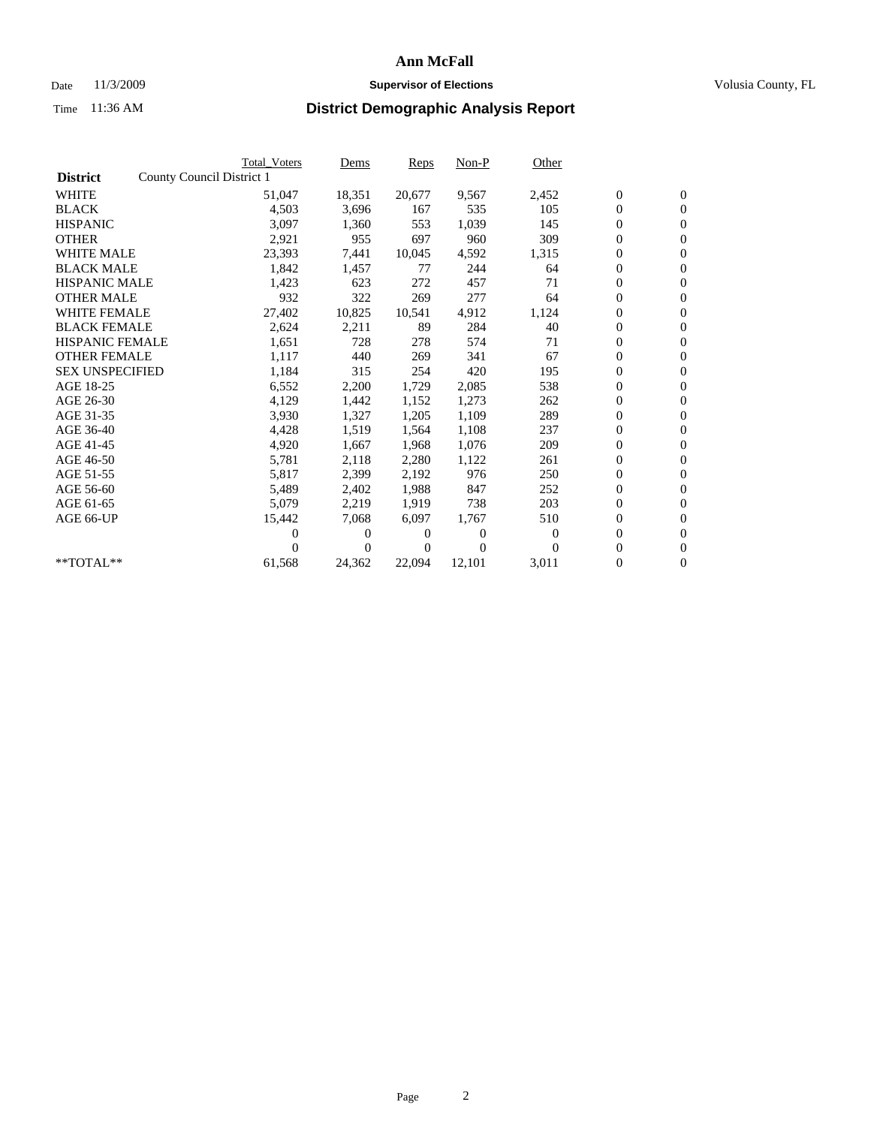### Date 11/3/2009 **Supervisor of Elections Supervisor of Elections** Volusia County, FL

|                        | <b>Total Voters</b>       | Dems         | Reps   | $Non-P$  | Other    |                  |                  |  |
|------------------------|---------------------------|--------------|--------|----------|----------|------------------|------------------|--|
| <b>District</b>        | County Council District 1 |              |        |          |          |                  |                  |  |
| <b>WHITE</b>           | 51,047                    | 18,351       | 20,677 | 9,567    | 2,452    | $\boldsymbol{0}$ | $\boldsymbol{0}$ |  |
| <b>BLACK</b>           | 4,503                     | 3,696        | 167    | 535      | 105      | $\overline{0}$   | $\mathbf{0}$     |  |
| <b>HISPANIC</b>        | 3,097                     | 1,360        | 553    | 1,039    | 145      | $\overline{0}$   | $\mathbf{0}$     |  |
| <b>OTHER</b>           | 2,921                     | 955          | 697    | 960      | 309      | 0                | $\mathbf{0}$     |  |
| <b>WHITE MALE</b>      | 23,393                    | 7,441        | 10,045 | 4,592    | 1,315    | $\boldsymbol{0}$ | $\mathbf{0}$     |  |
| <b>BLACK MALE</b>      | 1,842                     | 1,457        | 77     | 244      | 64       | $\boldsymbol{0}$ | $\mathbf{0}$     |  |
| <b>HISPANIC MALE</b>   | 1,423                     | 623          | 272    | 457      | 71       | $\boldsymbol{0}$ | $\mathbf{0}$     |  |
| <b>OTHER MALE</b>      | 932                       | 322          | 269    | 277      | 64       | $\boldsymbol{0}$ | $\mathbf{0}$     |  |
| <b>WHITE FEMALE</b>    | 27,402                    | 10,825       | 10,541 | 4,912    | 1,124    | 0                | $\mathbf{0}$     |  |
| <b>BLACK FEMALE</b>    | 2,624                     | 2,211        | 89     | 284      | 40       | $\boldsymbol{0}$ | $\Omega$         |  |
| <b>HISPANIC FEMALE</b> | 1,651                     | 728          | 278    | 574      | 71       | $\boldsymbol{0}$ | $\mathbf{0}$     |  |
| <b>OTHER FEMALE</b>    | 1,117                     | 440          | 269    | 341      | 67       | $\boldsymbol{0}$ | $\mathbf{0}$     |  |
| <b>SEX UNSPECIFIED</b> | 1,184                     | 315          | 254    | 420      | 195      | 0                | $\mathbf{0}$     |  |
| AGE 18-25              | 6,552                     | 2,200        | 1,729  | 2,085    | 538      | $\boldsymbol{0}$ | $\mathbf{0}$     |  |
| AGE 26-30              | 4,129                     | 1,442        | 1,152  | 1,273    | 262      | 0                | $\mathbf{0}$     |  |
| AGE 31-35              | 3,930                     | 1,327        | 1,205  | 1,109    | 289      | 0                | $\mathbf{0}$     |  |
| AGE 36-40              | 4,428                     | 1,519        | 1,564  | 1,108    | 237      | $\boldsymbol{0}$ | $\mathbf{0}$     |  |
| AGE 41-45              | 4,920                     | 1,667        | 1,968  | 1,076    | 209      | $\boldsymbol{0}$ | $\mathbf{0}$     |  |
| AGE 46-50              | 5,781                     | 2,118        | 2,280  | 1,122    | 261      | 0                | $\Omega$         |  |
| AGE 51-55              | 5,817                     | 2,399        | 2,192  | 976      | 250      | $\boldsymbol{0}$ | $\mathbf{0}$     |  |
| AGE 56-60              | 5,489                     | 2,402        | 1,988  | 847      | 252      | 0                | $\mathbf{0}$     |  |
| AGE 61-65              | 5,079                     | 2,219        | 1,919  | 738      | 203      | 0                | $\mathbf{0}$     |  |
| AGE 66-UP              | 15,442                    | 7,068        | 6,097  | 1,767    | 510      | $\overline{0}$   | $\mathbf{0}$     |  |
|                        | 0                         | 0            | 0      | $\theta$ | $\theta$ | $\boldsymbol{0}$ | $\mathbf{0}$     |  |
|                        | 0                         | $\mathbf{0}$ | 0      | $\Omega$ | $\Omega$ | 0                | $\mathbf{0}$     |  |
| $*$ TOTAL $**$         | 61,568                    | 24,362       | 22,094 | 12,101   | 3,011    | 0                | $\boldsymbol{0}$ |  |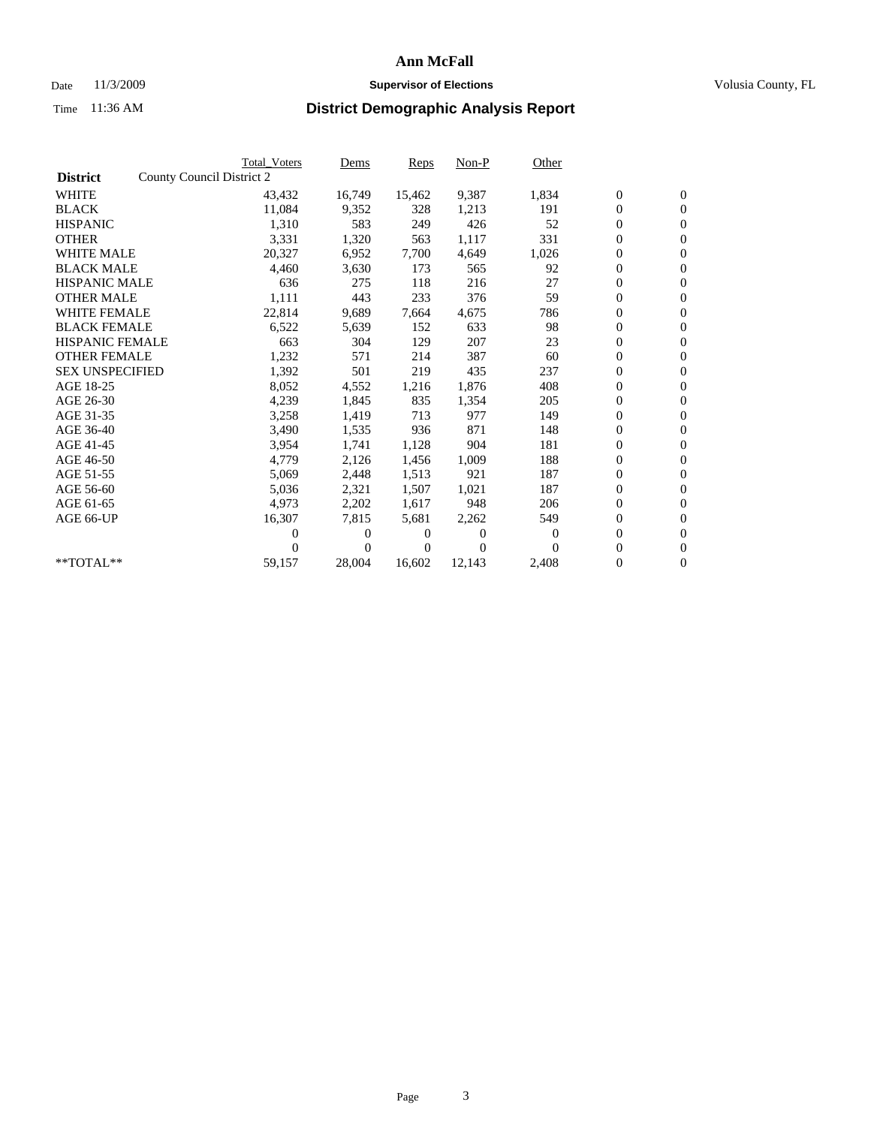## Date 11/3/2009 **Supervisor of Elections Supervisor of Elections** Volusia County, FL

|                        |                           | <b>Total Voters</b> | Dems   | Reps   | Non-P    | Other            |                  |                  |  |
|------------------------|---------------------------|---------------------|--------|--------|----------|------------------|------------------|------------------|--|
| <b>District</b>        | County Council District 2 |                     |        |        |          |                  |                  |                  |  |
| <b>WHITE</b>           |                           | 43,432              | 16,749 | 15,462 | 9,387    | 1,834            | $\boldsymbol{0}$ | $\boldsymbol{0}$ |  |
| <b>BLACK</b>           |                           | 11,084              | 9,352  | 328    | 1,213    | 191              | $\boldsymbol{0}$ | $\mathbf{0}$     |  |
| <b>HISPANIC</b>        |                           | 1,310               | 583    | 249    | 426      | 52               | $\boldsymbol{0}$ | $\mathbf{0}$     |  |
| <b>OTHER</b>           |                           | 3,331               | 1,320  | 563    | 1,117    | 331              | 0                | $\mathbf{0}$     |  |
| <b>WHITE MALE</b>      |                           | 20,327              | 6,952  | 7,700  | 4,649    | 1,026            | $\boldsymbol{0}$ | $\mathbf{0}$     |  |
| <b>BLACK MALE</b>      |                           | 4,460               | 3,630  | 173    | 565      | 92               | $\overline{0}$   | $\mathbf{0}$     |  |
| <b>HISPANIC MALE</b>   |                           | 636                 | 275    | 118    | 216      | 27               | $\boldsymbol{0}$ | $\mathbf{0}$     |  |
| <b>OTHER MALE</b>      |                           | 1,111               | 443    | 233    | 376      | 59               | $\overline{0}$   | $\mathbf{0}$     |  |
| <b>WHITE FEMALE</b>    |                           | 22,814              | 9,689  | 7,664  | 4,675    | 786              | $\boldsymbol{0}$ | $\mathbf{0}$     |  |
| <b>BLACK FEMALE</b>    |                           | 6,522               | 5,639  | 152    | 633      | 98               | 0                | $\mathbf{0}$     |  |
| <b>HISPANIC FEMALE</b> |                           | 663                 | 304    | 129    | 207      | 23               | $\boldsymbol{0}$ | $\mathbf{0}$     |  |
| <b>OTHER FEMALE</b>    |                           | 1,232               | 571    | 214    | 387      | 60               | $\overline{0}$   | $\mathbf{0}$     |  |
| <b>SEX UNSPECIFIED</b> |                           | 1,392               | 501    | 219    | 435      | 237              | 0                | $\mathbf{0}$     |  |
| AGE 18-25              |                           | 8,052               | 4,552  | 1,216  | 1,876    | 408              | $\overline{0}$   | $\mathbf{0}$     |  |
| AGE 26-30              |                           | 4,239               | 1,845  | 835    | 1,354    | 205              | 0                | $\mathbf{0}$     |  |
| AGE 31-35              |                           | 3,258               | 1,419  | 713    | 977      | 149              | 0                | $\mathbf{0}$     |  |
| AGE 36-40              |                           | 3,490               | 1,535  | 936    | 871      | 148              | 0                | $\mathbf{0}$     |  |
| AGE 41-45              |                           | 3,954               | 1,741  | 1,128  | 904      | 181              | 0                | $\mathbf{0}$     |  |
| AGE 46-50              |                           | 4,779               | 2,126  | 1,456  | 1,009    | 188              | 0                | $\mathbf{0}$     |  |
| AGE 51-55              |                           | 5,069               | 2,448  | 1,513  | 921      | 187              | $\boldsymbol{0}$ | $\mathbf{0}$     |  |
| AGE 56-60              |                           | 5,036               | 2,321  | 1.507  | 1.021    | 187              | 0                | $\mathbf{0}$     |  |
| AGE 61-65              |                           | 4,973               | 2,202  | 1,617  | 948      | 206              | 0                | $\mathbf{0}$     |  |
| AGE 66-UP              |                           | 16,307              | 7,815  | 5,681  | 2,262    | 549              | 0                | $\mathbf{0}$     |  |
|                        |                           | 0                   | 0      | 0      | $\theta$ | $\boldsymbol{0}$ | $\overline{0}$   | $\mathbf{0}$     |  |
|                        |                           | 0                   | 0      | 0      | $\Omega$ | $\Omega$         | 0                | $\mathbf{0}$     |  |
| **TOTAL**              |                           | 59,157              | 28,004 | 16,602 | 12,143   | 2,408            | 0                | $\boldsymbol{0}$ |  |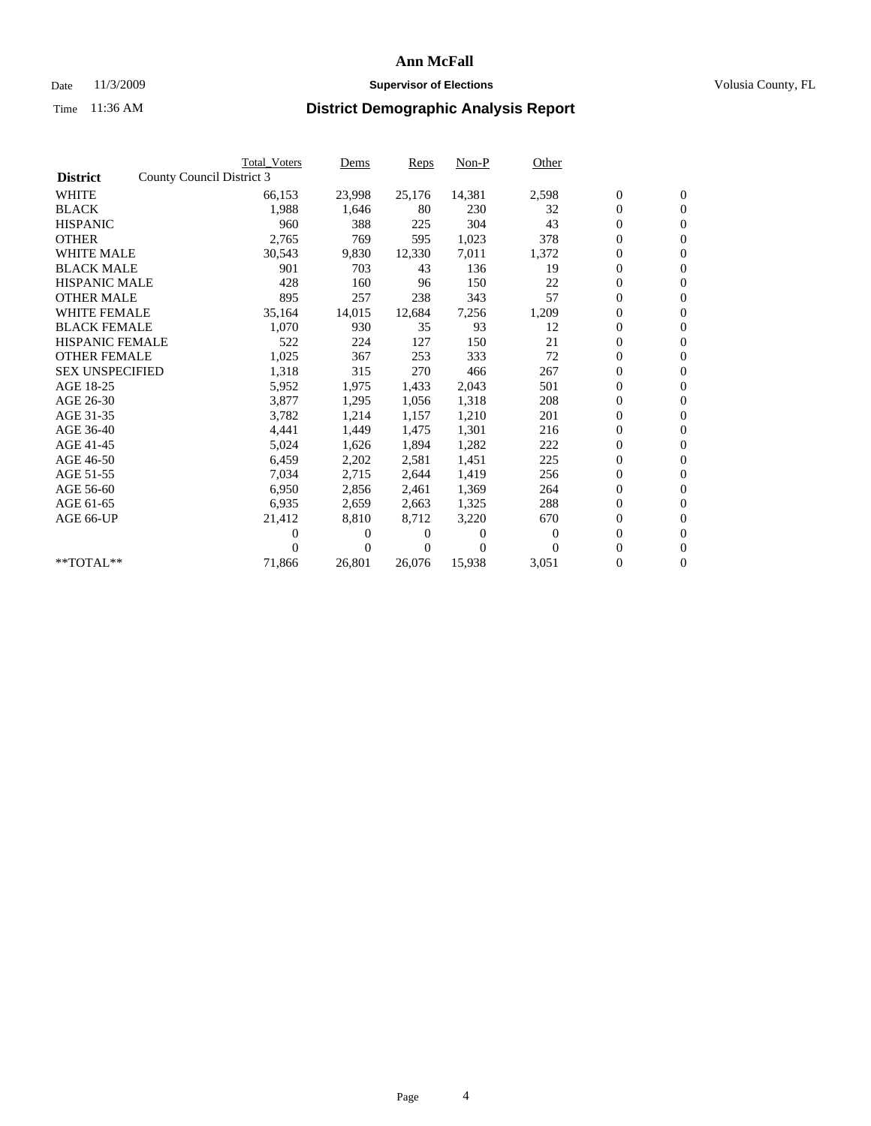## Date 11/3/2009 **Supervisor of Elections Supervisor of Elections** Volusia County, FL

|                        | <b>Total Voters</b>       | Dems           | Reps   | $Non-P$        | Other    |                  |                  |  |
|------------------------|---------------------------|----------------|--------|----------------|----------|------------------|------------------|--|
| <b>District</b>        | County Council District 3 |                |        |                |          |                  |                  |  |
| <b>WHITE</b>           | 66,153                    | 23,998         | 25,176 | 14,381         | 2,598    | $\boldsymbol{0}$ | $\boldsymbol{0}$ |  |
| <b>BLACK</b>           | 1,988                     | 1,646          | 80     | 230            | 32       | $\overline{0}$   | $\mathbf{0}$     |  |
| <b>HISPANIC</b>        | 960                       | 388            | 225    | 304            | 43       | $\overline{0}$   | $\mathbf{0}$     |  |
| <b>OTHER</b>           | 2,765                     | 769            | 595    | 1,023          | 378      | 0                | $\mathbf{0}$     |  |
| <b>WHITE MALE</b>      | 30,543                    | 9,830          | 12,330 | 7,011          | 1,372    | $\boldsymbol{0}$ | $\mathbf{0}$     |  |
| <b>BLACK MALE</b>      | 901                       | 703            | 43     | 136            | 19       | $\boldsymbol{0}$ | $\mathbf{0}$     |  |
| <b>HISPANIC MALE</b>   | 428                       | 160            | 96     | 150            | 22       | 0                | $\mathbf{0}$     |  |
| <b>OTHER MALE</b>      | 895                       | 257            | 238    | 343            | 57       | $\boldsymbol{0}$ | $\mathbf{0}$     |  |
| <b>WHITE FEMALE</b>    | 35,164                    | 14,015         | 12,684 | 7,256          | 1,209    | 0                | $\mathbf{0}$     |  |
| <b>BLACK FEMALE</b>    | 1,070                     | 930            | 35     | 93             | 12       | 0                | $\Omega$         |  |
| <b>HISPANIC FEMALE</b> | 522                       | 224            | 127    | 150            | 21       | $\boldsymbol{0}$ | $\mathbf{0}$     |  |
| <b>OTHER FEMALE</b>    | 1,025                     | 367            | 253    | 333            | 72       | 0                | $\mathbf{0}$     |  |
| <b>SEX UNSPECIFIED</b> | 1,318                     | 315            | 270    | 466            | 267      | 0                | $\mathbf{0}$     |  |
| AGE 18-25              | 5,952                     | 1,975          | 1,433  | 2,043          | 501      | $\overline{0}$   | $\mathbf{0}$     |  |
| AGE 26-30              | 3,877                     | 1,295          | 1,056  | 1,318          | 208      | 0                | $\mathbf{0}$     |  |
| AGE 31-35              | 3,782                     | 1,214          | 1,157  | 1,210          | 201      | 0                | $\mathbf{0}$     |  |
| AGE 36-40              | 4,441                     | 1,449          | 1,475  | 1,301          | 216      | $\overline{0}$   | $\mathbf{0}$     |  |
| AGE 41-45              | 5,024                     | 1,626          | 1,894  | 1,282          | 222      | 0                | $\mathbf{0}$     |  |
| AGE 46-50              | 6,459                     | 2,202          | 2,581  | 1,451          | 225      | 0                | $\Omega$         |  |
| AGE 51-55              | 7,034                     | 2,715          | 2,644  | 1,419          | 256      | $\boldsymbol{0}$ | $\mathbf{0}$     |  |
| AGE 56-60              | 6,950                     | 2,856          | 2.461  | 1,369          | 264      | 0                | $\mathbf{0}$     |  |
| AGE 61-65              | 6,935                     | 2,659          | 2,663  | 1,325          | 288      | 0                | $\Omega$         |  |
| AGE 66-UP              | 21,412                    | 8,810          | 8,712  | 3,220          | 670      | $\overline{0}$   | $\mathbf{0}$     |  |
|                        | 0                         | 0              | 0      | $\overline{0}$ | $\Omega$ | 0                | $\mathbf{0}$     |  |
|                        | 0                         | $\overline{0}$ | 0      | $\Omega$       | $\Omega$ | 0                | $\mathbf{0}$     |  |
| $*$ TOTAL $**$         | 71,866                    | 26,801         | 26,076 | 15,938         | 3,051    | 0                | $\boldsymbol{0}$ |  |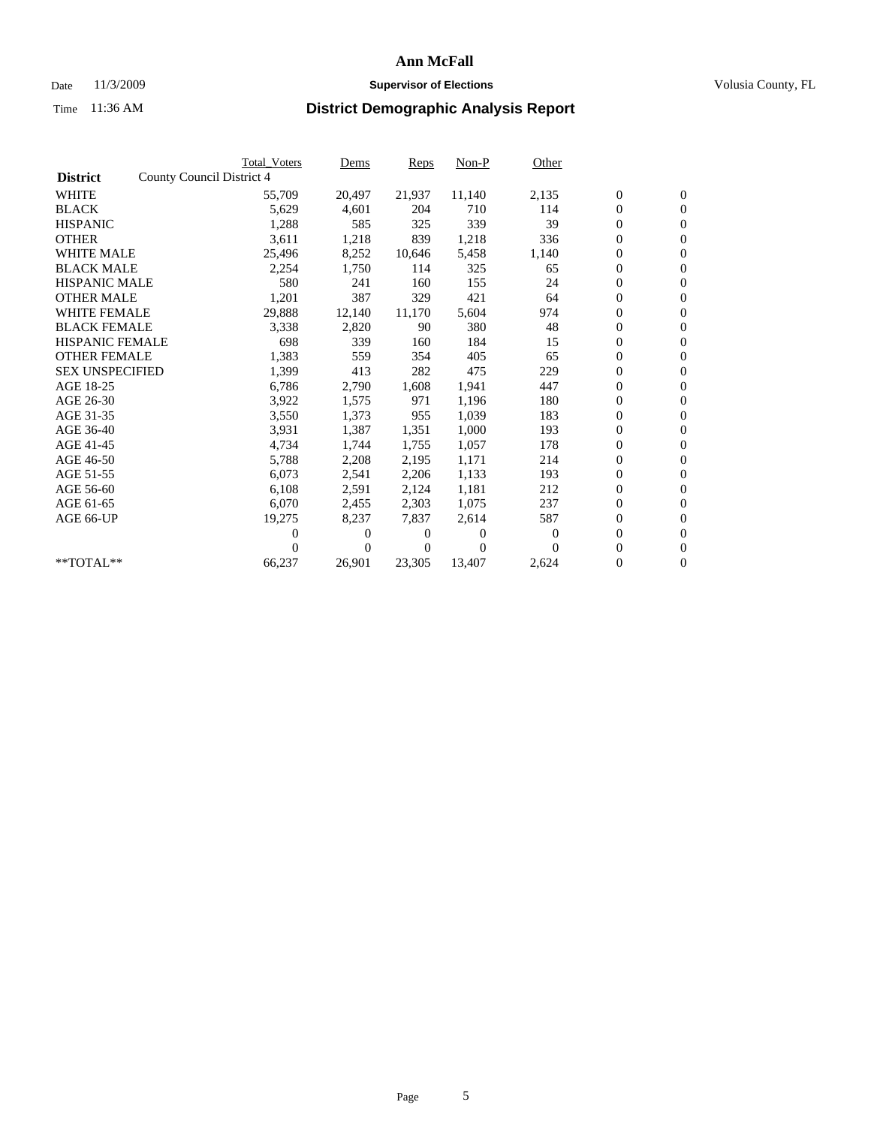## Date 11/3/2009 **Supervisor of Elections Supervisor of Elections** Volusia County, FL

|                        |                           | <b>Total Voters</b> | Dems           | Reps   | $Non-P$  | Other    |                  |                  |  |
|------------------------|---------------------------|---------------------|----------------|--------|----------|----------|------------------|------------------|--|
| <b>District</b>        | County Council District 4 |                     |                |        |          |          |                  |                  |  |
| <b>WHITE</b>           |                           | 55,709              | 20,497         | 21,937 | 11,140   | 2,135    | $\boldsymbol{0}$ | $\boldsymbol{0}$ |  |
| <b>BLACK</b>           |                           | 5,629               | 4,601          | 204    | 710      | 114      | $\overline{0}$   | $\mathbf{0}$     |  |
| <b>HISPANIC</b>        |                           | 1,288               | 585            | 325    | 339      | 39       | $\overline{0}$   | $\mathbf{0}$     |  |
| <b>OTHER</b>           |                           | 3,611               | 1,218          | 839    | 1,218    | 336      | 0                | $\mathbf{0}$     |  |
| <b>WHITE MALE</b>      |                           | 25,496              | 8,252          | 10,646 | 5,458    | 1,140    | $\boldsymbol{0}$ | $\mathbf{0}$     |  |
| <b>BLACK MALE</b>      |                           | 2,254               | 1,750          | 114    | 325      | 65       | $\boldsymbol{0}$ | $\mathbf{0}$     |  |
| <b>HISPANIC MALE</b>   |                           | 580                 | 241            | 160    | 155      | 24       | 0                | $\mathbf{0}$     |  |
| <b>OTHER MALE</b>      |                           | 1,201               | 387            | 329    | 421      | 64       | $\boldsymbol{0}$ | $\mathbf{0}$     |  |
| <b>WHITE FEMALE</b>    |                           | 29,888              | 12,140         | 11,170 | 5,604    | 974      | 0                | $\mathbf{0}$     |  |
| <b>BLACK FEMALE</b>    |                           | 3,338               | 2,820          | 90     | 380      | 48       | 0                | $\Omega$         |  |
| <b>HISPANIC FEMALE</b> |                           | 698                 | 339            | 160    | 184      | 15       | $\boldsymbol{0}$ | $\mathbf{0}$     |  |
| <b>OTHER FEMALE</b>    |                           | 1,383               | 559            | 354    | 405      | 65       | $\boldsymbol{0}$ | $\mathbf{0}$     |  |
| <b>SEX UNSPECIFIED</b> |                           | 1,399               | 413            | 282    | 475      | 229      | 0                | $\mathbf{0}$     |  |
| AGE 18-25              |                           | 6,786               | 2,790          | 1,608  | 1,941    | 447      | $\boldsymbol{0}$ | $\mathbf{0}$     |  |
| AGE 26-30              |                           | 3,922               | 1,575          | 971    | 1,196    | 180      | $\boldsymbol{0}$ | $\mathbf{0}$     |  |
| AGE 31-35              |                           | 3,550               | 1,373          | 955    | 1,039    | 183      | 0                | $\mathbf{0}$     |  |
| AGE 36-40              |                           | 3,931               | 1,387          | 1,351  | 1,000    | 193      | $\boldsymbol{0}$ | $\mathbf{0}$     |  |
| AGE 41-45              |                           | 4,734               | 1,744          | 1,755  | 1,057    | 178      | $\boldsymbol{0}$ | $\mathbf{0}$     |  |
| AGE 46-50              |                           | 5,788               | 2,208          | 2,195  | 1,171    | 214      | 0                | $\Omega$         |  |
| AGE 51-55              |                           | 6,073               | 2,541          | 2,206  | 1,133    | 193      | $\boldsymbol{0}$ | $\mathbf{0}$     |  |
| AGE 56-60              |                           | 6,108               | 2,591          | 2.124  | 1,181    | 212      | 0                | $\mathbf{0}$     |  |
| AGE 61-65              |                           | 6,070               | 2,455          | 2,303  | 1,075    | 237      | 0                | $\mathbf{0}$     |  |
| AGE 66-UP              |                           | 19,275              | 8,237          | 7,837  | 2,614    | 587      | $\overline{0}$   | $\mathbf{0}$     |  |
|                        |                           | 0                   | 0              | 0      | $\theta$ | $\Omega$ | $\boldsymbol{0}$ | $\mathbf{0}$     |  |
|                        |                           | 0                   | $\overline{0}$ | 0      | $\Omega$ | $\Omega$ | 0                | $\mathbf{0}$     |  |
| $*$ TOTAL $**$         |                           | 66,237              | 26,901         | 23,305 | 13,407   | 2,624    | 0                | $\boldsymbol{0}$ |  |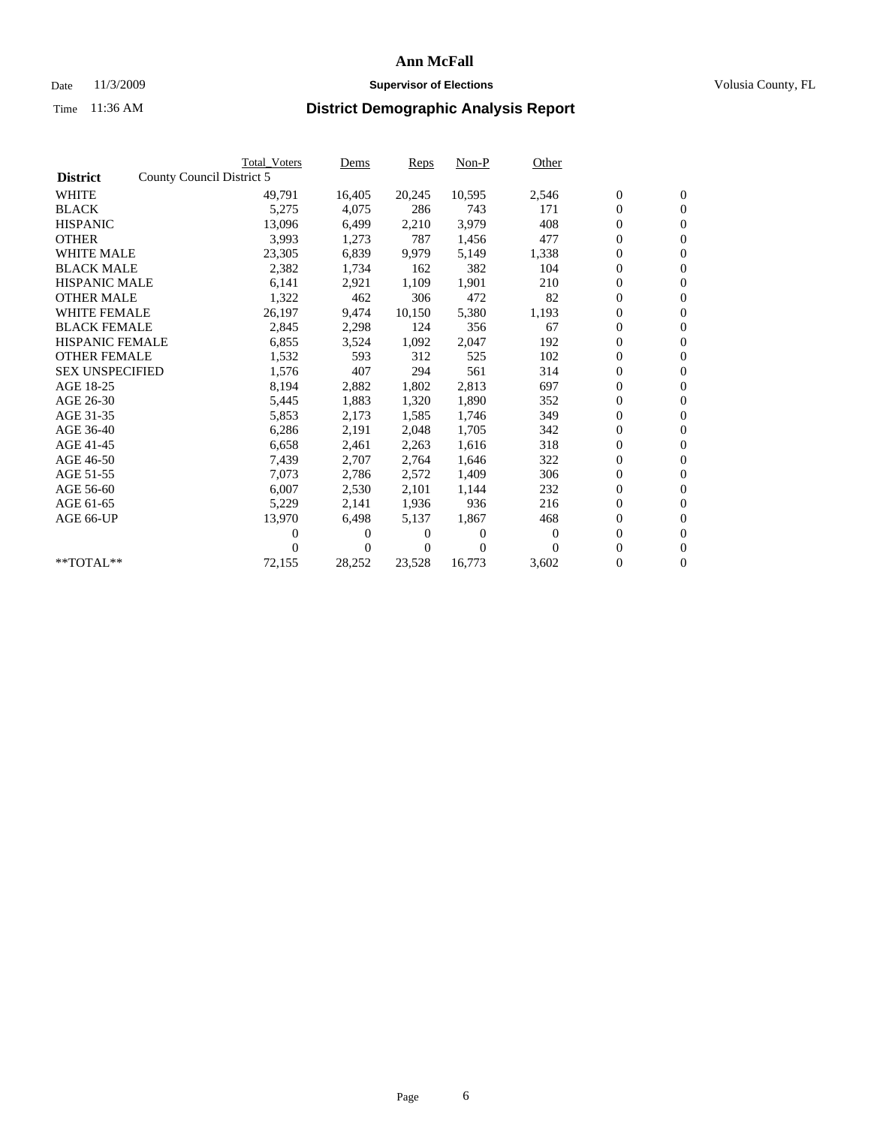## Date 11/3/2009 **Supervisor of Elections Supervisor of Elections** Volusia County, FL

|                        |                           | <b>Total Voters</b> | Dems   | Reps   | Non-P    | Other        |                  |                  |  |
|------------------------|---------------------------|---------------------|--------|--------|----------|--------------|------------------|------------------|--|
| <b>District</b>        | County Council District 5 |                     |        |        |          |              |                  |                  |  |
| <b>WHITE</b>           |                           | 49,791              | 16,405 | 20,245 | 10,595   | 2,546        | $\boldsymbol{0}$ | $\boldsymbol{0}$ |  |
| <b>BLACK</b>           |                           | 5,275               | 4,075  | 286    | 743      | 171          | $\boldsymbol{0}$ | $\overline{0}$   |  |
| <b>HISPANIC</b>        |                           | 13,096              | 6,499  | 2,210  | 3,979    | 408          | $\boldsymbol{0}$ | $\mathbf{0}$     |  |
| <b>OTHER</b>           |                           | 3,993               | 1,273  | 787    | 1,456    | 477          | $\boldsymbol{0}$ | $\overline{0}$   |  |
| <b>WHITE MALE</b>      |                           | 23,305              | 6,839  | 9,979  | 5,149    | 1,338        | $\boldsymbol{0}$ | $\mathbf{0}$     |  |
| <b>BLACK MALE</b>      |                           | 2,382               | 1,734  | 162    | 382      | 104          | $\overline{0}$   | $\mathbf{0}$     |  |
| <b>HISPANIC MALE</b>   |                           | 6,141               | 2,921  | 1,109  | 1,901    | 210          | $\boldsymbol{0}$ | $\overline{0}$   |  |
| <b>OTHER MALE</b>      |                           | 1,322               | 462    | 306    | 472      | 82           | $\boldsymbol{0}$ | $\overline{0}$   |  |
| <b>WHITE FEMALE</b>    |                           | 26,197              | 9,474  | 10,150 | 5,380    | 1,193        | $\boldsymbol{0}$ | $\overline{0}$   |  |
| <b>BLACK FEMALE</b>    |                           | 2,845               | 2,298  | 124    | 356      | 67           | $\boldsymbol{0}$ | $\mathbf{0}$     |  |
| <b>HISPANIC FEMALE</b> |                           | 6,855               | 3,524  | 1,092  | 2,047    | 192          | $\boldsymbol{0}$ | $\overline{0}$   |  |
| <b>OTHER FEMALE</b>    |                           | 1,532               | 593    | 312    | 525      | 102          | $\overline{0}$   | $\overline{0}$   |  |
| <b>SEX UNSPECIFIED</b> |                           | 1,576               | 407    | 294    | 561      | 314          | $\boldsymbol{0}$ | $\overline{0}$   |  |
| AGE 18-25              |                           | 8,194               | 2,882  | 1,802  | 2,813    | 697          | $\overline{0}$   | $\mathbf{0}$     |  |
| AGE 26-30              |                           | 5,445               | 1,883  | 1,320  | 1,890    | 352          | $\boldsymbol{0}$ | $\overline{0}$   |  |
| AGE 31-35              |                           | 5,853               | 2,173  | 1,585  | 1,746    | 349          | $\boldsymbol{0}$ | $\overline{0}$   |  |
| AGE 36-40              |                           | 6,286               | 2,191  | 2,048  | 1,705    | 342          | $\boldsymbol{0}$ | $\mathbf{0}$     |  |
| AGE 41-45              |                           | 6,658               | 2,461  | 2,263  | 1,616    | 318          | $\boldsymbol{0}$ | $\mathbf{0}$     |  |
| AGE 46-50              |                           | 7,439               | 2,707  | 2,764  | 1,646    | 322          | $\boldsymbol{0}$ | $\overline{0}$   |  |
| AGE 51-55              |                           | 7,073               | 2,786  | 2,572  | 1,409    | 306          | $\boldsymbol{0}$ | $\mathbf{0}$     |  |
| AGE 56-60              |                           | 6,007               | 2,530  | 2.101  | 1,144    | 232          | $\overline{0}$   | $\mathbf{0}$     |  |
| AGE 61-65              |                           | 5,229               | 2,141  | 1,936  | 936      | 216          | $\boldsymbol{0}$ | $\mathbf{0}$     |  |
| AGE 66-UP              |                           | 13,970              | 6,498  | 5,137  | 1,867    | 468          | $\boldsymbol{0}$ | $\overline{0}$   |  |
|                        |                           | 0                   | $_{0}$ | 0      | $\theta$ | $\mathbf{0}$ | $\overline{0}$   | $\mathbf{0}$     |  |
|                        |                           | 0                   | 0      | 0      | $\theta$ | $\Omega$     | $\boldsymbol{0}$ | $\overline{0}$   |  |
| **TOTAL**              |                           | 72,155              | 28,252 | 23,528 | 16,773   | 3,602        | 0                | $\boldsymbol{0}$ |  |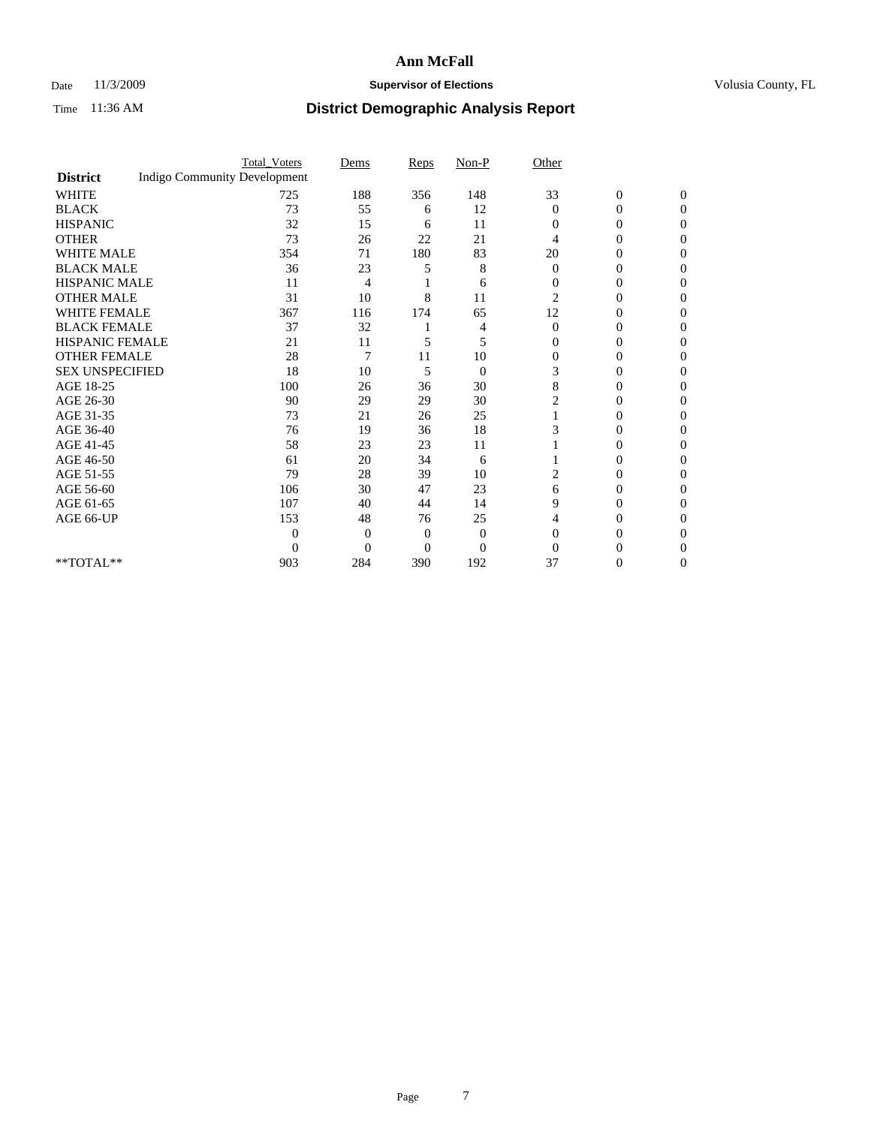### Date 11/3/2009 **Supervisor of Elections Supervisor of Elections** Volusia County, FL

|                        |                                     | <b>Total_Voters</b> | Dems     | Reps     | $Non-P$        | Other          |                  |              |  |
|------------------------|-------------------------------------|---------------------|----------|----------|----------------|----------------|------------------|--------------|--|
| <b>District</b>        | <b>Indigo Community Development</b> |                     |          |          |                |                |                  |              |  |
| <b>WHITE</b>           |                                     | 725                 | 188      | 356      | 148            | 33             | $\boldsymbol{0}$ | $\mathbf{0}$ |  |
| <b>BLACK</b>           |                                     | 73                  | 55       | 6        | 12             | $\Omega$       | 0                | $\Omega$     |  |
| <b>HISPANIC</b>        |                                     | 32                  | 15       | 6        | 11             | $\Omega$       | 0                | $\Omega$     |  |
| <b>OTHER</b>           |                                     | 73                  | 26       | 22       | 21             | 4              | 0                | 0            |  |
| <b>WHITE MALE</b>      |                                     | 354                 | 71       | 180      | 83             | 20             | 0                | 0            |  |
| <b>BLACK MALE</b>      |                                     | 36                  | 23       | 5        | 8              | $\Omega$       | 0                | $\Omega$     |  |
| HISPANIC MALE          |                                     | 11                  | 4        |          | 6              | $\overline{0}$ | 0                | $\Omega$     |  |
| <b>OTHER MALE</b>      |                                     | 31                  | 10       | 8        | 11             | $\overline{2}$ | 0                | 0            |  |
| <b>WHITE FEMALE</b>    |                                     | 367                 | 116      | 174      | 65             | 12             | 0                | $\Omega$     |  |
| <b>BLACK FEMALE</b>    |                                     | 37                  | 32       |          | 4              | $\overline{0}$ | $\overline{0}$   | 0            |  |
| <b>HISPANIC FEMALE</b> |                                     | 21                  | 11       | 5        | 5              | $\Omega$       | 0                | 0            |  |
| <b>OTHER FEMALE</b>    |                                     | 28                  | 7        | 11       | 10             | $\Omega$       | 0                | 0            |  |
| <b>SEX UNSPECIFIED</b> |                                     | 18                  | 10       | 5        | $\overline{0}$ | 3              | 0                | 0            |  |
| AGE 18-25              |                                     | 100                 | 26       | 36       | 30             | 8              | 0                | $\Omega$     |  |
| AGE 26-30              |                                     | 90                  | 29       | 29       | 30             | 2              | 0                | 0            |  |
| AGE 31-35              |                                     | 73                  | 21       | 26       | 25             |                | 0                | 0            |  |
| AGE 36-40              |                                     | 76                  | 19       | 36       | 18             |                | 0                | 0            |  |
| AGE 41-45              |                                     | 58                  | 23       | 23       | 11             |                | 0                | $\Omega$     |  |
| AGE 46-50              |                                     | 61                  | 20       | 34       | 6              |                | 0                | $\Omega$     |  |
| AGE 51-55              |                                     | 79                  | 28       | 39       | 10             | 2              | 0                | 0            |  |
| AGE 56-60              |                                     | 106                 | 30       | 47       | 23             | 6              | 0                | 0            |  |
| AGE 61-65              |                                     | 107                 | 40       | 44       | 14             | 9              | 0                | 0            |  |
| AGE 66-UP              |                                     | 153                 | 48       | 76       | 25             | 4              | 0                | 0            |  |
|                        |                                     | $\Omega$            | 0        | 0        | $\theta$       | $\Omega$       | 0                | 0            |  |
|                        |                                     | $\Omega$            | $\Omega$ | $\theta$ | $\overline{0}$ | $\Omega$       |                  | 0            |  |
| **TOTAL**              |                                     | 903                 | 284      | 390      | 192            | 37             | 0                | 0            |  |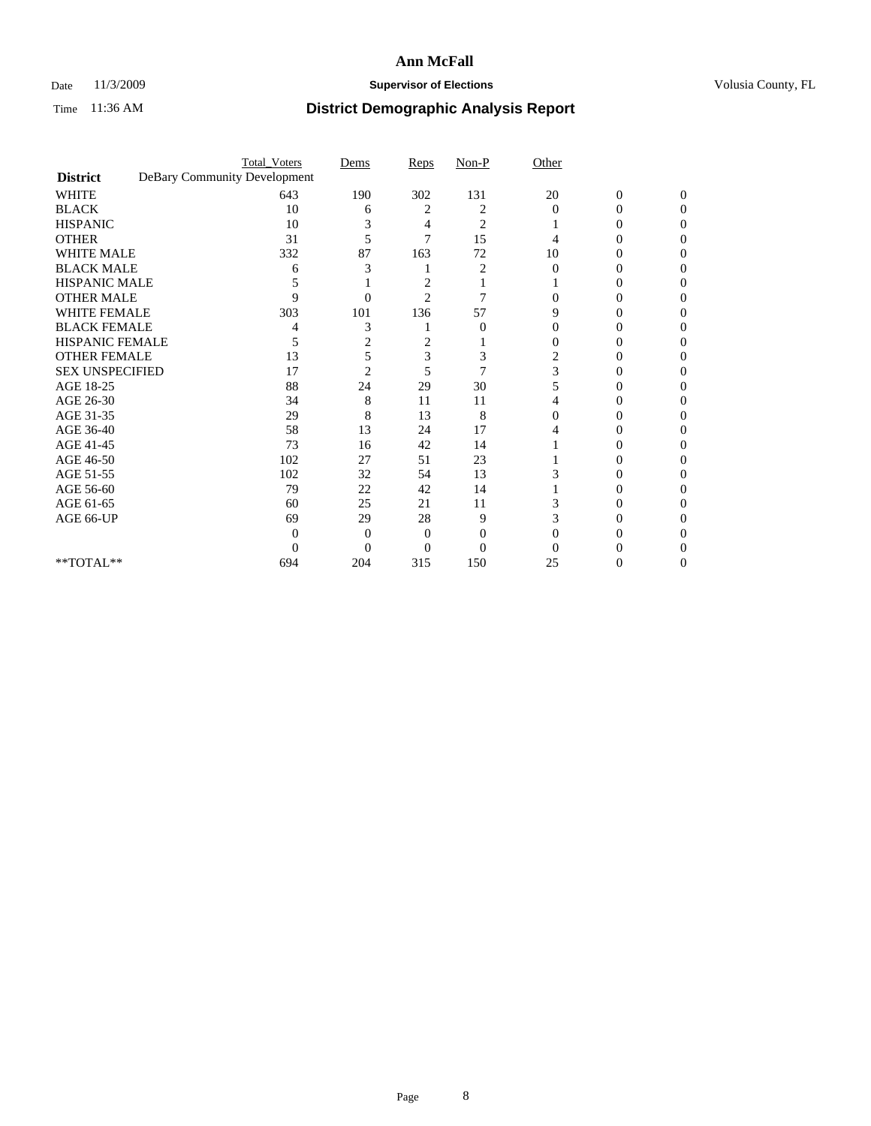## Date 11/3/2009 **Supervisor of Elections Supervisor of Elections** Volusia County, FL

|                                     | <b>Total_Voters</b>          | Dems           | Reps           | $Non-P$        | Other    |                  |              |
|-------------------------------------|------------------------------|----------------|----------------|----------------|----------|------------------|--------------|
| <b>District</b>                     | DeBary Community Development |                |                |                |          |                  |              |
| <b>WHITE</b>                        | 643                          | 190            | 302            | 131            | 20       | $\boldsymbol{0}$ | $\mathbf{0}$ |
| <b>BLACK</b>                        | 10                           | 6              | 2              | 2              | $\Omega$ | 0                | 0            |
| <b>HISPANIC</b>                     | 10                           |                | 4              | $\overline{c}$ |          | $\theta$         | 0            |
| <b>OTHER</b>                        | 31                           | 5              | 7              | 15             |          |                  | 0            |
| <b>WHITE MALE</b>                   | 332                          | 87             | 163            | 72             | 10       | 0                | 0            |
| <b>BLACK MALE</b>                   | 6                            | 3              |                |                | $\Omega$ | 0                | 0            |
| HISPANIC MALE                       |                              |                | 2              |                |          | 0                | 0            |
| <b>OTHER MALE</b>                   | 9                            | 0              | $\overline{2}$ | 7              |          | $\theta$         | 0            |
| <b>WHITE FEMALE</b>                 | 303                          | 101            | 136            | 57             | 9        |                  | 0            |
| <b>BLACK FEMALE</b>                 |                              | 3              |                | $\theta$       | 0        | 0                | 0            |
| <b>HISPANIC FEMALE</b>              | 5                            | 2              | 2              |                |          | 0                | 0            |
| <b>OTHER FEMALE</b>                 | 13                           | 5              | 3              | 3              | 2        |                  | 0            |
| <b>SEX UNSPECIFIED</b>              | 17                           | $\overline{2}$ | 5              | 7              | 3        |                  | 0            |
| AGE 18-25                           | 88                           | 24             | 29             | 30             | 5        | 0                | 0            |
| AGE 26-30                           | 34                           | 8              | 11             | 11             |          |                  | 0            |
| AGE 31-35                           | 29                           | 8              | 13             | 8              | 0        |                  |              |
| AGE 36-40                           | 58                           | 13             | 24             | 17             |          | 0                | 0            |
| AGE 41-45                           | 73                           | 16             | 42             | 14             |          |                  | 0            |
| AGE 46-50                           | 102                          | 27             | 51             | 23             |          | 0                | 0            |
| AGE 51-55                           | 102                          | 32             | 54             | 13             |          | 0                | 0            |
| AGE 56-60                           | 79                           | 22             | 42             | 14             |          |                  | 0            |
| AGE 61-65                           | 60                           | 25             | 21             | 11             |          |                  | 0            |
| AGE 66-UP                           | 69                           | 29             | 28             | 9              |          | $\theta$         | 0            |
|                                     | 0                            | 0              | 0              | 0              |          |                  |              |
|                                     | 0                            | $\Omega$       | 0              | $\theta$       |          |                  |              |
| $\rm ^{\ast \ast}TOTAL^{\ast \ast}$ | 694                          | 204            | 315            | 150            | 25       | 0                | 0            |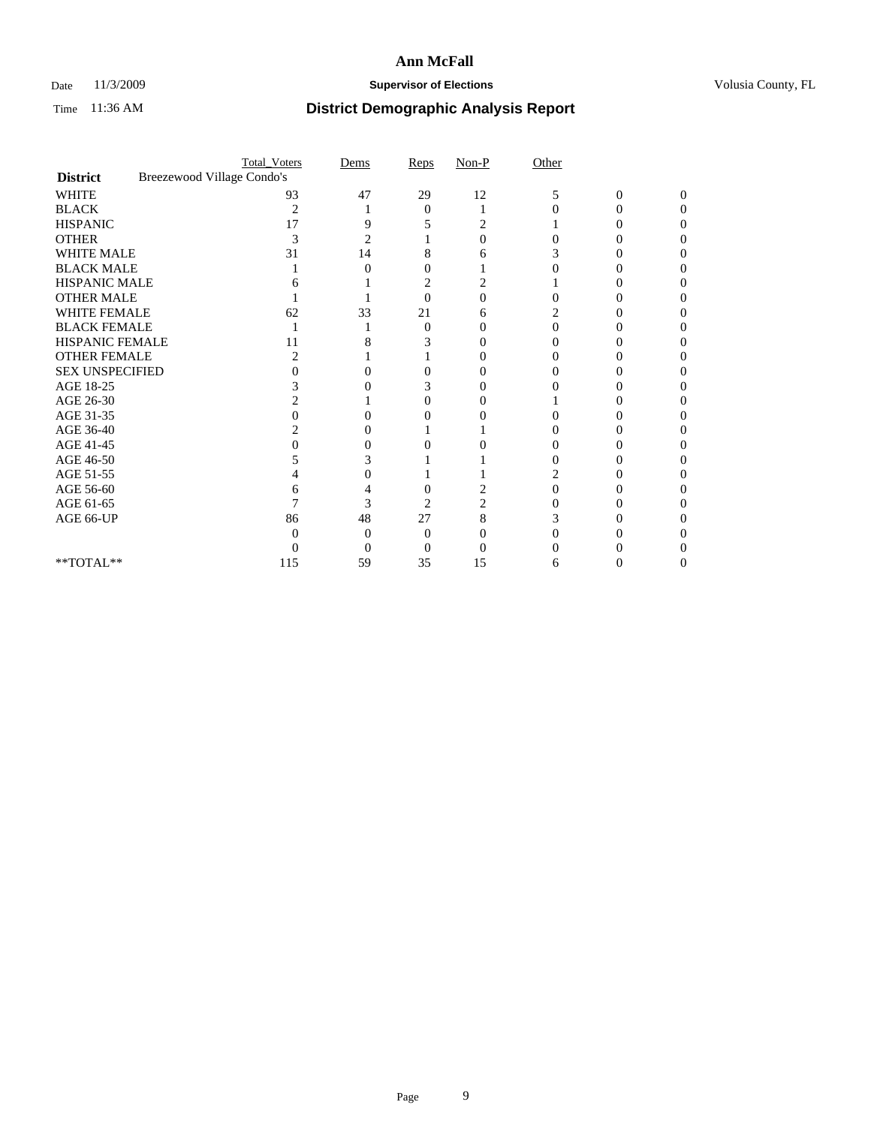### Date 11/3/2009 **Supervisor of Elections Supervisor of Elections** Volusia County, FL

|                        |                            | <b>Total_Voters</b> | Dems | Reps           | $Non-P$ | Other |                |                   |  |
|------------------------|----------------------------|---------------------|------|----------------|---------|-------|----------------|-------------------|--|
| <b>District</b>        | Breezewood Village Condo's |                     |      |                |         |       |                |                   |  |
| <b>WHITE</b>           |                            | 93                  | 47   | 29             | 12      | 5     | $\overline{0}$ | $\Omega$          |  |
| <b>BLACK</b>           |                            | 2                   |      | $\Omega$       |         |       | 0              | $\mathbf{\Omega}$ |  |
| <b>HISPANIC</b>        |                            | 17                  |      |                |         |       |                |                   |  |
| <b>OTHER</b>           |                            | 3                   | 2    |                |         |       |                |                   |  |
| WHITE MALE             |                            | 31                  | 14   | 8              |         |       |                |                   |  |
| <b>BLACK MALE</b>      |                            |                     |      | 0              |         |       |                |                   |  |
| HISPANIC MALE          |                            |                     |      | 2              |         |       |                |                   |  |
| <b>OTHER MALE</b>      |                            |                     |      | 0              |         |       |                |                   |  |
| <b>WHITE FEMALE</b>    |                            | 62                  | 33   | 21             |         |       |                |                   |  |
| <b>BLACK FEMALE</b>    |                            |                     |      | 0              |         | 0     |                |                   |  |
| HISPANIC FEMALE        |                            | 11                  |      | 3              |         |       |                |                   |  |
| <b>OTHER FEMALE</b>    |                            |                     |      |                |         |       |                |                   |  |
| <b>SEX UNSPECIFIED</b> |                            |                     |      |                |         |       |                |                   |  |
| AGE 18-25              |                            |                     |      | 3              |         |       |                |                   |  |
| AGE 26-30              |                            |                     |      | 0              |         |       |                |                   |  |
| AGE 31-35              |                            |                     |      |                |         |       |                |                   |  |
| AGE 36-40              |                            |                     |      |                |         |       |                |                   |  |
| AGE 41-45              |                            |                     |      |                |         |       |                |                   |  |
| AGE 46-50              |                            |                     |      |                |         |       |                |                   |  |
| AGE 51-55              |                            |                     |      |                |         |       |                |                   |  |
| AGE 56-60              |                            |                     |      |                |         |       |                |                   |  |
| AGE 61-65              |                            |                     | 3    | $\overline{c}$ |         |       |                |                   |  |
| AGE 66-UP              |                            | 86                  | 48   | 27             | 8       |       |                |                   |  |
|                        |                            |                     |      | $\theta$       |         |       |                |                   |  |
|                        |                            |                     |      |                |         |       |                |                   |  |
| **TOTAL**              |                            | 115                 | 59   | 35             | 15      | 6     |                |                   |  |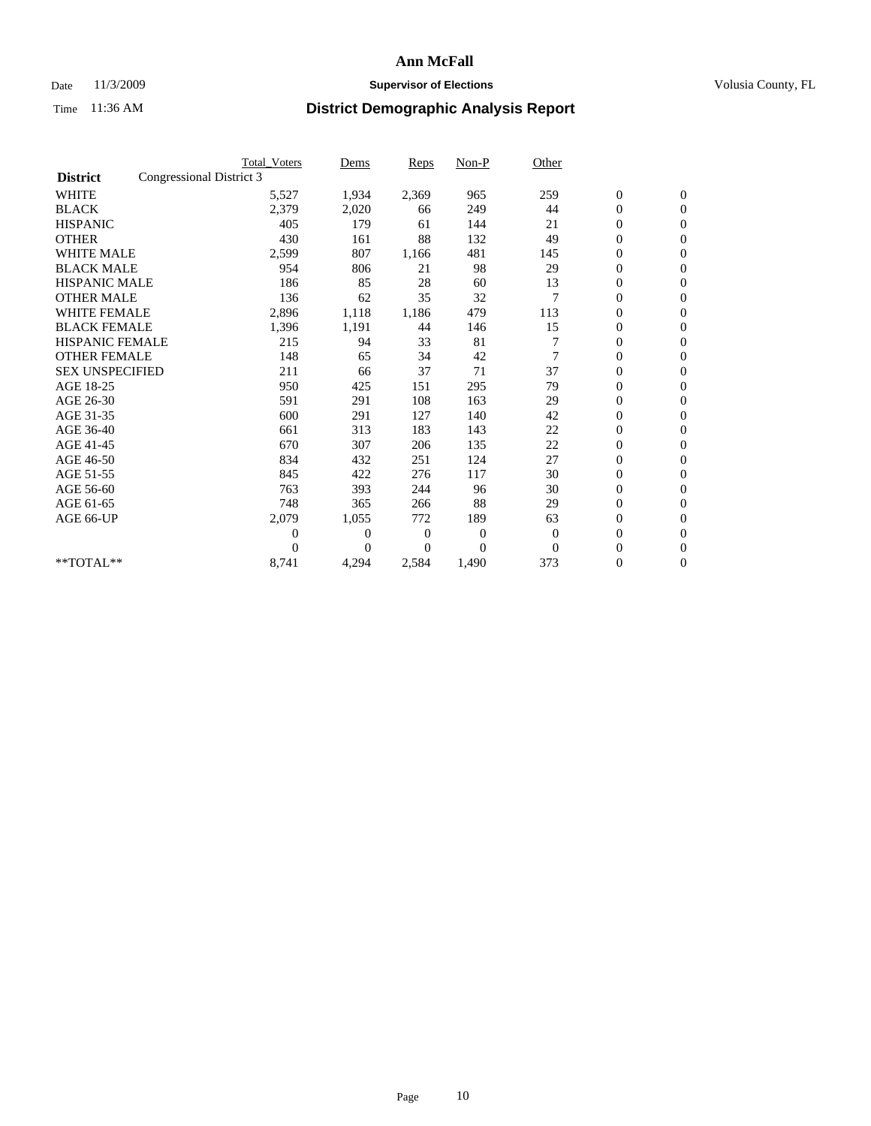## Date 11/3/2009 **Supervisor of Elections Supervisor of Elections** Volusia County, FL

|                        | <b>Total Voters</b>      | Dems           | <b>Reps</b>  | $Non-P$        | Other          |                  |              |  |
|------------------------|--------------------------|----------------|--------------|----------------|----------------|------------------|--------------|--|
| <b>District</b>        | Congressional District 3 |                |              |                |                |                  |              |  |
| <b>WHITE</b>           | 5,527                    | 1,934          | 2,369        | 965            | 259            | $\boldsymbol{0}$ | $\mathbf{0}$ |  |
| <b>BLACK</b>           | 2,379                    | 2,020          | 66           | 249            | 44             | $\boldsymbol{0}$ | $\mathbf{0}$ |  |
| <b>HISPANIC</b>        | 405                      | 179            | 61           | 144            | 21             | $\mathbf{0}$     | $\mathbf{0}$ |  |
| <b>OTHER</b>           | 430                      | 161            | 88           | 132            | 49             | $\overline{0}$   | $\mathbf{0}$ |  |
| <b>WHITE MALE</b>      | 2,599                    | 807            | 1,166        | 481            | 145            | $\boldsymbol{0}$ | $\mathbf{0}$ |  |
| <b>BLACK MALE</b>      | 954                      | 806            | 21           | 98             | 29             | $\boldsymbol{0}$ | $\mathbf{0}$ |  |
| <b>HISPANIC MALE</b>   | 186                      | 85             | 28           | 60             | 13             | $\boldsymbol{0}$ | $\mathbf{0}$ |  |
| <b>OTHER MALE</b>      | 136                      | 62             | 35           | 32             | 7              | 0                | $\mathbf{0}$ |  |
| <b>WHITE FEMALE</b>    | 2,896                    | 1,118          | 1,186        | 479            | 113            | $\mathbf{0}$     | $\mathbf{0}$ |  |
| <b>BLACK FEMALE</b>    | 1,396                    | 1,191          | 44           | 146            | 15             | $\boldsymbol{0}$ | $\mathbf{0}$ |  |
| HISPANIC FEMALE        | 215                      | 94             | 33           | 81             |                | $\boldsymbol{0}$ | $\mathbf{0}$ |  |
| <b>OTHER FEMALE</b>    | 148                      | 65             | 34           | 42             | 7              | $\overline{0}$   | $\Omega$     |  |
| <b>SEX UNSPECIFIED</b> | 211                      | 66             | 37           | 71             | 37             | $\mathbf{0}$     | $\mathbf{0}$ |  |
| AGE 18-25              | 950                      | 425            | 151          | 295            | 79             | $\overline{0}$   | $\mathbf{0}$ |  |
| AGE 26-30              | 591                      | 291            | 108          | 163            | 29             | $\overline{0}$   | $\mathbf{0}$ |  |
| AGE 31-35              | 600                      | 291            | 127          | 140            | 42             | $\boldsymbol{0}$ | $\mathbf{0}$ |  |
| AGE 36-40              | 661                      | 313            | 183          | 143            | 22             | $\boldsymbol{0}$ | $\mathbf{0}$ |  |
| AGE 41-45              | 670                      | 307            | 206          | 135            | 22             | $\overline{0}$   | $\mathbf{0}$ |  |
| AGE 46-50              | 834                      | 432            | 251          | 124            | 27             | $\mathbf{0}$     | $\mathbf{0}$ |  |
| AGE 51-55              | 845                      | 422            | 276          | 117            | 30             | $\boldsymbol{0}$ | $\mathbf{0}$ |  |
| AGE 56-60              | 763                      | 393            | 244          | 96             | 30             | $\boldsymbol{0}$ | $\mathbf{0}$ |  |
| AGE 61-65              | 748                      | 365            | 266          | 88             | 29             | $\boldsymbol{0}$ | $\mathbf{0}$ |  |
| AGE 66-UP              | 2,079                    | 1,055          | 772          | 189            | 63             | $\boldsymbol{0}$ | $\mathbf{0}$ |  |
|                        | $\theta$                 | $\overline{0}$ | $\mathbf{0}$ | 0              | $\overline{0}$ | $\overline{0}$   | $\mathbf{0}$ |  |
|                        | $\Omega$                 | $\overline{0}$ | 0            | $\overline{0}$ | $\Omega$       | $\overline{0}$   | $\mathbf{0}$ |  |
| **TOTAL**              | 8,741                    | 4,294          | 2,584        | 1,490          | 373            | 0                | $\mathbf{0}$ |  |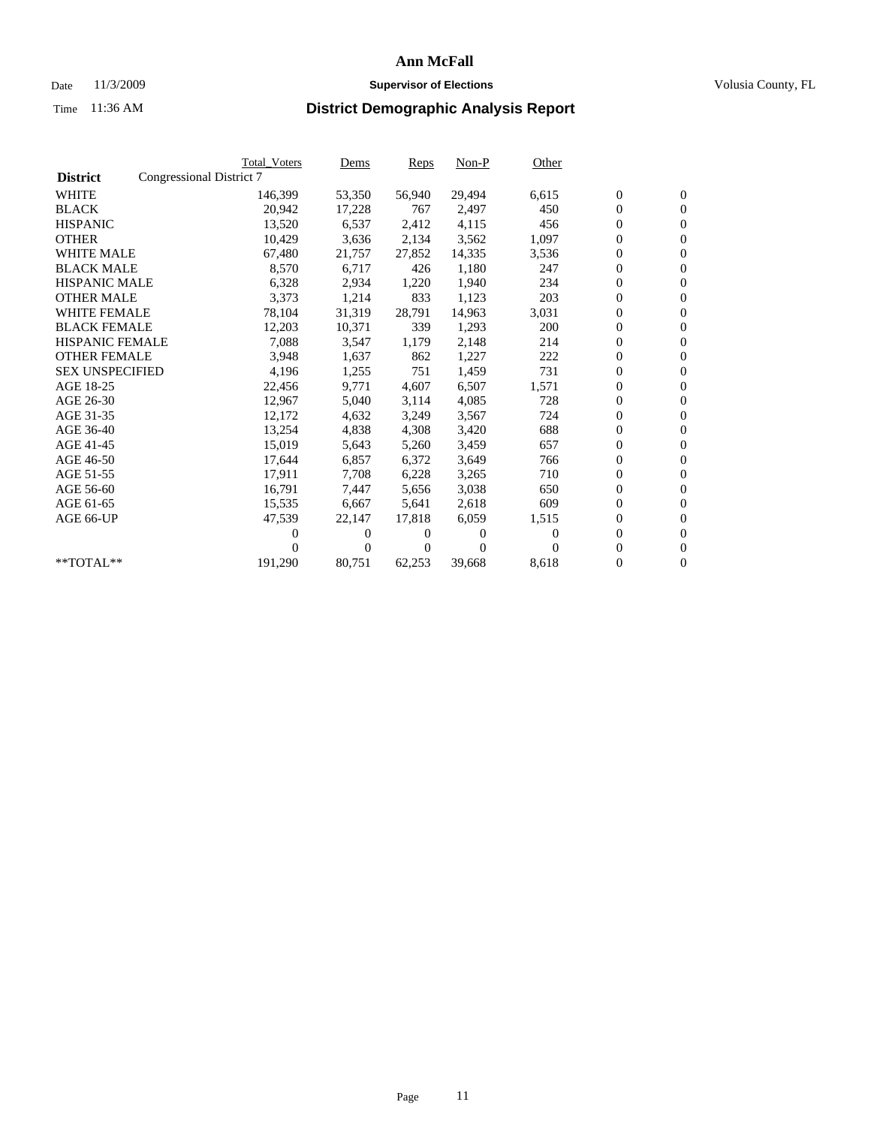## Date 11/3/2009 **Supervisor of Elections Supervisor of Elections** Volusia County, FL

|                        | <b>Total Voters</b>      | <u>Dems</u>    | <b>Reps</b> | $Non-P$  | Other |                  |                  |  |
|------------------------|--------------------------|----------------|-------------|----------|-------|------------------|------------------|--|
| <b>District</b>        | Congressional District 7 |                |             |          |       |                  |                  |  |
| <b>WHITE</b>           | 146,399                  | 53,350         | 56,940      | 29,494   | 6,615 | $\boldsymbol{0}$ | $\boldsymbol{0}$ |  |
| <b>BLACK</b>           | 20,942                   | 17,228         | 767         | 2,497    | 450   | $\overline{0}$   | $\mathbf{0}$     |  |
| <b>HISPANIC</b>        | 13,520                   | 6,537          | 2,412       | 4,115    | 456   | $\overline{0}$   | $\mathbf{0}$     |  |
| <b>OTHER</b>           | 10,429                   | 3,636          | 2,134       | 3,562    | 1,097 | 0                | $\mathbf{0}$     |  |
| <b>WHITE MALE</b>      | 67,480                   | 21,757         | 27,852      | 14,335   | 3,536 | $\boldsymbol{0}$ | $\mathbf{0}$     |  |
| <b>BLACK MALE</b>      | 8,570                    | 6,717          | 426         | 1,180    | 247   | $\boldsymbol{0}$ | $\mathbf{0}$     |  |
| <b>HISPANIC MALE</b>   | 6,328                    | 2,934          | 1,220       | 1,940    | 234   | 0                | $\mathbf{0}$     |  |
| <b>OTHER MALE</b>      | 3,373                    | 1,214          | 833         | 1,123    | 203   | $\boldsymbol{0}$ | $\mathbf{0}$     |  |
| <b>WHITE FEMALE</b>    | 78,104                   | 31,319         | 28,791      | 14,963   | 3,031 | $\mathbf{0}$     | $\mathbf{0}$     |  |
| <b>BLACK FEMALE</b>    | 12,203                   | 10,371         | 339         | 1,293    | 200   | $\boldsymbol{0}$ | $\Omega$         |  |
| <b>HISPANIC FEMALE</b> | 7,088                    | 3,547          | 1,179       | 2,148    | 214   | $\boldsymbol{0}$ | $\mathbf{0}$     |  |
| <b>OTHER FEMALE</b>    | 3,948                    | 1,637          | 862         | 1,227    | 222   | $\overline{0}$   | $\mathbf{0}$     |  |
| <b>SEX UNSPECIFIED</b> | 4,196                    | 1,255          | 751         | 1,459    | 731   | $\boldsymbol{0}$ | $\mathbf{0}$     |  |
| AGE 18-25              | 22,456                   | 9,771          | 4,607       | 6,507    | 1,571 | $\boldsymbol{0}$ | $\mathbf{0}$     |  |
| AGE 26-30              | 12,967                   | 5,040          | 3,114       | 4,085    | 728   | $\overline{0}$   | $\mathbf{0}$     |  |
| AGE 31-35              | 12,172                   | 4,632          | 3,249       | 3,567    | 724   | $\boldsymbol{0}$ | $\mathbf{0}$     |  |
| AGE 36-40              | 13,254                   | 4,838          | 4,308       | 3,420    | 688   | $\boldsymbol{0}$ | $\mathbf{0}$     |  |
| AGE 41-45              | 15,019                   | 5,643          | 5,260       | 3,459    | 657   | $\boldsymbol{0}$ | $\mathbf{0}$     |  |
| AGE 46-50              | 17,644                   | 6,857          | 6,372       | 3,649    | 766   | 0                | $\Omega$         |  |
| AGE 51-55              | 17,911                   | 7,708          | 6,228       | 3,265    | 710   | $\boldsymbol{0}$ | $\mathbf{0}$     |  |
| AGE 56-60              | 16,791                   | 7.447          | 5.656       | 3,038    | 650   | $\mathbf{0}$     | $\mathbf{0}$     |  |
| AGE 61-65              | 15,535                   | 6,667          | 5,641       | 2,618    | 609   | 0                | $\overline{0}$   |  |
| AGE 66-UP              | 47,539                   | 22,147         | 17,818      | 6,059    | 1,515 | $\mathbf{0}$     | $\mathbf{0}$     |  |
|                        | 0                        | 0              | 0           | 0        | 0     | $\overline{0}$   | $\mathbf{0}$     |  |
|                        | $_{0}$                   | $\overline{0}$ | 0           | $\Omega$ |       | 0                | $\mathbf{0}$     |  |
| $*$ TOTAL $**$         | 191,290                  | 80,751         | 62,253      | 39,668   | 8,618 | $\boldsymbol{0}$ | $\boldsymbol{0}$ |  |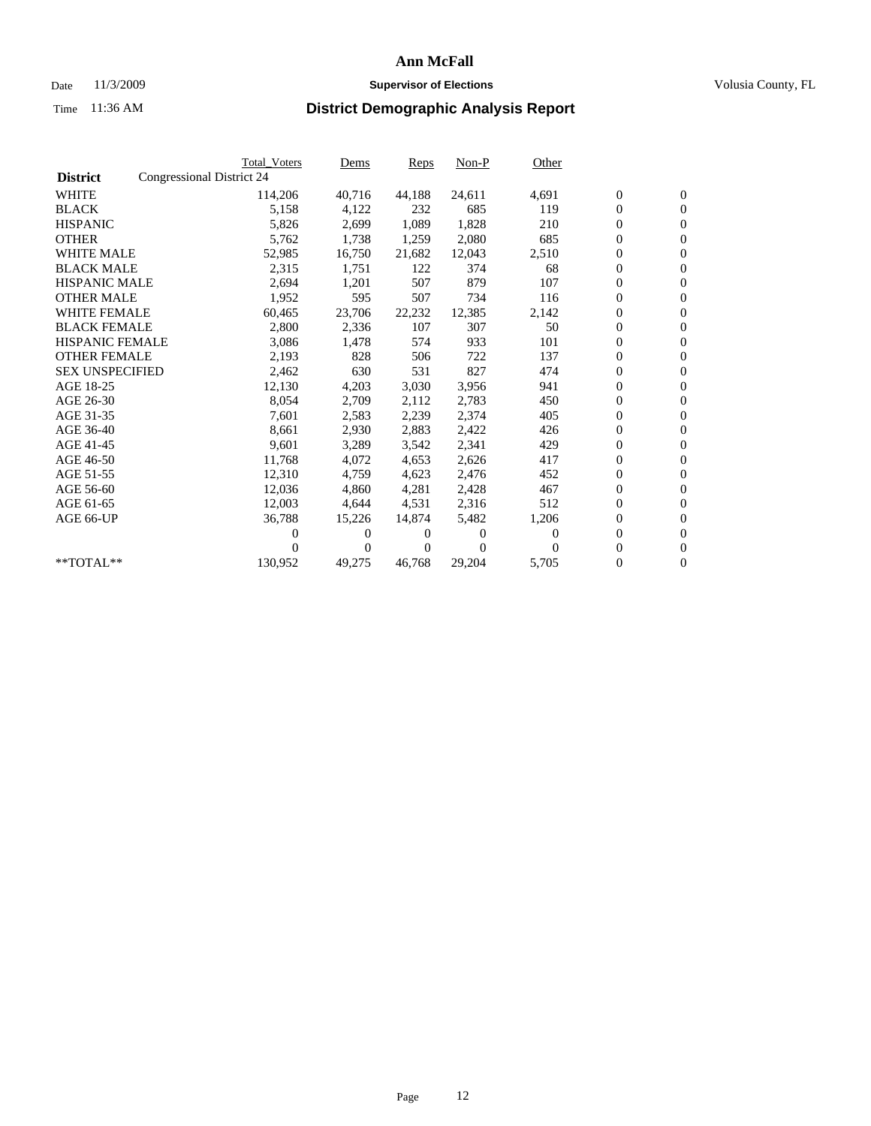## Date 11/3/2009 **Supervisor of Elections Supervisor of Elections** Volusia County, FL

|                        | <b>Total Voters</b>       | Dems           | <b>Reps</b> | $Non-P$  | Other    |                  |                  |  |
|------------------------|---------------------------|----------------|-------------|----------|----------|------------------|------------------|--|
| <b>District</b>        | Congressional District 24 |                |             |          |          |                  |                  |  |
| <b>WHITE</b>           | 114,206                   | 40,716         | 44,188      | 24,611   | 4,691    | $\boldsymbol{0}$ | $\boldsymbol{0}$ |  |
| <b>BLACK</b>           | 5,158                     | 4,122          | 232         | 685      | 119      | $\overline{0}$   | $\mathbf{0}$     |  |
| <b>HISPANIC</b>        | 5,826                     | 2,699          | 1,089       | 1,828    | 210      | $\overline{0}$   | $\mathbf{0}$     |  |
| <b>OTHER</b>           | 5,762                     | 1,738          | 1,259       | 2,080    | 685      | 0                | $\overline{0}$   |  |
| <b>WHITE MALE</b>      | 52,985                    | 16,750         | 21,682      | 12,043   | 2,510    | $\boldsymbol{0}$ | $\mathbf{0}$     |  |
| <b>BLACK MALE</b>      | 2,315                     | 1,751          | 122         | 374      | 68       | $\boldsymbol{0}$ | $\mathbf{0}$     |  |
| <b>HISPANIC MALE</b>   | 2,694                     | 1,201          | 507         | 879      | 107      | $\overline{0}$   | $\overline{0}$   |  |
| <b>OTHER MALE</b>      | 1,952                     | 595            | 507         | 734      | 116      | $\boldsymbol{0}$ | $\mathbf{0}$     |  |
| <b>WHITE FEMALE</b>    | 60,465                    | 23,706         | 22,232      | 12,385   | 2,142    | $\mathbf{0}$     | $\mathbf{0}$     |  |
| <b>BLACK FEMALE</b>    | 2,800                     | 2,336          | 107         | 307      | 50       | $\boldsymbol{0}$ | $\Omega$         |  |
| <b>HISPANIC FEMALE</b> | 3,086                     | 1,478          | 574         | 933      | 101      | $\boldsymbol{0}$ | $\mathbf{0}$     |  |
| <b>OTHER FEMALE</b>    | 2,193                     | 828            | 506         | 722      | 137      | $\mathbf{0}$     | $\mathbf{0}$     |  |
| <b>SEX UNSPECIFIED</b> | 2,462                     | 630            | 531         | 827      | 474      | $\boldsymbol{0}$ | $\mathbf{0}$     |  |
| AGE 18-25              | 12,130                    | 4,203          | 3,030       | 3,956    | 941      | $\boldsymbol{0}$ | $\mathbf{0}$     |  |
| AGE 26-30              | 8,054                     | 2,709          | 2,112       | 2,783    | 450      | $\boldsymbol{0}$ | $\mathbf{0}$     |  |
| AGE 31-35              | 7,601                     | 2,583          | 2,239       | 2,374    | 405      | $\boldsymbol{0}$ | $\mathbf{0}$     |  |
| AGE 36-40              | 8,661                     | 2,930          | 2,883       | 2,422    | 426      | $\boldsymbol{0}$ | $\mathbf{0}$     |  |
| AGE 41-45              | 9,601                     | 3,289          | 3,542       | 2,341    | 429      | $\boldsymbol{0}$ | $\mathbf{0}$     |  |
| AGE 46-50              | 11,768                    | 4,072          | 4,653       | 2,626    | 417      | $\boldsymbol{0}$ | $\Omega$         |  |
| AGE 51-55              | 12,310                    | 4,759          | 4,623       | 2,476    | 452      | $\boldsymbol{0}$ | $\mathbf{0}$     |  |
| AGE 56-60              | 12,036                    | 4,860          | 4,281       | 2,428    | 467      | $\mathbf{0}$     | $\mathbf{0}$     |  |
| AGE 61-65              | 12,003                    | 4,644          | 4,531       | 2,316    | 512      | $\boldsymbol{0}$ | $\mathbf{0}$     |  |
| AGE 66-UP              | 36,788                    | 15,226         | 14,874      | 5,482    | 1,206    | $\mathbf{0}$     | $\mathbf{0}$     |  |
|                        | 0                         | 0              | 0           | 0        | 0        | $\overline{0}$   | $\mathbf{0}$     |  |
|                        | 0                         | $\overline{0}$ | 0           | $\Omega$ | $\Omega$ | 0                | $\mathbf{0}$     |  |
| $*$ TOTAL $**$         | 130,952                   | 49,275         | 46,768      | 29,204   | 5,705    | $\boldsymbol{0}$ | $\boldsymbol{0}$ |  |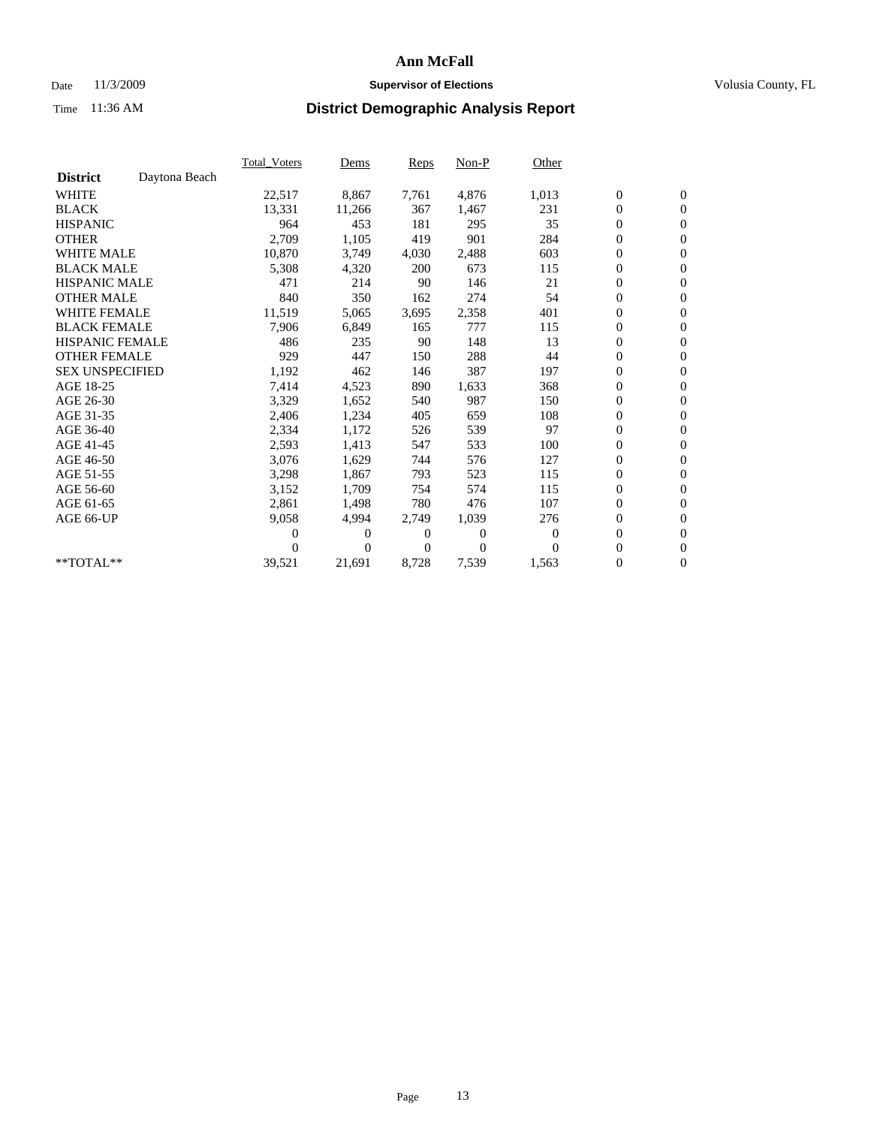## Date 11/3/2009 **Supervisor of Elections Supervisor of Elections** Volusia County, FL

|                        |               | <b>Total Voters</b> | Dems     | Reps  | Non-P    | Other            |                  |                  |  |
|------------------------|---------------|---------------------|----------|-------|----------|------------------|------------------|------------------|--|
| <b>District</b>        | Daytona Beach |                     |          |       |          |                  |                  |                  |  |
| <b>WHITE</b>           |               | 22,517              | 8,867    | 7,761 | 4,876    | 1,013            | $\boldsymbol{0}$ | $\boldsymbol{0}$ |  |
| <b>BLACK</b>           |               | 13,331              | 11,266   | 367   | 1,467    | 231              | $\boldsymbol{0}$ | $\mathbf{0}$     |  |
| <b>HISPANIC</b>        |               | 964                 | 453      | 181   | 295      | 35               | $\overline{0}$   | $\mathbf{0}$     |  |
| <b>OTHER</b>           |               | 2,709               | 1,105    | 419   | 901      | 284              | 0                | $\mathbf{0}$     |  |
| <b>WHITE MALE</b>      |               | 10,870              | 3,749    | 4,030 | 2,488    | 603              | 0                | $\mathbf{0}$     |  |
| <b>BLACK MALE</b>      |               | 5,308               | 4,320    | 200   | 673      | 115              | $\boldsymbol{0}$ | $\mathbf{0}$     |  |
| <b>HISPANIC MALE</b>   |               | 471                 | 214      | 90    | 146      | 21               | $\boldsymbol{0}$ | $\mathbf{0}$     |  |
| <b>OTHER MALE</b>      |               | 840                 | 350      | 162   | 274      | 54               | 0                | $\mathbf{0}$     |  |
| <b>WHITE FEMALE</b>    |               | 11,519              | 5,065    | 3,695 | 2,358    | 401              | 0                | $\mathbf{0}$     |  |
| <b>BLACK FEMALE</b>    |               | 7,906               | 6,849    | 165   | 777      | 115              | $\boldsymbol{0}$ | $\mathbf{0}$     |  |
| <b>HISPANIC FEMALE</b> |               | 486                 | 235      | 90    | 148      | 13               | 0                | $\mathbf{0}$     |  |
| <b>OTHER FEMALE</b>    |               | 929                 | 447      | 150   | 288      | 44               | 0                | $\mathbf{0}$     |  |
| <b>SEX UNSPECIFIED</b> |               | 1,192               | 462      | 146   | 387      | 197              | 0                | $\mathbf{0}$     |  |
| AGE 18-25              |               | 7,414               | 4,523    | 890   | 1,633    | 368              | 0                | $\mathbf{0}$     |  |
| AGE 26-30              |               | 3,329               | 1,652    | 540   | 987      | 150              | 0                | $\mathbf{0}$     |  |
| AGE 31-35              |               | 2,406               | 1,234    | 405   | 659      | 108              | $\boldsymbol{0}$ | $\mathbf{0}$     |  |
| AGE 36-40              |               | 2,334               | 1,172    | 526   | 539      | 97               | 0                | $\mathbf{0}$     |  |
| AGE 41-45              |               | 2,593               | 1,413    | 547   | 533      | 100              | 0                | $\mathbf{0}$     |  |
| AGE 46-50              |               | 3,076               | 1,629    | 744   | 576      | 127              | $\boldsymbol{0}$ | $\mathbf{0}$     |  |
| AGE 51-55              |               | 3,298               | 1,867    | 793   | 523      | 115              | $\boldsymbol{0}$ | $\mathbf{0}$     |  |
| AGE 56-60              |               | 3,152               | 1.709    | 754   | 574      | 115              | $\boldsymbol{0}$ | $\mathbf{0}$     |  |
| AGE 61-65              |               | 2,861               | 1,498    | 780   | 476      | 107              | $\boldsymbol{0}$ | $\mathbf{0}$     |  |
| AGE 66-UP              |               | 9,058               | 4,994    | 2,749 | 1,039    | 276              | 0                | $\mathbf{0}$     |  |
|                        |               | 0                   | 0        | 0     | $\theta$ | $\boldsymbol{0}$ | 0                | $\mathbf{0}$     |  |
|                        |               | 0                   | $\Omega$ | 0     | $\Omega$ | $\Omega$         | 0                | $\mathbf{0}$     |  |
| **TOTAL**              |               | 39,521              | 21,691   | 8,728 | 7,539    | 1,563            | 0                | $\overline{0}$   |  |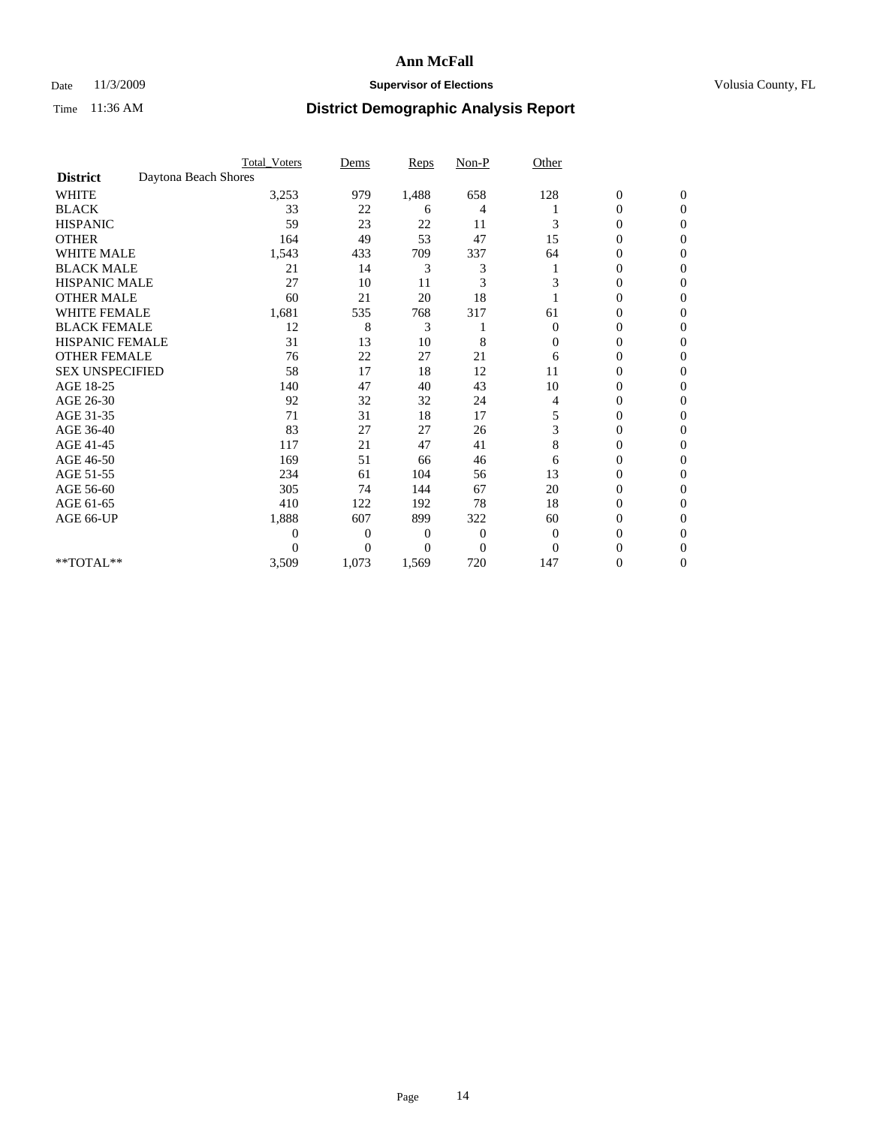### Date 11/3/2009 **Supervisor of Elections Supervisor of Elections** Volusia County, FL

|                        |                      | <b>Total_Voters</b> | Dems           | <b>Reps</b> | $Non-P$      | Other          |                  |                  |  |
|------------------------|----------------------|---------------------|----------------|-------------|--------------|----------------|------------------|------------------|--|
| <b>District</b>        | Daytona Beach Shores |                     |                |             |              |                |                  |                  |  |
| <b>WHITE</b>           |                      | 3,253               | 979            | 1,488       | 658          | 128            | $\boldsymbol{0}$ | $\boldsymbol{0}$ |  |
| <b>BLACK</b>           |                      | 33                  | 22             | 6           | 4            |                | $\boldsymbol{0}$ | $\Omega$         |  |
| <b>HISPANIC</b>        |                      | 59                  | 23             | 22          | 11           | 3              | 0                | $\Omega$         |  |
| <b>OTHER</b>           |                      | 164                 | 49             | 53          | 47           | 15             | 0                | $\Omega$         |  |
| <b>WHITE MALE</b>      |                      | 1,543               | 433            | 709         | 337          | 64             | 0                | $\mathbf{0}$     |  |
| <b>BLACK MALE</b>      |                      | 21                  | 14             | 3           | 3            |                | 0                | 0                |  |
| <b>HISPANIC MALE</b>   |                      | 27                  | 10             | 11          | 3            | 3              | 0                | 0                |  |
| <b>OTHER MALE</b>      |                      | 60                  | 21             | 20          | 18           |                | 0                | 0                |  |
| WHITE FEMALE           |                      | 1,681               | 535            | 768         | 317          | 61             | 0                | $\Omega$         |  |
| <b>BLACK FEMALE</b>    |                      | 12                  | 8              | 3           |              | $\overline{0}$ | 0                | $\Omega$         |  |
| <b>HISPANIC FEMALE</b> |                      | 31                  | 13             | 10          | 8            | 0              | 0                | 0                |  |
| <b>OTHER FEMALE</b>    |                      | 76                  | 22             | 27          | 21           | 6              | 0                | $\Omega$         |  |
| <b>SEX UNSPECIFIED</b> |                      | 58                  | 17             | 18          | 12           | 11             | $\overline{0}$   | $\Omega$         |  |
| AGE 18-25              |                      | 140                 | 47             | 40          | 43           | 10             | 0                | 0                |  |
| AGE 26-30              |                      | 92                  | 32             | 32          | 24           | 4              | 0                | $\Omega$         |  |
| AGE 31-35              |                      | 71                  | 31             | 18          | 17           | 5              | 0                | $\Omega$         |  |
| AGE 36-40              |                      | 83                  | 27             | 27          | 26           | 3              | 0                | 0                |  |
| AGE 41-45              |                      | 117                 | 21             | 47          | 41           | 8              | 0                | $\Omega$         |  |
| AGE 46-50              |                      | 169                 | 51             | 66          | 46           | 6              | $\overline{0}$   | $\Omega$         |  |
| AGE 51-55              |                      | 234                 | 61             | 104         | 56           | 13             | 0                | $\mathbf{0}$     |  |
| AGE 56-60              |                      | 305                 | 74             | 144         | 67           | 20             | 0                | 0                |  |
| AGE 61-65              |                      | 410                 | 122            | 192         | 78           | 18             | $\overline{0}$   | $\Omega$         |  |
| AGE 66-UP              |                      | 1,888               | 607            | 899         | 322          | 60             | 0                | 0                |  |
|                        |                      | 0                   | 0              | 0           | $\mathbf{0}$ | $\overline{0}$ | 0                | $\Omega$         |  |
|                        |                      | $\theta$            | $\overline{0}$ | $\Omega$    | $\Omega$     | $\Omega$       | 0                | $\Omega$         |  |
| **TOTAL**              |                      | 3,509               | 1,073          | 1,569       | 720          | 147            | 0                | $\mathbf{0}$     |  |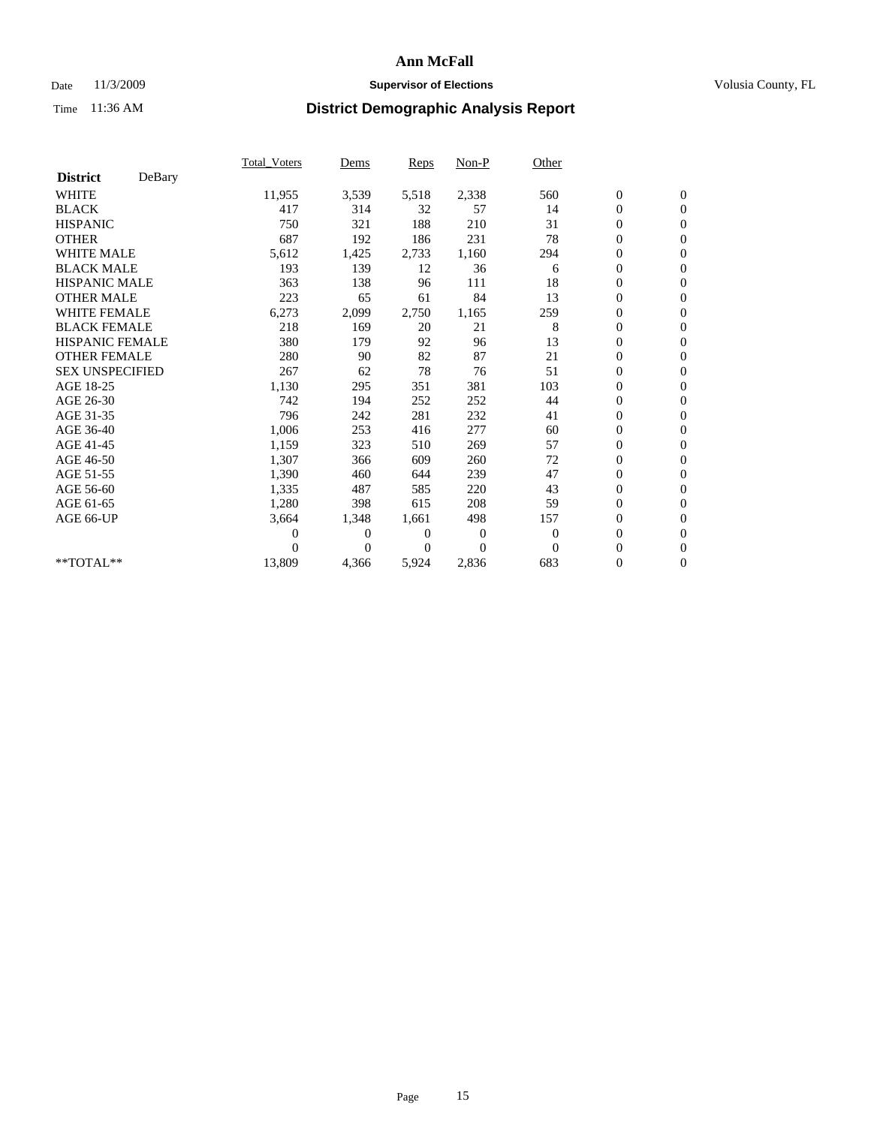## Date 11/3/2009 **Supervisor of Elections Supervisor of Elections** Volusia County, FL

|                        |        | Total Voters | Dems     | <b>Reps</b> | Non-P    | Other        |                  |                  |  |
|------------------------|--------|--------------|----------|-------------|----------|--------------|------------------|------------------|--|
| <b>District</b>        | DeBary |              |          |             |          |              |                  |                  |  |
| <b>WHITE</b>           |        | 11,955       | 3,539    | 5,518       | 2,338    | 560          | $\boldsymbol{0}$ | $\boldsymbol{0}$ |  |
| <b>BLACK</b>           |        | 417          | 314      | 32          | 57       | 14           | $\boldsymbol{0}$ | $\mathbf{0}$     |  |
| <b>HISPANIC</b>        |        | 750          | 321      | 188         | 210      | 31           | $\overline{0}$   | $\mathbf{0}$     |  |
| <b>OTHER</b>           |        | 687          | 192      | 186         | 231      | 78           | $\boldsymbol{0}$ | $\mathbf{0}$     |  |
| <b>WHITE MALE</b>      |        | 5,612        | 1,425    | 2,733       | 1,160    | 294          | $\boldsymbol{0}$ | $\mathbf{0}$     |  |
| <b>BLACK MALE</b>      |        | 193          | 139      | 12          | 36       | 6            | $\boldsymbol{0}$ | $\mathbf{0}$     |  |
| <b>HISPANIC MALE</b>   |        | 363          | 138      | 96          | 111      | 18           | $\boldsymbol{0}$ | $\mathbf{0}$     |  |
| <b>OTHER MALE</b>      |        | 223          | 65       | 61          | 84       | 13           | $\boldsymbol{0}$ | $\mathbf{0}$     |  |
| <b>WHITE FEMALE</b>    |        | 6,273        | 2,099    | 2,750       | 1,165    | 259          | $\overline{0}$   | $\mathbf{0}$     |  |
| <b>BLACK FEMALE</b>    |        | 218          | 169      | 20          | 21       | 8            | $\boldsymbol{0}$ | $\mathbf{0}$     |  |
| <b>HISPANIC FEMALE</b> |        | 380          | 179      | 92          | 96       | 13           | $\boldsymbol{0}$ | $\mathbf{0}$     |  |
| <b>OTHER FEMALE</b>    |        | 280          | 90       | 82          | 87       | 21           | $\mathbf{0}$     | $\mathbf{0}$     |  |
| <b>SEX UNSPECIFIED</b> |        | 267          | 62       | 78          | 76       | 51           | $\boldsymbol{0}$ | $\mathbf{0}$     |  |
| AGE 18-25              |        | 1,130        | 295      | 351         | 381      | 103          | $\overline{0}$   | $\mathbf{0}$     |  |
| AGE 26-30              |        | 742          | 194      | 252         | 252      | 44           | $\overline{0}$   | $\mathbf{0}$     |  |
| AGE 31-35              |        | 796          | 242      | 281         | 232      | 41           | $\boldsymbol{0}$ | $\mathbf{0}$     |  |
| AGE 36-40              |        | 1,006        | 253      | 416         | 277      | 60           | $\boldsymbol{0}$ | $\mathbf{0}$     |  |
| AGE 41-45              |        | 1,159        | 323      | 510         | 269      | 57           | $\overline{0}$   | $\mathbf{0}$     |  |
| AGE 46-50              |        | 1,307        | 366      | 609         | 260      | 72           | $\boldsymbol{0}$ | $\mathbf{0}$     |  |
| AGE 51-55              |        | 1,390        | 460      | 644         | 239      | 47           | $\boldsymbol{0}$ | $\mathbf{0}$     |  |
| AGE 56-60              |        | 1,335        | 487      | 585         | 220      | 43           | $\overline{0}$   | $\Omega$         |  |
| AGE 61-65              |        | 1,280        | 398      | 615         | 208      | 59           | $\mathbf{0}$     | $\mathbf{0}$     |  |
| AGE 66-UP              |        | 3,664        | 1,348    | 1,661       | 498      | 157          | $\boldsymbol{0}$ | $\mathbf{0}$     |  |
|                        |        | 0            | 0        | 0           | 0        | $\mathbf{0}$ | $\overline{0}$   | $\mathbf{0}$     |  |
|                        |        | $\theta$     | $\theta$ | $\Omega$    | $\theta$ | $\Omega$     | $\boldsymbol{0}$ | $\mathbf{0}$     |  |
| **TOTAL**              |        | 13,809       | 4,366    | 5,924       | 2,836    | 683          | 0                | $\mathbf{0}$     |  |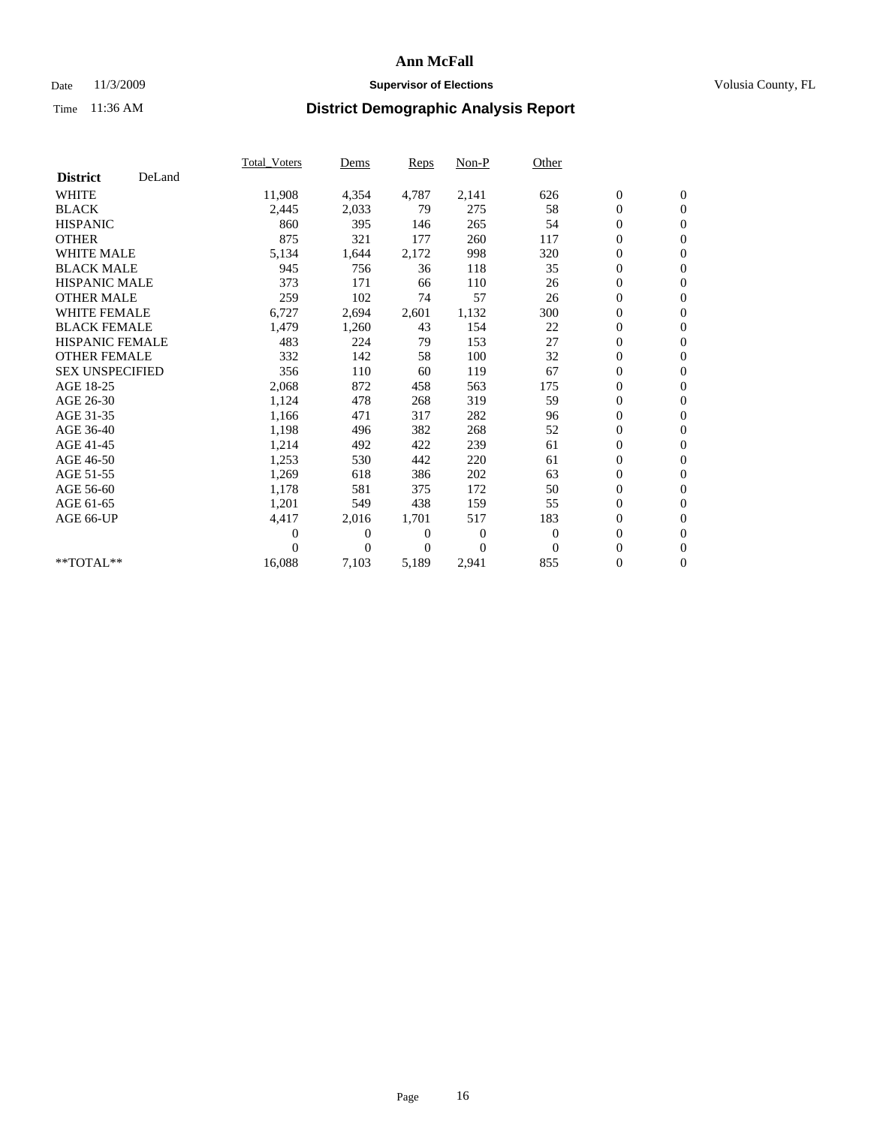## Date 11/3/2009 **Supervisor of Elections Supervisor of Elections** Volusia County, FL

|                        |        | <b>Total Voters</b> | Dems           | Reps           | Non-P          | Other    |                  |                  |  |
|------------------------|--------|---------------------|----------------|----------------|----------------|----------|------------------|------------------|--|
| <b>District</b>        | DeLand |                     |                |                |                |          |                  |                  |  |
| <b>WHITE</b>           |        | 11,908              | 4,354          | 4,787          | 2,141          | 626      | $\boldsymbol{0}$ | $\boldsymbol{0}$ |  |
| <b>BLACK</b>           |        | 2,445               | 2,033          | 79             | 275            | 58       | $\boldsymbol{0}$ | $\mathbf{0}$     |  |
| <b>HISPANIC</b>        |        | 860                 | 395            | 146            | 265            | 54       | $\boldsymbol{0}$ | $\mathbf{0}$     |  |
| <b>OTHER</b>           |        | 875                 | 321            | 177            | 260            | 117      | 0                | $\mathbf{0}$     |  |
| <b>WHITE MALE</b>      |        | 5,134               | 1,644          | 2,172          | 998            | 320      | $\boldsymbol{0}$ | $\mathbf{0}$     |  |
| <b>BLACK MALE</b>      |        | 945                 | 756            | 36             | 118            | 35       | $\overline{0}$   | $\mathbf{0}$     |  |
| <b>HISPANIC MALE</b>   |        | 373                 | 171            | 66             | 110            | 26       | 0                | $\mathbf{0}$     |  |
| <b>OTHER MALE</b>      |        | 259                 | 102            | 74             | 57             | 26       | 0                | $\mathbf{0}$     |  |
| <b>WHITE FEMALE</b>    |        | 6,727               | 2,694          | 2,601          | 1,132          | 300      | $\boldsymbol{0}$ | $\mathbf{0}$     |  |
| <b>BLACK FEMALE</b>    |        | 1,479               | 1,260          | 43             | 154            | 22       | 0                | $\mathbf{0}$     |  |
| <b>HISPANIC FEMALE</b> |        | 483                 | 224            | 79             | 153            | 27       | $\boldsymbol{0}$ | $\mathbf{0}$     |  |
| <b>OTHER FEMALE</b>    |        | 332                 | 142            | 58             | 100            | 32       | $\overline{0}$   | $\mathbf{0}$     |  |
| <b>SEX UNSPECIFIED</b> |        | 356                 | 110            | 60             | 119            | 67       | 0                | $\mathbf{0}$     |  |
| AGE 18-25              |        | 2,068               | 872            | 458            | 563            | 175      | $\boldsymbol{0}$ | $\mathbf{0}$     |  |
| AGE 26-30              |        | 1,124               | 478            | 268            | 319            | 59       | $\boldsymbol{0}$ | $\mathbf{0}$     |  |
| AGE 31-35              |        | 1,166               | 471            | 317            | 282            | 96       | 0                | $\mathbf{0}$     |  |
| AGE 36-40              |        | 1,198               | 496            | 382            | 268            | 52       | 0                | $\mathbf{0}$     |  |
| AGE 41-45              |        | 1,214               | 492            | 422            | 239            | 61       | $\boldsymbol{0}$ | $\mathbf{0}$     |  |
| AGE 46-50              |        | 1,253               | 530            | 442            | 220            | 61       | 0                | $\mathbf{0}$     |  |
| AGE 51-55              |        | 1,269               | 618            | 386            | 202            | 63       | $\boldsymbol{0}$ | $\mathbf{0}$     |  |
| AGE 56-60              |        | 1,178               | 581            | 375            | 172            | 50       | $\overline{0}$   | $\mathbf{0}$     |  |
| AGE 61-65              |        | 1,201               | 549            | 438            | 159            | 55       | 0                | $\mathbf{0}$     |  |
| AGE 66-UP              |        | 4,417               | 2,016          | 1,701          | 517            | 183      | $\boldsymbol{0}$ | $\mathbf{0}$     |  |
|                        |        | 0                   | $\overline{0}$ | $\overline{0}$ | $\theta$       | $\theta$ | $\overline{0}$   | $\mathbf{0}$     |  |
|                        |        | 0                   | $\overline{0}$ | 0              | $\overline{0}$ | $\theta$ | 0                | $\mathbf{0}$     |  |
| **TOTAL**              |        | 16,088              | 7,103          | 5,189          | 2,941          | 855      | 0                | $\boldsymbol{0}$ |  |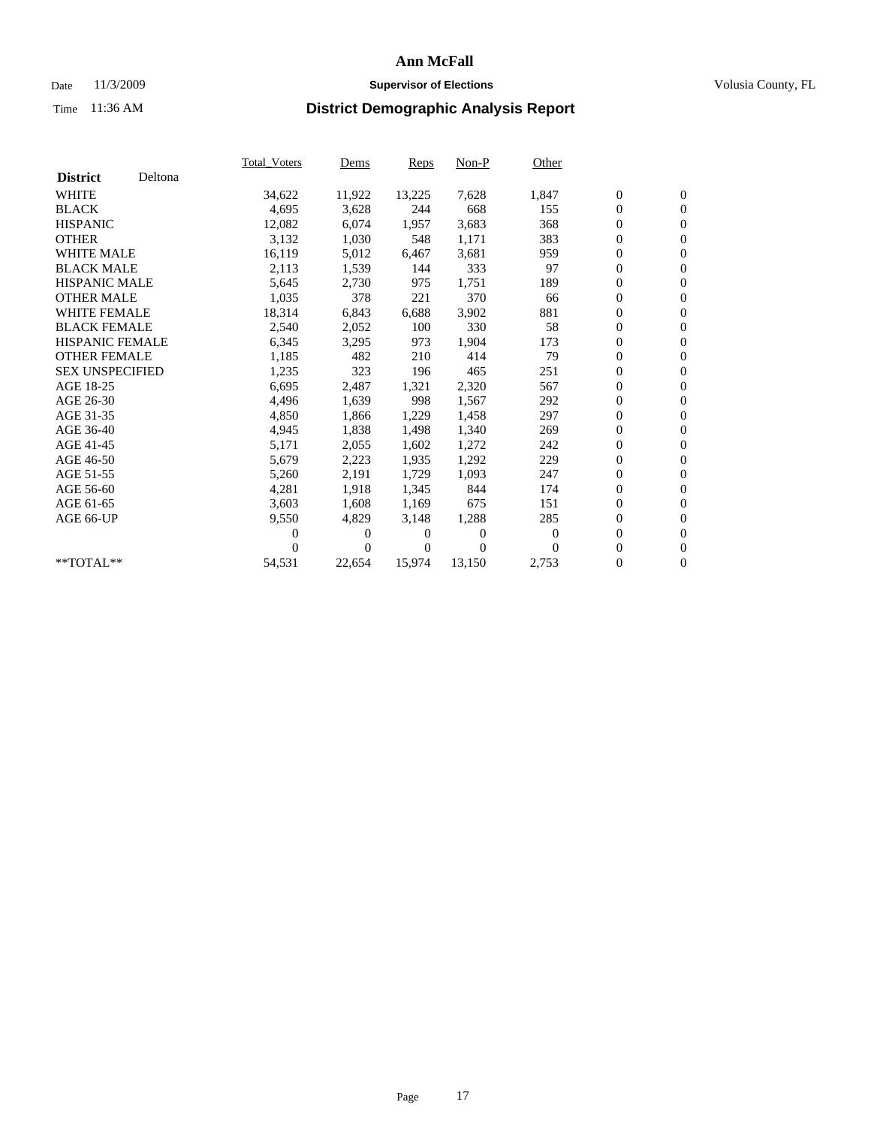## Date 11/3/2009 **Supervisor of Elections Supervisor of Elections** Volusia County, FL

|                        |         | <b>Total Voters</b> | Dems   | Reps   | Non-P    | Other    |                  |                  |  |
|------------------------|---------|---------------------|--------|--------|----------|----------|------------------|------------------|--|
| <b>District</b>        | Deltona |                     |        |        |          |          |                  |                  |  |
| <b>WHITE</b>           |         | 34,622              | 11,922 | 13,225 | 7,628    | 1,847    | $\boldsymbol{0}$ | $\boldsymbol{0}$ |  |
| <b>BLACK</b>           |         | 4,695               | 3,628  | 244    | 668      | 155      | 0                | $\mathbf{0}$     |  |
| <b>HISPANIC</b>        |         | 12,082              | 6,074  | 1,957  | 3,683    | 368      | 0                | $\mathbf{0}$     |  |
| <b>OTHER</b>           |         | 3,132               | 1,030  | 548    | 1,171    | 383      | 0                | $\mathbf{0}$     |  |
| <b>WHITE MALE</b>      |         | 16,119              | 5,012  | 6,467  | 3,681    | 959      | 0                | $\mathbf{0}$     |  |
| <b>BLACK MALE</b>      |         | 2,113               | 1,539  | 144    | 333      | 97       | 0                | $\mathbf{0}$     |  |
| <b>HISPANIC MALE</b>   |         | 5,645               | 2,730  | 975    | 1,751    | 189      | 0                | $\mathbf{0}$     |  |
| <b>OTHER MALE</b>      |         | 1,035               | 378    | 221    | 370      | 66       | 0                | $\mathbf{0}$     |  |
| <b>WHITE FEMALE</b>    |         | 18,314              | 6,843  | 6,688  | 3,902    | 881      | $\boldsymbol{0}$ | $\mathbf{0}$     |  |
| <b>BLACK FEMALE</b>    |         | 2,540               | 2,052  | 100    | 330      | 58       | 0                | $\mathbf{0}$     |  |
| <b>HISPANIC FEMALE</b> |         | 6,345               | 3,295  | 973    | 1,904    | 173      | 0                | $\mathbf{0}$     |  |
| <b>OTHER FEMALE</b>    |         | 1,185               | 482    | 210    | 414      | 79       | 0                | $\mathbf{0}$     |  |
| <b>SEX UNSPECIFIED</b> |         | 1,235               | 323    | 196    | 465      | 251      | 0                | $\mathbf{0}$     |  |
| AGE 18-25              |         | 6,695               | 2,487  | 1,321  | 2,320    | 567      | 0                | $\mathbf{0}$     |  |
| AGE 26-30              |         | 4,496               | 1,639  | 998    | 1,567    | 292      | 0                | $\mathbf{0}$     |  |
| AGE 31-35              |         | 4,850               | 1,866  | 1,229  | 1,458    | 297      | $\boldsymbol{0}$ | $\mathbf{0}$     |  |
| AGE 36-40              |         | 4,945               | 1,838  | 1,498  | 1,340    | 269      | 0                | $\mathbf{0}$     |  |
| AGE 41-45              |         | 5,171               | 2,055  | 1,602  | 1,272    | 242      | 0                | $\mathbf{0}$     |  |
| AGE 46-50              |         | 5,679               | 2,223  | 1,935  | 1,292    | 229      | 0                | $\mathbf{0}$     |  |
| AGE 51-55              |         | 5,260               | 2,191  | 1,729  | 1,093    | 247      | $\boldsymbol{0}$ | $\mathbf{0}$     |  |
| AGE 56-60              |         | 4,281               | 1,918  | 1,345  | 844      | 174      | 0                | $\mathbf{0}$     |  |
| AGE 61-65              |         | 3,603               | 1,608  | 1,169  | 675      | 151      | 0                | $\mathbf{0}$     |  |
| AGE 66-UP              |         | 9,550               | 4,829  | 3,148  | 1,288    | 285      | $\boldsymbol{0}$ | $\mathbf{0}$     |  |
|                        |         | 0                   | 0      | 0      | $\theta$ | $\theta$ | $\overline{0}$   | $\mathbf{0}$     |  |
|                        |         | 0                   | 0      | 0      | $\Omega$ | $\Omega$ | 0                | $\mathbf{0}$     |  |
| **TOTAL**              |         | 54,531              | 22,654 | 15,974 | 13,150   | 2,753    | 0                | $\boldsymbol{0}$ |  |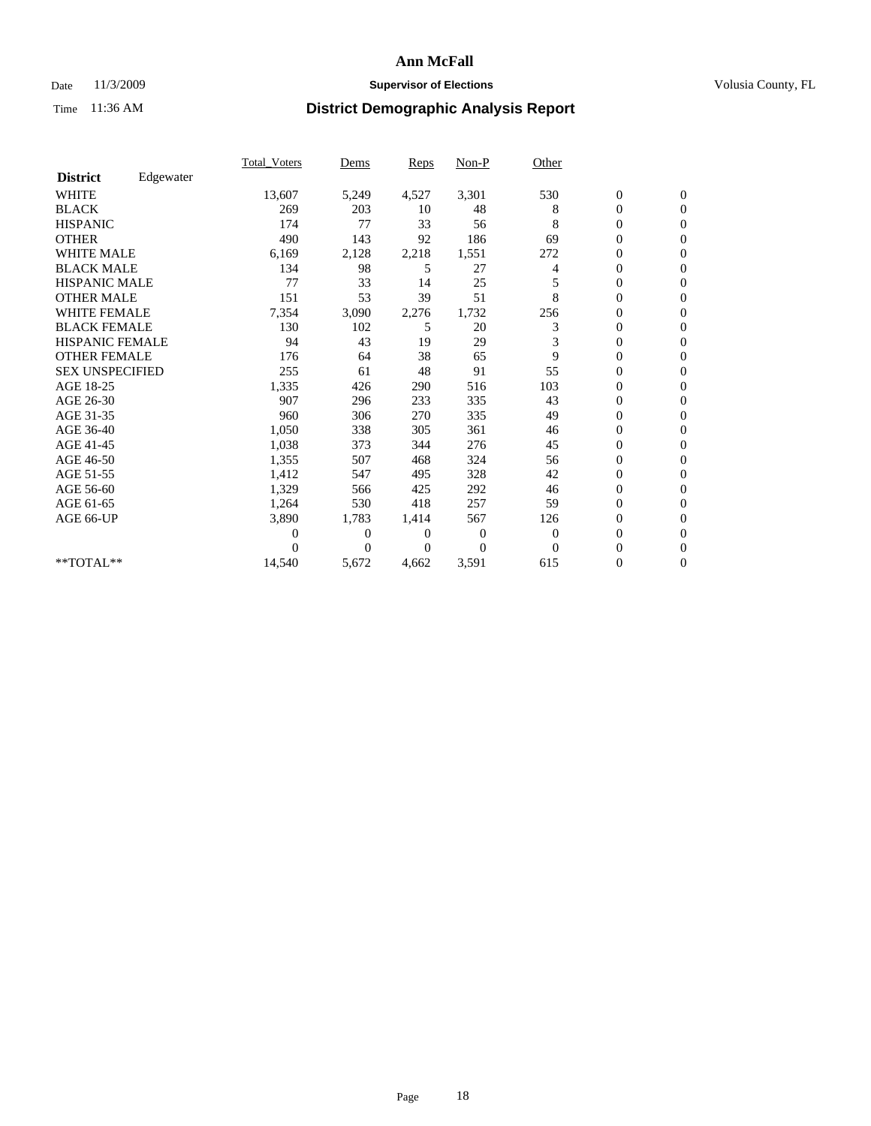## Date 11/3/2009 **Supervisor of Elections Supervisor of Elections** Volusia County, FL

|                        |           | <b>Total_Voters</b> | Dems         | Reps  | Non-P          | Other    |                  |                |  |
|------------------------|-----------|---------------------|--------------|-------|----------------|----------|------------------|----------------|--|
| <b>District</b>        | Edgewater |                     |              |       |                |          |                  |                |  |
| <b>WHITE</b>           |           | 13,607              | 5,249        | 4,527 | 3,301          | 530      | $\boldsymbol{0}$ | $\mathbf{0}$   |  |
| <b>BLACK</b>           |           | 269                 | 203          | 10    | 48             | 8        | 0                | $\mathbf{0}$   |  |
| <b>HISPANIC</b>        |           | 174                 | 77           | 33    | 56             | 8        | 0                | $\mathbf{0}$   |  |
| <b>OTHER</b>           |           | 490                 | 143          | 92    | 186            | 69       | 0                | $\mathbf{0}$   |  |
| <b>WHITE MALE</b>      |           | 6,169               | 2,128        | 2,218 | 1,551          | 272      | 0                | $\mathbf{0}$   |  |
| <b>BLACK MALE</b>      |           | 134                 | 98           | 5     | 27             | 4        | 0                | $\mathbf{0}$   |  |
| <b>HISPANIC MALE</b>   |           | 77                  | 33           | 14    | 25             |          | 0                | $\Omega$       |  |
| <b>OTHER MALE</b>      |           | 151                 | 53           | 39    | 51             | 8        | 0                | $\mathbf{0}$   |  |
| <b>WHITE FEMALE</b>    |           | 7,354               | 3,090        | 2,276 | 1,732          | 256      | 0                | $\Omega$       |  |
| <b>BLACK FEMALE</b>    |           | 130                 | 102          | 5     | 20             | 3        | 0                | $\mathbf{0}$   |  |
| HISPANIC FEMALE        |           | 94                  | 43           | 19    | 29             | 3        | 0                | $\mathbf{0}$   |  |
| <b>OTHER FEMALE</b>    |           | 176                 | 64           | 38    | 65             | 9        | 0                | $\Omega$       |  |
| <b>SEX UNSPECIFIED</b> |           | 255                 | 61           | 48    | 91             | 55       | 0                | $\mathbf{0}$   |  |
| AGE 18-25              |           | 1,335               | 426          | 290   | 516            | 103      | 0                | $\mathbf{0}$   |  |
| AGE 26-30              |           | 907                 | 296          | 233   | 335            | 43       | 0                | $\mathbf{0}$   |  |
| AGE 31-35              |           | 960                 | 306          | 270   | 335            | 49       | 0                | $\mathbf{0}$   |  |
| AGE 36-40              |           | 1,050               | 338          | 305   | 361            | 46       | 0                | $\mathbf{0}$   |  |
| AGE 41-45              |           | 1,038               | 373          | 344   | 276            | 45       | $\overline{0}$   | $\mathbf{0}$   |  |
| AGE 46-50              |           | 1,355               | 507          | 468   | 324            | 56       | $\overline{0}$   | $\mathbf{0}$   |  |
| AGE 51-55              |           | 1,412               | 547          | 495   | 328            | 42       | 0                | $\mathbf{0}$   |  |
| AGE 56-60              |           | 1,329               | 566          | 425   | 292            | 46       | 0                | $\Omega$       |  |
| AGE 61-65              |           | 1,264               | 530          | 418   | 257            | 59       | 0                | $\mathbf{0}$   |  |
| AGE 66-UP              |           | 3,890               | 1,783        | 1,414 | 567            | 126      | 0                | $\mathbf{0}$   |  |
|                        |           | 0                   | $\mathbf{0}$ | 0     | $\overline{0}$ | $\theta$ | 0                | $\Omega$       |  |
|                        |           | 0                   | $\Omega$     | 0     | $\theta$       | $\Omega$ | $\overline{0}$   | $\overline{0}$ |  |
| **TOTAL**              |           | 14,540              | 5,672        | 4,662 | 3,591          | 615      | 0                | $\overline{0}$ |  |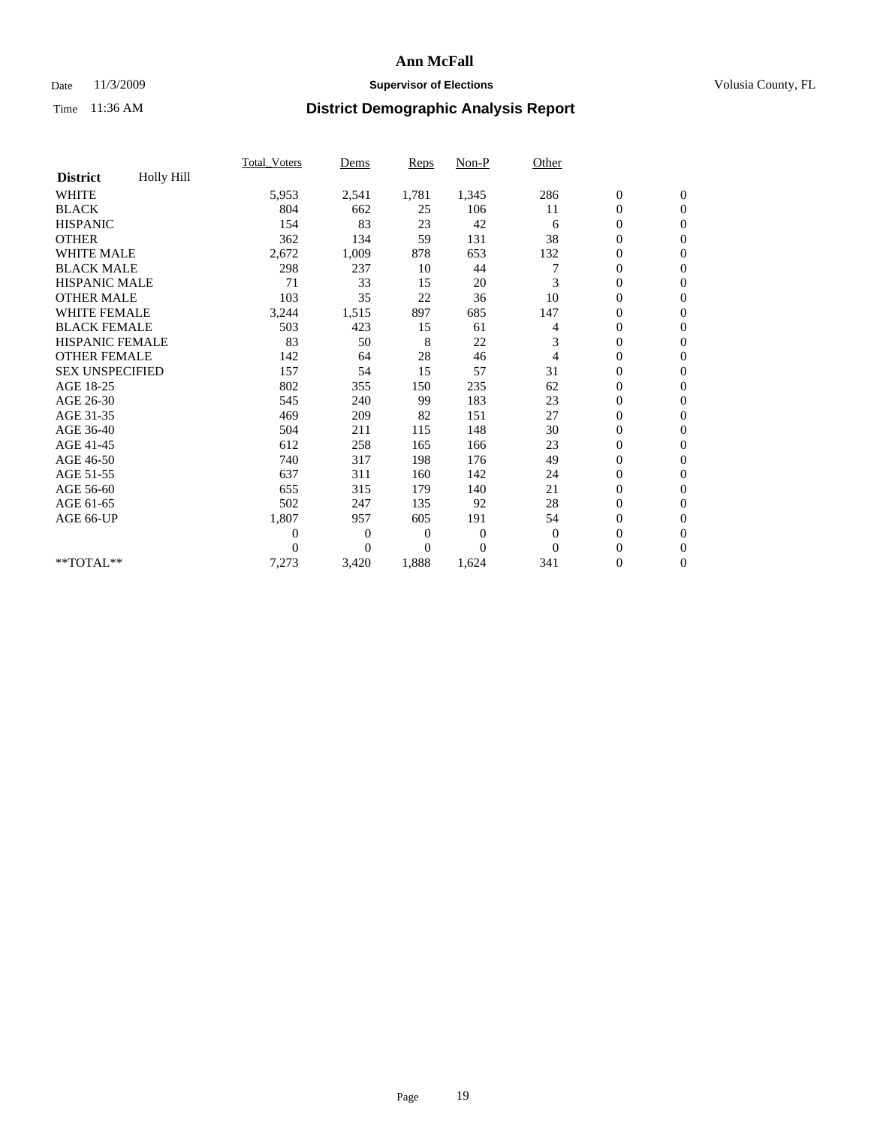## Date 11/3/2009 **Supervisor of Elections Supervisor of Elections** Volusia County, FL

|                        |            | <b>Total_Voters</b> | Dems         | Reps           | $Non-P$  | Other          |                  |                  |  |
|------------------------|------------|---------------------|--------------|----------------|----------|----------------|------------------|------------------|--|
| <b>District</b>        | Holly Hill |                     |              |                |          |                |                  |                  |  |
| <b>WHITE</b>           |            | 5,953               | 2,541        | 1,781          | 1,345    | 286            | $\boldsymbol{0}$ | $\boldsymbol{0}$ |  |
| <b>BLACK</b>           |            | 804                 | 662          | 25             | 106      | 11             | $\boldsymbol{0}$ | $\mathbf{0}$     |  |
| <b>HISPANIC</b>        |            | 154                 | 83           | 23             | 42       | 6              | $\overline{0}$   | $\mathbf{0}$     |  |
| <b>OTHER</b>           |            | 362                 | 134          | 59             | 131      | 38             | 0                | $\Omega$         |  |
| <b>WHITE MALE</b>      |            | 2,672               | 1,009        | 878            | 653      | 132            | 0                | $\mathbf{0}$     |  |
| <b>BLACK MALE</b>      |            | 298                 | 237          | 10             | 44       |                | $\boldsymbol{0}$ | $\mathbf{0}$     |  |
| <b>HISPANIC MALE</b>   |            | 71                  | 33           | 15             | 20       | 3              | 0                | $\mathbf{0}$     |  |
| <b>OTHER MALE</b>      |            | 103                 | 35           | 22             | 36       | 10             | 0                | $\mathbf{0}$     |  |
| <b>WHITE FEMALE</b>    |            | 3,244               | 1,515        | 897            | 685      | 147            | 0                | $\mathbf{0}$     |  |
| <b>BLACK FEMALE</b>    |            | 503                 | 423          | 15             | 61       | 4              | 0                | $\mathbf{0}$     |  |
| <b>HISPANIC FEMALE</b> |            | 83                  | 50           | 8              | 22       | 3              | $\boldsymbol{0}$ | $\mathbf{0}$     |  |
| <b>OTHER FEMALE</b>    |            | 142                 | 64           | 28             | 46       | $\overline{4}$ | 0                | $\mathbf{0}$     |  |
| <b>SEX UNSPECIFIED</b> |            | 157                 | 54           | 15             | 57       | 31             | 0                | $\mathbf{0}$     |  |
| AGE 18-25              |            | 802                 | 355          | 150            | 235      | 62             | 0                | $\mathbf{0}$     |  |
| AGE 26-30              |            | 545                 | 240          | 99             | 183      | 23             | $\overline{0}$   | $\mathbf{0}$     |  |
| AGE 31-35              |            | 469                 | 209          | 82             | 151      | 27             | 0                | $\mathbf{0}$     |  |
| AGE 36-40              |            | 504                 | 211          | 115            | 148      | 30             | 0                | $\mathbf{0}$     |  |
| AGE 41-45              |            | 612                 | 258          | 165            | 166      | 23             | $\overline{0}$   | $\mathbf{0}$     |  |
| AGE 46-50              |            | 740                 | 317          | 198            | 176      | 49             | $\boldsymbol{0}$ | $\mathbf{0}$     |  |
| AGE 51-55              |            | 637                 | 311          | 160            | 142      | 24             | $\boldsymbol{0}$ | $\mathbf{0}$     |  |
| AGE 56-60              |            | 655                 | 315          | 179            | 140      | 21             | $\boldsymbol{0}$ | $\Omega$         |  |
| AGE 61-65              |            | 502                 | 247          | 135            | 92       | 28             | $\overline{0}$   | $\mathbf{0}$     |  |
| AGE 66-UP              |            | 1,807               | 957          | 605            | 191      | 54             | 0                | $\mathbf{0}$     |  |
|                        |            | $\overline{0}$      | $\mathbf{0}$ | $\overline{0}$ | $\theta$ | $\theta$       | $\overline{0}$   | $\mathbf{0}$     |  |
|                        |            | 0                   | $\Omega$     | $\Omega$       | $\theta$ | $\Omega$       | $\overline{0}$   | $\mathbf{0}$     |  |
| **TOTAL**              |            | 7,273               | 3,420        | 1,888          | 1,624    | 341            | 0                | $\overline{0}$   |  |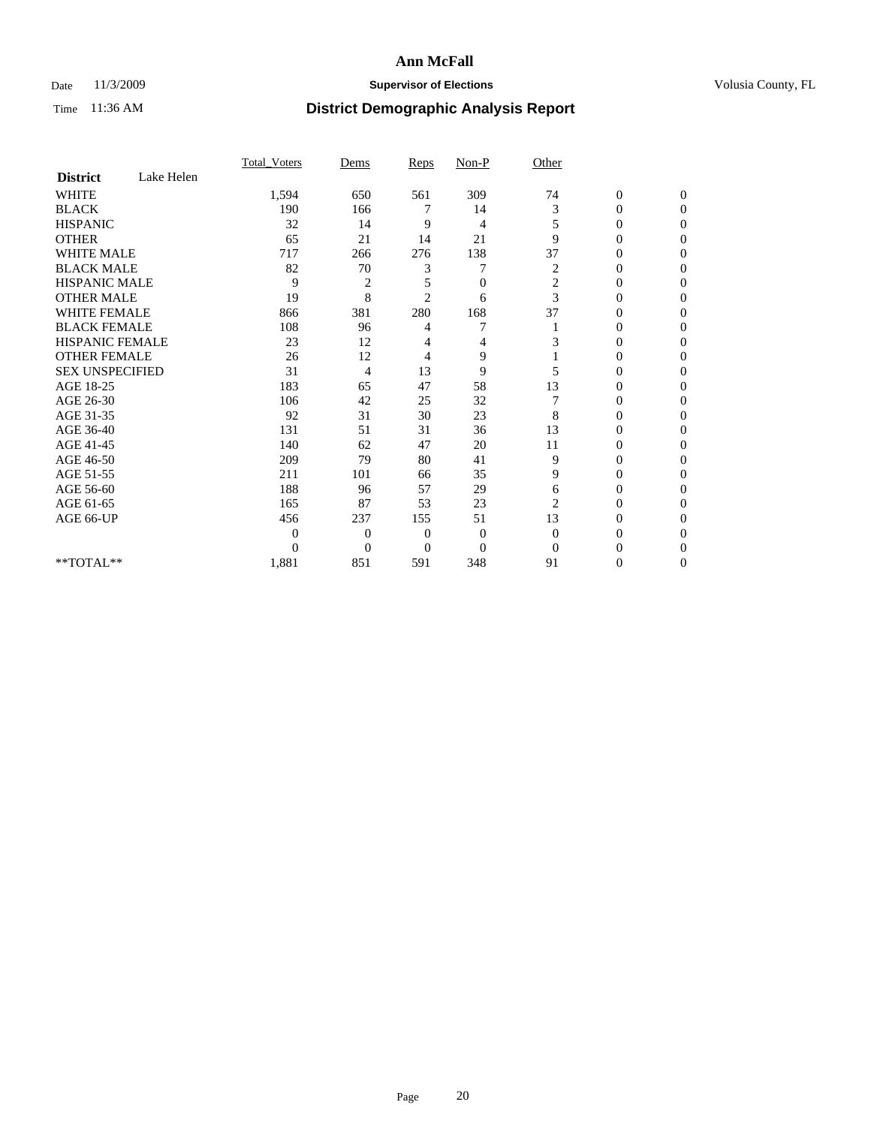## Date 11/3/2009 **Supervisor of Elections Supervisor of Elections** Volusia County, FL

|                        |            | Total Voters | Dems           | <b>Reps</b>    | $Non-P$        | Other          |                  |              |  |
|------------------------|------------|--------------|----------------|----------------|----------------|----------------|------------------|--------------|--|
| <b>District</b>        | Lake Helen |              |                |                |                |                |                  |              |  |
| <b>WHITE</b>           |            | 1,594        | 650            | 561            | 309            | 74             | $\boldsymbol{0}$ | $\mathbf{0}$ |  |
| <b>BLACK</b>           |            | 190          | 166            | 7              | 14             | 3              | $\overline{0}$   | $\Omega$     |  |
| <b>HISPANIC</b>        |            | 32           | 14             | 9              | 4              | 5              | 0                | $\Omega$     |  |
| <b>OTHER</b>           |            | 65           | 21             | 14             | 21             | 9              | 0                | $\Omega$     |  |
| <b>WHITE MALE</b>      |            | 717          | 266            | 276            | 138            | 37             | 0                | 0            |  |
| <b>BLACK MALE</b>      |            | 82           | 70             | 3              |                | 2              | $\overline{0}$   | $\Omega$     |  |
| HISPANIC MALE          |            | 9            | 2              | 5              | $\overline{0}$ | $\sqrt{2}$     | 0                | $\Omega$     |  |
| <b>OTHER MALE</b>      |            | 19           | 8              | $\overline{2}$ | 6              | 3              | 0                | 0            |  |
| <b>WHITE FEMALE</b>    |            | 866          | 381            | 280            | 168            | 37             | 0                | $\Omega$     |  |
| <b>BLACK FEMALE</b>    |            | 108          | 96             | 4              | 7              |                | 0                | $\Omega$     |  |
| <b>HISPANIC FEMALE</b> |            | 23           | 12             | 4              | 4              | 3              | 0                | 0            |  |
| <b>OTHER FEMALE</b>    |            | 26           | 12             | 4              | 9              |                | 0                | 0            |  |
| <b>SEX UNSPECIFIED</b> |            | 31           | 4              | 13             | 9              | 5              | 0                | $\Omega$     |  |
| AGE 18-25              |            | 183          | 65             | 47             | 58             | 13             | 0                | $\Omega$     |  |
| AGE 26-30              |            | 106          | 42             | 25             | 32             |                | 0                | 0            |  |
| AGE 31-35              |            | 92           | 31             | 30             | 23             | 8              | 0                | $\Omega$     |  |
| AGE 36-40              |            | 131          | 51             | 31             | 36             | 13             | 0                | 0            |  |
| AGE 41-45              |            | 140          | 62             | 47             | 20             | 11             | 0                | $\Omega$     |  |
| AGE 46-50              |            | 209          | 79             | 80             | 41             | 9              | 0                | $\Omega$     |  |
| AGE 51-55              |            | 211          | 101            | 66             | 35             | 9              | 0                | 0            |  |
| AGE 56-60              |            | 188          | 96             | 57             | 29             | 6              | 0                | $\Omega$     |  |
| AGE 61-65              |            | 165          | 87             | 53             | 23             | $\overline{2}$ | $\overline{0}$   | 0            |  |
| AGE 66-UP              |            | 456          | 237            | 155            | 51             | 13             | 0                | 0            |  |
|                        |            | $\theta$     | $\overline{0}$ | $\mathbf{0}$   | $\mathbf{0}$   | $\Omega$       | 0                | $\Omega$     |  |
|                        |            | $\theta$     | $\overline{0}$ | $\overline{0}$ | $\overline{0}$ | $\Omega$       | 0                | 0            |  |
| **TOTAL**              |            | 1,881        | 851            | 591            | 348            | 91             | 0                | 0            |  |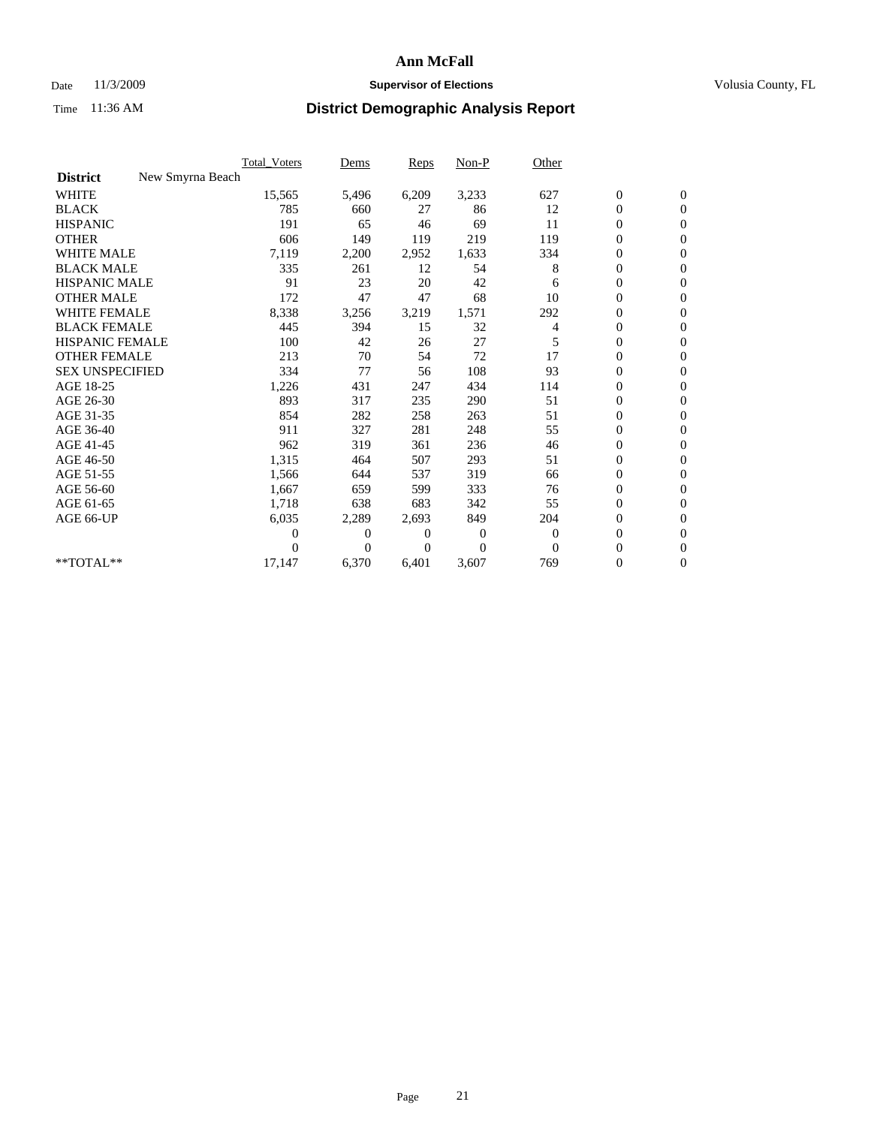## Date 11/3/2009 **Supervisor of Elections Supervisor of Elections** Volusia County, FL

|                        | Total Voters     | Dems     | <b>Reps</b> | Non-P    | Other    |                  |                  |  |
|------------------------|------------------|----------|-------------|----------|----------|------------------|------------------|--|
| <b>District</b>        | New Smyrna Beach |          |             |          |          |                  |                  |  |
| <b>WHITE</b>           | 15,565           | 5,496    | 6,209       | 3,233    | 627      | $\boldsymbol{0}$ | $\boldsymbol{0}$ |  |
| <b>BLACK</b>           | 785              | 660      | 27          | 86       | 12       | $\boldsymbol{0}$ | $\mathbf{0}$     |  |
| <b>HISPANIC</b>        | 191              | 65       | 46          | 69       | 11       | $\overline{0}$   | $\mathbf{0}$     |  |
| <b>OTHER</b>           | 606              | 149      | 119         | 219      | 119      | $\boldsymbol{0}$ | $\mathbf{0}$     |  |
| <b>WHITE MALE</b>      | 7,119            | 2,200    | 2,952       | 1,633    | 334      | $\boldsymbol{0}$ | $\mathbf{0}$     |  |
| <b>BLACK MALE</b>      | 335              | 261      | 12          | 54       | 8        | $\boldsymbol{0}$ | $\mathbf{0}$     |  |
| <b>HISPANIC MALE</b>   | 91               | 23       | 20          | 42       | 6        | $\boldsymbol{0}$ | $\overline{0}$   |  |
| <b>OTHER MALE</b>      | 172              | 47       | 47          | 68       | 10       | $\boldsymbol{0}$ | $\mathbf{0}$     |  |
| <b>WHITE FEMALE</b>    | 8,338            | 3,256    | 3,219       | 1,571    | 292      | $\overline{0}$   | $\mathbf{0}$     |  |
| <b>BLACK FEMALE</b>    | 445              | 394      | 15          | 32       | 4        | $\boldsymbol{0}$ | $\mathbf{0}$     |  |
| <b>HISPANIC FEMALE</b> | 100              | 42       | 26          | 27       | 5        | $\boldsymbol{0}$ | $\mathbf{0}$     |  |
| <b>OTHER FEMALE</b>    | 213              | 70       | 54          | 72       | 17       | $\mathbf{0}$     | $\mathbf{0}$     |  |
| <b>SEX UNSPECIFIED</b> | 334              | 77       | 56          | 108      | 93       | $\overline{0}$   | $\mathbf{0}$     |  |
| AGE 18-25              | 1,226            | 431      | 247         | 434      | 114      | $\overline{0}$   | $\mathbf{0}$     |  |
| AGE 26-30              | 893              | 317      | 235         | 290      | 51       | $\overline{0}$   | $\mathbf{0}$     |  |
| AGE 31-35              | 854              | 282      | 258         | 263      | 51       | $\boldsymbol{0}$ | $\mathbf{0}$     |  |
| AGE 36-40              | 911              | 327      | 281         | 248      | 55       | 0                | $\mathbf{0}$     |  |
| AGE 41-45              | 962              | 319      | 361         | 236      | 46       | $\overline{0}$   | $\mathbf{0}$     |  |
| AGE 46-50              | 1,315            | 464      | 507         | 293      | 51       | $\boldsymbol{0}$ | $\mathbf{0}$     |  |
| AGE 51-55              | 1,566            | 644      | 537         | 319      | 66       | $\boldsymbol{0}$ | $\mathbf{0}$     |  |
| AGE 56-60              | 1,667            | 659      | 599         | 333      | 76       | $\overline{0}$   | $\Omega$         |  |
| AGE 61-65              | 1,718            | 638      | 683         | 342      | 55       | $\mathbf{0}$     | $\mathbf{0}$     |  |
| AGE 66-UP              | 6,035            | 2,289    | 2,693       | 849      | 204      | $\boldsymbol{0}$ | $\mathbf{0}$     |  |
|                        | 0                | 0        | 0           | 0        | $\bf{0}$ | $\overline{0}$   | $\mathbf{0}$     |  |
|                        | $\theta$         | $\theta$ | $\Omega$    | $\Omega$ | $\Omega$ | $\boldsymbol{0}$ | $\mathbf{0}$     |  |
| **TOTAL**              | 17,147           | 6,370    | 6,401       | 3,607    | 769      | 0                | $\mathbf{0}$     |  |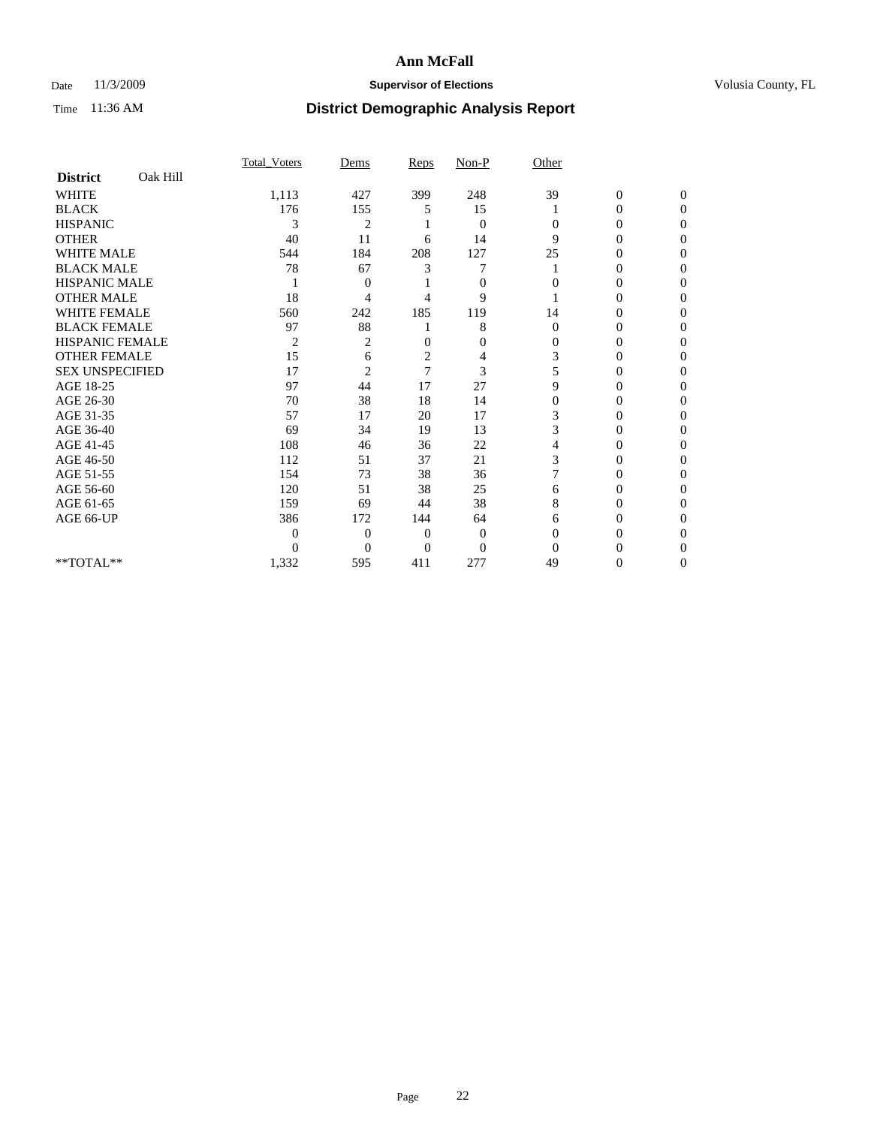## Date 11/3/2009 **Supervisor of Elections Supervisor of Elections** Volusia County, FL

|                        |          | <b>Total Voters</b> | Dems           | Reps           | Non-P          | Other          |                  |                  |
|------------------------|----------|---------------------|----------------|----------------|----------------|----------------|------------------|------------------|
| <b>District</b>        | Oak Hill |                     |                |                |                |                |                  |                  |
| <b>WHITE</b>           |          | 1,113               | 427            | 399            | 248            | 39             | $\boldsymbol{0}$ | $\boldsymbol{0}$ |
| <b>BLACK</b>           |          | 176                 | 155            | 5              | 15             |                | 0                | $\Omega$         |
| <b>HISPANIC</b>        |          | 3                   | $\overline{c}$ |                | $\mathbf{0}$   | $\Omega$       | $\Omega$         | $\Omega$         |
| <b>OTHER</b>           |          | 40                  | 11             | 6              | 14             | 9              | 0                | $\Omega$         |
| <b>WHITE MALE</b>      |          | 544                 | 184            | 208            | 127            | 25             | 0                | $\Omega$         |
| <b>BLACK MALE</b>      |          | 78                  | 67             | 3              | 7              |                | $\overline{0}$   | $\Omega$         |
| <b>HISPANIC MALE</b>   |          |                     | 0              |                | $\mathbf{0}$   | $\Omega$       | 0                | 0                |
| <b>OTHER MALE</b>      |          | 18                  | 4              | 4              | 9              |                | 0                | 0                |
| <b>WHITE FEMALE</b>    |          | 560                 | 242            | 185            | 119            | 14             | 0                | 0                |
| <b>BLACK FEMALE</b>    |          | 97                  | 88             |                | 8              | $\mathbf{0}$   | 0                | 0                |
| <b>HISPANIC FEMALE</b> |          | $\overline{2}$      | 2              | $\Omega$       | $\mathbf{0}$   | $\Omega$       | 0                | $\Omega$         |
| <b>OTHER FEMALE</b>    |          | 15                  | 6              | $\overline{c}$ | 4              | 3              | 0                | $\Omega$         |
| <b>SEX UNSPECIFIED</b> |          | 17                  | $\overline{2}$ | 7              | 3              | 5              | 0                | $\Omega$         |
| AGE 18-25              |          | 97                  | 44             | 17             | 27             | 9              | $\theta$         | $\Omega$         |
| AGE 26-30              |          | 70                  | 38             | 18             | 14             | $\overline{0}$ | 0                | 0                |
| AGE 31-35              |          | 57                  | 17             | 20             | 17             | 3              | 0                | 0                |
| AGE 36-40              |          | 69                  | 34             | 19             | 13             | 3              | 0                | 0                |
| AGE 41-45              |          | 108                 | 46             | 36             | 22             | 4              | 0                | 0                |
| AGE 46-50              |          | 112                 | 51             | 37             | 21             | 3              | $\overline{0}$   | $\Omega$         |
| AGE 51-55              |          | 154                 | 73             | 38             | 36             |                | 0                | $\Omega$         |
| AGE 56-60              |          | 120                 | 51             | 38             | 25             | 6              | 0                | 0                |
| AGE 61-65              |          | 159                 | 69             | 44             | 38             | 8              | 0                | $\Omega$         |
| AGE 66-UP              |          | 386                 | 172            | 144            | 64             | 6              | 0                | $\Omega$         |
|                        |          | $\overline{0}$      | $\overline{0}$ | 0              | $\mathbf{0}$   | $\Omega$       | 0                | 0                |
|                        |          | $\theta$            | $\theta$       | $\Omega$       | $\overline{0}$ | $\Omega$       |                  | $\Omega$         |
| **TOTAL**              |          | 1,332               | 595            | 411            | 277            | 49             | 0                | $\overline{0}$   |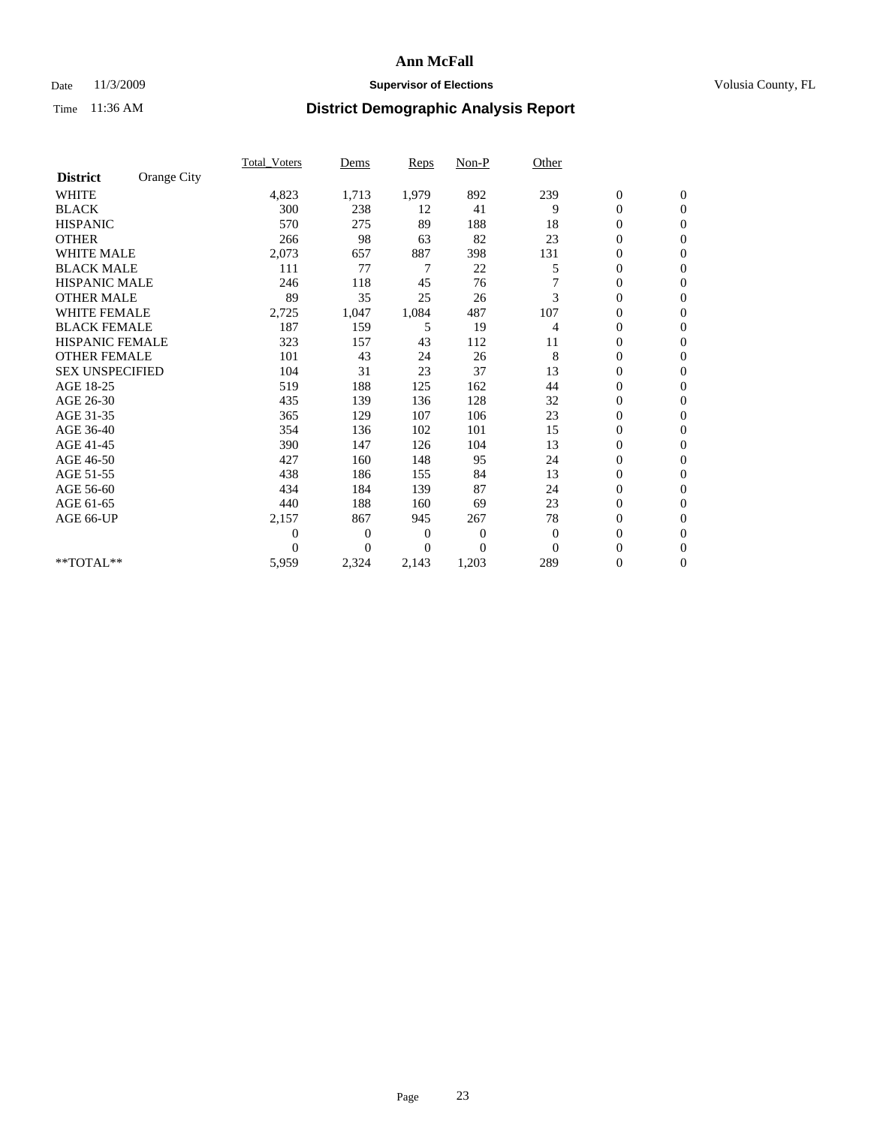## Date 11/3/2009 **Supervisor of Elections Supervisor of Elections** Volusia County, FL

|                        |             | Total Voters     | Dems           | <b>Reps</b> | $Non-P$      | Other    |                  |                  |  |
|------------------------|-------------|------------------|----------------|-------------|--------------|----------|------------------|------------------|--|
| <b>District</b>        | Orange City |                  |                |             |              |          |                  |                  |  |
| <b>WHITE</b>           |             | 4,823            | 1,713          | 1,979       | 892          | 239      | $\boldsymbol{0}$ | $\boldsymbol{0}$ |  |
| <b>BLACK</b>           |             | 300              | 238            | 12          | 41           | 9        | $\boldsymbol{0}$ | $\mathbf{0}$     |  |
| <b>HISPANIC</b>        |             | 570              | 275            | 89          | 188          | 18       | $\overline{0}$   | $\mathbf{0}$     |  |
| <b>OTHER</b>           |             | 266              | 98             | 63          | 82           | 23       | $\boldsymbol{0}$ | $\Omega$         |  |
| <b>WHITE MALE</b>      |             | 2,073            | 657            | 887         | 398          | 131      | $\boldsymbol{0}$ | $\mathbf{0}$     |  |
| <b>BLACK MALE</b>      |             | 111              | 77             | 7           | 22           | 5        | $\boldsymbol{0}$ | $\mathbf{0}$     |  |
| <b>HISPANIC MALE</b>   |             | 246              | 118            | 45          | 76           | 7        | $\overline{0}$   | $\overline{0}$   |  |
| <b>OTHER MALE</b>      |             | 89               | 35             | 25          | 26           | 3        | $\boldsymbol{0}$ | $\mathbf{0}$     |  |
| <b>WHITE FEMALE</b>    |             | 2,725            | 1,047          | 1,084       | 487          | 107      | $\overline{0}$   | $\mathbf{0}$     |  |
| <b>BLACK FEMALE</b>    |             | 187              | 159            | 5           | 19           | 4        | $\boldsymbol{0}$ | $\mathbf{0}$     |  |
| <b>HISPANIC FEMALE</b> |             | 323              | 157            | 43          | 112          | 11       | $\boldsymbol{0}$ | $\mathbf{0}$     |  |
| <b>OTHER FEMALE</b>    |             | 101              | 43             | 24          | 26           | 8        | $\mathbf{0}$     | $\mathbf{0}$     |  |
| <b>SEX UNSPECIFIED</b> |             | 104              | 31             | 23          | 37           | 13       | $\boldsymbol{0}$ | $\mathbf{0}$     |  |
| AGE 18-25              |             | 519              | 188            | 125         | 162          | 44       | $\overline{0}$   | $\mathbf{0}$     |  |
| AGE 26-30              |             | 435              | 139            | 136         | 128          | 32       | $\overline{0}$   | $\mathbf{0}$     |  |
| AGE 31-35              |             | 365              | 129            | 107         | 106          | 23       | $\boldsymbol{0}$ | $\mathbf{0}$     |  |
| AGE 36-40              |             | 354              | 136            | 102         | 101          | 15       | $\boldsymbol{0}$ | $\mathbf{0}$     |  |
| AGE 41-45              |             | 390              | 147            | 126         | 104          | 13       | $\overline{0}$   | $\mathbf{0}$     |  |
| AGE 46-50              |             | 427              | 160            | 148         | 95           | 24       | $\boldsymbol{0}$ | $\mathbf{0}$     |  |
| AGE 51-55              |             | 438              | 186            | 155         | 84           | 13       | $\boldsymbol{0}$ | $\mathbf{0}$     |  |
| AGE 56-60              |             | 434              | 184            | 139         | 87           | 24       | $\overline{0}$   | $\Omega$         |  |
| AGE 61-65              |             | 440              | 188            | 160         | 69           | 23       | $\mathbf{0}$     | $\mathbf{0}$     |  |
| AGE 66-UP              |             | 2,157            | 867            | 945         | 267          | 78       | $\boldsymbol{0}$ | $\mathbf{0}$     |  |
|                        |             | $\boldsymbol{0}$ | $\overline{0}$ | 0           | $\mathbf{0}$ | $\theta$ | $\overline{0}$   | $\mathbf{0}$     |  |
|                        |             | $\theta$         | $\theta$       | 0           | $\theta$     | $\Omega$ | $\boldsymbol{0}$ | $\mathbf{0}$     |  |
| **TOTAL**              |             | 5,959            | 2,324          | 2,143       | 1,203        | 289      | $\overline{0}$   | $\mathbf{0}$     |  |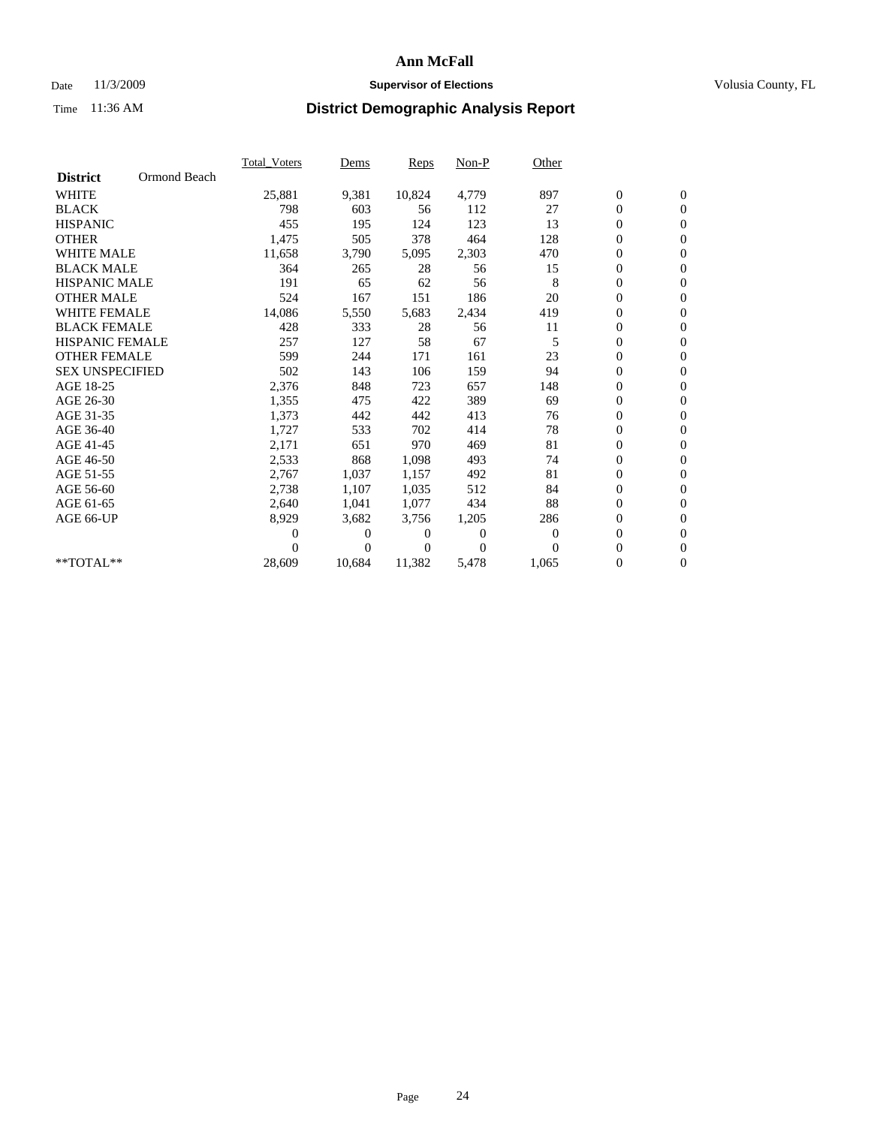## Date 11/3/2009 **Supervisor of Elections Supervisor of Elections** Volusia County, FL

|                        |              | <b>Total Voters</b> | Dems   | Reps   | Non-P    | Other    |                  |                  |  |
|------------------------|--------------|---------------------|--------|--------|----------|----------|------------------|------------------|--|
| <b>District</b>        | Ormond Beach |                     |        |        |          |          |                  |                  |  |
| <b>WHITE</b>           |              | 25,881              | 9,381  | 10,824 | 4,779    | 897      | $\boldsymbol{0}$ | $\boldsymbol{0}$ |  |
| <b>BLACK</b>           |              | 798                 | 603    | 56     | 112      | 27       | $\boldsymbol{0}$ | $\mathbf{0}$     |  |
| <b>HISPANIC</b>        |              | 455                 | 195    | 124    | 123      | 13       | $\overline{0}$   | $\mathbf{0}$     |  |
| <b>OTHER</b>           |              | 1,475               | 505    | 378    | 464      | 128      | 0                | $\mathbf{0}$     |  |
| <b>WHITE MALE</b>      |              | 11,658              | 3,790  | 5,095  | 2,303    | 470      | 0                | $\mathbf{0}$     |  |
| <b>BLACK MALE</b>      |              | 364                 | 265    | 28     | 56       | 15       | $\overline{0}$   | $\mathbf{0}$     |  |
| <b>HISPANIC MALE</b>   |              | 191                 | 65     | 62     | 56       | 8        | 0                | $\mathbf{0}$     |  |
| <b>OTHER MALE</b>      |              | 524                 | 167    | 151    | 186      | 20       | 0                | $\mathbf{0}$     |  |
| <b>WHITE FEMALE</b>    |              | 14,086              | 5,550  | 5,683  | 2,434    | 419      | 0                | $\mathbf{0}$     |  |
| <b>BLACK FEMALE</b>    |              | 428                 | 333    | 28     | 56       | 11       | 0                | $\mathbf{0}$     |  |
| <b>HISPANIC FEMALE</b> |              | 257                 | 127    | 58     | 67       | 5        | $\boldsymbol{0}$ | $\mathbf{0}$     |  |
| <b>OTHER FEMALE</b>    |              | 599                 | 244    | 171    | 161      | 23       | 0                | $\mathbf{0}$     |  |
| <b>SEX UNSPECIFIED</b> |              | 502                 | 143    | 106    | 159      | 94       | 0                | $\mathbf{0}$     |  |
| AGE 18-25              |              | 2,376               | 848    | 723    | 657      | 148      | 0                | $\mathbf{0}$     |  |
| AGE 26-30              |              | 1,355               | 475    | 422    | 389      | 69       | 0                | $\mathbf{0}$     |  |
| AGE 31-35              |              | 1,373               | 442    | 442    | 413      | 76       | 0                | $\mathbf{0}$     |  |
| AGE 36-40              |              | 1,727               | 533    | 702    | 414      | 78       | 0                | $\mathbf{0}$     |  |
| AGE 41-45              |              | 2,171               | 651    | 970    | 469      | 81       | 0                | $\mathbf{0}$     |  |
| AGE 46-50              |              | 2,533               | 868    | 1,098  | 493      | 74       | 0                | $\mathbf{0}$     |  |
| AGE 51-55              |              | 2,767               | 1,037  | 1,157  | 492      | 81       | 0                | $\mathbf{0}$     |  |
| AGE 56-60              |              | 2,738               | 1,107  | 1,035  | 512      | 84       | 0                | $\mathbf{0}$     |  |
| AGE 61-65              |              | 2,640               | 1,041  | 1,077  | 434      | 88       | 0                | $\mathbf{0}$     |  |
| AGE 66-UP              |              | 8,929               | 3,682  | 3,756  | 1,205    | 286      | 0                | $\mathbf{0}$     |  |
|                        |              | 0                   | 0      | 0      | $\theta$ | $\theta$ | 0                | $\mathbf{0}$     |  |
|                        |              | 0                   | 0      | 0      | $\Omega$ | $\Omega$ | 0                | $\mathbf{0}$     |  |
| **TOTAL**              |              | 28,609              | 10,684 | 11,382 | 5,478    | 1,065    | 0                | $\boldsymbol{0}$ |  |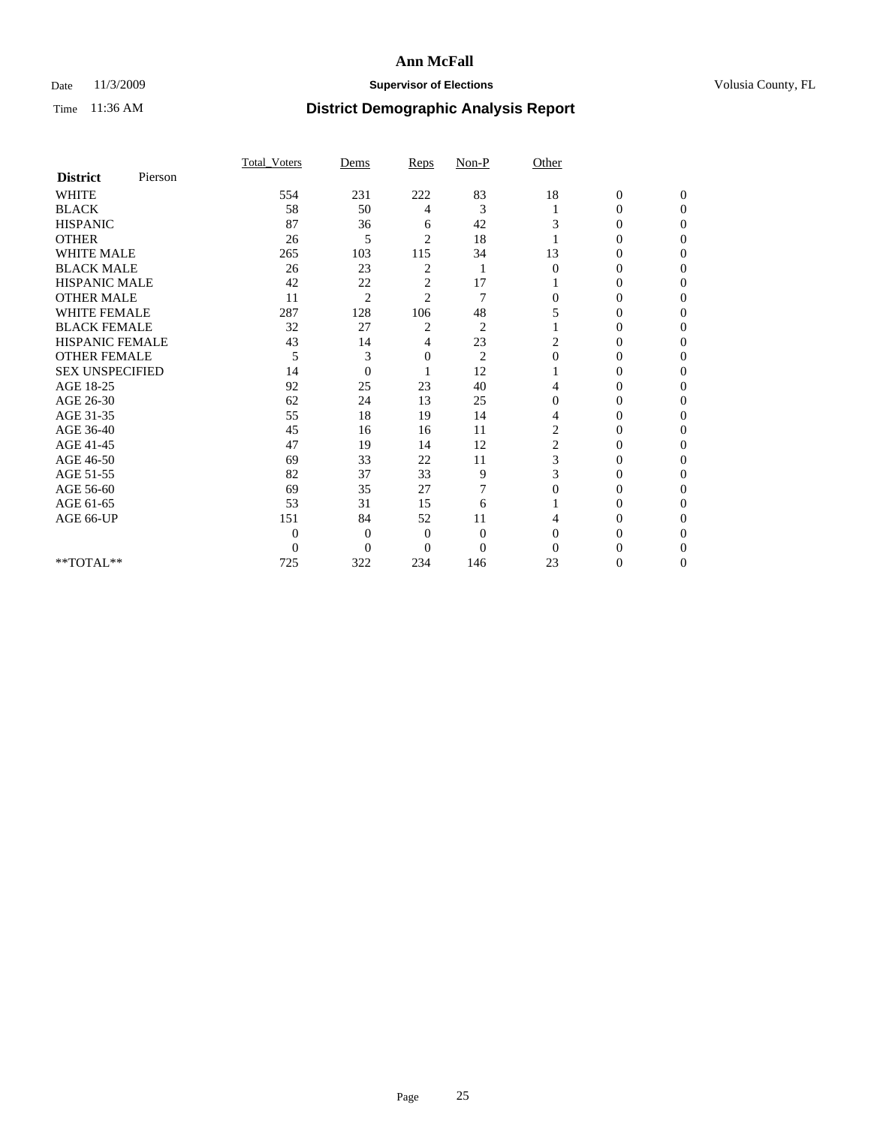## Date 11/3/2009 **Supervisor of Elections Supervisor of Elections** Volusia County, FL

|                        |         | Total Voters   | Dems           | Reps           | $Non-P$        | Other          |                  |              |  |
|------------------------|---------|----------------|----------------|----------------|----------------|----------------|------------------|--------------|--|
| <b>District</b>        | Pierson |                |                |                |                |                |                  |              |  |
| <b>WHITE</b>           |         | 554            | 231            | 222            | 83             | 18             | $\boldsymbol{0}$ | $\mathbf{0}$ |  |
| <b>BLACK</b>           |         | 58             | 50             | 4              | 3              |                | $\mathbf{0}$     | $\Omega$     |  |
| <b>HISPANIC</b>        |         | 87             | 36             | 6              | 42             | 3              | 0                | $\Omega$     |  |
| <b>OTHER</b>           |         | 26             | 5              | $\overline{2}$ | 18             |                | 0                | 0            |  |
| <b>WHITE MALE</b>      |         | 265            | 103            | 115            | 34             | 13             | $\theta$         | 0            |  |
| <b>BLACK MALE</b>      |         | 26             | 23             | $\overline{c}$ | 1              | $\Omega$       | 0                | $\Omega$     |  |
| HISPANIC MALE          |         | 42             | 22             | $\overline{c}$ | 17             |                | 0                | $\Omega$     |  |
| <b>OTHER MALE</b>      |         | 11             | $\overline{2}$ | $\overline{2}$ | 7              | 0              | 0                | 0            |  |
| <b>WHITE FEMALE</b>    |         | 287            | 128            | 106            | 48             | 5              | 0                | $\Omega$     |  |
| <b>BLACK FEMALE</b>    |         | 32             | 27             | $\overline{c}$ | $\overline{c}$ |                | $\overline{0}$   | 0            |  |
| <b>HISPANIC FEMALE</b> |         | 43             | 14             | 4              | 23             | 2              | 0                | 0            |  |
| <b>OTHER FEMALE</b>    |         | 5              | 3              | 0              | $\overline{c}$ | $\Omega$       | 0                | 0            |  |
| <b>SEX UNSPECIFIED</b> |         | 14             | $\overline{0}$ |                | 12             |                | 0                | 0            |  |
| AGE 18-25              |         | 92             | 25             | 23             | 40             | 4              | 0                | $\Omega$     |  |
| AGE 26-30              |         | 62             | 24             | 13             | 25             | $\Omega$       | 0                | 0            |  |
| AGE 31-35              |         | 55             | 18             | 19             | 14             | 4              | 0                | 0            |  |
| AGE 36-40              |         | 45             | 16             | 16             | 11             | $\overline{c}$ | 0                | 0            |  |
| AGE 41-45              |         | 47             | 19             | 14             | 12             | 2              | 0                | $\Omega$     |  |
| AGE 46-50              |         | 69             | 33             | 22             | 11             | 3              | 0                | $\Omega$     |  |
| AGE 51-55              |         | 82             | 37             | 33             | 9              | 3              | 0                | 0            |  |
| AGE 56-60              |         | 69             | 35             | 27             |                | $\Omega$       | 0                | 0            |  |
| AGE 61-65              |         | 53             | 31             | 15             | 6              |                | 0                | 0            |  |
| AGE 66-UP              |         | 151            | 84             | 52             | 11             |                | 0                | 0            |  |
|                        |         | $\theta$       | $\overline{0}$ | $\mathbf{0}$   | $\mathbf{0}$   | $\Omega$       | 0                | 0            |  |
|                        |         | $\overline{0}$ | $\overline{0}$ | $\overline{0}$ | $\theta$       | $\Omega$       |                  | 0            |  |
| **TOTAL**              |         | 725            | 322            | 234            | 146            | 23             | 0                | 0            |  |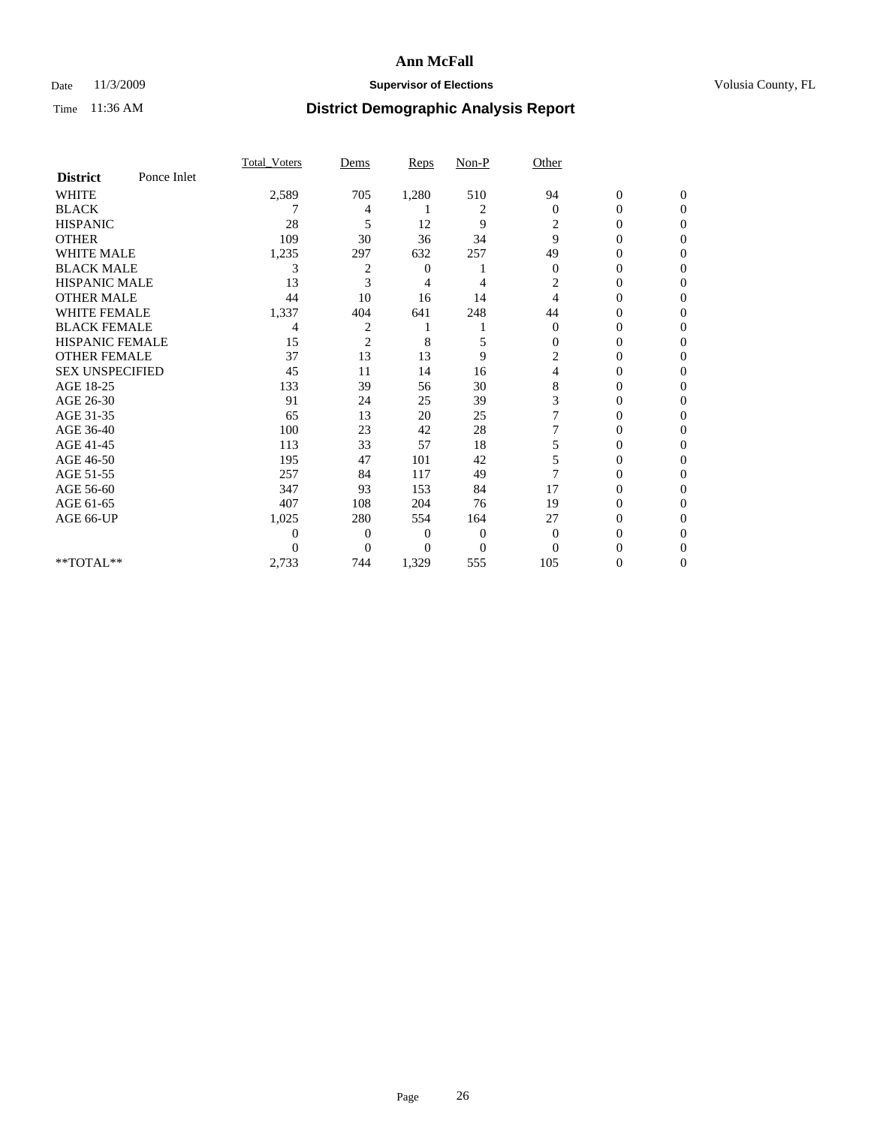## Date 11/3/2009 **Supervisor of Elections Supervisor of Elections** Volusia County, FL

|                        |             | Total Voters     | Dems           | Reps  | Non-P          | Other          |                  |                  |
|------------------------|-------------|------------------|----------------|-------|----------------|----------------|------------------|------------------|
| <b>District</b>        | Ponce Inlet |                  |                |       |                |                |                  |                  |
| <b>WHITE</b>           |             | 2,589            | 705            | 1,280 | 510            | 94             | $\boldsymbol{0}$ | $\boldsymbol{0}$ |
| <b>BLACK</b>           |             | 7                | 4              |       | $\overline{c}$ | $\mathbf{0}$   | 0                | $\Omega$         |
| <b>HISPANIC</b>        |             | 28               | 5              | 12    | 9              | 2              | $\mathbf{0}$     | $\Omega$         |
| <b>OTHER</b>           |             | 109              | 30             | 36    | 34             | 9              | 0                | $\Omega$         |
| <b>WHITE MALE</b>      |             | 1,235            | 297            | 632   | 257            | 49             | 0                | $\Omega$         |
| <b>BLACK MALE</b>      |             | 3                | $\overline{c}$ | 0     |                | $\mathbf{0}$   | $\overline{0}$   | $\Omega$         |
| <b>HISPANIC MALE</b>   |             | 13               | 3              | 4     | 4              | 2              | 0                | 0                |
| <b>OTHER MALE</b>      |             | 44               | 10             | 16    | 14             | 4              | 0                | 0                |
| <b>WHITE FEMALE</b>    |             | 1,337            | 404            | 641   | 248            | 44             | 0                | $\Omega$         |
| <b>BLACK FEMALE</b>    |             | 4                | $\overline{c}$ |       |                | $\mathbf{0}$   | 0                | 0                |
| <b>HISPANIC FEMALE</b> |             | 15               | $\overline{2}$ | 8     | 5              | $\Omega$       | 0                | $\Omega$         |
| <b>OTHER FEMALE</b>    |             | 37               | 13             | 13    | 9              | $\overline{c}$ | 0                | $\Omega$         |
| <b>SEX UNSPECIFIED</b> |             | 45               | 11             | 14    | 16             | 4              | 0                | $\Omega$         |
| AGE 18-25              |             | 133              | 39             | 56    | 30             | 8              | $\theta$         | $\Omega$         |
| AGE 26-30              |             | 91               | 24             | 25    | 39             | 3              | 0                | 0                |
| AGE 31-35              |             | 65               | 13             | 20    | 25             |                | 0                | 0                |
| AGE 36-40              |             | 100              | 23             | 42    | 28             |                | 0                | $\Omega$         |
| AGE 41-45              |             | 113              | 33             | 57    | 18             | 5              | 0                | 0                |
| AGE 46-50              |             | 195              | 47             | 101   | 42             | 5              | $\overline{0}$   | $\Omega$         |
| AGE 51-55              |             | 257              | 84             | 117   | 49             |                | 0                | $\Omega$         |
| AGE 56-60              |             | 347              | 93             | 153   | 84             | 17             | 0                | 0                |
| AGE 61-65              |             | 407              | 108            | 204   | 76             | 19             | 0                | $\Omega$         |
| AGE 66-UP              |             | 1,025            | 280            | 554   | 164            | 27             | 0                | $\Omega$         |
|                        |             | $\boldsymbol{0}$ | $\overline{0}$ | 0     | $\overline{0}$ | $\overline{0}$ | 0                | 0                |
|                        |             | $\Omega$         | $\overline{0}$ | 0     | $\Omega$       | $\Omega$       | 0                | $\Omega$         |
| **TOTAL**              |             | 2,733            | 744            | 1,329 | 555            | 105            | 0                | $\overline{0}$   |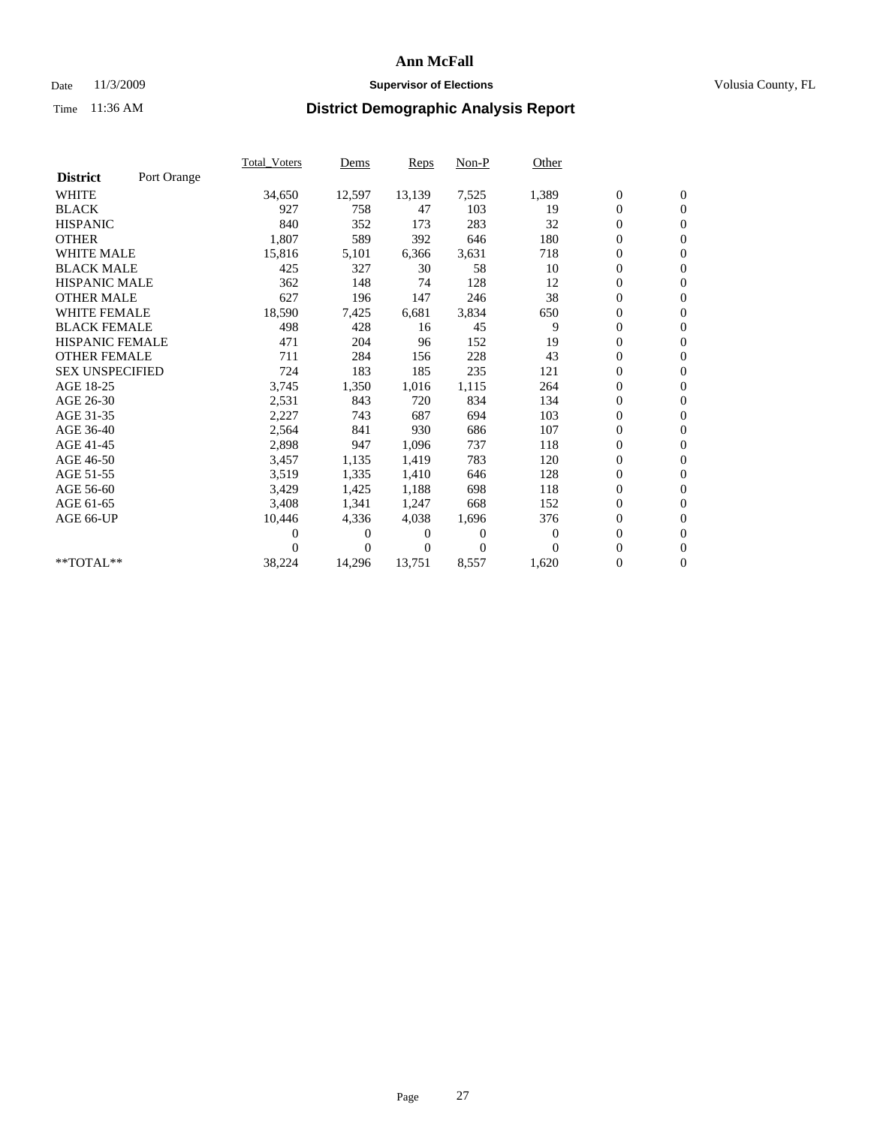## Date 11/3/2009 **Supervisor of Elections Supervisor of Elections** Volusia County, FL

|                        |             | Total Voters | Dems     | <b>Reps</b> | Non-P        | Other    |                  |                  |  |
|------------------------|-------------|--------------|----------|-------------|--------------|----------|------------------|------------------|--|
| <b>District</b>        | Port Orange |              |          |             |              |          |                  |                  |  |
| <b>WHITE</b>           |             | 34,650       | 12,597   | 13,139      | 7,525        | 1,389    | $\boldsymbol{0}$ | $\boldsymbol{0}$ |  |
| <b>BLACK</b>           |             | 927          | 758      | 47          | 103          | 19       | $\boldsymbol{0}$ | $\mathbf{0}$     |  |
| <b>HISPANIC</b>        |             | 840          | 352      | 173         | 283          | 32       | $\overline{0}$   | $\mathbf{0}$     |  |
| <b>OTHER</b>           |             | 1,807        | 589      | 392         | 646          | 180      | $\boldsymbol{0}$ | $\mathbf{0}$     |  |
| <b>WHITE MALE</b>      |             | 15,816       | 5,101    | 6,366       | 3,631        | 718      | $\boldsymbol{0}$ | $\mathbf{0}$     |  |
| <b>BLACK MALE</b>      |             | 425          | 327      | 30          | 58           | 10       | $\boldsymbol{0}$ | $\mathbf{0}$     |  |
| <b>HISPANIC MALE</b>   |             | 362          | 148      | 74          | 128          | 12       | $\boldsymbol{0}$ | $\mathbf{0}$     |  |
| <b>OTHER MALE</b>      |             | 627          | 196      | 147         | 246          | 38       | $\boldsymbol{0}$ | $\mathbf{0}$     |  |
| <b>WHITE FEMALE</b>    |             | 18,590       | 7,425    | 6,681       | 3,834        | 650      | $\mathbf{0}$     | $\mathbf{0}$     |  |
| <b>BLACK FEMALE</b>    |             | 498          | 428      | 16          | 45           | 9        | $\boldsymbol{0}$ | $\mathbf{0}$     |  |
| HISPANIC FEMALE        |             | 471          | 204      | 96          | 152          | 19       | $\boldsymbol{0}$ | $\mathbf{0}$     |  |
| <b>OTHER FEMALE</b>    |             | 711          | 284      | 156         | 228          | 43       | $\mathbf{0}$     | $\mathbf{0}$     |  |
| <b>SEX UNSPECIFIED</b> |             | 724          | 183      | 185         | 235          | 121      | $\boldsymbol{0}$ | $\mathbf{0}$     |  |
| AGE 18-25              |             | 3,745        | 1,350    | 1,016       | 1,115        | 264      | $\overline{0}$   | $\mathbf{0}$     |  |
| AGE 26-30              |             | 2,531        | 843      | 720         | 834          | 134      | $\overline{0}$   | $\mathbf{0}$     |  |
| AGE 31-35              |             | 2,227        | 743      | 687         | 694          | 103      | $\boldsymbol{0}$ | $\mathbf{0}$     |  |
| AGE 36-40              |             | 2,564        | 841      | 930         | 686          | 107      | 0                | $\mathbf{0}$     |  |
| AGE 41-45              |             | 2,898        | 947      | 1,096       | 737          | 118      | $\overline{0}$   | $\mathbf{0}$     |  |
| AGE 46-50              |             | 3,457        | 1,135    | 1,419       | 783          | 120      | $\boldsymbol{0}$ | $\mathbf{0}$     |  |
| AGE 51-55              |             | 3,519        | 1,335    | 1,410       | 646          | 128      | $\boldsymbol{0}$ | $\mathbf{0}$     |  |
| AGE 56-60              |             | 3,429        | 1,425    | 1,188       | 698          | 118      | $\boldsymbol{0}$ | $\mathbf{0}$     |  |
| AGE 61-65              |             | 3,408        | 1,341    | 1,247       | 668          | 152      | $\mathbf{0}$     | $\mathbf{0}$     |  |
| AGE 66-UP              |             | 10,446       | 4,336    | 4,038       | 1,696        | 376      | $\boldsymbol{0}$ | $\mathbf{0}$     |  |
|                        |             | 0            | 0        | 0           | $\mathbf{0}$ | $\bf{0}$ | $\overline{0}$   | $\mathbf{0}$     |  |
|                        |             | $\theta$     | $\Omega$ | 0           | $\Omega$     | $\Omega$ | $\boldsymbol{0}$ | $\mathbf{0}$     |  |
| $**TOTAL**$            |             | 38,224       | 14,296   | 13,751      | 8,557        | 1,620    | 0                | $\mathbf{0}$     |  |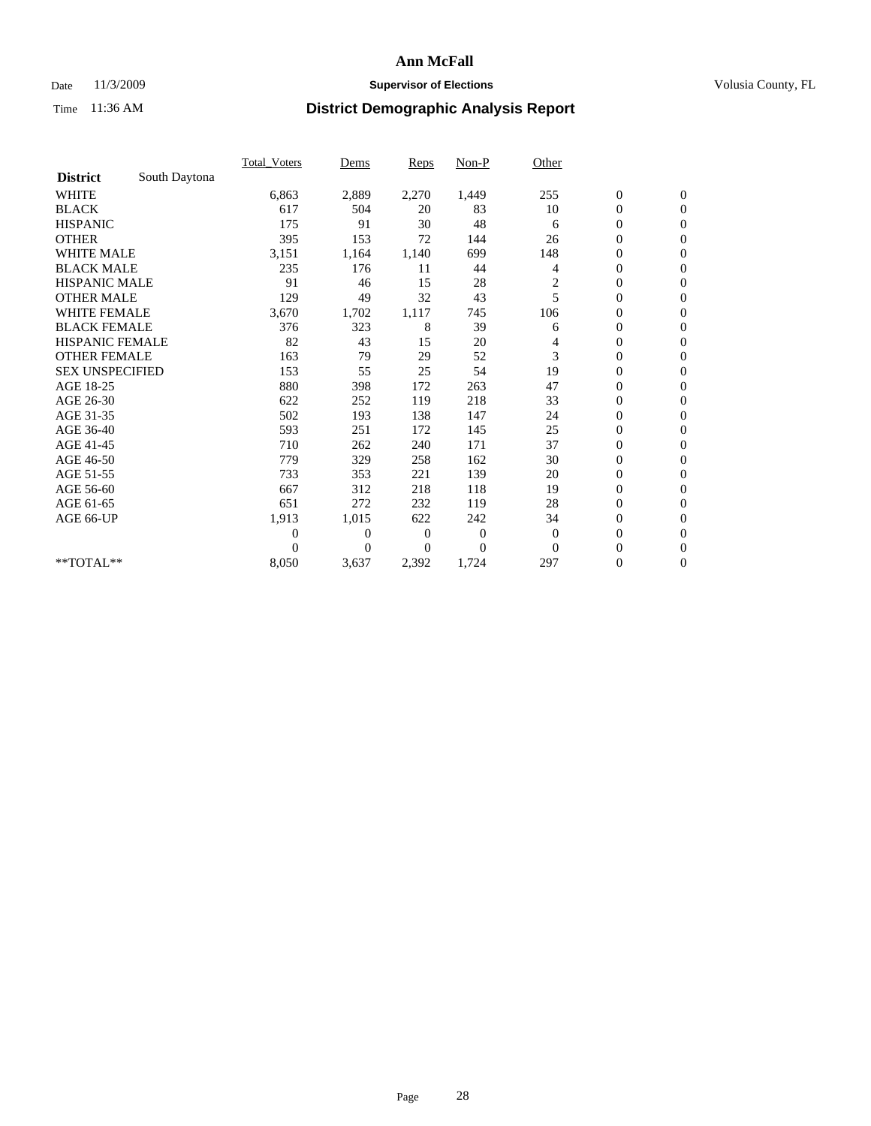### Date 11/3/2009 **Supervisor of Elections Supervisor of Elections** Volusia County, FL

|                        |               | Total Voters   | Dems           | Reps         | Non-P        | Other    |                  |                  |
|------------------------|---------------|----------------|----------------|--------------|--------------|----------|------------------|------------------|
| <b>District</b>        | South Daytona |                |                |              |              |          |                  |                  |
| <b>WHITE</b>           |               | 6,863          | 2,889          | 2,270        | 1,449        | 255      | $\boldsymbol{0}$ | $\boldsymbol{0}$ |
| <b>BLACK</b>           |               | 617            | 504            | 20           | 83           | 10       | $\boldsymbol{0}$ | $\Omega$         |
| <b>HISPANIC</b>        |               | 175            | 91             | 30           | 48           | 6        | $\overline{0}$   | $\mathbf{0}$     |
| <b>OTHER</b>           |               | 395            | 153            | 72           | 144          | 26       | $\boldsymbol{0}$ | $\mathbf{0}$     |
| <b>WHITE MALE</b>      |               | 3,151          | 1,164          | 1,140        | 699          | 148      | $\overline{0}$   | $\mathbf{0}$     |
| <b>BLACK MALE</b>      |               | 235            | 176            | 11           | 44           | 4        | $\boldsymbol{0}$ | $\mathbf{0}$     |
| <b>HISPANIC MALE</b>   |               | 91             | 46             | 15           | 28           | 2        | $\boldsymbol{0}$ | $\boldsymbol{0}$ |
| <b>OTHER MALE</b>      |               | 129            | 49             | 32           | 43           | 5        | $\mathbf{0}$     | $\Omega$         |
| WHITE FEMALE           |               | 3,670          | 1,702          | 1,117        | 745          | 106      | $\boldsymbol{0}$ | $\mathbf{0}$     |
| <b>BLACK FEMALE</b>    |               | 376            | 323            | 8            | 39           | 6        | $\boldsymbol{0}$ | $\mathbf{0}$     |
| <b>HISPANIC FEMALE</b> |               | 82             | 43             | 15           | 20           | 4        | $\boldsymbol{0}$ | $\mathbf{0}$     |
| <b>OTHER FEMALE</b>    |               | 163            | 79             | 29           | 52           | 3        | $\overline{0}$   | $\mathbf{0}$     |
| <b>SEX UNSPECIFIED</b> |               | 153            | 55             | 25           | 54           | 19       | $\boldsymbol{0}$ | $\mathbf{0}$     |
| AGE 18-25              |               | 880            | 398            | 172          | 263          | 47       | $\boldsymbol{0}$ | $\mathbf{0}$     |
| AGE 26-30              |               | 622            | 252            | 119          | 218          | 33       | $\boldsymbol{0}$ | $\mathbf{0}$     |
| AGE 31-35              |               | 502            | 193            | 138          | 147          | 24       | $\overline{0}$   | $\mathbf{0}$     |
| AGE 36-40              |               | 593            | 251            | 172          | 145          | 25       | $\boldsymbol{0}$ | $\mathbf{0}$     |
| AGE 41-45              |               | 710            | 262            | 240          | 171          | 37       | 0                | $\mathbf{0}$     |
| AGE 46-50              |               | 779            | 329            | 258          | 162          | 30       | $\boldsymbol{0}$ | $\mathbf{0}$     |
| AGE 51-55              |               | 733            | 353            | 221          | 139          | 20       | $\boldsymbol{0}$ | $\mathbf{0}$     |
| AGE 56-60              |               | 667            | 312            | 218          | 118          | 19       | 0                | $\mathbf{0}$     |
| AGE 61-65              |               | 651            | 272            | 232          | 119          | 28       | $\overline{0}$   | $\mathbf{0}$     |
| AGE 66-UP              |               | 1,913          | 1,015          | 622          | 242          | 34       | $\boldsymbol{0}$ | $\mathbf{0}$     |
|                        |               | $\overline{0}$ | $\overline{0}$ | $\mathbf{0}$ | $\mathbf{0}$ | $\theta$ | $\overline{0}$   | $\mathbf{0}$     |
|                        |               | $\theta$       | $\theta$       | $\Omega$     | $\theta$     | $\Omega$ | $\boldsymbol{0}$ | $\mathbf{0}$     |
| **TOTAL**              |               | 8,050          | 3,637          | 2,392        | 1,724        | 297      | 0                | $\mathbf{0}$     |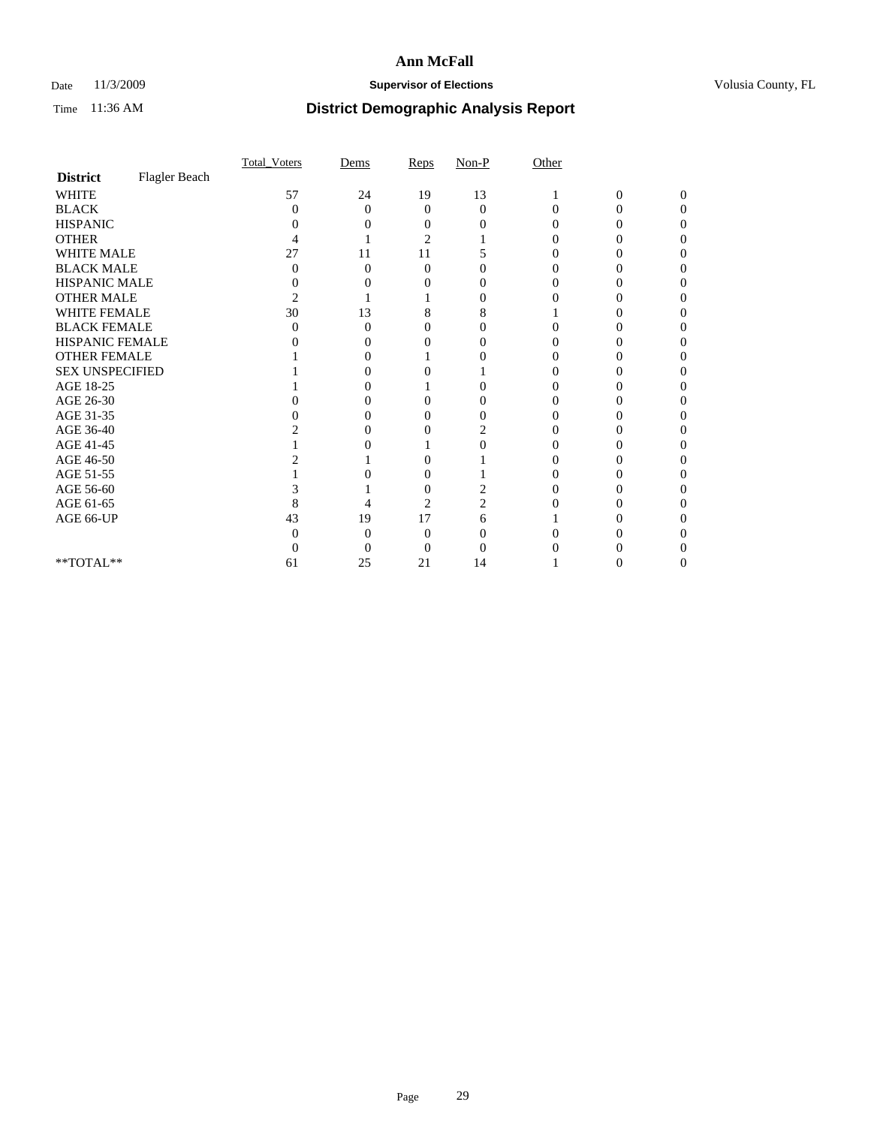## Date 11/3/2009 **Supervisor of Elections Supervisor of Elections** Volusia County, FL

|                        |               | Total Voters   | Dems              | Reps     | $Non-P$  | Other    |                |              |  |
|------------------------|---------------|----------------|-------------------|----------|----------|----------|----------------|--------------|--|
| <b>District</b>        | Flagler Beach |                |                   |          |          |          |                |              |  |
| <b>WHITE</b>           |               | 57             | 24                | 19       | 13       |          | $\overline{0}$ | $\mathbf{0}$ |  |
| <b>BLACK</b>           |               | 0              | $\Omega$          | $\Omega$ | $\Omega$ | $\Omega$ | 0              | 0            |  |
| <b>HISPANIC</b>        |               |                |                   |          |          |          |                |              |  |
| <b>OTHER</b>           |               |                |                   | 2        |          |          |                |              |  |
| WHITE MALE             |               | 27             | 11                | 11       |          |          |                |              |  |
| <b>BLACK MALE</b>      |               | 0              | 0                 | 0        |          |          |                |              |  |
| HISPANIC MALE          |               | 0              |                   |          |          |          |                |              |  |
| <b>OTHER MALE</b>      |               | $\overline{c}$ |                   |          | $\theta$ |          |                |              |  |
| WHITE FEMALE           |               | 30             | 13                | 8        | 8        |          |                |              |  |
| <b>BLACK FEMALE</b>    |               | 0              | 0                 | 0        |          |          |                |              |  |
| HISPANIC FEMALE        |               |                |                   |          |          |          |                |              |  |
| <b>OTHER FEMALE</b>    |               |                |                   |          |          |          |                |              |  |
| <b>SEX UNSPECIFIED</b> |               |                |                   |          |          |          |                |              |  |
| AGE 18-25              |               |                | $\mathbf{\Omega}$ |          | 0        |          |                |              |  |
| AGE 26-30              |               |                | $\mathbf{\Omega}$ | 0        | 0        |          |                |              |  |
| AGE 31-35              |               |                |                   |          |          |          |                |              |  |
| AGE 36-40              |               |                |                   |          | 2        |          |                |              |  |
| AGE 41-45              |               |                |                   |          |          |          |                |              |  |
| AGE 46-50              |               |                |                   |          |          |          |                |              |  |
| AGE 51-55              |               |                |                   | 0        |          |          |                |              |  |
| AGE 56-60              |               |                |                   | $\theta$ |          |          |                |              |  |
| AGE 61-65              |               | 8              |                   | 2        | 2        |          |                |              |  |
| AGE 66-UP              |               | 43             | 19                | 17       | 6        |          |                |              |  |
|                        |               |                | 0                 | 0        |          |          |                |              |  |
|                        |               |                | 0                 | 0        |          |          |                |              |  |
| **TOTAL**              |               | 61             | 25                | 21       | 14       |          |                |              |  |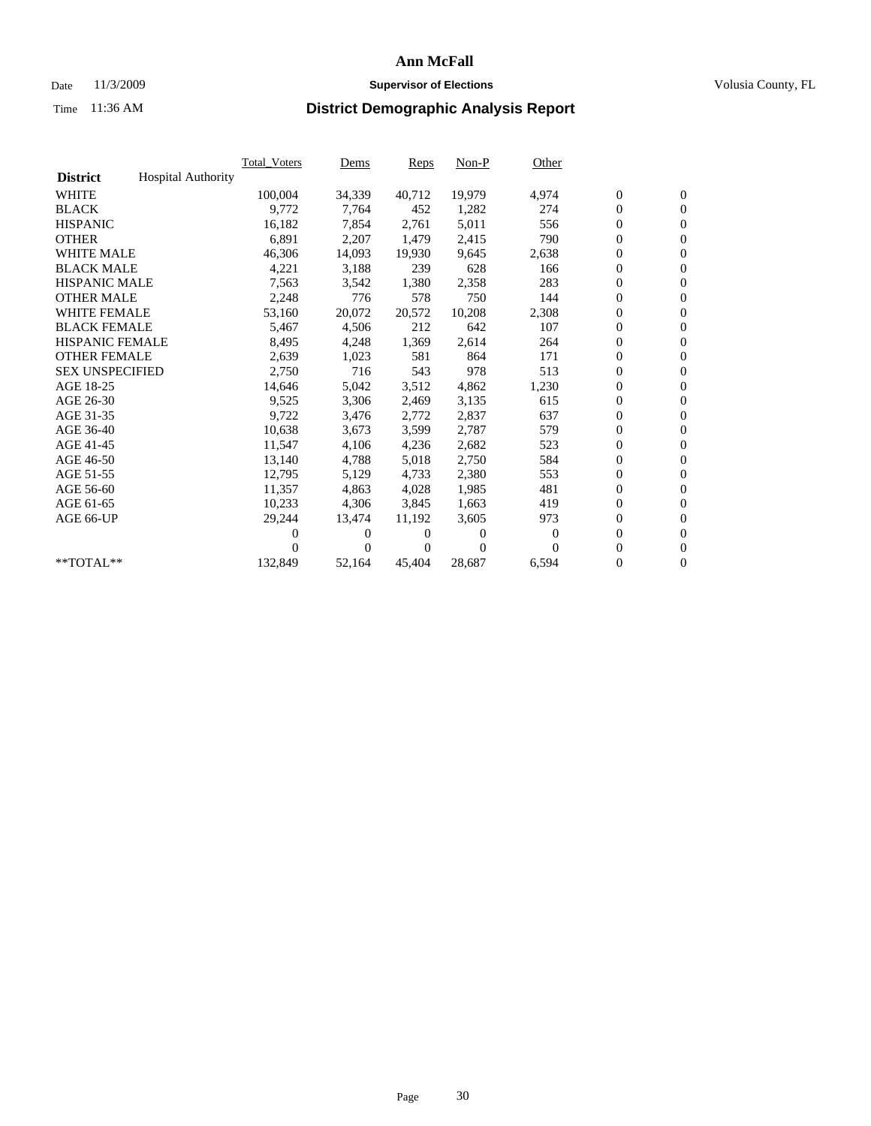## Date 11/3/2009 **Supervisor of Elections Supervisor of Elections** Volusia County, FL

|                        |                           | <b>Total Voters</b> | Dems           | <b>Reps</b> | $Non-P$  | Other        |                  |                  |  |
|------------------------|---------------------------|---------------------|----------------|-------------|----------|--------------|------------------|------------------|--|
| <b>District</b>        | <b>Hospital Authority</b> |                     |                |             |          |              |                  |                  |  |
| <b>WHITE</b>           |                           | 100,004             | 34,339         | 40,712      | 19,979   | 4,974        | $\boldsymbol{0}$ | $\boldsymbol{0}$ |  |
| <b>BLACK</b>           |                           | 9,772               | 7,764          | 452         | 1,282    | 274          | $\overline{0}$   | $\mathbf{0}$     |  |
| <b>HISPANIC</b>        |                           | 16,182              | 7,854          | 2,761       | 5,011    | 556          | $\boldsymbol{0}$ | $\mathbf{0}$     |  |
| <b>OTHER</b>           |                           | 6,891               | 2,207          | 1,479       | 2,415    | 790          | $\overline{0}$   | $\mathbf{0}$     |  |
| <b>WHITE MALE</b>      |                           | 46,306              | 14,093         | 19,930      | 9,645    | 2,638        | $\boldsymbol{0}$ | $\mathbf{0}$     |  |
| <b>BLACK MALE</b>      |                           | 4,221               | 3,188          | 239         | 628      | 166          | $\boldsymbol{0}$ | $\mathbf{0}$     |  |
| <b>HISPANIC MALE</b>   |                           | 7,563               | 3,542          | 1,380       | 2,358    | 283          | $\boldsymbol{0}$ | $\mathbf{0}$     |  |
| <b>OTHER MALE</b>      |                           | 2,248               | 776            | 578         | 750      | 144          | $\boldsymbol{0}$ | $\mathbf{0}$     |  |
| <b>WHITE FEMALE</b>    |                           | 53,160              | 20,072         | 20,572      | 10,208   | 2,308        | $\mathbf{0}$     | $\mathbf{0}$     |  |
| <b>BLACK FEMALE</b>    |                           | 5,467               | 4,506          | 212         | 642      | 107          | $\boldsymbol{0}$ | $\Omega$         |  |
| <b>HISPANIC FEMALE</b> |                           | 8,495               | 4,248          | 1,369       | 2,614    | 264          | $\boldsymbol{0}$ | $\mathbf{0}$     |  |
| <b>OTHER FEMALE</b>    |                           | 2,639               | 1,023          | 581         | 864      | 171          | $\mathbf{0}$     | $\mathbf{0}$     |  |
| <b>SEX UNSPECIFIED</b> |                           | 2,750               | 716            | 543         | 978      | 513          | $\boldsymbol{0}$ | $\mathbf{0}$     |  |
| AGE 18-25              |                           | 14,646              | 5,042          | 3,512       | 4,862    | 1,230        | $\boldsymbol{0}$ | $\mathbf{0}$     |  |
| AGE 26-30              |                           | 9,525               | 3,306          | 2,469       | 3,135    | 615          | $\boldsymbol{0}$ | $\mathbf{0}$     |  |
| AGE 31-35              |                           | 9,722               | 3,476          | 2,772       | 2,837    | 637          | $\boldsymbol{0}$ | $\mathbf{0}$     |  |
| AGE 36-40              |                           | 10,638              | 3,673          | 3,599       | 2,787    | 579          | $\boldsymbol{0}$ | $\mathbf{0}$     |  |
| AGE 41-45              |                           | 11,547              | 4,106          | 4,236       | 2,682    | 523          | $\boldsymbol{0}$ | $\mathbf{0}$     |  |
| AGE 46-50              |                           | 13,140              | 4,788          | 5,018       | 2,750    | 584          | $\boldsymbol{0}$ | $\Omega$         |  |
| AGE 51-55              |                           | 12,795              | 5,129          | 4,733       | 2,380    | 553          | $\boldsymbol{0}$ | $\boldsymbol{0}$ |  |
| AGE 56-60              |                           | 11,357              | 4.863          | 4.028       | 1,985    | 481          | $\mathbf{0}$     | $\mathbf{0}$     |  |
| AGE 61-65              |                           | 10,233              | 4,306          | 3,845       | 1,663    | 419          | $\boldsymbol{0}$ | $\mathbf{0}$     |  |
| AGE 66-UP              |                           | 29,244              | 13,474         | 11,192      | 3,605    | 973          | $\mathbf{0}$     | $\mathbf{0}$     |  |
|                        |                           | 0                   | 0              | 0           | 0        | $\mathbf{0}$ | $\overline{0}$   | $\mathbf{0}$     |  |
|                        |                           | 0                   | $\overline{0}$ | 0           | $\Omega$ | 0            | 0                | $\mathbf{0}$     |  |
| **TOTAL**              |                           | 132,849             | 52,164         | 45,404      | 28,687   | 6,594        | $\boldsymbol{0}$ | $\boldsymbol{0}$ |  |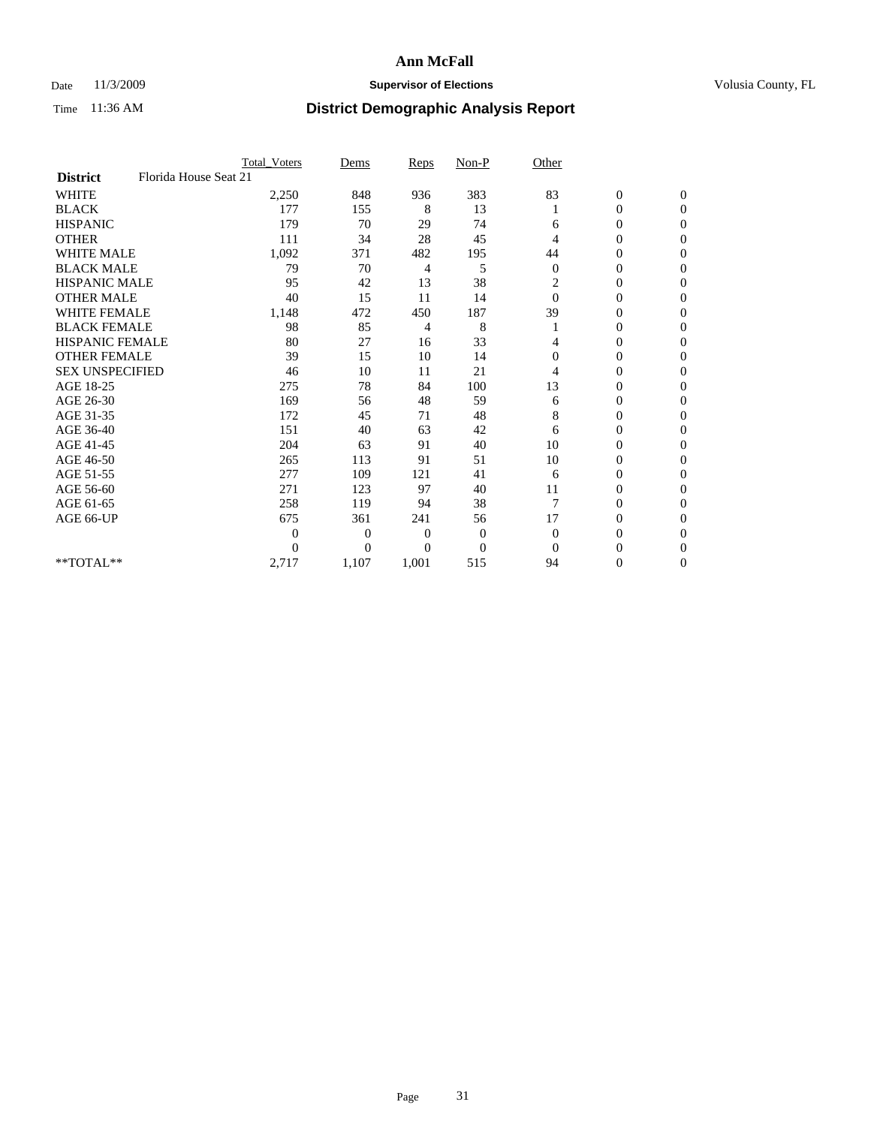### Date 11/3/2009 **Supervisor of Elections Supervisor of Elections** Volusia County, FL

|                        |                       | <b>Total_Voters</b> | Dems           | <b>Reps</b>  | $Non-P$        | Other          |                  |              |
|------------------------|-----------------------|---------------------|----------------|--------------|----------------|----------------|------------------|--------------|
| <b>District</b>        | Florida House Seat 21 |                     |                |              |                |                |                  |              |
| <b>WHITE</b>           |                       | 2,250               | 848            | 936          | 383            | 83             | $\boldsymbol{0}$ | $\mathbf{0}$ |
| <b>BLACK</b>           |                       | 177                 | 155            | 8            | 13             |                | $\boldsymbol{0}$ | $\mathbf{0}$ |
| <b>HISPANIC</b>        |                       | 179                 | 70             | 29           | 74             | 6              | $\overline{0}$   | $\Omega$     |
| <b>OTHER</b>           |                       | 111                 | 34             | 28           | 45             | 4              | 0                | $\Omega$     |
| <b>WHITE MALE</b>      |                       | 1,092               | 371            | 482          | 195            | 44             | 0                | $\Omega$     |
| <b>BLACK MALE</b>      |                       | 79                  | 70             | 4            | 5              | $\mathbf{0}$   | 0                | $\Omega$     |
| <b>HISPANIC MALE</b>   |                       | 95                  | 42             | 13           | 38             | 2              | $\boldsymbol{0}$ | $\Omega$     |
| <b>OTHER MALE</b>      |                       | 40                  | 15             | 11           | 14             | $\Omega$       | 0                | $\Omega$     |
| <b>WHITE FEMALE</b>    |                       | 1,148               | 472            | 450          | 187            | 39             | 0                | $\Omega$     |
| <b>BLACK FEMALE</b>    |                       | 98                  | 85             | 4            | 8              |                | $\overline{0}$   | $\mathbf{0}$ |
| <b>HISPANIC FEMALE</b> |                       | 80                  | 27             | 16           | 33             | 4              | 0                | $\Omega$     |
| <b>OTHER FEMALE</b>    |                       | 39                  | 15             | 10           | 14             | $\Omega$       | 0                | 0            |
| <b>SEX UNSPECIFIED</b> |                       | 46                  | 10             | 11           | 21             | 4              | $\overline{0}$   | $\mathbf{0}$ |
| AGE 18-25              |                       | 275                 | 78             | 84           | 100            | 13             | 0                | $\mathbf{0}$ |
| AGE 26-30              |                       | 169                 | 56             | 48           | 59             | 6              | 0                | $\Omega$     |
| AGE 31-35              |                       | 172                 | 45             | 71           | 48             | 8              | $\overline{0}$   | $\Omega$     |
| AGE 36-40              |                       | 151                 | 40             | 63           | 42             | 6              | 0                | $\mathbf{0}$ |
| AGE 41-45              |                       | 204                 | 63             | 91           | 40             | 10             | 0                | $\Omega$     |
| AGE 46-50              |                       | 265                 | 113            | 91           | 51             | 10             | $\overline{0}$   | $\mathbf{0}$ |
| AGE 51-55              |                       | 277                 | 109            | 121          | 41             | 6              | 0                | 0            |
| AGE 56-60              |                       | 271                 | 123            | 97           | 40             | 11             | $\overline{0}$   | $\Omega$     |
| AGE 61-65              |                       | 258                 | 119            | 94           | 38             | $\overline{7}$ | $\overline{0}$   | $\Omega$     |
| AGE 66-UP              |                       | 675                 | 361            | 241          | 56             | 17             | 0                | 0            |
|                        |                       | $\theta$            | $\overline{0}$ | $\mathbf{0}$ | $\mathbf{0}$   | $\Omega$       | 0                | $\Omega$     |
|                        |                       | $\theta$            | $\overline{0}$ | $\Omega$     | $\overline{0}$ | $\Omega$       | $\theta$         | $\Omega$     |
| **TOTAL**              |                       | 2,717               | 1,107          | 1,001        | 515            | 94             | 0                | $\mathbf{0}$ |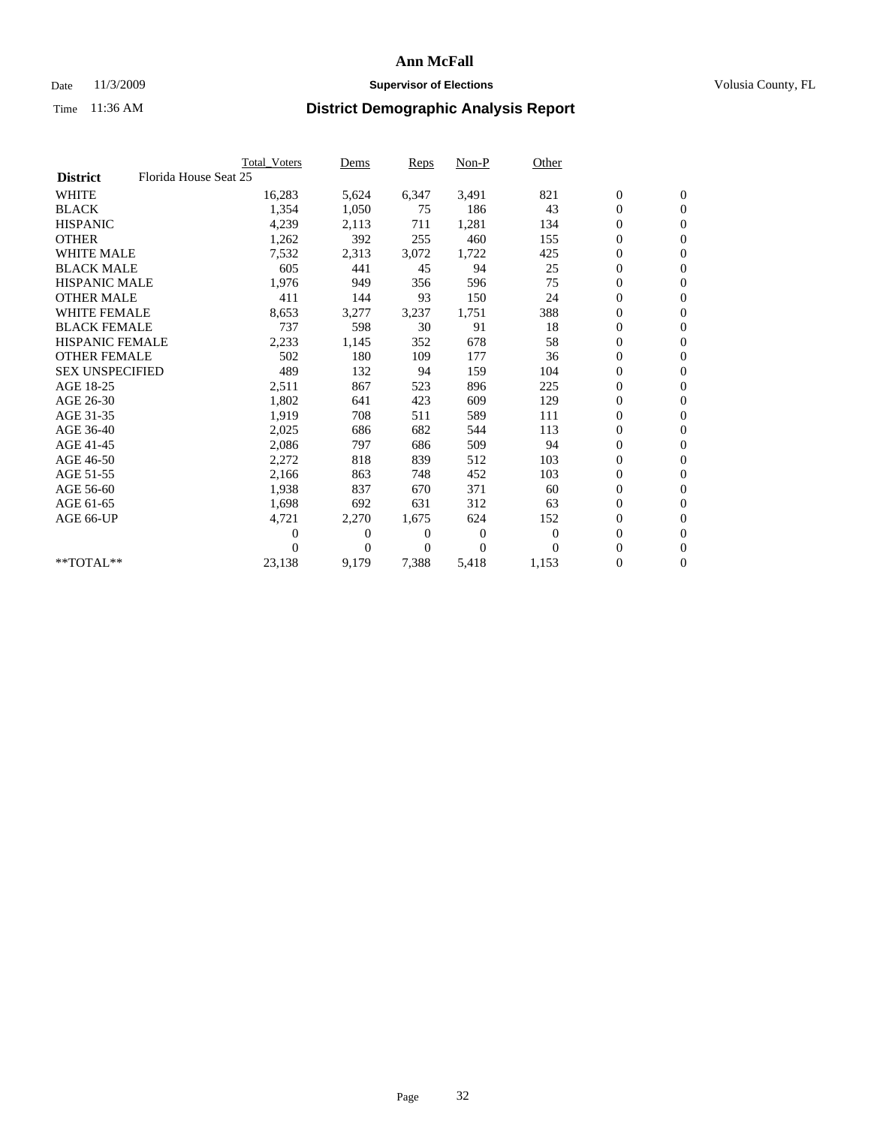## Date 11/3/2009 **Supervisor of Elections Supervisor of Elections** Volusia County, FL

|                        |                       | Total Voters   | Dems           | <b>Reps</b> | $Non-P$      | Other        |                  |                  |  |
|------------------------|-----------------------|----------------|----------------|-------------|--------------|--------------|------------------|------------------|--|
| <b>District</b>        | Florida House Seat 25 |                |                |             |              |              |                  |                  |  |
| <b>WHITE</b>           |                       | 16,283         | 5,624          | 6,347       | 3,491        | 821          | $\boldsymbol{0}$ | $\boldsymbol{0}$ |  |
| <b>BLACK</b>           |                       | 1,354          | 1,050          | 75          | 186          | 43           | $\boldsymbol{0}$ | $\mathbf{0}$     |  |
| <b>HISPANIC</b>        |                       | 4,239          | 2,113          | 711         | 1,281        | 134          | $\boldsymbol{0}$ | $\mathbf{0}$     |  |
| <b>OTHER</b>           |                       | 1,262          | 392            | 255         | 460          | 155          | $\boldsymbol{0}$ | $\mathbf{0}$     |  |
| <b>WHITE MALE</b>      |                       | 7,532          | 2,313          | 3,072       | 1,722        | 425          | $\boldsymbol{0}$ | $\mathbf{0}$     |  |
| <b>BLACK MALE</b>      |                       | 605            | 441            | 45          | 94           | 25           | $\overline{0}$   | $\mathbf{0}$     |  |
| <b>HISPANIC MALE</b>   |                       | 1,976          | 949            | 356         | 596          | 75           | $\boldsymbol{0}$ | $\mathbf{0}$     |  |
| <b>OTHER MALE</b>      |                       | 411            | 144            | 93          | 150          | 24           | $\boldsymbol{0}$ | $\mathbf{0}$     |  |
| <b>WHITE FEMALE</b>    |                       | 8,653          | 3,277          | 3,237       | 1,751        | 388          | $\boldsymbol{0}$ | $\mathbf{0}$     |  |
| <b>BLACK FEMALE</b>    |                       | 737            | 598            | 30          | 91           | 18           | $\boldsymbol{0}$ | $\mathbf{0}$     |  |
| <b>HISPANIC FEMALE</b> |                       | 2,233          | 1,145          | 352         | 678          | 58           | $\boldsymbol{0}$ | $\mathbf{0}$     |  |
| <b>OTHER FEMALE</b>    |                       | 502            | 180            | 109         | 177          | 36           | $\mathbf{0}$     | $\mathbf{0}$     |  |
| <b>SEX UNSPECIFIED</b> |                       | 489            | 132            | 94          | 159          | 104          | $\boldsymbol{0}$ | $\mathbf{0}$     |  |
| AGE 18-25              |                       | 2,511          | 867            | 523         | 896          | 225          | $\boldsymbol{0}$ | $\mathbf{0}$     |  |
| AGE 26-30              |                       | 1,802          | 641            | 423         | 609          | 129          | $\overline{0}$   | $\mathbf{0}$     |  |
| AGE 31-35              |                       | 1,919          | 708            | 511         | 589          | 111          | $\boldsymbol{0}$ | $\mathbf{0}$     |  |
| AGE 36-40              |                       | 2,025          | 686            | 682         | 544          | 113          | $\boldsymbol{0}$ | $\mathbf{0}$     |  |
| AGE 41-45              |                       | 2,086          | 797            | 686         | 509          | 94           | $\boldsymbol{0}$ | $\mathbf{0}$     |  |
| AGE 46-50              |                       | 2,272          | 818            | 839         | 512          | 103          | $\boldsymbol{0}$ | $\mathbf{0}$     |  |
| AGE 51-55              |                       | 2,166          | 863            | 748         | 452          | 103          | $\boldsymbol{0}$ | $\mathbf{0}$     |  |
| AGE 56-60              |                       | 1,938          | 837            | 670         | 371          | 60           | $\boldsymbol{0}$ | $\mathbf{0}$     |  |
| AGE 61-65              |                       | 1,698          | 692            | 631         | 312          | 63           | $\overline{0}$   | $\mathbf{0}$     |  |
| AGE 66-UP              |                       | 4,721          | 2,270          | 1,675       | 624          | 152          | $\boldsymbol{0}$ | $\mathbf{0}$     |  |
|                        |                       | $\overline{0}$ | $\overline{0}$ | 0           | $\mathbf{0}$ | $\mathbf{0}$ | $\mathbf{0}$     | $\mathbf{0}$     |  |
|                        |                       | 0              | $\overline{0}$ | 0           | $\Omega$     | $\Omega$     | $\boldsymbol{0}$ | $\mathbf{0}$     |  |
| **TOTAL**              |                       | 23,138         | 9,179          | 7,388       | 5,418        | 1,153        | 0                | $\boldsymbol{0}$ |  |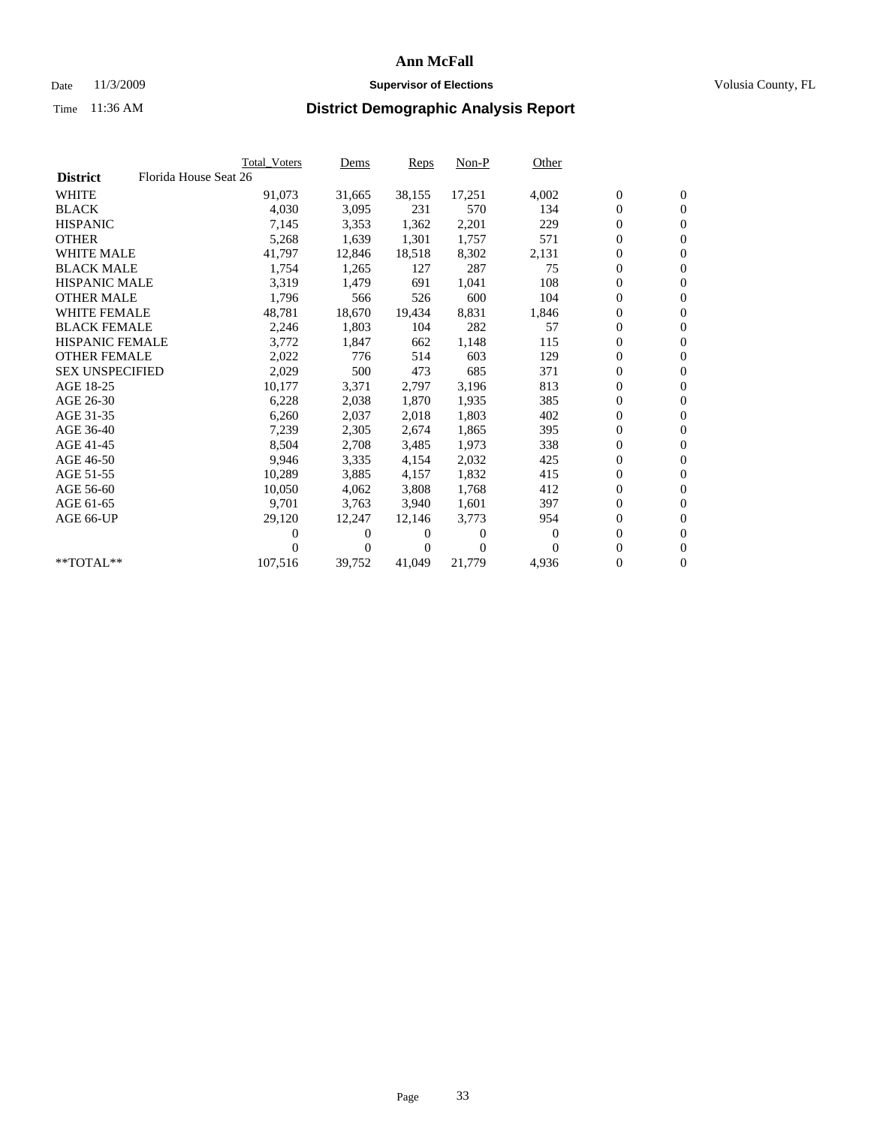## Date 11/3/2009 **Supervisor of Elections Supervisor of Elections** Volusia County, FL

|                        | <b>Total Voters</b>   | Dems                | Reps   | $Non-P$        | Other    |                  |                  |  |
|------------------------|-----------------------|---------------------|--------|----------------|----------|------------------|------------------|--|
| <b>District</b>        | Florida House Seat 26 |                     |        |                |          |                  |                  |  |
| <b>WHITE</b>           | 91,073                | 31,665              | 38,155 | 17,251         | 4,002    | $\boldsymbol{0}$ | $\boldsymbol{0}$ |  |
| <b>BLACK</b>           | 4,030                 | 3,095               | 231    | 570            | 134      | $\overline{0}$   | $\mathbf{0}$     |  |
| <b>HISPANIC</b>        | 7,145                 | 3,353               | 1,362  | 2,201          | 229      | $\overline{0}$   | $\mathbf{0}$     |  |
| <b>OTHER</b>           | 5,268                 | 1,639               | 1,301  | 1,757          | 571      | 0                | $\mathbf{0}$     |  |
| <b>WHITE MALE</b>      | 41,797                | 12,846              | 18,518 | 8,302          | 2,131    | 0                | $\mathbf{0}$     |  |
| <b>BLACK MALE</b>      | 1,754                 | 1,265               | 127    | 287            | 75       | $\boldsymbol{0}$ | $\mathbf{0}$     |  |
| <b>HISPANIC MALE</b>   | 3,319                 | 1,479               | 691    | 1,041          | 108      | 0                | $\mathbf{0}$     |  |
| <b>OTHER MALE</b>      | 1,796                 | 566                 | 526    | 600            | 104      | 0                | $\mathbf{0}$     |  |
| <b>WHITE FEMALE</b>    | 48,781                | 18,670              | 19,434 | 8,831          | 1,846    | 0                | $\mathbf{0}$     |  |
| <b>BLACK FEMALE</b>    | 2,246                 | 1,803               | 104    | 282            | 57       | 0                | $\Omega$         |  |
| HISPANIC FEMALE        | 3,772                 | 1,847               | 662    | 1,148          | 115      | $\boldsymbol{0}$ | $\mathbf{0}$     |  |
| <b>OTHER FEMALE</b>    | 2,022                 | 776                 | 514    | 603            | 129      | 0                | $\mathbf{0}$     |  |
| <b>SEX UNSPECIFIED</b> | 2,029                 | 500                 | 473    | 685            | 371      | 0                | $\mathbf{0}$     |  |
| AGE 18-25              | 10,177                | 3,371               | 2,797  | 3,196          | 813      | $\overline{0}$   | $\mathbf{0}$     |  |
| AGE 26-30              | 6,228                 | 2,038               | 1,870  | 1,935          | 385      | 0                | $\mathbf{0}$     |  |
| AGE 31-35              | 6,260                 | 2,037               | 2,018  | 1,803          | 402      | 0                | $\mathbf{0}$     |  |
| AGE 36-40              | 7,239                 | 2,305               | 2,674  | 1,865          | 395      | $\overline{0}$   | $\mathbf{0}$     |  |
| AGE 41-45              | 8,504                 | 2,708               | 3,485  | 1,973          | 338      | 0                | $\mathbf{0}$     |  |
| AGE 46-50              | 9,946                 | 3,335               | 4,154  | 2,032          | 425      | 0                | $\Omega$         |  |
| AGE 51-55              | 10,289                | 3,885               | 4,157  | 1,832          | 415      | $\boldsymbol{0}$ | $\mathbf{0}$     |  |
| AGE 56-60              | 10,050                | 4.062               | 3,808  | 1.768          | 412      | 0                | $\mathbf{0}$     |  |
| AGE 61-65              | 9,701                 | 3,763               | 3,940  | 1,601          | 397      | 0                | $\Omega$         |  |
| AGE 66-UP              | 29,120                | 12,247              | 12.146 | 3,773          | 954      | $\overline{0}$   | $\mathbf{0}$     |  |
|                        |                       | 0<br>0              | 0      | $\overline{0}$ | $\bf{0}$ | 0                | $\mathbf{0}$     |  |
|                        |                       | $\overline{0}$<br>0 | 0      | $\Omega$       | $\Omega$ | 0                | $\mathbf{0}$     |  |
| $*$ TOTAL $**$         | 107,516               | 39,752              | 41,049 | 21,779         | 4,936    | 0                | $\boldsymbol{0}$ |  |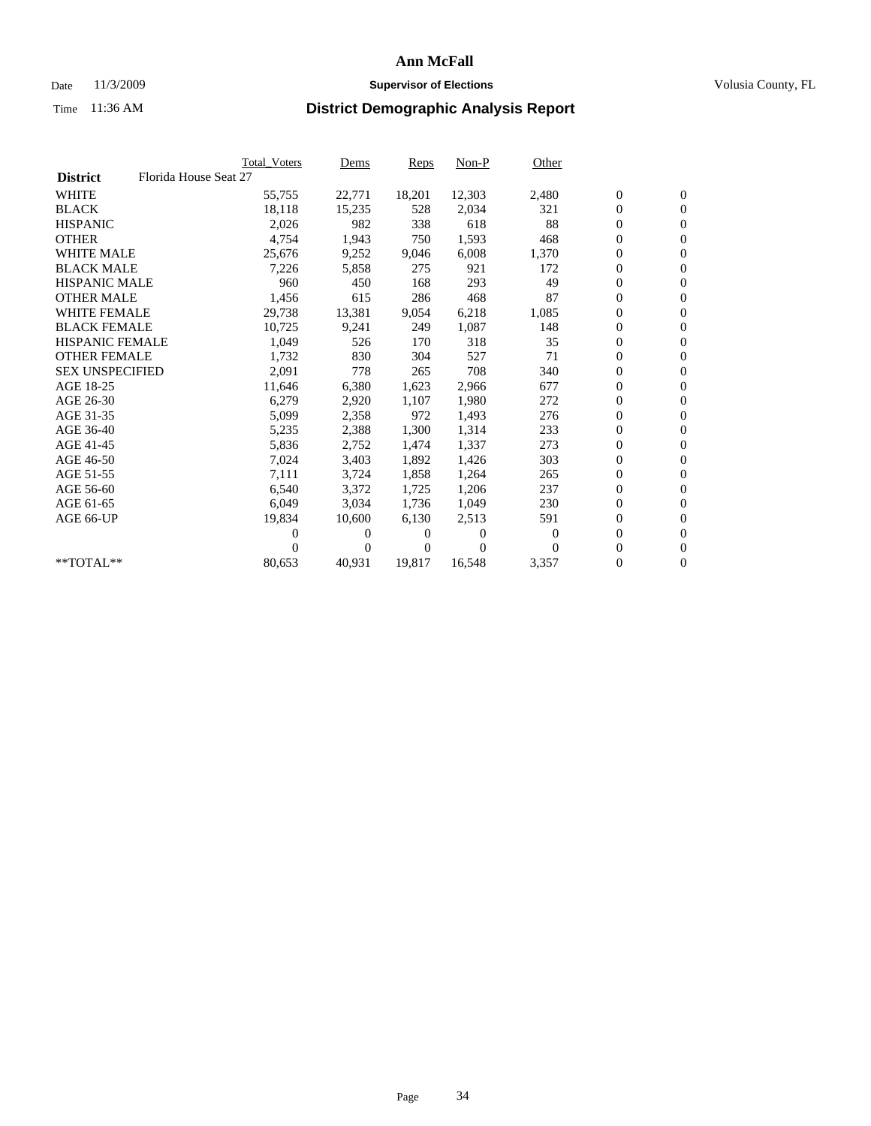## Date 11/3/2009 **Supervisor of Elections Supervisor of Elections** Volusia County, FL

|                        | Total Voters          | Dems           | <b>Reps</b> | $Non-P$      | Other    |                  |                  |  |
|------------------------|-----------------------|----------------|-------------|--------------|----------|------------------|------------------|--|
| <b>District</b>        | Florida House Seat 27 |                |             |              |          |                  |                  |  |
| <b>WHITE</b>           | 55,755                | 22,771         | 18,201      | 12,303       | 2,480    | $\boldsymbol{0}$ | $\mathbf{0}$     |  |
| <b>BLACK</b>           | 18,118                | 15,235         | 528         | 2,034        | 321      | $\overline{0}$   | $\mathbf{0}$     |  |
| <b>HISPANIC</b>        | 2,026                 | 982            | 338         | 618          | 88       | $\overline{0}$   | $\mathbf{0}$     |  |
| <b>OTHER</b>           | 4,754                 | 1,943          | 750         | 1,593        | 468      | 0                | $\mathbf{0}$     |  |
| <b>WHITE MALE</b>      | 25,676                | 9,252          | 9,046       | 6,008        | 1,370    | $\boldsymbol{0}$ | $\mathbf{0}$     |  |
| <b>BLACK MALE</b>      | 7,226                 | 5,858          | 275         | 921          | 172      | $\boldsymbol{0}$ | $\mathbf{0}$     |  |
| <b>HISPANIC MALE</b>   | 960                   | 450            | 168         | 293          | 49       | 0                | $\mathbf{0}$     |  |
| <b>OTHER MALE</b>      | 1,456                 | 615            | 286         | 468          | 87       | $\boldsymbol{0}$ | $\mathbf{0}$     |  |
| <b>WHITE FEMALE</b>    | 29,738                | 13,381         | 9,054       | 6,218        | 1,085    | $\mathbf{0}$     | $\mathbf{0}$     |  |
| <b>BLACK FEMALE</b>    | 10,725                | 9,241          | 249         | 1,087        | 148      | $\boldsymbol{0}$ | $\Omega$         |  |
| <b>HISPANIC FEMALE</b> | 1,049                 | 526            | 170         | 318          | 35       | $\boldsymbol{0}$ | $\mathbf{0}$     |  |
| <b>OTHER FEMALE</b>    | 1,732                 | 830            | 304         | 527          | 71       | $\overline{0}$   | $\mathbf{0}$     |  |
| <b>SEX UNSPECIFIED</b> | 2,091                 | 778            | 265         | 708          | 340      | 0                | $\mathbf{0}$     |  |
| AGE 18-25              | 11,646                | 6,380          | 1,623       | 2,966        | 677      | $\boldsymbol{0}$ | $\mathbf{0}$     |  |
| AGE 26-30              | 6,279                 | 2,920          | 1,107       | 1,980        | 272      | $\overline{0}$   | $\mathbf{0}$     |  |
| AGE 31-35              | 5,099                 | 2,358          | 972         | 1,493        | 276      | $\boldsymbol{0}$ | $\mathbf{0}$     |  |
| AGE 36-40              | 5,235                 | 2,388          | 1,300       | 1,314        | 233      | $\boldsymbol{0}$ | $\mathbf{0}$     |  |
| AGE 41-45              | 5,836                 | 2,752          | 1,474       | 1,337        | 273      | $\boldsymbol{0}$ | $\mathbf{0}$     |  |
| AGE 46-50              | 7,024                 | 3,403          | 1,892       | 1,426        | 303      | 0                | $\Omega$         |  |
| AGE 51-55              | 7,111                 | 3,724          | 1,858       | 1,264        | 265      | $\boldsymbol{0}$ | $\mathbf{0}$     |  |
| AGE 56-60              | 6,540                 | 3,372          | 1,725       | 1,206        | 237      | $\mathbf{0}$     | $\mathbf{0}$     |  |
| AGE 61-65              | 6,049                 | 3,034          | 1,736       | 1,049        | 230      | 0                | $\mathbf{0}$     |  |
| AGE 66-UP              | 19,834                | 10,600         | 6,130       | 2,513        | 591      | $\overline{0}$   | $\mathbf{0}$     |  |
|                        | 0                     | 0              | 0           | $\mathbf{0}$ | $\bf{0}$ | $\overline{0}$   | $\mathbf{0}$     |  |
|                        | 0                     | $\overline{0}$ | 0           | $\Omega$     | $\Omega$ | 0                | $\mathbf{0}$     |  |
| **TOTAL**              | 80,653                | 40,931         | 19,817      | 16,548       | 3,357    | 0                | $\boldsymbol{0}$ |  |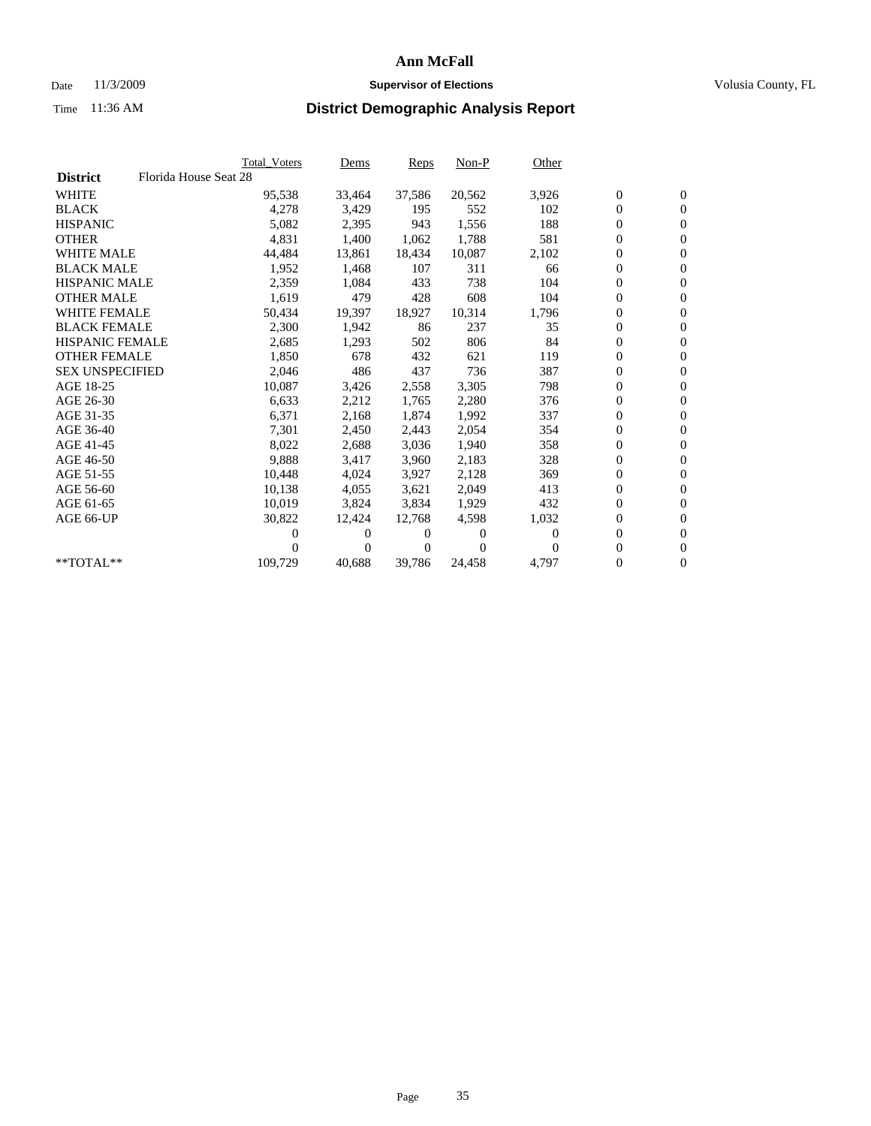## Date 11/3/2009 **Supervisor of Elections Supervisor of Elections** Volusia County, FL

|                        |                       | <b>Total Voters</b> | Dems   | Reps   | $Non-P$  | Other    |                  |                  |  |
|------------------------|-----------------------|---------------------|--------|--------|----------|----------|------------------|------------------|--|
| <b>District</b>        | Florida House Seat 28 |                     |        |        |          |          |                  |                  |  |
| <b>WHITE</b>           |                       | 95,538              | 33,464 | 37,586 | 20,562   | 3,926    | $\boldsymbol{0}$ | $\boldsymbol{0}$ |  |
| <b>BLACK</b>           |                       | 4,278               | 3,429  | 195    | 552      | 102      | 0                | $\mathbf{0}$     |  |
| <b>HISPANIC</b>        |                       | 5,082               | 2,395  | 943    | 1,556    | 188      | 0                | $\mathbf{0}$     |  |
| <b>OTHER</b>           |                       | 4,831               | 1,400  | 1,062  | 1,788    | 581      | 0                | $\mathbf{0}$     |  |
| <b>WHITE MALE</b>      |                       | 44,484              | 13,861 | 18,434 | 10,087   | 2,102    | 0                | $\mathbf{0}$     |  |
| <b>BLACK MALE</b>      |                       | 1,952               | 1,468  | 107    | 311      | 66       | 0                | $\mathbf{0}$     |  |
| <b>HISPANIC MALE</b>   |                       | 2,359               | 1,084  | 433    | 738      | 104      | 0                | $\mathbf{0}$     |  |
| <b>OTHER MALE</b>      |                       | 1,619               | 479    | 428    | 608      | 104      | 0                | $\mathbf{0}$     |  |
| <b>WHITE FEMALE</b>    |                       | 50,434              | 19,397 | 18,927 | 10,314   | 1,796    | $\boldsymbol{0}$ | $\mathbf{0}$     |  |
| <b>BLACK FEMALE</b>    |                       | 2,300               | 1,942  | 86     | 237      | 35       | 0                | $\mathbf{0}$     |  |
| <b>HISPANIC FEMALE</b> |                       | 2,685               | 1,293  | 502    | 806      | 84       | 0                | $\mathbf{0}$     |  |
| <b>OTHER FEMALE</b>    |                       | 1,850               | 678    | 432    | 621      | 119      | 0                | $\mathbf{0}$     |  |
| <b>SEX UNSPECIFIED</b> |                       | 2,046               | 486    | 437    | 736      | 387      | 0                | $\mathbf{0}$     |  |
| AGE 18-25              |                       | 10,087              | 3,426  | 2,558  | 3,305    | 798      | 0                | $\mathbf{0}$     |  |
| AGE 26-30              |                       | 6,633               | 2,212  | 1,765  | 2,280    | 376      | 0                | $\mathbf{0}$     |  |
| AGE 31-35              |                       | 6,371               | 2,168  | 1,874  | 1,992    | 337      | 0                | $\mathbf{0}$     |  |
| AGE 36-40              |                       | 7,301               | 2,450  | 2,443  | 2,054    | 354      | 0                | $\mathbf{0}$     |  |
| AGE 41-45              |                       | 8,022               | 2,688  | 3,036  | 1,940    | 358      | 0                | $\mathbf{0}$     |  |
| AGE 46-50              |                       | 9,888               | 3,417  | 3,960  | 2,183    | 328      | 0                | $\mathbf{0}$     |  |
| AGE 51-55              |                       | 10,448              | 4,024  | 3,927  | 2,128    | 369      | 0                | $\mathbf{0}$     |  |
| AGE 56-60              |                       | 10,138              | 4,055  | 3.621  | 2.049    | 413      | 0                | $\mathbf{0}$     |  |
| AGE 61-65              |                       | 10,019              | 3,824  | 3,834  | 1,929    | 432      | 0                | $\mathbf{0}$     |  |
| AGE 66-UP              |                       | 30,822              | 12,424 | 12,768 | 4,598    | 1,032    | 0                | $\mathbf{0}$     |  |
|                        |                       | 0                   | 0      | 0      | $\theta$ | $\Omega$ | $\overline{0}$   | $\mathbf{0}$     |  |
|                        |                       | 0                   | 0      | 0      | $\Omega$ | $\Omega$ | 0                | $\mathbf{0}$     |  |
| **TOTAL**              |                       | 109,729             | 40,688 | 39,786 | 24,458   | 4,797    | 0                | $\boldsymbol{0}$ |  |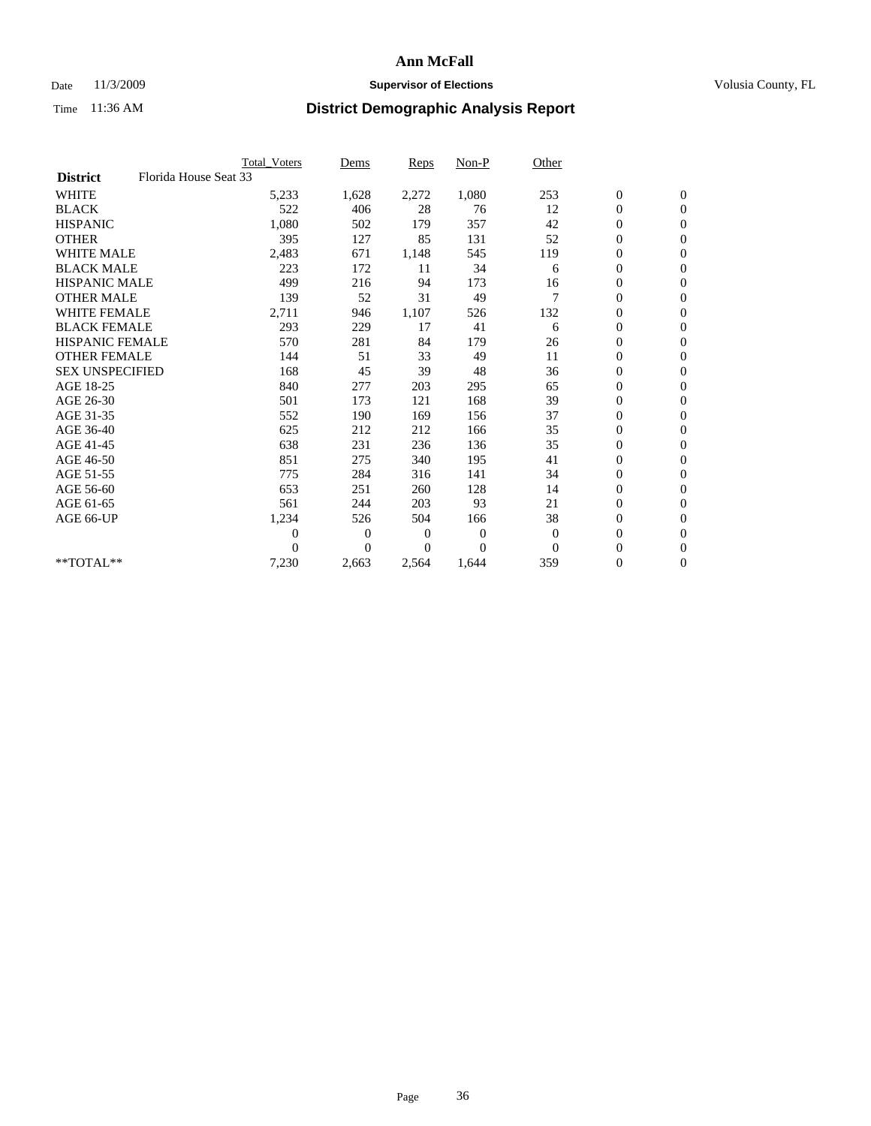### Date 11/3/2009 **Supervisor of Elections Supervisor of Elections** Volusia County, FL

|                        |                       | Total Voters   | Dems           | <b>Reps</b> | Non-P        | Other        |                  |                  |  |
|------------------------|-----------------------|----------------|----------------|-------------|--------------|--------------|------------------|------------------|--|
| <b>District</b>        | Florida House Seat 33 |                |                |             |              |              |                  |                  |  |
| <b>WHITE</b>           |                       | 5,233          | 1,628          | 2,272       | 1,080        | 253          | $\boldsymbol{0}$ | $\boldsymbol{0}$ |  |
| <b>BLACK</b>           |                       | 522            | 406            | 28          | 76           | 12           | $\boldsymbol{0}$ | $\mathbf{0}$     |  |
| <b>HISPANIC</b>        |                       | 1,080          | 502            | 179         | 357          | 42           | $\overline{0}$   | $\mathbf{0}$     |  |
| <b>OTHER</b>           |                       | 395            | 127            | 85          | 131          | 52           | $\boldsymbol{0}$ | $\mathbf{0}$     |  |
| <b>WHITE MALE</b>      |                       | 2,483          | 671            | 1,148       | 545          | 119          | $\boldsymbol{0}$ | $\mathbf{0}$     |  |
| <b>BLACK MALE</b>      |                       | 223            | 172            | 11          | 34           | 6            | $\boldsymbol{0}$ | $\mathbf{0}$     |  |
| <b>HISPANIC MALE</b>   |                       | 499            | 216            | 94          | 173          | 16           | $\boldsymbol{0}$ | $\mathbf{0}$     |  |
| <b>OTHER MALE</b>      |                       | 139            | 52             | 31          | 49           | 7            | $\boldsymbol{0}$ | $\mathbf{0}$     |  |
| <b>WHITE FEMALE</b>    |                       | 2,711          | 946            | 1,107       | 526          | 132          | $\overline{0}$   | $\mathbf{0}$     |  |
| <b>BLACK FEMALE</b>    |                       | 293            | 229            | 17          | 41           | 6            | $\boldsymbol{0}$ | $\mathbf{0}$     |  |
| <b>HISPANIC FEMALE</b> |                       | 570            | 281            | 84          | 179          | 26           | $\boldsymbol{0}$ | $\mathbf{0}$     |  |
| <b>OTHER FEMALE</b>    |                       | 144            | 51             | 33          | 49           | 11           | $\mathbf{0}$     | $\mathbf{0}$     |  |
| <b>SEX UNSPECIFIED</b> |                       | 168            | 45             | 39          | 48           | 36           | $\boldsymbol{0}$ | $\mathbf{0}$     |  |
| AGE 18-25              |                       | 840            | 277            | 203         | 295          | 65           | $\overline{0}$   | $\mathbf{0}$     |  |
| AGE 26-30              |                       | 501            | 173            | 121         | 168          | 39           | $\overline{0}$   | $\mathbf{0}$     |  |
| AGE 31-35              |                       | 552            | 190            | 169         | 156          | 37           | $\boldsymbol{0}$ | $\mathbf{0}$     |  |
| AGE 36-40              |                       | 625            | 212            | 212         | 166          | 35           | $\boldsymbol{0}$ | $\mathbf{0}$     |  |
| AGE 41-45              |                       | 638            | 231            | 236         | 136          | 35           | $\overline{0}$   | $\mathbf{0}$     |  |
| AGE 46-50              |                       | 851            | 275            | 340         | 195          | 41           | $\boldsymbol{0}$ | $\mathbf{0}$     |  |
| AGE 51-55              |                       | 775            | 284            | 316         | 141          | 34           | $\boldsymbol{0}$ | $\mathbf{0}$     |  |
| AGE 56-60              |                       | 653            | 251            | 260         | 128          | 14           | $\boldsymbol{0}$ | $\Omega$         |  |
| AGE 61-65              |                       | 561            | 244            | 203         | 93           | 21           | $\overline{0}$   | $\mathbf{0}$     |  |
| AGE 66-UP              |                       | 1,234          | 526            | 504         | 166          | 38           | $\boldsymbol{0}$ | $\mathbf{0}$     |  |
|                        |                       | $\overline{0}$ | $\overline{0}$ | 0           | $\mathbf{0}$ | $\theta$     | $\overline{0}$   | $\mathbf{0}$     |  |
|                        |                       | $\Omega$       | $\theta$       | $\Omega$    | $\Omega$     | $\mathbf{0}$ | $\boldsymbol{0}$ | $\mathbf{0}$     |  |
| **TOTAL**              |                       | 7,230          | 2,663          | 2,564       | 1,644        | 359          | 0                | $\mathbf{0}$     |  |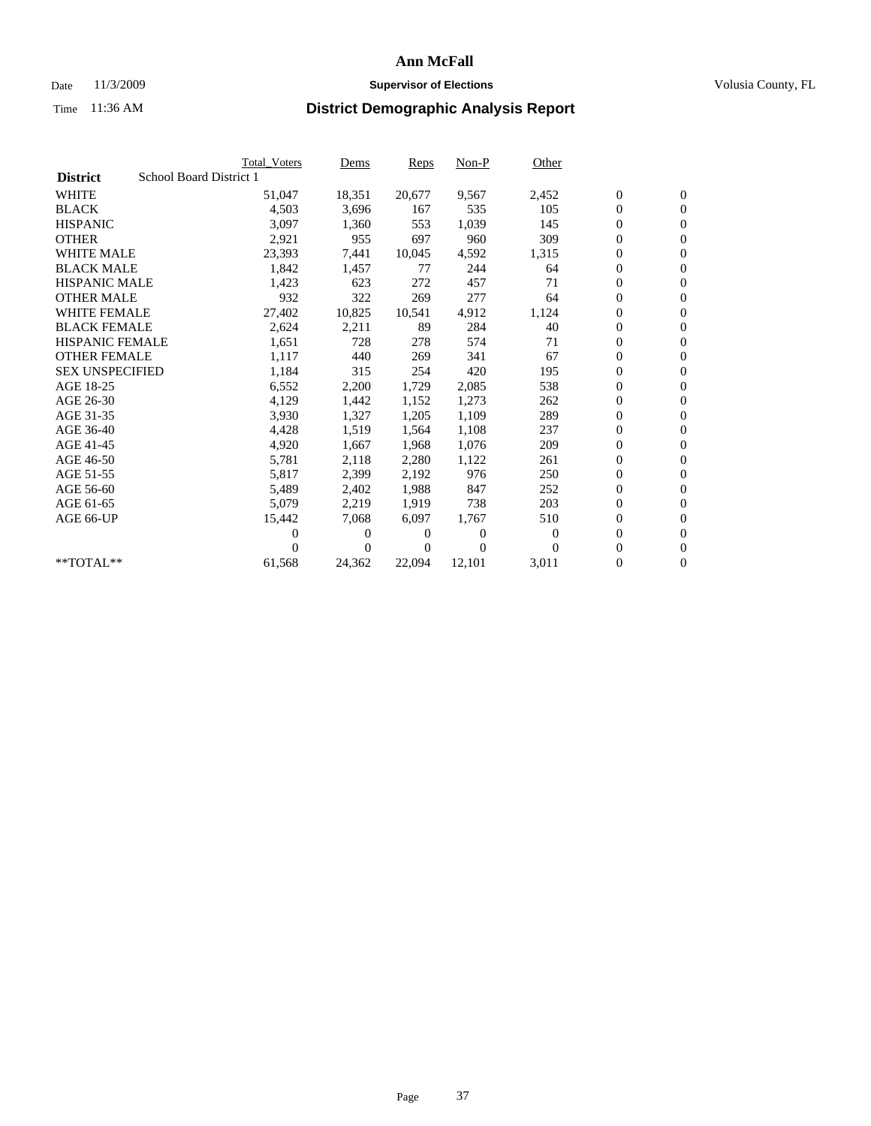## Date 11/3/2009 **Supervisor of Elections Supervisor of Elections** Volusia County, FL

|                                            | <b>Total Voters</b> | Dems           | <b>Reps</b> | $Non-P$      | Other        |                  |                  |  |
|--------------------------------------------|---------------------|----------------|-------------|--------------|--------------|------------------|------------------|--|
| School Board District 1<br><b>District</b> |                     |                |             |              |              |                  |                  |  |
| <b>WHITE</b>                               | 51,047              | 18,351         | 20,677      | 9,567        | 2,452        | $\boldsymbol{0}$ | $\boldsymbol{0}$ |  |
| <b>BLACK</b>                               | 4,503               | 3,696          | 167         | 535          | 105          | $\boldsymbol{0}$ | $\mathbf{0}$     |  |
| <b>HISPANIC</b>                            | 3,097               | 1,360          | 553         | 1,039        | 145          | $\overline{0}$   | $\mathbf{0}$     |  |
| <b>OTHER</b>                               | 2,921               | 955            | 697         | 960          | 309          | 0                | $\mathbf{0}$     |  |
| <b>WHITE MALE</b>                          | 23,393              | 7,441          | 10,045      | 4,592        | 1,315        | $\boldsymbol{0}$ | $\mathbf{0}$     |  |
| <b>BLACK MALE</b>                          | 1,842               | 1,457          | 77          | 244          | 64           | $\overline{0}$   | $\mathbf{0}$     |  |
| <b>HISPANIC MALE</b>                       | 1,423               | 623            | 272         | 457          | 71           | $\boldsymbol{0}$ | $\mathbf{0}$     |  |
| <b>OTHER MALE</b>                          | 932                 | 322            | 269         | 277          | 64           | $\overline{0}$   | $\mathbf{0}$     |  |
| <b>WHITE FEMALE</b>                        | 27,402              | 10,825         | 10,541      | 4,912        | 1,124        | $\boldsymbol{0}$ | $\mathbf{0}$     |  |
| <b>BLACK FEMALE</b>                        | 2,624               | 2,211          | 89          | 284          | 40           | $\boldsymbol{0}$ | $\mathbf{0}$     |  |
| <b>HISPANIC FEMALE</b>                     | 1,651               | 728            | 278         | 574          | 71           | $\boldsymbol{0}$ | $\mathbf{0}$     |  |
| <b>OTHER FEMALE</b>                        | 1,117               | 440            | 269         | 341          | 67           | $\mathbf{0}$     | $\mathbf{0}$     |  |
| <b>SEX UNSPECIFIED</b>                     | 1,184               | 315            | 254         | 420          | 195          | $\boldsymbol{0}$ | $\mathbf{0}$     |  |
| AGE 18-25                                  | 6,552               | 2,200          | 1,729       | 2,085        | 538          | $\boldsymbol{0}$ | $\mathbf{0}$     |  |
| AGE 26-30                                  | 4,129               | 1,442          | 1,152       | 1,273        | 262          | $\overline{0}$   | $\mathbf{0}$     |  |
| AGE 31-35                                  | 3,930               | 1,327          | 1,205       | 1,109        | 289          | $\boldsymbol{0}$ | $\mathbf{0}$     |  |
| AGE 36-40                                  | 4,428               | 1,519          | 1,564       | 1,108        | 237          | $\boldsymbol{0}$ | $\mathbf{0}$     |  |
| AGE 41-45                                  | 4,920               | 1,667          | 1,968       | 1,076        | 209          | $\boldsymbol{0}$ | $\mathbf{0}$     |  |
| AGE 46-50                                  | 5,781               | 2,118          | 2,280       | 1,122        | 261          | $\boldsymbol{0}$ | $\Omega$         |  |
| AGE 51-55                                  | 5,817               | 2,399          | 2,192       | 976          | 250          | $\boldsymbol{0}$ | $\mathbf{0}$     |  |
| AGE 56-60                                  | 5,489               | 2,402          | 1.988       | 847          | 252          | $\overline{0}$   | $\mathbf{0}$     |  |
| AGE 61-65                                  | 5,079               | 2,219          | 1,919       | 738          | 203          | $\overline{0}$   | $\mathbf{0}$     |  |
| AGE 66-UP                                  | 15,442              | 7,068          | 6.097       | 1,767        | 510          | $\boldsymbol{0}$ | $\mathbf{0}$     |  |
|                                            | 0                   | 0              | 0           | $\mathbf{0}$ | $\mathbf{0}$ | $\mathbf{0}$     | $\mathbf{0}$     |  |
|                                            | 0                   | $\overline{0}$ | 0           | $\mathbf{0}$ | $\Omega$     | 0                | $\mathbf{0}$     |  |
| **TOTAL**                                  | 61,568              | 24,362         | 22,094      | 12,101       | 3,011        | 0                | $\boldsymbol{0}$ |  |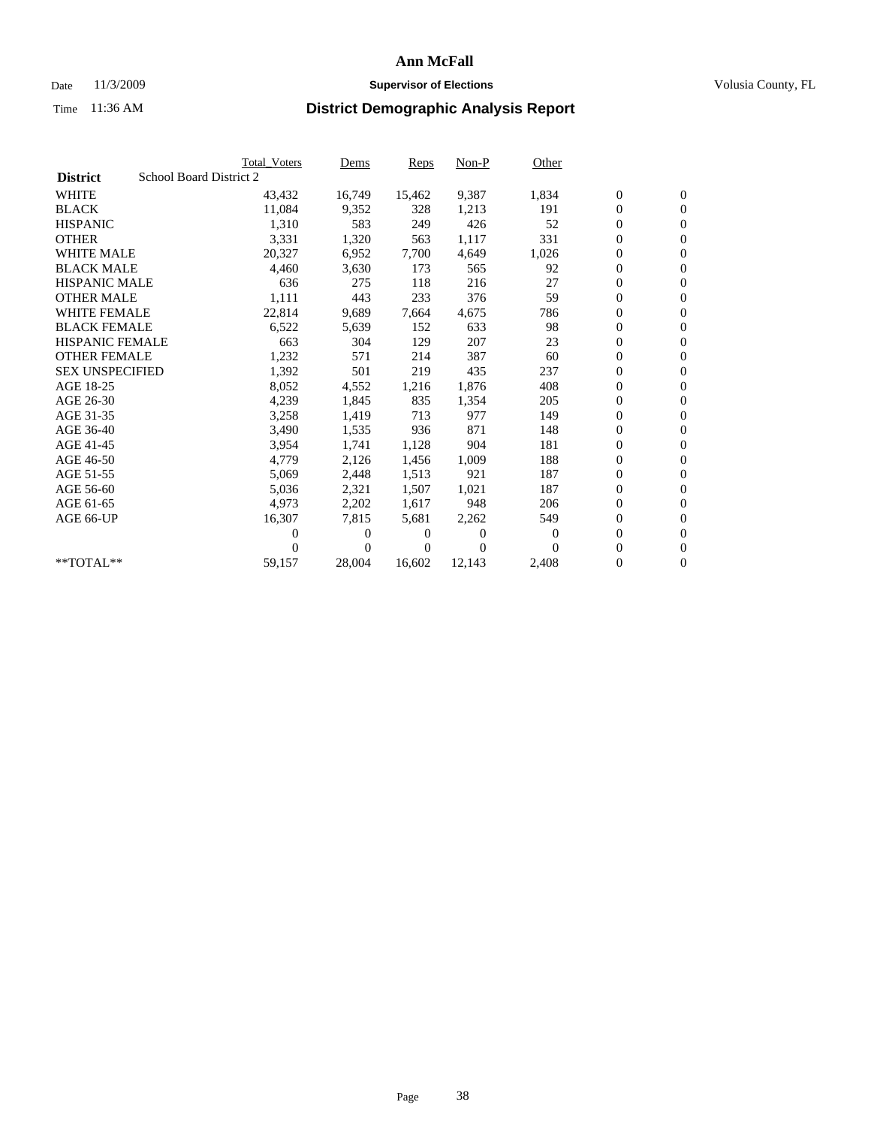## Date 11/3/2009 **Supervisor of Elections Supervisor of Elections** Volusia County, FL

|                        | <b>Total Voters</b>     | <u>Dems</u>    | <b>Reps</b> | $Non-P$      | Other    |                  |                  |  |
|------------------------|-------------------------|----------------|-------------|--------------|----------|------------------|------------------|--|
| <b>District</b>        | School Board District 2 |                |             |              |          |                  |                  |  |
| <b>WHITE</b>           | 43,432                  | 16,749         | 15,462      | 9,387        | 1,834    | $\boldsymbol{0}$ | $\boldsymbol{0}$ |  |
| <b>BLACK</b>           | 11,084                  | 9,352          | 328         | 1,213        | 191      | $\boldsymbol{0}$ | $\mathbf{0}$     |  |
| <b>HISPANIC</b>        | 1,310                   | 583            | 249         | 426          | 52       | $\overline{0}$   | $\mathbf{0}$     |  |
| <b>OTHER</b>           | 3,331                   | 1,320          | 563         | 1,117        | 331      | 0                | $\mathbf{0}$     |  |
| <b>WHITE MALE</b>      | 20,327                  | 6,952          | 7,700       | 4,649        | 1,026    | $\boldsymbol{0}$ | $\mathbf{0}$     |  |
| <b>BLACK MALE</b>      | 4,460                   | 3,630          | 173         | 565          | 92       | $\overline{0}$   | $\mathbf{0}$     |  |
| <b>HISPANIC MALE</b>   | 636                     | 275            | 118         | 216          | 27       | $\boldsymbol{0}$ | $\mathbf{0}$     |  |
| <b>OTHER MALE</b>      | 1,111                   | 443            | 233         | 376          | 59       | $\overline{0}$   | $\mathbf{0}$     |  |
| <b>WHITE FEMALE</b>    | 22,814                  | 9,689          | 7,664       | 4,675        | 786      | $\boldsymbol{0}$ | $\mathbf{0}$     |  |
| <b>BLACK FEMALE</b>    | 6,522                   | 5,639          | 152         | 633          | 98       | $\boldsymbol{0}$ | $\mathbf{0}$     |  |
| <b>HISPANIC FEMALE</b> | 663                     | 304            | 129         | 207          | 23       | 0                | $\mathbf{0}$     |  |
| <b>OTHER FEMALE</b>    | 1,232                   | 571            | 214         | 387          | 60       | $\mathbf{0}$     | $\mathbf{0}$     |  |
| <b>SEX UNSPECIFIED</b> | 1,392                   | 501            | 219         | 435          | 237      | $\boldsymbol{0}$ | $\mathbf{0}$     |  |
| AGE 18-25              | 8,052                   | 4,552          | 1,216       | 1,876        | 408      | $\boldsymbol{0}$ | $\mathbf{0}$     |  |
| AGE 26-30              | 4,239                   | 1,845          | 835         | 1,354        | 205      | $\overline{0}$   | $\mathbf{0}$     |  |
| AGE 31-35              | 3,258                   | 1,419          | 713         | 977          | 149      | $\boldsymbol{0}$ | $\mathbf{0}$     |  |
| AGE 36-40              | 3,490                   | 1,535          | 936         | 871          | 148      | $\boldsymbol{0}$ | $\mathbf{0}$     |  |
| AGE 41-45              | 3,954                   | 1,741          | 1,128       | 904          | 181      | 0                | $\mathbf{0}$     |  |
| AGE 46-50              | 4,779                   | 2,126          | 1,456       | 1,009        | 188      | 0                | $\Omega$         |  |
| AGE 51-55              | 5,069                   | 2,448          | 1,513       | 921          | 187      | $\boldsymbol{0}$ | $\mathbf{0}$     |  |
| AGE 56-60              | 5,036                   | 2,321          | 1,507       | 1,021        | 187      | $\overline{0}$   | $\mathbf{0}$     |  |
| AGE 61-65              | 4,973                   | 2,202          | 1,617       | 948          | 206      | 0                | $\mathbf{0}$     |  |
| AGE 66-UP              | 16,307                  | 7,815          | 5,681       | 2,262        | 549      | $\boldsymbol{0}$ | $\mathbf{0}$     |  |
|                        | 0                       | 0              | 0           | $\mathbf{0}$ | 0        | $\mathbf{0}$     | $\mathbf{0}$     |  |
|                        | 0                       | $\overline{0}$ | 0           | $\Omega$     | $\Omega$ | 0                | $\mathbf{0}$     |  |
| **TOTAL**              | 59,157                  | 28,004         | 16,602      | 12,143       | 2,408    | 0                | $\boldsymbol{0}$ |  |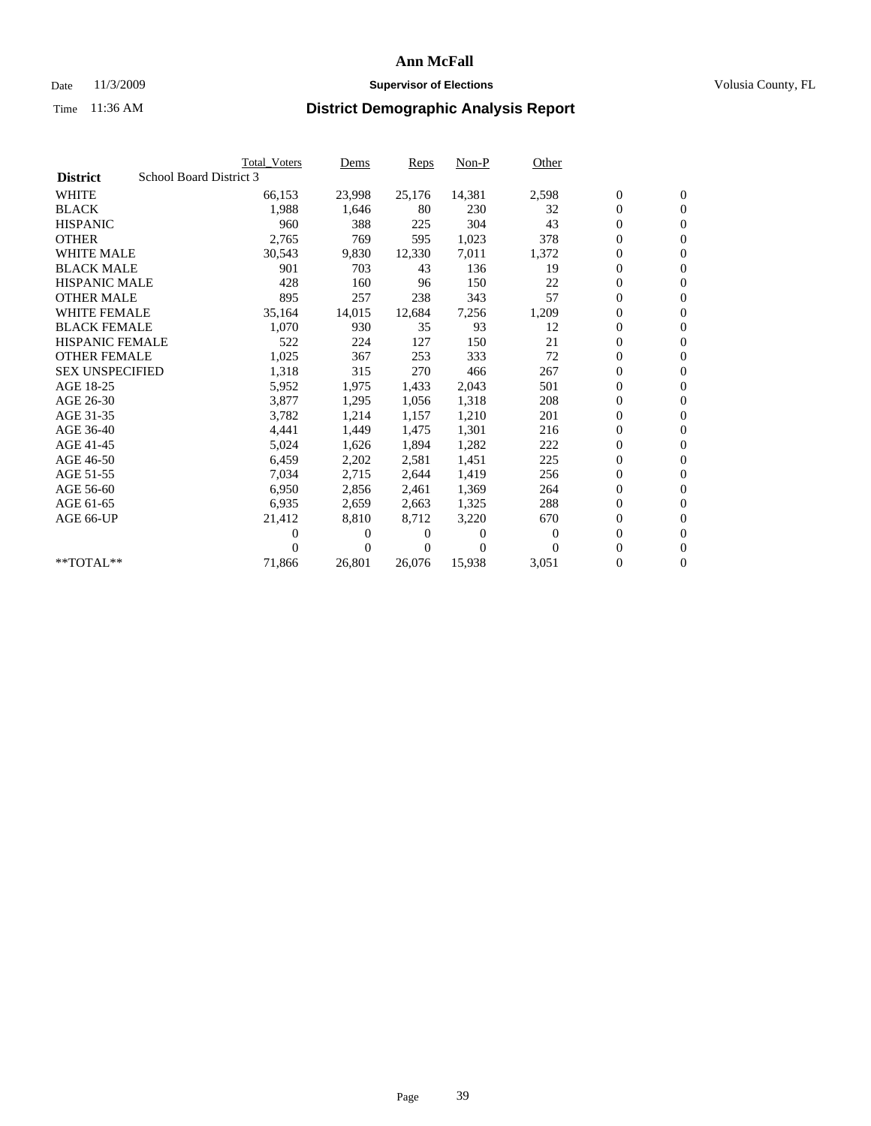### Date 11/3/2009 **Supervisor of Elections Supervisor of Elections** Volusia County, FL

|                        |                         | <b>Total Voters</b> | Dems           | Reps   | $Non-P$        | Other    |                  |                  |  |
|------------------------|-------------------------|---------------------|----------------|--------|----------------|----------|------------------|------------------|--|
| <b>District</b>        | School Board District 3 |                     |                |        |                |          |                  |                  |  |
| <b>WHITE</b>           |                         | 66,153              | 23,998         | 25,176 | 14,381         | 2,598    | $\boldsymbol{0}$ | $\mathbf{0}$     |  |
| <b>BLACK</b>           |                         | 1,988               | 1,646          | 80     | 230            | 32       | $\overline{0}$   | $\mathbf{0}$     |  |
| <b>HISPANIC</b>        |                         | 960                 | 388            | 225    | 304            | 43       | $\overline{0}$   | $\mathbf{0}$     |  |
| <b>OTHER</b>           |                         | 2,765               | 769            | 595    | 1,023          | 378      | 0                | $\mathbf{0}$     |  |
| <b>WHITE MALE</b>      |                         | 30,543              | 9,830          | 12,330 | 7,011          | 1,372    | 0                | $\mathbf{0}$     |  |
| <b>BLACK MALE</b>      |                         | 901                 | 703            | 43     | 136            | 19       | $\boldsymbol{0}$ | $\mathbf{0}$     |  |
| <b>HISPANIC MALE</b>   |                         | 428                 | 160            | 96     | 150            | 22       | 0                | $\mathbf{0}$     |  |
| <b>OTHER MALE</b>      |                         | 895                 | 257            | 238    | 343            | 57       | 0                | $\mathbf{0}$     |  |
| <b>WHITE FEMALE</b>    |                         | 35,164              | 14,015         | 12,684 | 7,256          | 1,209    | 0                | $\mathbf{0}$     |  |
| <b>BLACK FEMALE</b>    |                         | 1,070               | 930            | 35     | 93             | 12       | 0                | $\Omega$         |  |
| HISPANIC FEMALE        |                         | 522                 | 224            | 127    | 150            | 21       | $\boldsymbol{0}$ | $\mathbf{0}$     |  |
| <b>OTHER FEMALE</b>    |                         | 1,025               | 367            | 253    | 333            | 72       | 0                | $\mathbf{0}$     |  |
| <b>SEX UNSPECIFIED</b> |                         | 1,318               | 315            | 270    | 466            | 267      | 0                | $\Omega$         |  |
| AGE 18-25              |                         | 5,952               | 1,975          | 1,433  | 2,043          | 501      | $\overline{0}$   | $\mathbf{0}$     |  |
| AGE 26-30              |                         | 3,877               | 1,295          | 1,056  | 1,318          | 208      | 0                | $\mathbf{0}$     |  |
| AGE 31-35              |                         | 3,782               | 1,214          | 1,157  | 1,210          | 201      | 0                | $\mathbf{0}$     |  |
| AGE 36-40              |                         | 4,441               | 1,449          | 1,475  | 1,301          | 216      | 0                | $\mathbf{0}$     |  |
| AGE 41-45              |                         | 5,024               | 1,626          | 1,894  | 1,282          | 222      | 0                | $\mathbf{0}$     |  |
| AGE 46-50              |                         | 6,459               | 2,202          | 2,581  | 1,451          | 225      | 0                | $\Omega$         |  |
| AGE 51-55              |                         | 7,034               | 2,715          | 2,644  | 1,419          | 256      | $\boldsymbol{0}$ | $\mathbf{0}$     |  |
| AGE 56-60              |                         | 6.950               | 2,856          | 2.461  | 1,369          | 264      | 0                | $\mathbf{0}$     |  |
| AGE 61-65              |                         | 6,935               | 2,659          | 2,663  | 1,325          | 288      | 0                | $\Omega$         |  |
| AGE 66-UP              |                         | 21,412              | 8,810          | 8,712  | 3,220          | 670      | 0                | $\mathbf{0}$     |  |
|                        |                         | 0                   | 0              | 0      | $\overline{0}$ | $\Omega$ | 0                | $\mathbf{0}$     |  |
|                        |                         | 0                   | $\overline{0}$ | 0      | $\Omega$       | $\Omega$ | 0                | $\mathbf{0}$     |  |
| $*$ TOTAL $**$         |                         | 71,866              | 26,801         | 26,076 | 15,938         | 3,051    | 0                | $\boldsymbol{0}$ |  |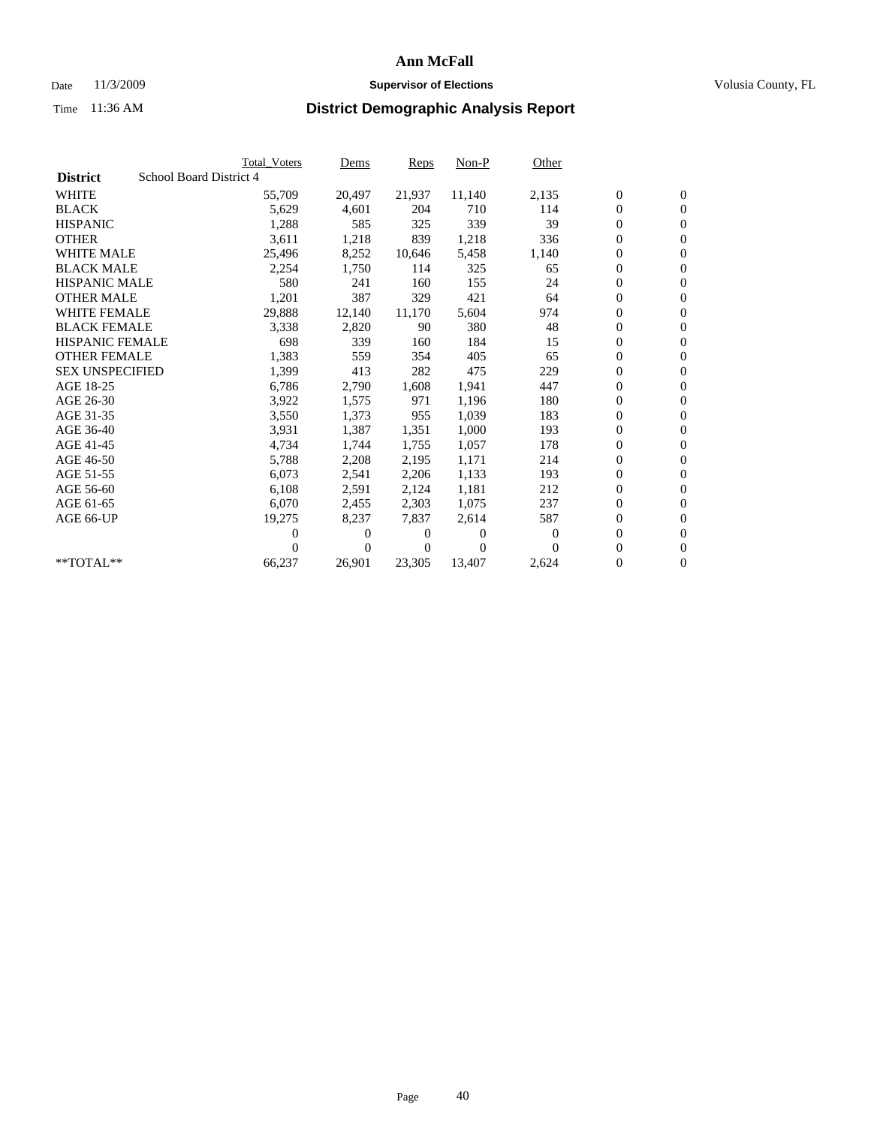## Date 11/3/2009 **Supervisor of Elections Supervisor of Elections** Volusia County, FL

|                        | <b>Total Voters</b>     | Dems           | <b>Reps</b> | $Non-P$      | Other |                  |                  |  |
|------------------------|-------------------------|----------------|-------------|--------------|-------|------------------|------------------|--|
| <b>District</b>        | School Board District 4 |                |             |              |       |                  |                  |  |
| <b>WHITE</b>           | 55,709                  | 20,497         | 21,937      | 11,140       | 2,135 | $\boldsymbol{0}$ | $\mathbf{0}$     |  |
| <b>BLACK</b>           | 5,629                   | 4,601          | 204         | 710          | 114   | $\overline{0}$   | $\mathbf{0}$     |  |
| <b>HISPANIC</b>        | 1,288                   | 585            | 325         | 339          | 39    | $\overline{0}$   | $\mathbf{0}$     |  |
| <b>OTHER</b>           | 3,611                   | 1,218          | 839         | 1,218        | 336   | 0                | $\mathbf{0}$     |  |
| <b>WHITE MALE</b>      | 25,496                  | 8,252          | 10,646      | 5,458        | 1,140 | $\boldsymbol{0}$ | $\mathbf{0}$     |  |
| <b>BLACK MALE</b>      | 2,254                   | 1,750          | 114         | 325          | 65    | $\boldsymbol{0}$ | $\mathbf{0}$     |  |
| <b>HISPANIC MALE</b>   | 580                     | 241            | 160         | 155          | 24    | 0                | $\mathbf{0}$     |  |
| <b>OTHER MALE</b>      | 1,201                   | 387            | 329         | 421          | 64    | $\boldsymbol{0}$ | $\mathbf{0}$     |  |
| <b>WHITE FEMALE</b>    | 29,888                  | 12,140         | 11,170      | 5,604        | 974   | $\mathbf{0}$     | $\mathbf{0}$     |  |
| <b>BLACK FEMALE</b>    | 3,338                   | 2,820          | 90          | 380          | 48    | $\boldsymbol{0}$ | $\Omega$         |  |
| HISPANIC FEMALE        | 698                     | 339            | 160         | 184          | 15    | $\boldsymbol{0}$ | $\mathbf{0}$     |  |
| <b>OTHER FEMALE</b>    | 1,383                   | 559            | 354         | 405          | 65    | $\overline{0}$   | $\mathbf{0}$     |  |
| <b>SEX UNSPECIFIED</b> | 1,399                   | 413            | 282         | 475          | 229   | $\boldsymbol{0}$ | $\mathbf{0}$     |  |
| AGE 18-25              | 6,786                   | 2,790          | 1,608       | 1,941        | 447   | $\boldsymbol{0}$ | $\mathbf{0}$     |  |
| AGE 26-30              | 3,922                   | 1,575          | 971         | 1,196        | 180   | $\boldsymbol{0}$ | $\mathbf{0}$     |  |
| AGE 31-35              | 3,550                   | 1,373          | 955         | 1,039        | 183   | $\boldsymbol{0}$ | $\mathbf{0}$     |  |
| AGE 36-40              | 3,931                   | 1,387          | 1,351       | 1,000        | 193   | $\boldsymbol{0}$ | $\mathbf{0}$     |  |
| AGE 41-45              | 4,734                   | 1,744          | 1,755       | 1,057        | 178   | $\boldsymbol{0}$ | $\mathbf{0}$     |  |
| AGE 46-50              | 5,788                   | 2,208          | 2,195       | 1,171        | 214   | 0                | $\Omega$         |  |
| AGE 51-55              | 6,073                   | 2,541          | 2,206       | 1,133        | 193   | $\boldsymbol{0}$ | $\mathbf{0}$     |  |
| AGE 56-60              | 6,108                   | 2,591          | 2,124       | 1.181        | 212   | $\mathbf{0}$     | $\mathbf{0}$     |  |
| AGE 61-65              | 6,070                   | 2,455          | 2,303       | 1,075        | 237   | $\boldsymbol{0}$ | $\mathbf{0}$     |  |
| AGE 66-UP              | 19,275                  | 8,237          | 7,837       | 2,614        | 587   | $\mathbf{0}$     | $\mathbf{0}$     |  |
|                        | 0                       | 0              | 0           | $\mathbf{0}$ | 0     | $\overline{0}$   | $\mathbf{0}$     |  |
|                        | 0                       | $\overline{0}$ | 0           | $\Omega$     | 0     | 0                | $\mathbf{0}$     |  |
| $*$ TOTAL $**$         | 66,237                  | 26,901         | 23,305      | 13,407       | 2,624 | 0                | $\boldsymbol{0}$ |  |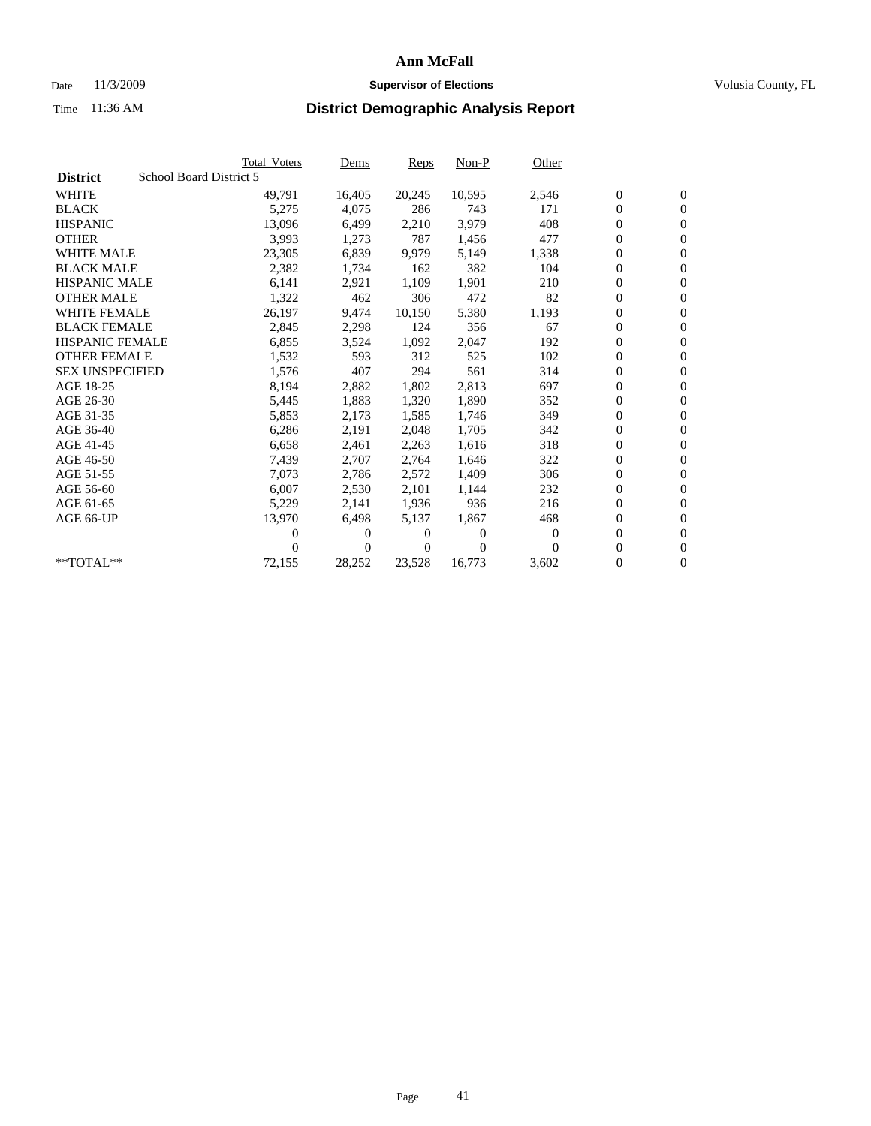### Date 11/3/2009 **Supervisor of Elections Supervisor of Elections** Volusia County, FL

|                        |                         | <b>Total Voters</b> | Dems           | Reps   | $Non-P$  | Other            |                  |                  |  |
|------------------------|-------------------------|---------------------|----------------|--------|----------|------------------|------------------|------------------|--|
| <b>District</b>        | School Board District 5 |                     |                |        |          |                  |                  |                  |  |
| <b>WHITE</b>           |                         | 49,791              | 16,405         | 20,245 | 10,595   | 2,546            | $\boldsymbol{0}$ | $\boldsymbol{0}$ |  |
| <b>BLACK</b>           |                         | 5,275               | 4,075          | 286    | 743      | 171              | $\boldsymbol{0}$ | $\mathbf{0}$     |  |
| <b>HISPANIC</b>        |                         | 13,096              | 6,499          | 2,210  | 3,979    | 408              | 0                | $\mathbf{0}$     |  |
| <b>OTHER</b>           |                         | 3,993               | 1,273          | 787    | 1,456    | 477              | 0                | $\mathbf{0}$     |  |
| <b>WHITE MALE</b>      |                         | 23,305              | 6,839          | 9,979  | 5,149    | 1,338            | 0                | $\mathbf{0}$     |  |
| <b>BLACK MALE</b>      |                         | 2,382               | 1,734          | 162    | 382      | 104              | 0                | $\mathbf{0}$     |  |
| <b>HISPANIC MALE</b>   |                         | 6,141               | 2,921          | 1,109  | 1,901    | 210              | 0                | $\mathbf{0}$     |  |
| <b>OTHER MALE</b>      |                         | 1,322               | 462            | 306    | 472      | 82               | 0                | $\mathbf{0}$     |  |
| <b>WHITE FEMALE</b>    |                         | 26,197              | 9,474          | 10,150 | 5,380    | 1,193            | $\boldsymbol{0}$ | $\mathbf{0}$     |  |
| <b>BLACK FEMALE</b>    |                         | 2,845               | 2,298          | 124    | 356      | 67               | 0                | $\mathbf{0}$     |  |
| <b>HISPANIC FEMALE</b> |                         | 6,855               | 3,524          | 1,092  | 2,047    | 192              | 0                | $\mathbf{0}$     |  |
| <b>OTHER FEMALE</b>    |                         | 1,532               | 593            | 312    | 525      | 102              | 0                | $\mathbf{0}$     |  |
| <b>SEX UNSPECIFIED</b> |                         | 1,576               | 407            | 294    | 561      | 314              | 0                | $\mathbf{0}$     |  |
| AGE 18-25              |                         | 8,194               | 2,882          | 1,802  | 2,813    | 697              | 0                | $\mathbf{0}$     |  |
| AGE 26-30              |                         | 5,445               | 1,883          | 1,320  | 1,890    | 352              | 0                | $\mathbf{0}$     |  |
| AGE 31-35              |                         | 5,853               | 2,173          | 1,585  | 1,746    | 349              | 0                | $\mathbf{0}$     |  |
| AGE 36-40              |                         | 6,286               | 2,191          | 2,048  | 1,705    | 342              | 0                | $\mathbf{0}$     |  |
| AGE 41-45              |                         | 6,658               | 2,461          | 2,263  | 1,616    | 318              | 0                | $\mathbf{0}$     |  |
| AGE 46-50              |                         | 7,439               | 2,707          | 2,764  | 1,646    | 322              | 0                | $\mathbf{0}$     |  |
| AGE 51-55              |                         | 7,073               | 2,786          | 2,572  | 1,409    | 306              | 0                | $\mathbf{0}$     |  |
| AGE 56-60              |                         | 6,007               | 2,530          | 2.101  | 1,144    | 232              | 0                | $\mathbf{0}$     |  |
| AGE 61-65              |                         | 5,229               | 2,141          | 1,936  | 936      | 216              | 0                | $\mathbf{0}$     |  |
| AGE 66-UP              |                         | 13,970              | 6,498          | 5,137  | 1,867    | 468              | 0                | $\mathbf{0}$     |  |
|                        |                         | 0                   | 0              | 0      | $\theta$ | $\boldsymbol{0}$ | 0                | $\mathbf{0}$     |  |
|                        |                         | 0                   | $\overline{0}$ | 0      | $\Omega$ | $\Omega$         | 0                | $\mathbf{0}$     |  |
| **TOTAL**              |                         | 72,155              | 28,252         | 23,528 | 16,773   | 3,602            | 0                | $\boldsymbol{0}$ |  |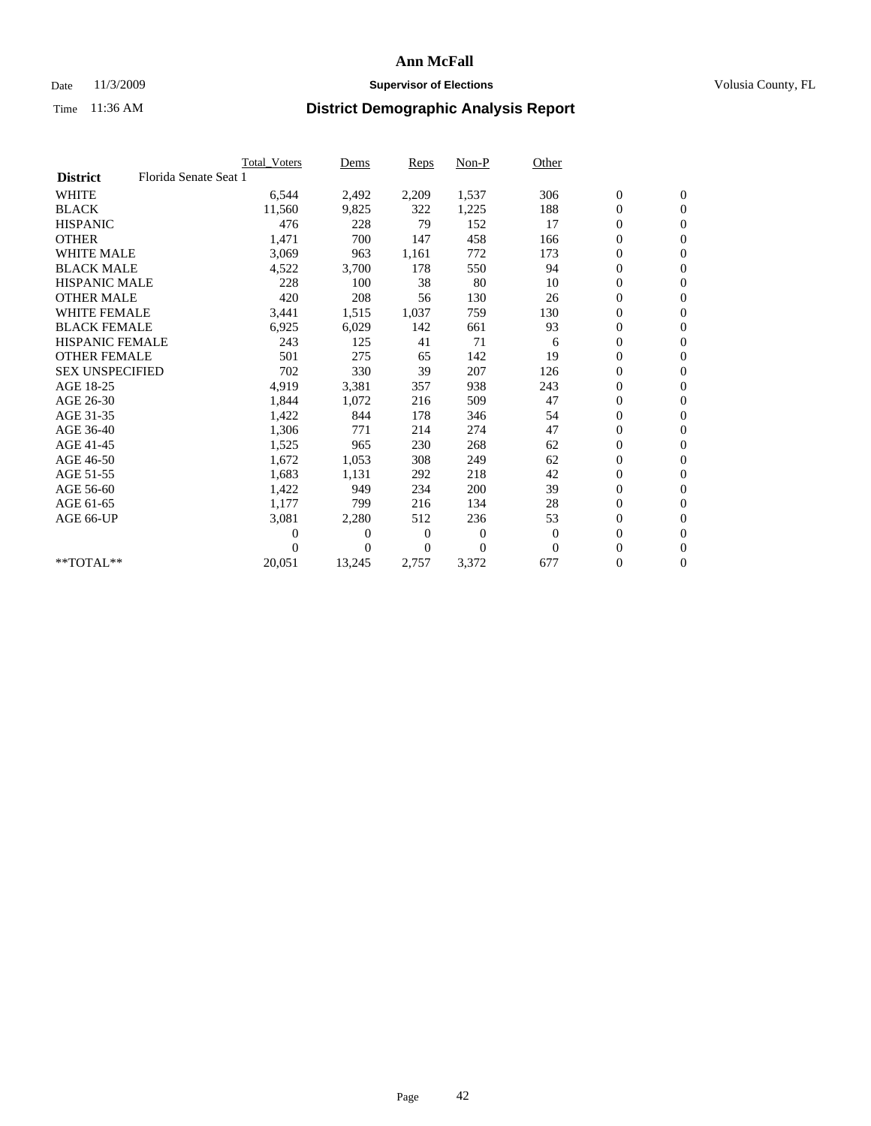## Date 11/3/2009 **Supervisor of Elections Supervisor of Elections** Volusia County, FL

|                        |                       | Total Voters | Dems     | <b>Reps</b> | $Non-P$      | Other        |                  |                  |  |
|------------------------|-----------------------|--------------|----------|-------------|--------------|--------------|------------------|------------------|--|
| <b>District</b>        | Florida Senate Seat 1 |              |          |             |              |              |                  |                  |  |
| <b>WHITE</b>           |                       | 6,544        | 2,492    | 2,209       | 1,537        | 306          | $\boldsymbol{0}$ | $\boldsymbol{0}$ |  |
| <b>BLACK</b>           |                       | 11,560       | 9,825    | 322         | 1,225        | 188          | $\boldsymbol{0}$ | $\mathbf{0}$     |  |
| <b>HISPANIC</b>        |                       | 476          | 228      | 79          | 152          | 17           | $\overline{0}$   | $\mathbf{0}$     |  |
| <b>OTHER</b>           |                       | 1,471        | 700      | 147         | 458          | 166          | $\boldsymbol{0}$ | $\mathbf{0}$     |  |
| <b>WHITE MALE</b>      |                       | 3,069        | 963      | 1,161       | 772          | 173          | $\boldsymbol{0}$ | $\mathbf{0}$     |  |
| <b>BLACK MALE</b>      |                       | 4,522        | 3,700    | 178         | 550          | 94           | $\boldsymbol{0}$ | $\mathbf{0}$     |  |
| <b>HISPANIC MALE</b>   |                       | 228          | 100      | 38          | 80           | 10           | $\boldsymbol{0}$ | $\mathbf{0}$     |  |
| <b>OTHER MALE</b>      |                       | 420          | 208      | 56          | 130          | 26           | $\boldsymbol{0}$ | $\mathbf{0}$     |  |
| <b>WHITE FEMALE</b>    |                       | 3,441        | 1,515    | 1,037       | 759          | 130          | $\overline{0}$   | $\mathbf{0}$     |  |
| <b>BLACK FEMALE</b>    |                       | 6,925        | 6,029    | 142         | 661          | 93           | $\boldsymbol{0}$ | $\mathbf{0}$     |  |
| HISPANIC FEMALE        |                       | 243          | 125      | 41          | 71           | 6            | $\boldsymbol{0}$ | $\mathbf{0}$     |  |
| <b>OTHER FEMALE</b>    |                       | 501          | 275      | 65          | 142          | 19           | $\mathbf{0}$     | $\mathbf{0}$     |  |
| <b>SEX UNSPECIFIED</b> |                       | 702          | 330      | 39          | 207          | 126          | $\boldsymbol{0}$ | $\mathbf{0}$     |  |
| AGE 18-25              |                       | 4,919        | 3,381    | 357         | 938          | 243          | $\boldsymbol{0}$ | $\mathbf{0}$     |  |
| AGE 26-30              |                       | 1,844        | 1,072    | 216         | 509          | 47           | $\overline{0}$   | $\mathbf{0}$     |  |
| AGE 31-35              |                       | 1,422        | 844      | 178         | 346          | 54           | $\boldsymbol{0}$ | $\mathbf{0}$     |  |
| AGE 36-40              |                       | 1,306        | 771      | 214         | 274          | 47           | $\boldsymbol{0}$ | $\mathbf{0}$     |  |
| AGE 41-45              |                       | 1,525        | 965      | 230         | 268          | 62           | $\overline{0}$   | $\mathbf{0}$     |  |
| AGE 46-50              |                       | 1,672        | 1,053    | 308         | 249          | 62           | $\boldsymbol{0}$ | $\mathbf{0}$     |  |
| AGE 51-55              |                       | 1,683        | 1,131    | 292         | 218          | 42           | $\boldsymbol{0}$ | $\mathbf{0}$     |  |
| AGE 56-60              |                       | 1,422        | 949      | 234         | 200          | 39           | $\boldsymbol{0}$ | $\mathbf{0}$     |  |
| AGE 61-65              |                       | 1,177        | 799      | 216         | 134          | 28           | $\mathbf{0}$     | $\mathbf{0}$     |  |
| AGE 66-UP              |                       | 3,081        | 2,280    | 512         | 236          | 53           | $\boldsymbol{0}$ | $\mathbf{0}$     |  |
|                        |                       | 0            | 0        | 0           | $\mathbf{0}$ | $\mathbf{0}$ | $\overline{0}$   | $\mathbf{0}$     |  |
|                        |                       | $\theta$     | $\Omega$ | $\Omega$    | $\theta$     | $\mathbf{0}$ | $\boldsymbol{0}$ | $\mathbf{0}$     |  |
| $*$ TOTAL $**$         |                       | 20,051       | 13,245   | 2,757       | 3,372        | 677          | 0                | $\mathbf{0}$     |  |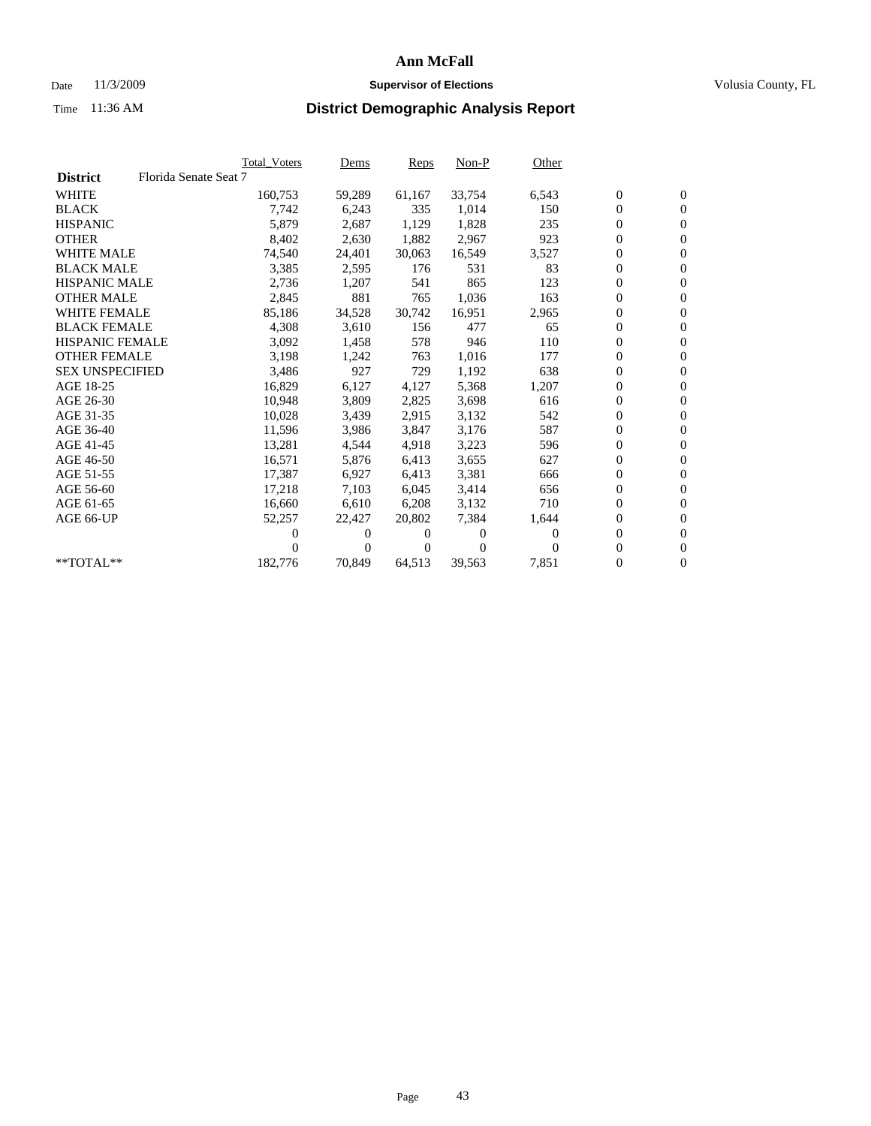## Date 11/3/2009 **Supervisor of Elections Supervisor of Elections** Volusia County, FL

|                        |                       | <b>Total Voters</b> | Dems   | Reps   | $Non-P$        | Other    |                  |                  |  |
|------------------------|-----------------------|---------------------|--------|--------|----------------|----------|------------------|------------------|--|
| <b>District</b>        | Florida Senate Seat 7 |                     |        |        |                |          |                  |                  |  |
| <b>WHITE</b>           |                       | 160,753             | 59,289 | 61,167 | 33,754         | 6,543    | $\boldsymbol{0}$ | $\boldsymbol{0}$ |  |
| <b>BLACK</b>           |                       | 7,742               | 6,243  | 335    | 1,014          | 150      | $\overline{0}$   | $\mathbf{0}$     |  |
| <b>HISPANIC</b>        |                       | 5,879               | 2,687  | 1,129  | 1,828          | 235      | 0                | $\mathbf{0}$     |  |
| <b>OTHER</b>           |                       | 8,402               | 2,630  | 1,882  | 2,967          | 923      | 0                | $\mathbf{0}$     |  |
| <b>WHITE MALE</b>      |                       | 74,540              | 24,401 | 30,063 | 16,549         | 3,527    | 0                | $\mathbf{0}$     |  |
| <b>BLACK MALE</b>      |                       | 3,385               | 2,595  | 176    | 531            | 83       | $\boldsymbol{0}$ | $\mathbf{0}$     |  |
| <b>HISPANIC MALE</b>   |                       | 2,736               | 1,207  | 541    | 865            | 123      | 0                | $\mathbf{0}$     |  |
| <b>OTHER MALE</b>      |                       | 2,845               | 881    | 765    | 1,036          | 163      | 0                | $\mathbf{0}$     |  |
| <b>WHITE FEMALE</b>    |                       | 85,186              | 34,528 | 30,742 | 16,951         | 2,965    | 0                | $\mathbf{0}$     |  |
| <b>BLACK FEMALE</b>    |                       | 4,308               | 3,610  | 156    | 477            | 65       | 0                | $\Omega$         |  |
| HISPANIC FEMALE        |                       | 3,092               | 1,458  | 578    | 946            | 110      | $\boldsymbol{0}$ | $\mathbf{0}$     |  |
| <b>OTHER FEMALE</b>    |                       | 3,198               | 1,242  | 763    | 1,016          | 177      | 0                | $\mathbf{0}$     |  |
| <b>SEX UNSPECIFIED</b> |                       | 3,486               | 927    | 729    | 1,192          | 638      | 0                | $\mathbf{0}$     |  |
| AGE 18-25              |                       | 16,829              | 6,127  | 4,127  | 5,368          | 1,207    | $\overline{0}$   | $\mathbf{0}$     |  |
| AGE 26-30              |                       | 10,948              | 3,809  | 2,825  | 3,698          | 616      | 0                | $\mathbf{0}$     |  |
| AGE 31-35              |                       | 10,028              | 3,439  | 2,915  | 3,132          | 542      | 0                | $\mathbf{0}$     |  |
| AGE 36-40              |                       | 11,596              | 3,986  | 3,847  | 3,176          | 587      | 0                | $\mathbf{0}$     |  |
| AGE 41-45              |                       | 13,281              | 4,544  | 4,918  | 3,223          | 596      | 0                | $\mathbf{0}$     |  |
| AGE 46-50              |                       | 16,571              | 5,876  | 6,413  | 3,655          | 627      | 0                | $\Omega$         |  |
| AGE 51-55              |                       | 17,387              | 6,927  | 6,413  | 3,381          | 666      | $\boldsymbol{0}$ | $\mathbf{0}$     |  |
| AGE 56-60              |                       | 17,218              | 7,103  | 6.045  | 3,414          | 656      | 0                | $\mathbf{0}$     |  |
| AGE 61-65              |                       | 16,660              | 6,610  | 6,208  | 3,132          | 710      | 0                | $\Omega$         |  |
| AGE 66-UP              |                       | 52,257              | 22,427 | 20,802 | 7,384          | 1,644    | 0                | $\mathbf{0}$     |  |
|                        |                       | 0                   | 0      | 0      | $\overline{0}$ | $\Omega$ | 0                | $\mathbf{0}$     |  |
|                        |                       | 0                   | 0      | 0      | $\Omega$       | $\Omega$ | 0                | $\mathbf{0}$     |  |
| $*$ TOTAL $**$         |                       | 182,776             | 70,849 | 64,513 | 39,563         | 7,851    | 0                | $\boldsymbol{0}$ |  |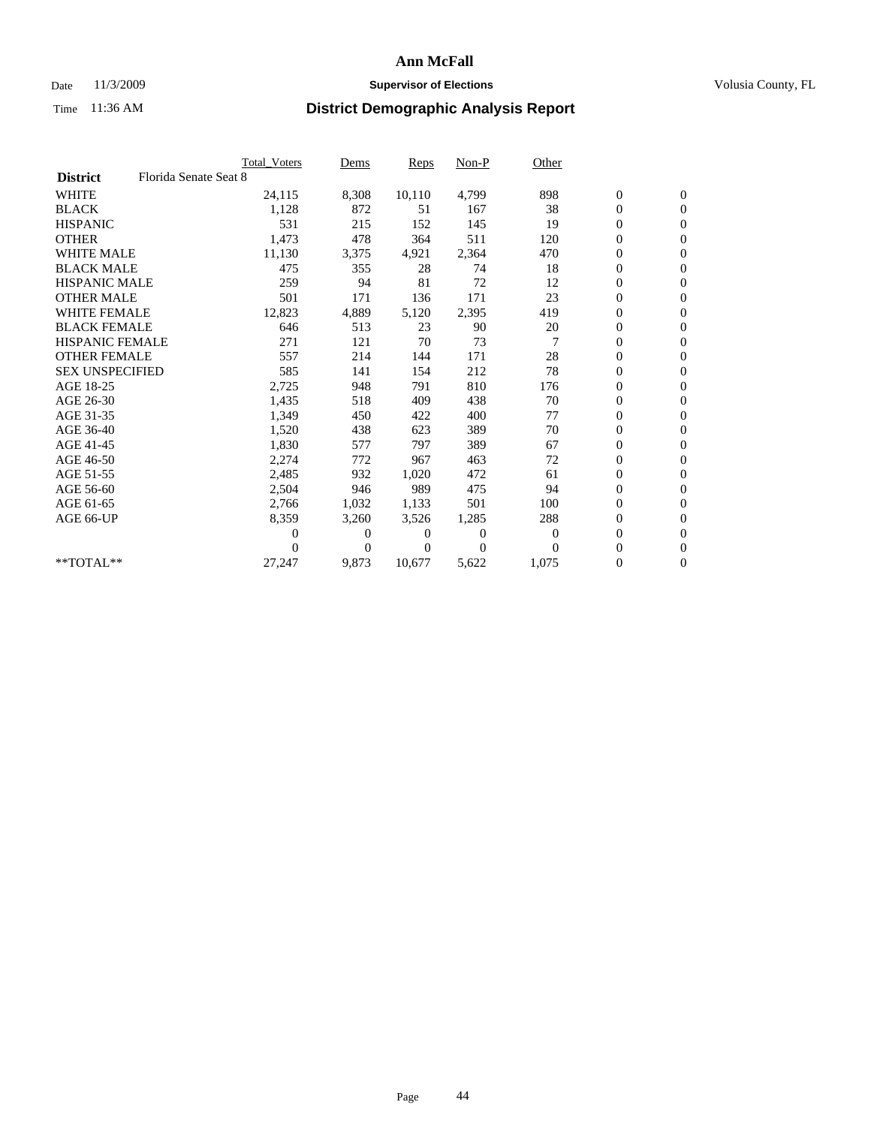### Date 11/3/2009 **Supervisor of Elections Supervisor of Elections** Volusia County, FL

|                        |                       | Total Voters   | Dems           | <b>Reps</b> | Non-P        | Other        |                  |                  |  |
|------------------------|-----------------------|----------------|----------------|-------------|--------------|--------------|------------------|------------------|--|
| <b>District</b>        | Florida Senate Seat 8 |                |                |             |              |              |                  |                  |  |
| <b>WHITE</b>           |                       | 24,115         | 8,308          | 10,110      | 4,799        | 898          | $\boldsymbol{0}$ | $\boldsymbol{0}$ |  |
| <b>BLACK</b>           |                       | 1,128          | 872            | 51          | 167          | 38           | $\boldsymbol{0}$ | $\mathbf{0}$     |  |
| <b>HISPANIC</b>        |                       | 531            | 215            | 152         | 145          | 19           | $\overline{0}$   | $\mathbf{0}$     |  |
| <b>OTHER</b>           |                       | 1,473          | 478            | 364         | 511          | 120          | 0                | $\mathbf{0}$     |  |
| <b>WHITE MALE</b>      |                       | 11,130         | 3,375          | 4,921       | 2,364        | 470          | $\boldsymbol{0}$ | $\mathbf{0}$     |  |
| <b>BLACK MALE</b>      |                       | 475            | 355            | 28          | 74           | 18           | $\overline{0}$   | $\mathbf{0}$     |  |
| <b>HISPANIC MALE</b>   |                       | 259            | 94             | 81          | 72           | 12           | $\boldsymbol{0}$ | $\Omega$         |  |
| <b>OTHER MALE</b>      |                       | 501            | 171            | 136         | 171          | 23           | $\overline{0}$   | $\mathbf{0}$     |  |
| <b>WHITE FEMALE</b>    |                       | 12,823         | 4,889          | 5,120       | 2,395        | 419          | $\boldsymbol{0}$ | $\mathbf{0}$     |  |
| <b>BLACK FEMALE</b>    |                       | 646            | 513            | 23          | 90           | 20           | $\boldsymbol{0}$ | $\mathbf{0}$     |  |
| <b>HISPANIC FEMALE</b> |                       | 271            | 121            | 70          | 73           |              | $\boldsymbol{0}$ | $\mathbf{0}$     |  |
| <b>OTHER FEMALE</b>    |                       | 557            | 214            | 144         | 171          | 28           | $\mathbf{0}$     | $\mathbf{0}$     |  |
| <b>SEX UNSPECIFIED</b> |                       | 585            | 141            | 154         | 212          | 78           | $\boldsymbol{0}$ | $\mathbf{0}$     |  |
| AGE 18-25              |                       | 2,725          | 948            | 791         | 810          | 176          | $\boldsymbol{0}$ | $\mathbf{0}$     |  |
| AGE 26-30              |                       | 1,435          | 518            | 409         | 438          | 70           | $\overline{0}$   | $\mathbf{0}$     |  |
| AGE 31-35              |                       | 1,349          | 450            | 422         | 400          | 77           | $\boldsymbol{0}$ | $\mathbf{0}$     |  |
| AGE 36-40              |                       | 1,520          | 438            | 623         | 389          | 70           | $\boldsymbol{0}$ | $\mathbf{0}$     |  |
| AGE 41-45              |                       | 1,830          | 577            | 797         | 389          | 67           | $\boldsymbol{0}$ | $\mathbf{0}$     |  |
| AGE 46-50              |                       | 2,274          | 772            | 967         | 463          | 72           | $\boldsymbol{0}$ | $\Omega$         |  |
| AGE 51-55              |                       | 2,485          | 932            | 1,020       | 472          | 61           | $\boldsymbol{0}$ | $\mathbf{0}$     |  |
| AGE 56-60              |                       | 2,504          | 946            | 989         | 475          | 94           | $\overline{0}$   | $\mathbf{0}$     |  |
| AGE 61-65              |                       | 2,766          | 1,032          | 1,133       | 501          | 100          | 0                | $\mathbf{0}$     |  |
| AGE 66-UP              |                       | 8,359          | 3,260          | 3,526       | 1,285        | 288          | $\boldsymbol{0}$ | $\mathbf{0}$     |  |
|                        |                       | $\overline{0}$ | 0              | 0           | $\mathbf{0}$ | $\mathbf{0}$ | $\mathbf{0}$     | $\mathbf{0}$     |  |
|                        |                       | 0              | $\overline{0}$ | 0           | $\Omega$     | $\Omega$     | 0                | $\mathbf{0}$     |  |
| **TOTAL**              |                       | 27,247         | 9,873          | 10,677      | 5,622        | 1,075        | 0                | $\boldsymbol{0}$ |  |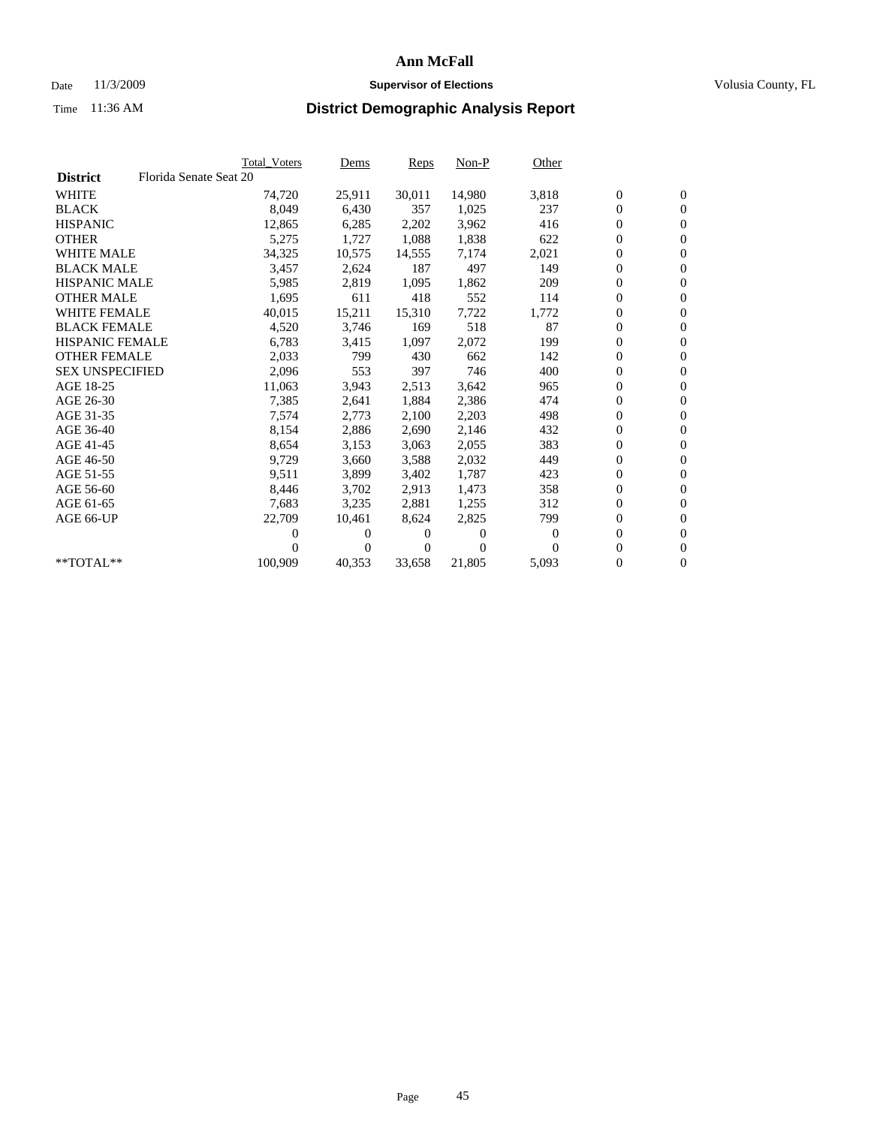## Date 11/3/2009 **Supervisor of Elections Supervisor of Elections** Volusia County, FL

|                        |                        | <b>Total Voters</b> | <u>Dems</u>    | <b>Reps</b> | $Non-P$      | Other        |                  |                  |  |
|------------------------|------------------------|---------------------|----------------|-------------|--------------|--------------|------------------|------------------|--|
| <b>District</b>        | Florida Senate Seat 20 |                     |                |             |              |              |                  |                  |  |
| <b>WHITE</b>           |                        | 74,720              | 25,911         | 30,011      | 14,980       | 3,818        | $\boldsymbol{0}$ | $\boldsymbol{0}$ |  |
| <b>BLACK</b>           |                        | 8,049               | 6,430          | 357         | 1,025        | 237          | $\boldsymbol{0}$ | $\mathbf{0}$     |  |
| <b>HISPANIC</b>        |                        | 12,865              | 6,285          | 2,202       | 3,962        | 416          | $\boldsymbol{0}$ | $\mathbf{0}$     |  |
| <b>OTHER</b>           |                        | 5,275               | 1,727          | 1,088       | 1,838        | 622          | 0                | $\mathbf{0}$     |  |
| <b>WHITE MALE</b>      |                        | 34,325              | 10,575         | 14,555      | 7,174        | 2,021        | $\boldsymbol{0}$ | $\mathbf{0}$     |  |
| <b>BLACK MALE</b>      |                        | 3,457               | 2,624          | 187         | 497          | 149          | $\overline{0}$   | $\mathbf{0}$     |  |
| <b>HISPANIC MALE</b>   |                        | 5,985               | 2,819          | 1,095       | 1,862        | 209          | 0                | $\mathbf{0}$     |  |
| <b>OTHER MALE</b>      |                        | 1,695               | 611            | 418         | 552          | 114          | $\overline{0}$   | $\mathbf{0}$     |  |
| <b>WHITE FEMALE</b>    |                        | 40,015              | 15,211         | 15,310      | 7,722        | 1,772        | $\boldsymbol{0}$ | $\mathbf{0}$     |  |
| <b>BLACK FEMALE</b>    |                        | 4,520               | 3,746          | 169         | 518          | 87           | $\boldsymbol{0}$ | $\mathbf{0}$     |  |
| <b>HISPANIC FEMALE</b> |                        | 6,783               | 3,415          | 1,097       | 2,072        | 199          | 0                | $\mathbf{0}$     |  |
| <b>OTHER FEMALE</b>    |                        | 2,033               | 799            | 430         | 662          | 142          | $\overline{0}$   | $\mathbf{0}$     |  |
| <b>SEX UNSPECIFIED</b> |                        | 2,096               | 553            | 397         | 746          | 400          | $\boldsymbol{0}$ | $\mathbf{0}$     |  |
| AGE 18-25              |                        | 11,063              | 3,943          | 2,513       | 3,642        | 965          | $\boldsymbol{0}$ | $\mathbf{0}$     |  |
| AGE 26-30              |                        | 7,385               | 2,641          | 1,884       | 2,386        | 474          | 0                | $\mathbf{0}$     |  |
| AGE 31-35              |                        | 7,574               | 2,773          | 2,100       | 2,203        | 498          | $\boldsymbol{0}$ | $\mathbf{0}$     |  |
| AGE 36-40              |                        | 8,154               | 2,886          | 2,690       | 2,146        | 432          | $\boldsymbol{0}$ | $\mathbf{0}$     |  |
| AGE 41-45              |                        | 8,654               | 3,153          | 3,063       | 2,055        | 383          | 0                | $\mathbf{0}$     |  |
| AGE 46-50              |                        | 9,729               | 3,660          | 3,588       | 2,032        | 449          | $\boldsymbol{0}$ | $\mathbf{0}$     |  |
| AGE 51-55              |                        | 9,511               | 3,899          | 3,402       | 1,787        | 423          | $\boldsymbol{0}$ | $\mathbf{0}$     |  |
| AGE 56-60              |                        | 8,446               | 3,702          | 2.913       | 1,473        | 358          | $\overline{0}$   | $\mathbf{0}$     |  |
| AGE 61-65              |                        | 7,683               | 3,235          | 2,881       | 1,255        | 312          | $\overline{0}$   | $\mathbf{0}$     |  |
| AGE 66-UP              |                        | 22,709              | 10,461         | 8,624       | 2,825        | 799          | $\boldsymbol{0}$ | $\mathbf{0}$     |  |
|                        |                        | 0                   | 0              | 0           | $\mathbf{0}$ | $\mathbf{0}$ | $\mathbf{0}$     | $\mathbf{0}$     |  |
|                        |                        | 0                   | $\overline{0}$ | 0           | $\Omega$     | 0            | 0                | $\mathbf{0}$     |  |
| **TOTAL**              |                        | 100,909             | 40,353         | 33,658      | 21,805       | 5,093        | 0                | $\boldsymbol{0}$ |  |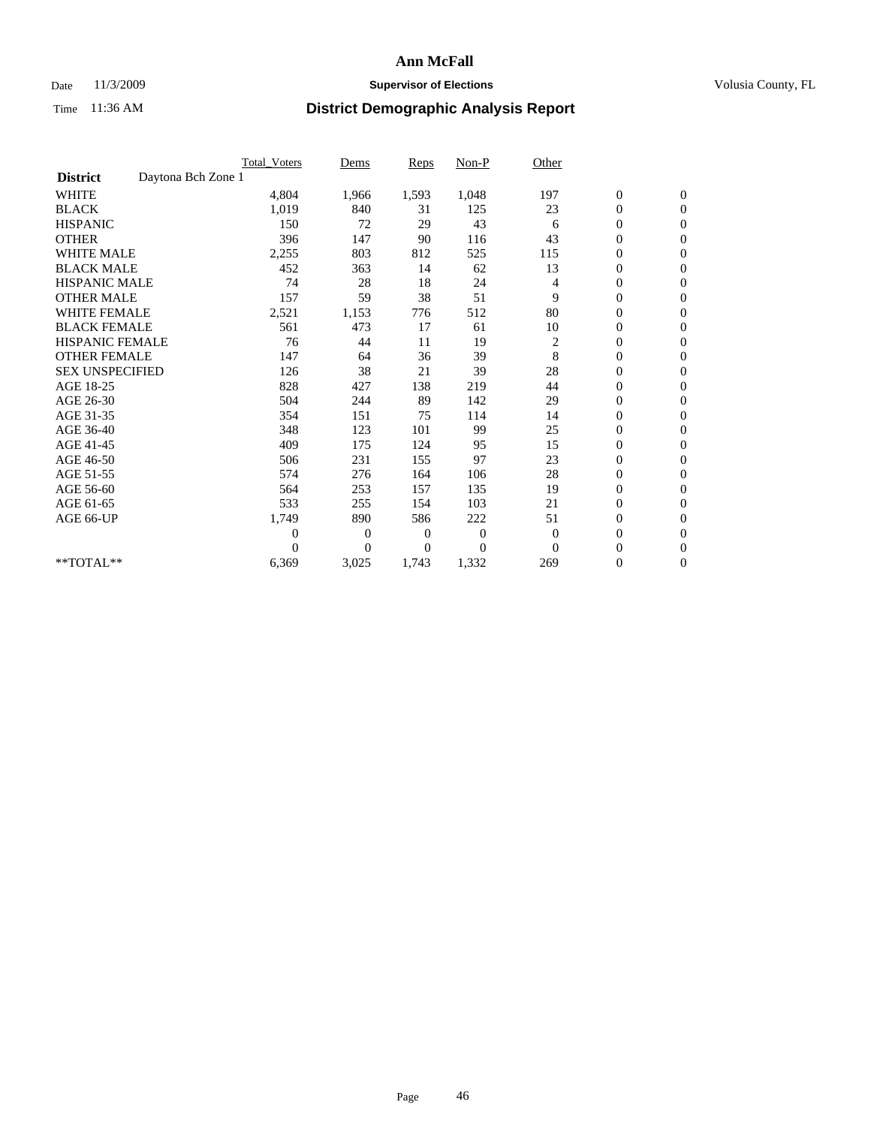## Date 11/3/2009 **Supervisor of Elections Supervisor of Elections** Volusia County, FL

|                                       | <b>Total Voters</b> | Dems           | <b>Reps</b>  | Non-P        | Other          |                  |                  |  |
|---------------------------------------|---------------------|----------------|--------------|--------------|----------------|------------------|------------------|--|
| Daytona Bch Zone 1<br><b>District</b> |                     |                |              |              |                |                  |                  |  |
| <b>WHITE</b>                          | 4,804               | 1,966          | 1,593        | 1,048        | 197            | $\boldsymbol{0}$ | $\boldsymbol{0}$ |  |
| <b>BLACK</b>                          | 1,019               | 840            | 31           | 125          | 23             | $\boldsymbol{0}$ | $\mathbf{0}$     |  |
| <b>HISPANIC</b>                       | 150                 | 72             | 29           | 43           | 6              | $\overline{0}$   | $\mathbf{0}$     |  |
| <b>OTHER</b>                          | 396                 | 147            | 90           | 116          | 43             | $\boldsymbol{0}$ | $\mathbf{0}$     |  |
| <b>WHITE MALE</b>                     | 2,255               | 803            | 812          | 525          | 115            | $\boldsymbol{0}$ | $\mathbf{0}$     |  |
| <b>BLACK MALE</b>                     | 452                 | 363            | 14           | 62           | 13             | $\boldsymbol{0}$ | $\mathbf{0}$     |  |
| <b>HISPANIC MALE</b>                  | 74                  | 28             | 18           | 24           | 4              | $\boldsymbol{0}$ | $\mathbf{0}$     |  |
| <b>OTHER MALE</b>                     | 157                 | 59             | 38           | 51           | 9              | $\boldsymbol{0}$ | $\mathbf{0}$     |  |
| <b>WHITE FEMALE</b>                   | 2,521               | 1,153          | 776          | 512          | 80             | $\overline{0}$   | $\mathbf{0}$     |  |
| <b>BLACK FEMALE</b>                   | 561                 | 473            | 17           | 61           | 10             | $\boldsymbol{0}$ | $\mathbf{0}$     |  |
| <b>HISPANIC FEMALE</b>                | 76                  | 44             | 11           | 19           | $\overline{c}$ | $\boldsymbol{0}$ | $\mathbf{0}$     |  |
| <b>OTHER FEMALE</b>                   | 147                 | 64             | 36           | 39           | 8              | $\mathbf{0}$     | $\mathbf{0}$     |  |
| <b>SEX UNSPECIFIED</b>                | 126                 | 38             | 21           | 39           | 28             | $\boldsymbol{0}$ | $\mathbf{0}$     |  |
| AGE 18-25                             | 828                 | 427            | 138          | 219          | 44             | $\boldsymbol{0}$ | $\mathbf{0}$     |  |
| AGE 26-30                             | 504                 | 244            | 89           | 142          | 29             | $\overline{0}$   | $\mathbf{0}$     |  |
| AGE 31-35                             | 354                 | 151            | 75           | 114          | 14             | $\boldsymbol{0}$ | $\mathbf{0}$     |  |
| AGE 36-40                             | 348                 | 123            | 101          | 99           | 25             | $\boldsymbol{0}$ | $\mathbf{0}$     |  |
| AGE 41-45                             | 409                 | 175            | 124          | 95           | 15             | $\overline{0}$   | $\mathbf{0}$     |  |
| AGE 46-50                             | 506                 | 231            | 155          | 97           | 23             | $\boldsymbol{0}$ | $\mathbf{0}$     |  |
| AGE 51-55                             | 574                 | 276            | 164          | 106          | 28             | $\boldsymbol{0}$ | $\mathbf{0}$     |  |
| AGE 56-60                             | 564                 | 253            | 157          | 135          | 19             | $\boldsymbol{0}$ | $\Omega$         |  |
| AGE 61-65                             | 533                 | 255            | 154          | 103          | 21             | $\overline{0}$   | $\mathbf{0}$     |  |
| AGE 66-UP                             | 1,749               | 890            | 586          | 222          | 51             | $\boldsymbol{0}$ | $\mathbf{0}$     |  |
|                                       | $\overline{0}$      | $\overline{0}$ | 0            | $\mathbf{0}$ | $\overline{0}$ | $\overline{0}$   | $\mathbf{0}$     |  |
|                                       | $\theta$            | $\overline{0}$ | $\mathbf{0}$ | $\theta$     | $\Omega$       | $\boldsymbol{0}$ | $\mathbf{0}$     |  |
| **TOTAL**                             | 6,369               | 3,025          | 1,743        | 1,332        | 269            | 0                | $\mathbf{0}$     |  |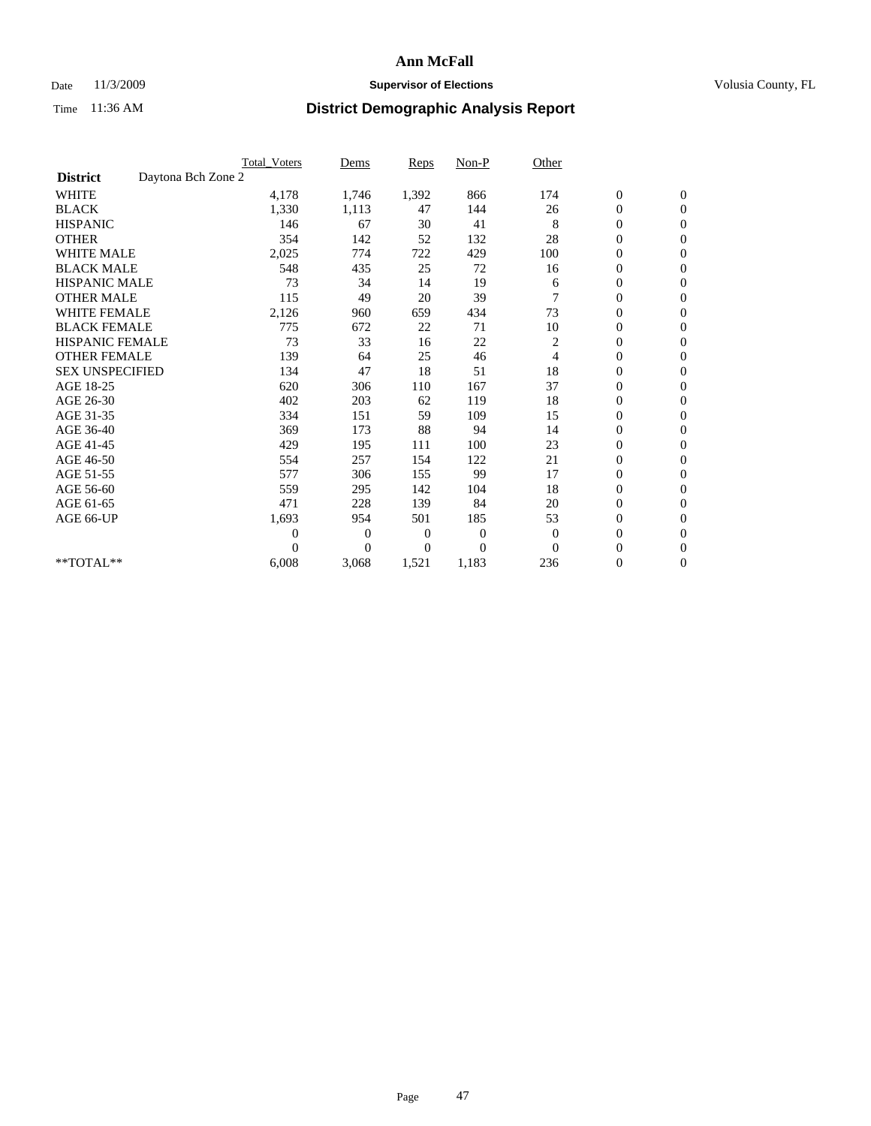## Date 11/3/2009 **Supervisor of Elections Supervisor of Elections** Volusia County, FL

|                        |                    | <b>Total Voters</b> | Dems           | <b>Reps</b> | $Non-P$      | Other          |                  |                  |  |
|------------------------|--------------------|---------------------|----------------|-------------|--------------|----------------|------------------|------------------|--|
| <b>District</b>        | Daytona Bch Zone 2 |                     |                |             |              |                |                  |                  |  |
| <b>WHITE</b>           |                    | 4,178               | 1,746          | 1,392       | 866          | 174            | $\boldsymbol{0}$ | $\boldsymbol{0}$ |  |
| <b>BLACK</b>           |                    | 1,330               | 1,113          | 47          | 144          | 26             | $\boldsymbol{0}$ | $\mathbf{0}$     |  |
| <b>HISPANIC</b>        |                    | 146                 | 67             | 30          | 41           | 8              | $\overline{0}$   | $\mathbf{0}$     |  |
| <b>OTHER</b>           |                    | 354                 | 142            | 52          | 132          | 28             | $\boldsymbol{0}$ | $\Omega$         |  |
| <b>WHITE MALE</b>      |                    | 2,025               | 774            | 722         | 429          | 100            | $\overline{0}$   | $\mathbf{0}$     |  |
| <b>BLACK MALE</b>      |                    | 548                 | 435            | 25          | 72           | 16             | $\boldsymbol{0}$ | $\mathbf{0}$     |  |
| <b>HISPANIC MALE</b>   |                    | 73                  | 34             | 14          | 19           | 6              | $\boldsymbol{0}$ | $\mathbf{0}$     |  |
| <b>OTHER MALE</b>      |                    | 115                 | 49             | 20          | 39           | 7              | $\boldsymbol{0}$ | $\mathbf{0}$     |  |
| <b>WHITE FEMALE</b>    |                    | 2,126               | 960            | 659         | 434          | 73             | $\overline{0}$   | $\mathbf{0}$     |  |
| <b>BLACK FEMALE</b>    |                    | 775                 | 672            | 22          | 71           | 10             | $\boldsymbol{0}$ | $\mathbf{0}$     |  |
| <b>HISPANIC FEMALE</b> |                    | 73                  | 33             | 16          | 22           | 2              | $\boldsymbol{0}$ | $\mathbf{0}$     |  |
| <b>OTHER FEMALE</b>    |                    | 139                 | 64             | 25          | 46           | $\overline{4}$ | $\mathbf{0}$     | $\mathbf{0}$     |  |
| <b>SEX UNSPECIFIED</b> |                    | 134                 | 47             | 18          | 51           | 18             | $\boldsymbol{0}$ | $\mathbf{0}$     |  |
| AGE 18-25              |                    | 620                 | 306            | 110         | 167          | 37             | $\overline{0}$   | $\mathbf{0}$     |  |
| AGE 26-30              |                    | 402                 | 203            | 62          | 119          | 18             | $\boldsymbol{0}$ | $\mathbf{0}$     |  |
| AGE 31-35              |                    | 334                 | 151            | 59          | 109          | 15             | $\boldsymbol{0}$ | $\mathbf{0}$     |  |
| AGE 36-40              |                    | 369                 | 173            | 88          | 94           | 14             | $\boldsymbol{0}$ | $\mathbf{0}$     |  |
| AGE 41-45              |                    | 429                 | 195            | 111         | 100          | 23             | $\overline{0}$   | $\mathbf{0}$     |  |
| AGE 46-50              |                    | 554                 | 257            | 154         | 122          | 21             | $\boldsymbol{0}$ | $\mathbf{0}$     |  |
| AGE 51-55              |                    | 577                 | 306            | 155         | 99           | 17             | $\boldsymbol{0}$ | $\mathbf{0}$     |  |
| AGE 56-60              |                    | 559                 | 295            | 142         | 104          | 18             | $\boldsymbol{0}$ | $\Omega$         |  |
| AGE 61-65              |                    | 471                 | 228            | 139         | 84           | 20             | $\mathbf{0}$     | $\mathbf{0}$     |  |
| AGE 66-UP              |                    | 1,693               | 954            | 501         | 185          | 53             | $\boldsymbol{0}$ | $\mathbf{0}$     |  |
|                        |                    | $\overline{0}$      | $\overline{0}$ | 0           | $\mathbf{0}$ | $\theta$       | $\overline{0}$   | $\mathbf{0}$     |  |
|                        |                    | $\Omega$            | $\overline{0}$ | $\Omega$    | $\theta$     | $\Omega$       | $\boldsymbol{0}$ | $\mathbf{0}$     |  |
| **TOTAL**              |                    | 6,008               | 3,068          | 1,521       | 1,183        | 236            | 0                | $\mathbf{0}$     |  |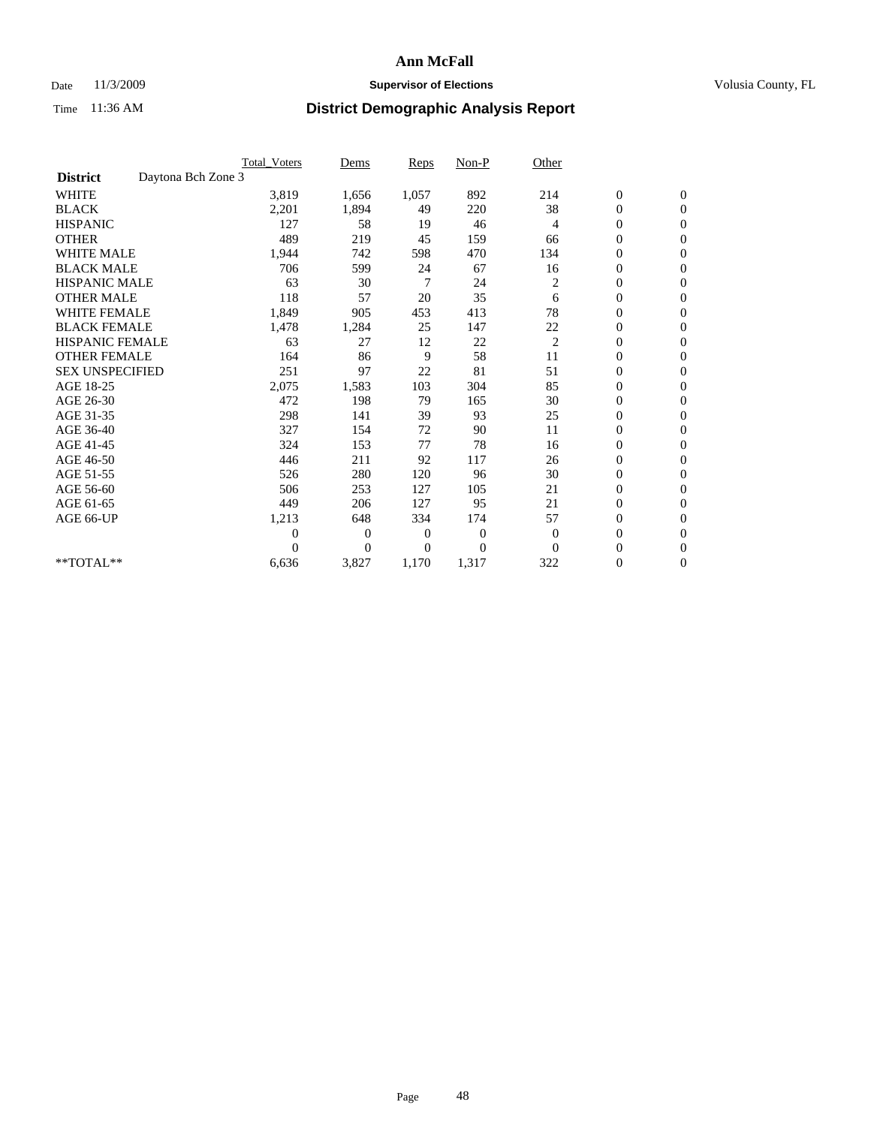## Date 11/3/2009 **Supervisor of Elections Supervisor of Elections** Volusia County, FL

|                        |                    | <b>Total Voters</b> | Dems           | <b>Reps</b>    | $Non-P$        | Other          |                  |                  |  |
|------------------------|--------------------|---------------------|----------------|----------------|----------------|----------------|------------------|------------------|--|
| <b>District</b>        | Daytona Bch Zone 3 |                     |                |                |                |                |                  |                  |  |
| <b>WHITE</b>           |                    | 3,819               | 1,656          | 1,057          | 892            | 214            | $\boldsymbol{0}$ | $\boldsymbol{0}$ |  |
| <b>BLACK</b>           |                    | 2,201               | 1,894          | 49             | 220            | 38             | $\boldsymbol{0}$ | $\mathbf{0}$     |  |
| <b>HISPANIC</b>        |                    | 127                 | 58             | 19             | 46             | 4              | $\overline{0}$   | $\mathbf{0}$     |  |
| <b>OTHER</b>           |                    | 489                 | 219            | 45             | 159            | 66             | $\boldsymbol{0}$ | $\Omega$         |  |
| <b>WHITE MALE</b>      |                    | 1,944               | 742            | 598            | 470            | 134            | $\overline{0}$   | $\mathbf{0}$     |  |
| <b>BLACK MALE</b>      |                    | 706                 | 599            | 24             | 67             | 16             | $\boldsymbol{0}$ | $\mathbf{0}$     |  |
| <b>HISPANIC MALE</b>   |                    | 63                  | 30             | $\overline{7}$ | 24             | $\overline{c}$ | $\boldsymbol{0}$ | $\mathbf{0}$     |  |
| <b>OTHER MALE</b>      |                    | 118                 | 57             | 20             | 35             | 6              | $\boldsymbol{0}$ | $\mathbf{0}$     |  |
| <b>WHITE FEMALE</b>    |                    | 1,849               | 905            | 453            | 413            | 78             | $\overline{0}$   | $\mathbf{0}$     |  |
| <b>BLACK FEMALE</b>    |                    | 1,478               | 1,284          | 25             | 147            | 22             | $\boldsymbol{0}$ | $\mathbf{0}$     |  |
| <b>HISPANIC FEMALE</b> |                    | 63                  | 27             | 12             | 22             | $\overline{c}$ | $\boldsymbol{0}$ | $\mathbf{0}$     |  |
| <b>OTHER FEMALE</b>    |                    | 164                 | 86             | 9              | 58             | 11             | $\mathbf{0}$     | $\mathbf{0}$     |  |
| <b>SEX UNSPECIFIED</b> |                    | 251                 | 97             | 22             | 81             | 51             | $\boldsymbol{0}$ | $\mathbf{0}$     |  |
| AGE 18-25              |                    | 2,075               | 1,583          | 103            | 304            | 85             | $\overline{0}$   | $\mathbf{0}$     |  |
| AGE 26-30              |                    | 472                 | 198            | 79             | 165            | 30             | $\overline{0}$   | $\mathbf{0}$     |  |
| AGE 31-35              |                    | 298                 | 141            | 39             | 93             | 25             | $\boldsymbol{0}$ | $\mathbf{0}$     |  |
| AGE 36-40              |                    | 327                 | 154            | 72             | 90             | 11             | $\boldsymbol{0}$ | $\mathbf{0}$     |  |
| AGE 41-45              |                    | 324                 | 153            | 77             | 78             | 16             | $\overline{0}$   | $\mathbf{0}$     |  |
| AGE 46-50              |                    | 446                 | 211            | 92             | 117            | 26             | $\boldsymbol{0}$ | $\mathbf{0}$     |  |
| AGE 51-55              |                    | 526                 | 280            | 120            | 96             | 30             | $\boldsymbol{0}$ | $\mathbf{0}$     |  |
| AGE 56-60              |                    | 506                 | 253            | 127            | 105            | 21             | $\overline{0}$   | $\Omega$         |  |
| AGE 61-65              |                    | 449                 | 206            | 127            | 95             | 21             | $\overline{0}$   | $\mathbf{0}$     |  |
| AGE 66-UP              |                    | 1,213               | 648            | 334            | 174            | 57             | $\boldsymbol{0}$ | $\mathbf{0}$     |  |
|                        |                    | $\overline{0}$      | $\overline{0}$ | 0              | $\overline{0}$ | $\theta$       | $\overline{0}$   | $\mathbf{0}$     |  |
|                        |                    | $\theta$            | $\overline{0}$ | $\Omega$       | $\Omega$       | $\Omega$       | $\boldsymbol{0}$ | $\mathbf{0}$     |  |
| **TOTAL**              |                    | 6,636               | 3,827          | 1,170          | 1,317          | 322            | 0                | $\mathbf{0}$     |  |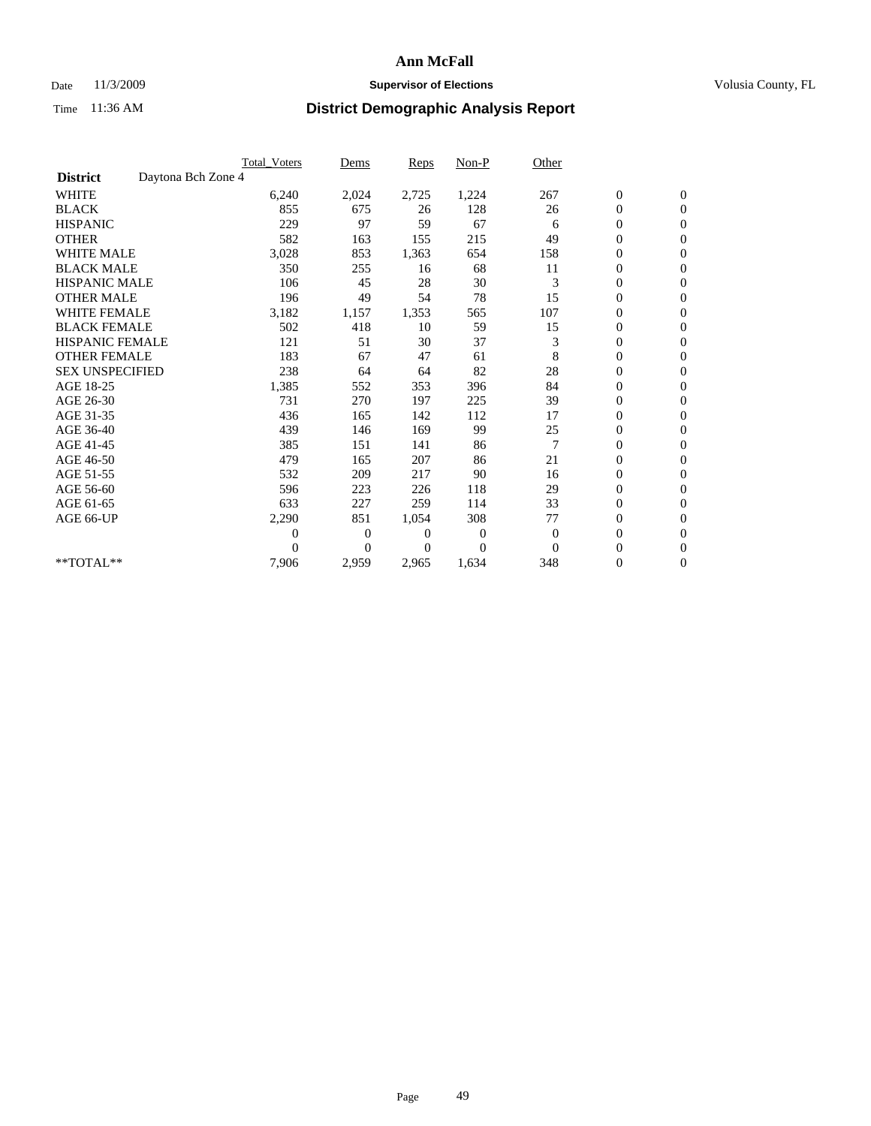## Date 11/3/2009 **Supervisor of Elections Supervisor of Elections** Volusia County, FL

|                        |                    | <b>Total Voters</b> | Dems           | <b>Reps</b> | Non-P          | Other          |                  |                  |  |
|------------------------|--------------------|---------------------|----------------|-------------|----------------|----------------|------------------|------------------|--|
| <b>District</b>        | Daytona Bch Zone 4 |                     |                |             |                |                |                  |                  |  |
| <b>WHITE</b>           |                    | 6,240               | 2,024          | 2,725       | 1,224          | 267            | $\boldsymbol{0}$ | $\boldsymbol{0}$ |  |
| <b>BLACK</b>           |                    | 855                 | 675            | 26          | 128            | 26             | $\boldsymbol{0}$ | $\mathbf{0}$     |  |
| <b>HISPANIC</b>        |                    | 229                 | 97             | 59          | 67             | 6              | $\overline{0}$   | $\mathbf{0}$     |  |
| <b>OTHER</b>           |                    | 582                 | 163            | 155         | 215            | 49             | $\boldsymbol{0}$ | $\Omega$         |  |
| <b>WHITE MALE</b>      |                    | 3,028               | 853            | 1,363       | 654            | 158            | $\overline{0}$   | $\mathbf{0}$     |  |
| <b>BLACK MALE</b>      |                    | 350                 | 255            | 16          | 68             | 11             | $\boldsymbol{0}$ | $\mathbf{0}$     |  |
| <b>HISPANIC MALE</b>   |                    | 106                 | 45             | 28          | 30             | 3              | $\boldsymbol{0}$ | $\mathbf{0}$     |  |
| <b>OTHER MALE</b>      |                    | 196                 | 49             | 54          | 78             | 15             | $\boldsymbol{0}$ | $\mathbf{0}$     |  |
| <b>WHITE FEMALE</b>    |                    | 3,182               | 1,157          | 1,353       | 565            | 107            | $\overline{0}$   | $\mathbf{0}$     |  |
| <b>BLACK FEMALE</b>    |                    | 502                 | 418            | 10          | 59             | 15             | $\boldsymbol{0}$ | $\mathbf{0}$     |  |
| <b>HISPANIC FEMALE</b> |                    | 121                 | 51             | 30          | 37             | 3              | $\boldsymbol{0}$ | $\mathbf{0}$     |  |
| <b>OTHER FEMALE</b>    |                    | 183                 | 67             | 47          | 61             | 8              | $\mathbf{0}$     | $\mathbf{0}$     |  |
| <b>SEX UNSPECIFIED</b> |                    | 238                 | 64             | 64          | 82             | 28             | $\overline{0}$   | $\mathbf{0}$     |  |
| AGE 18-25              |                    | 1,385               | 552            | 353         | 396            | 84             | $\overline{0}$   | $\mathbf{0}$     |  |
| AGE 26-30              |                    | 731                 | 270            | 197         | 225            | 39             | $\overline{0}$   | $\mathbf{0}$     |  |
| AGE 31-35              |                    | 436                 | 165            | 142         | 112            | 17             | $\boldsymbol{0}$ | $\mathbf{0}$     |  |
| AGE 36-40              |                    | 439                 | 146            | 169         | 99             | 25             | $\boldsymbol{0}$ | $\mathbf{0}$     |  |
| AGE 41-45              |                    | 385                 | 151            | 141         | 86             | $\overline{7}$ | $\overline{0}$   | $\mathbf{0}$     |  |
| AGE 46-50              |                    | 479                 | 165            | 207         | 86             | 21             | $\boldsymbol{0}$ | $\mathbf{0}$     |  |
| AGE 51-55              |                    | 532                 | 209            | 217         | 90             | 16             | $\boldsymbol{0}$ | $\mathbf{0}$     |  |
| AGE 56-60              |                    | 596                 | 223            | 226         | 118            | 29             | $\overline{0}$   | $\Omega$         |  |
| AGE 61-65              |                    | 633                 | 227            | 259         | 114            | 33             | $\overline{0}$   | $\mathbf{0}$     |  |
| AGE 66-UP              |                    | 2,290               | 851            | 1,054       | 308            | 77             | $\boldsymbol{0}$ | $\mathbf{0}$     |  |
|                        |                    | 0                   | $\overline{0}$ | 0           | $\overline{0}$ | $\mathbf{0}$   | $\overline{0}$   | $\mathbf{0}$     |  |
|                        |                    | $\theta$            | $\overline{0}$ | 0           | $\theta$       | $\Omega$       | $\boldsymbol{0}$ | $\mathbf{0}$     |  |
| **TOTAL**              |                    | 7,906               | 2,959          | 2,965       | 1,634          | 348            | 0                | $\mathbf{0}$     |  |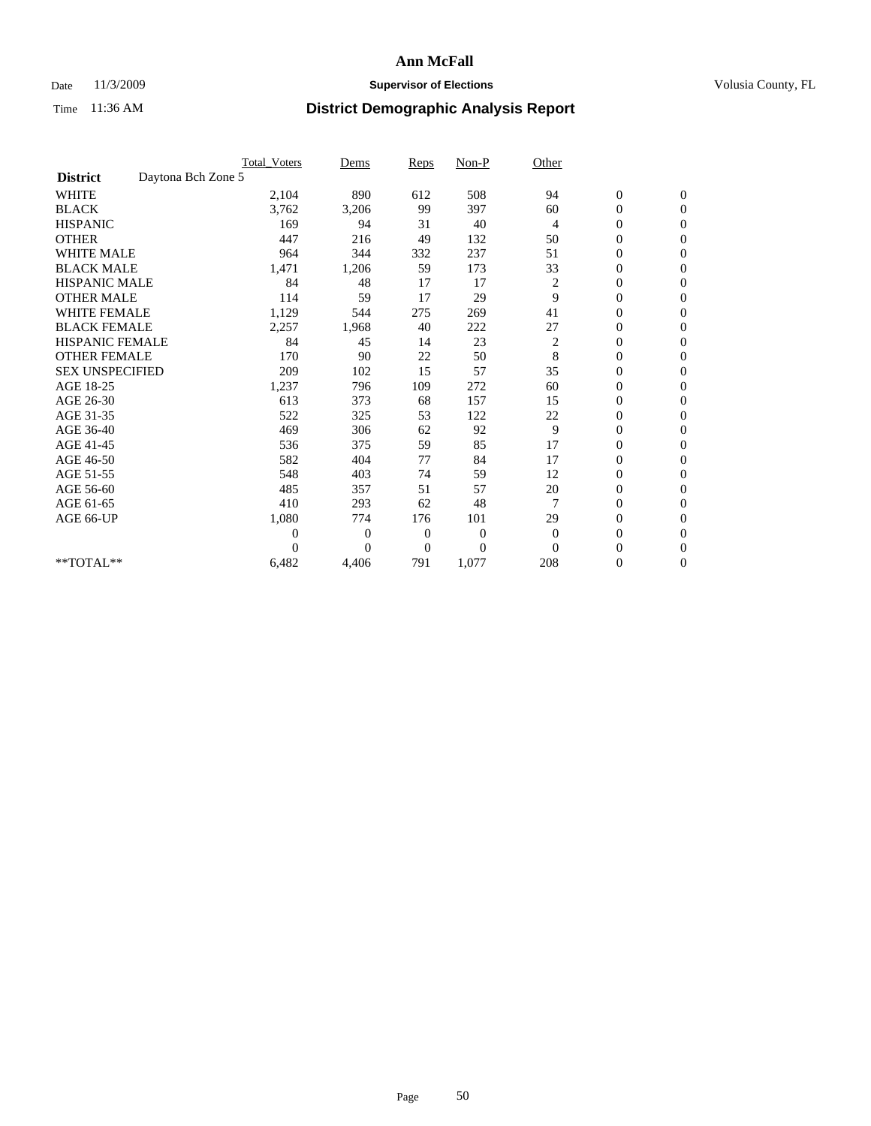## Date 11/3/2009 **Supervisor of Elections Supervisor of Elections** Volusia County, FL

|                        |                    | <b>Total Voters</b> | Dems           | <b>Reps</b>    | $Non-P$          | Other          |                  |                |  |
|------------------------|--------------------|---------------------|----------------|----------------|------------------|----------------|------------------|----------------|--|
| <b>District</b>        | Daytona Bch Zone 5 |                     |                |                |                  |                |                  |                |  |
| <b>WHITE</b>           |                    | 2,104               | 890            | 612            | 508              | 94             | $\boldsymbol{0}$ | $\mathbf{0}$   |  |
| <b>BLACK</b>           |                    | 3,762               | 3,206          | 99             | 397              | 60             | $\boldsymbol{0}$ | $\mathbf{0}$   |  |
| <b>HISPANIC</b>        |                    | 169                 | 94             | 31             | 40               | $\overline{4}$ | $\overline{0}$   | $\mathbf{0}$   |  |
| <b>OTHER</b>           |                    | 447                 | 216            | 49             | 132              | 50             | $\overline{0}$   | $\mathbf{0}$   |  |
| <b>WHITE MALE</b>      |                    | 964                 | 344            | 332            | 237              | 51             | $\boldsymbol{0}$ | $\mathbf{0}$   |  |
| <b>BLACK MALE</b>      |                    | 1,471               | 1,206          | 59             | 173              | 33             | $\boldsymbol{0}$ | $\mathbf{0}$   |  |
| <b>HISPANIC MALE</b>   |                    | 84                  | 48             | 17             | 17               | 2              | $\boldsymbol{0}$ | $\mathbf{0}$   |  |
| <b>OTHER MALE</b>      |                    | 114                 | 59             | 17             | 29               | 9              | 0                | $\mathbf{0}$   |  |
| <b>WHITE FEMALE</b>    |                    | 1,129               | 544            | 275            | 269              | 41             | $\overline{0}$   | $\mathbf{0}$   |  |
| <b>BLACK FEMALE</b>    |                    | 2,257               | 1,968          | 40             | 222              | 27             | $\boldsymbol{0}$ | $\mathbf{0}$   |  |
| <b>HISPANIC FEMALE</b> |                    | 84                  | 45             | 14             | 23               | 2              | $\boldsymbol{0}$ | $\mathbf{0}$   |  |
| <b>OTHER FEMALE</b>    |                    | 170                 | 90             | 22             | 50               | 8              | $\overline{0}$   | $\Omega$       |  |
| <b>SEX UNSPECIFIED</b> |                    | 209                 | 102            | 15             | 57               | 35             | $\overline{0}$   | $\mathbf{0}$   |  |
| AGE 18-25              |                    | 1,237               | 796            | 109            | 272              | 60             | $\overline{0}$   | $\mathbf{0}$   |  |
| AGE 26-30              |                    | 613                 | 373            | 68             | 157              | 15             | $\overline{0}$   | $\mathbf{0}$   |  |
| AGE 31-35              |                    | 522                 | 325            | 53             | 122              | 22             | $\boldsymbol{0}$ | $\mathbf{0}$   |  |
| AGE 36-40              |                    | 469                 | 306            | 62             | 92               | 9              | $\boldsymbol{0}$ | $\mathbf{0}$   |  |
| AGE 41-45              |                    | 536                 | 375            | 59             | 85               | 17             | $\overline{0}$   | $\mathbf{0}$   |  |
| AGE 46-50              |                    | 582                 | 404            | 77             | 84               | 17             | $\mathbf{0}$     | $\mathbf{0}$   |  |
| AGE 51-55              |                    | 548                 | 403            | 74             | 59               | 12             | $\boldsymbol{0}$ | $\mathbf{0}$   |  |
| AGE 56-60              |                    | 485                 | 357            | 51             | 57               | 20             | $\boldsymbol{0}$ | $\Omega$       |  |
| AGE 61-65              |                    | 410                 | 293            | 62             | 48               | $\overline{7}$ | $\boldsymbol{0}$ | $\overline{0}$ |  |
| AGE 66-UP              |                    | 1,080               | 774            | 176            | 101              | 29             | $\overline{0}$   | $\mathbf{0}$   |  |
|                        |                    | $\theta$            | 0              | $\mathbf{0}$   | $\boldsymbol{0}$ | $\mathbf{0}$   | $\overline{0}$   | $\Omega$       |  |
|                        |                    | $\theta$            | $\overline{0}$ | $\overline{0}$ | $\overline{0}$   | $\Omega$       | $\overline{0}$   | $\overline{0}$ |  |
| **TOTAL**              |                    | 6,482               | 4,406          | 791            | 1,077            | 208            | 0                | $\mathbf{0}$   |  |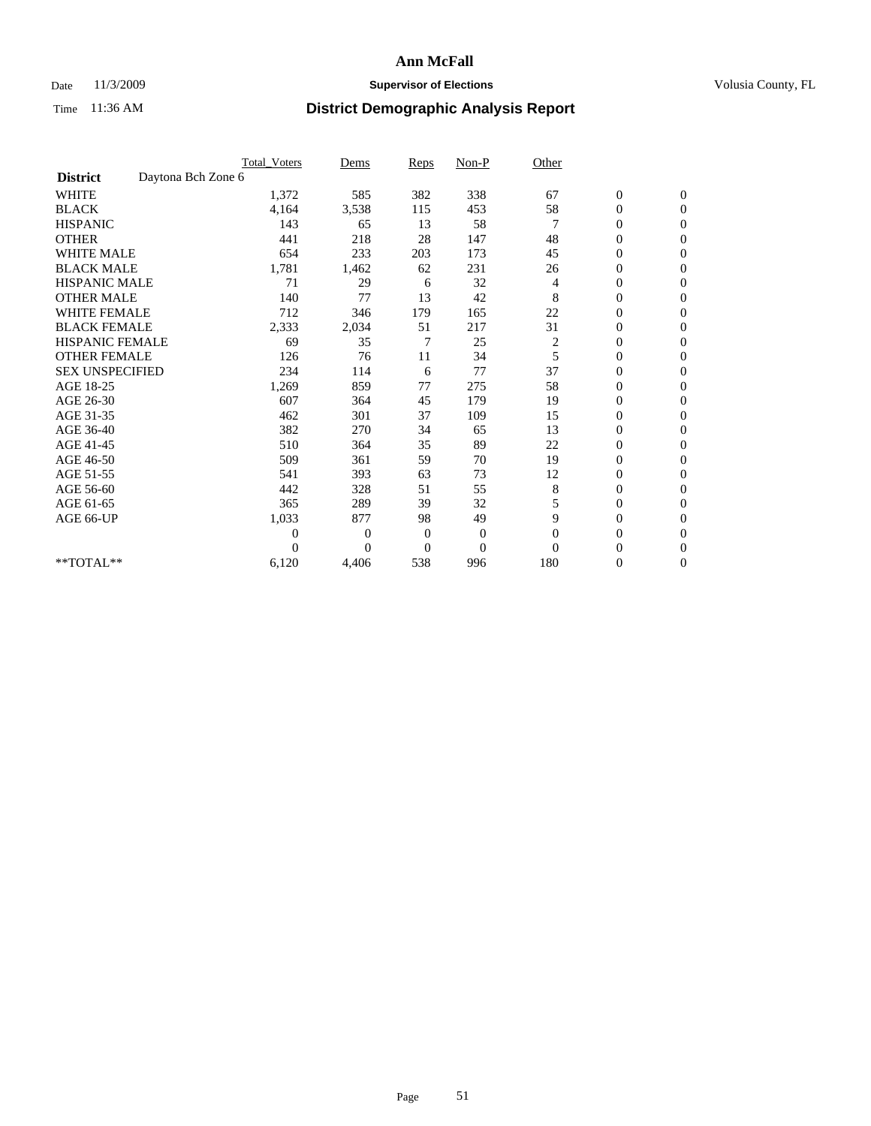## Date 11/3/2009 **Supervisor of Elections Supervisor of Elections** Volusia County, FL

|                        |                    | <b>Total_Voters</b> | Dems           | <b>Reps</b>    | $Non-P$          | Other    |                  |                |  |
|------------------------|--------------------|---------------------|----------------|----------------|------------------|----------|------------------|----------------|--|
| <b>District</b>        | Daytona Bch Zone 6 |                     |                |                |                  |          |                  |                |  |
| <b>WHITE</b>           |                    | 1,372               | 585            | 382            | 338              | 67       | $\boldsymbol{0}$ | $\mathbf{0}$   |  |
| <b>BLACK</b>           |                    | 4,164               | 3,538          | 115            | 453              | 58       | $\boldsymbol{0}$ | $\mathbf{0}$   |  |
| <b>HISPANIC</b>        |                    | 143                 | 65             | 13             | 58               |          | $\mathbf{0}$     | $\mathbf{0}$   |  |
| <b>OTHER</b>           |                    | 441                 | 218            | 28             | 147              | 48       | $\overline{0}$   | $\mathbf{0}$   |  |
| <b>WHITE MALE</b>      |                    | 654                 | 233            | 203            | 173              | 45       | $\boldsymbol{0}$ | $\mathbf{0}$   |  |
| <b>BLACK MALE</b>      |                    | 1,781               | 1,462          | 62             | 231              | 26       | $\boldsymbol{0}$ | $\mathbf{0}$   |  |
| <b>HISPANIC MALE</b>   |                    | 71                  | 29             | 6              | 32               | 4        | $\boldsymbol{0}$ | $\Omega$       |  |
| <b>OTHER MALE</b>      |                    | 140                 | 77             | 13             | 42               | 8        | 0                | $\mathbf{0}$   |  |
| <b>WHITE FEMALE</b>    |                    | 712                 | 346            | 179            | 165              | 22       | $\overline{0}$   | $\mathbf{0}$   |  |
| <b>BLACK FEMALE</b>    |                    | 2,333               | 2,034          | 51             | 217              | 31       | $\boldsymbol{0}$ | $\mathbf{0}$   |  |
| <b>HISPANIC FEMALE</b> |                    | 69                  | 35             | 7              | 25               | 2        | $\boldsymbol{0}$ | $\mathbf{0}$   |  |
| <b>OTHER FEMALE</b>    |                    | 126                 | 76             | 11             | 34               | 5        | $\overline{0}$   | $\Omega$       |  |
| <b>SEX UNSPECIFIED</b> |                    | 234                 | 114            | 6              | 77               | 37       | $\overline{0}$   | $\mathbf{0}$   |  |
| AGE 18-25              |                    | 1,269               | 859            | 77             | 275              | 58       | $\overline{0}$   | $\mathbf{0}$   |  |
| AGE 26-30              |                    | 607                 | 364            | 45             | 179              | 19       | $\overline{0}$   | $\mathbf{0}$   |  |
| AGE 31-35              |                    | 462                 | 301            | 37             | 109              | 15       | $\boldsymbol{0}$ | $\mathbf{0}$   |  |
| AGE 36-40              |                    | 382                 | 270            | 34             | 65               | 13       | $\boldsymbol{0}$ | $\mathbf{0}$   |  |
| AGE 41-45              |                    | 510                 | 364            | 35             | 89               | 22       | $\overline{0}$   | $\mathbf{0}$   |  |
| AGE 46-50              |                    | 509                 | 361            | 59             | 70               | 19       | $\overline{0}$   | $\mathbf{0}$   |  |
| AGE 51-55              |                    | 541                 | 393            | 63             | 73               | 12       | $\boldsymbol{0}$ | $\mathbf{0}$   |  |
| AGE 56-60              |                    | 442                 | 328            | 51             | 55               | 8        | $\overline{0}$   | $\Omega$       |  |
| AGE 61-65              |                    | 365                 | 289            | 39             | 32               | 5        | $\boldsymbol{0}$ | $\mathbf{0}$   |  |
| AGE 66-UP              |                    | 1,033               | 877            | 98             | 49               | 9        | $\overline{0}$   | $\mathbf{0}$   |  |
|                        |                    | $\theta$            | $\overline{0}$ | $\mathbf{0}$   | $\boldsymbol{0}$ | $\theta$ | 0                | $\Omega$       |  |
|                        |                    | $\theta$            | $\overline{0}$ | $\overline{0}$ | $\overline{0}$   | $\Omega$ | $\overline{0}$   | $\overline{0}$ |  |
| **TOTAL**              |                    | 6,120               | 4,406          | 538            | 996              | 180      | 0                | $\mathbf{0}$   |  |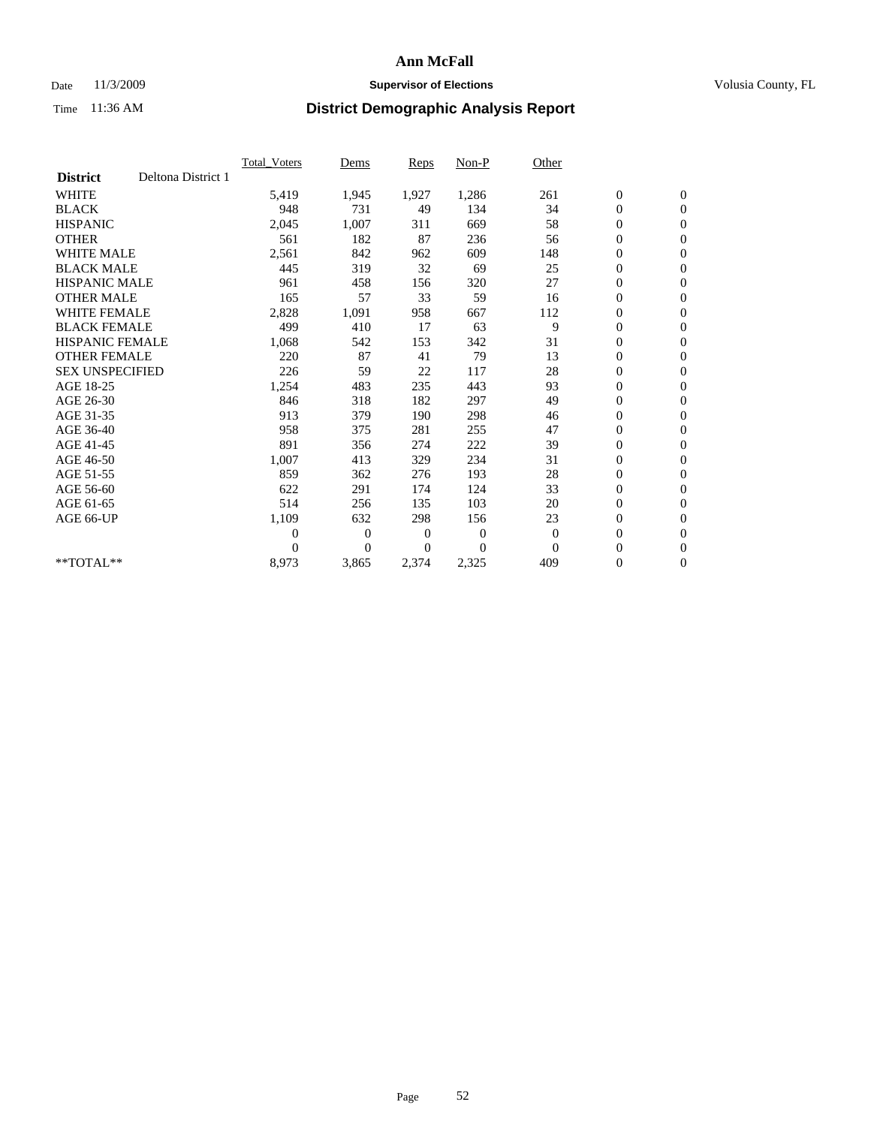### Date 11/3/2009 **Supervisor of Elections Supervisor of Elections** Volusia County, FL

|                        |                    | Total Voters   | Dems           | <b>Reps</b> | Non-P        | Other        |                  |                  |  |
|------------------------|--------------------|----------------|----------------|-------------|--------------|--------------|------------------|------------------|--|
| <b>District</b>        | Deltona District 1 |                |                |             |              |              |                  |                  |  |
| <b>WHITE</b>           |                    | 5,419          | 1,945          | 1,927       | 1,286        | 261          | $\boldsymbol{0}$ | $\boldsymbol{0}$ |  |
| <b>BLACK</b>           |                    | 948            | 731            | 49          | 134          | 34           | $\boldsymbol{0}$ | $\mathbf{0}$     |  |
| <b>HISPANIC</b>        |                    | 2,045          | 1,007          | 311         | 669          | 58           | $\overline{0}$   | $\mathbf{0}$     |  |
| <b>OTHER</b>           |                    | 561            | 182            | 87          | 236          | 56           | $\boldsymbol{0}$ | $\mathbf{0}$     |  |
| <b>WHITE MALE</b>      |                    | 2,561          | 842            | 962         | 609          | 148          | $\boldsymbol{0}$ | $\mathbf{0}$     |  |
| <b>BLACK MALE</b>      |                    | 445            | 319            | 32          | 69           | 25           | $\boldsymbol{0}$ | $\mathbf{0}$     |  |
| <b>HISPANIC MALE</b>   |                    | 961            | 458            | 156         | 320          | 27           | $\boldsymbol{0}$ | $\mathbf{0}$     |  |
| <b>OTHER MALE</b>      |                    | 165            | 57             | 33          | 59           | 16           | $\boldsymbol{0}$ | $\mathbf{0}$     |  |
| <b>WHITE FEMALE</b>    |                    | 2,828          | 1,091          | 958         | 667          | 112          | $\mathbf{0}$     | $\mathbf{0}$     |  |
| <b>BLACK FEMALE</b>    |                    | 499            | 410            | 17          | 63           | 9            | $\boldsymbol{0}$ | $\mathbf{0}$     |  |
| <b>HISPANIC FEMALE</b> |                    | 1,068          | 542            | 153         | 342          | 31           | $\boldsymbol{0}$ | $\mathbf{0}$     |  |
| <b>OTHER FEMALE</b>    |                    | 220            | 87             | 41          | 79           | 13           | $\mathbf{0}$     | $\mathbf{0}$     |  |
| <b>SEX UNSPECIFIED</b> |                    | 226            | 59             | 22          | 117          | 28           | $\boldsymbol{0}$ | $\mathbf{0}$     |  |
| AGE 18-25              |                    | 1,254          | 483            | 235         | 443          | 93           | $\boldsymbol{0}$ | $\mathbf{0}$     |  |
| AGE 26-30              |                    | 846            | 318            | 182         | 297          | 49           | $\overline{0}$   | $\mathbf{0}$     |  |
| AGE 31-35              |                    | 913            | 379            | 190         | 298          | 46           | $\boldsymbol{0}$ | $\mathbf{0}$     |  |
| AGE 36-40              |                    | 958            | 375            | 281         | 255          | 47           | $\boldsymbol{0}$ | $\mathbf{0}$     |  |
| AGE 41-45              |                    | 891            | 356            | 274         | 222          | 39           | $\overline{0}$   | $\mathbf{0}$     |  |
| AGE 46-50              |                    | 1,007          | 413            | 329         | 234          | 31           | $\boldsymbol{0}$ | $\mathbf{0}$     |  |
| AGE 51-55              |                    | 859            | 362            | 276         | 193          | 28           | $\boldsymbol{0}$ | $\mathbf{0}$     |  |
| AGE 56-60              |                    | 622            | 291            | 174         | 124          | 33           | $\boldsymbol{0}$ | $\Omega$         |  |
| AGE 61-65              |                    | 514            | 256            | 135         | 103          | 20           | $\mathbf{0}$     | $\mathbf{0}$     |  |
| AGE 66-UP              |                    | 1,109          | 632            | 298         | 156          | 23           | $\boldsymbol{0}$ | $\mathbf{0}$     |  |
|                        |                    | $\overline{0}$ | $\overline{0}$ | 0           | $\mathbf{0}$ | $\theta$     | $\overline{0}$   | $\mathbf{0}$     |  |
|                        |                    | $\Omega$       | $\theta$       | $\Omega$    | $\theta$     | $\mathbf{0}$ | $\boldsymbol{0}$ | $\boldsymbol{0}$ |  |
| $*$ TOTAL $**$         |                    | 8,973          | 3,865          | 2,374       | 2,325        | 409          | 0                | $\mathbf{0}$     |  |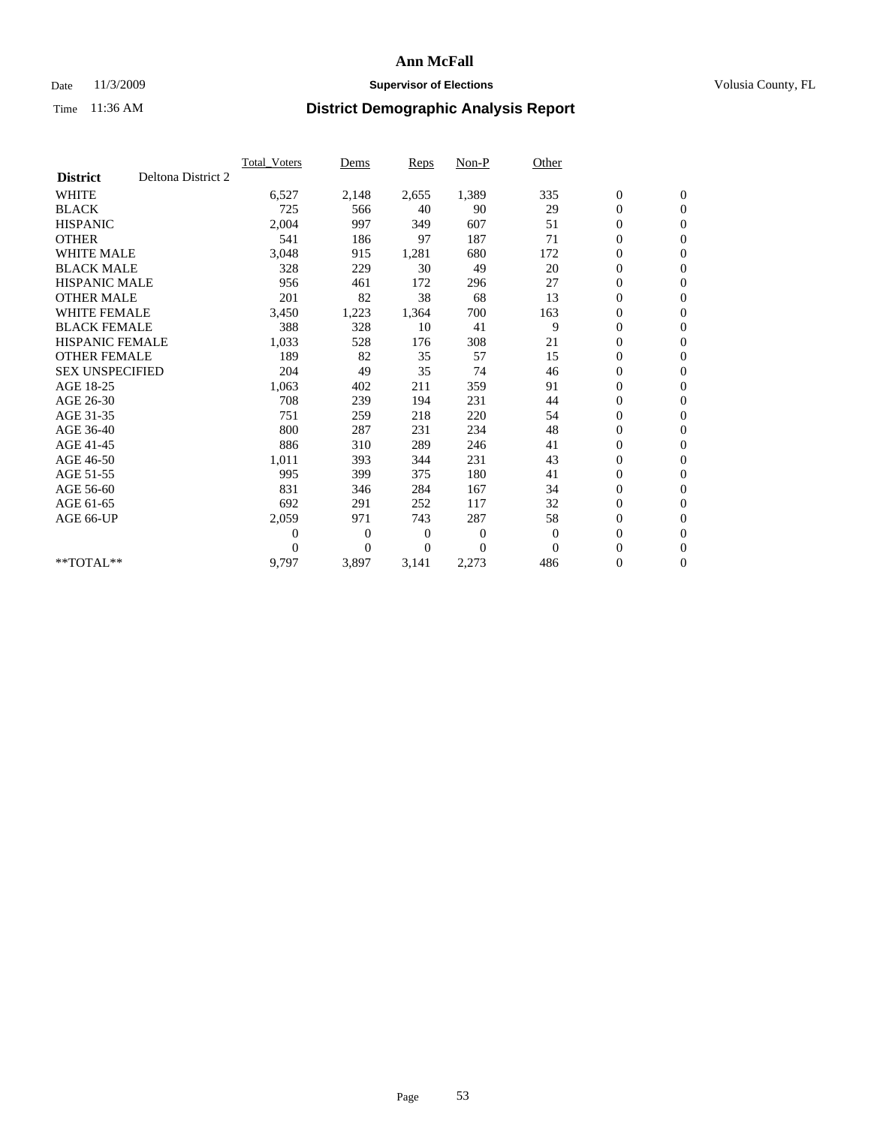### Date 11/3/2009 **Supervisor of Elections Supervisor of Elections** Volusia County, FL

|                        |                    | <b>Total Voters</b> | Dems           | <b>Reps</b> | Non-P        | Other    |                  |                  |  |
|------------------------|--------------------|---------------------|----------------|-------------|--------------|----------|------------------|------------------|--|
| <b>District</b>        | Deltona District 2 |                     |                |             |              |          |                  |                  |  |
| <b>WHITE</b>           |                    | 6,527               | 2,148          | 2,655       | 1,389        | 335      | $\boldsymbol{0}$ | $\boldsymbol{0}$ |  |
| <b>BLACK</b>           |                    | 725                 | 566            | 40          | 90           | 29       | $\boldsymbol{0}$ | $\mathbf{0}$     |  |
| <b>HISPANIC</b>        |                    | 2,004               | 997            | 349         | 607          | 51       | $\overline{0}$   | $\mathbf{0}$     |  |
| <b>OTHER</b>           |                    | 541                 | 186            | 97          | 187          | 71       | $\boldsymbol{0}$ | $\mathbf{0}$     |  |
| <b>WHITE MALE</b>      |                    | 3,048               | 915            | 1,281       | 680          | 172      | $\boldsymbol{0}$ | $\mathbf{0}$     |  |
| <b>BLACK MALE</b>      |                    | 328                 | 229            | 30          | 49           | 20       | $\boldsymbol{0}$ | $\mathbf{0}$     |  |
| <b>HISPANIC MALE</b>   |                    | 956                 | 461            | 172         | 296          | 27       | $\boldsymbol{0}$ | $\mathbf{0}$     |  |
| <b>OTHER MALE</b>      |                    | 201                 | 82             | 38          | 68           | 13       | $\boldsymbol{0}$ | $\mathbf{0}$     |  |
| <b>WHITE FEMALE</b>    |                    | 3,450               | 1,223          | 1,364       | 700          | 163      | $\overline{0}$   | $\mathbf{0}$     |  |
| <b>BLACK FEMALE</b>    |                    | 388                 | 328            | 10          | 41           | 9        | $\boldsymbol{0}$ | $\mathbf{0}$     |  |
| <b>HISPANIC FEMALE</b> |                    | 1,033               | 528            | 176         | 308          | 21       | $\boldsymbol{0}$ | $\mathbf{0}$     |  |
| <b>OTHER FEMALE</b>    |                    | 189                 | 82             | 35          | 57           | 15       | $\mathbf{0}$     | $\mathbf{0}$     |  |
| <b>SEX UNSPECIFIED</b> |                    | 204                 | 49             | 35          | 74           | 46       | $\boldsymbol{0}$ | $\mathbf{0}$     |  |
| AGE 18-25              |                    | 1,063               | 402            | 211         | 359          | 91       | $\boldsymbol{0}$ | $\mathbf{0}$     |  |
| AGE 26-30              |                    | 708                 | 239            | 194         | 231          | 44       | $\overline{0}$   | $\mathbf{0}$     |  |
| AGE 31-35              |                    | 751                 | 259            | 218         | 220          | 54       | $\boldsymbol{0}$ | $\mathbf{0}$     |  |
| AGE 36-40              |                    | 800                 | 287            | 231         | 234          | 48       | $\boldsymbol{0}$ | $\mathbf{0}$     |  |
| AGE 41-45              |                    | 886                 | 310            | 289         | 246          | 41       | $\overline{0}$   | $\mathbf{0}$     |  |
| AGE 46-50              |                    | 1,011               | 393            | 344         | 231          | 43       | $\boldsymbol{0}$ | $\mathbf{0}$     |  |
| AGE 51-55              |                    | 995                 | 399            | 375         | 180          | 41       | $\boldsymbol{0}$ | $\mathbf{0}$     |  |
| AGE 56-60              |                    | 831                 | 346            | 284         | 167          | 34       | $\boldsymbol{0}$ | $\mathbf{0}$     |  |
| AGE 61-65              |                    | 692                 | 291            | 252         | 117          | 32       | $\boldsymbol{0}$ | $\mathbf{0}$     |  |
| AGE 66-UP              |                    | 2,059               | 971            | 743         | 287          | 58       | $\boldsymbol{0}$ | $\boldsymbol{0}$ |  |
|                        |                    | $\boldsymbol{0}$    | $\overline{0}$ | 0           | $\mathbf{0}$ | $\theta$ | $\overline{0}$   | $\mathbf{0}$     |  |
|                        |                    | $\theta$            | $\overline{0}$ | $\Omega$    | $\Omega$     | $\Omega$ | $\boldsymbol{0}$ | $\boldsymbol{0}$ |  |
| **TOTAL**              |                    | 9,797               | 3,897          | 3,141       | 2,273        | 486      | 0                | $\mathbf{0}$     |  |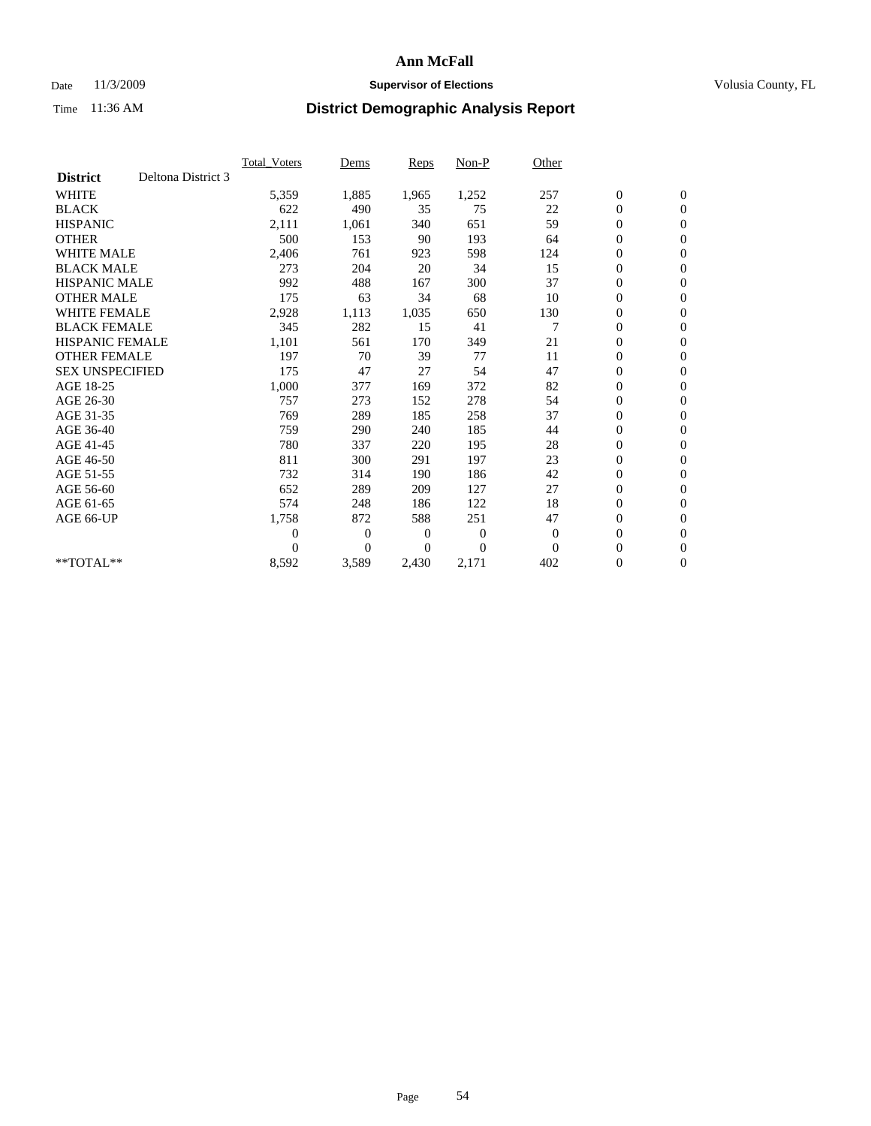### Date 11/3/2009 **Supervisor of Elections Supervisor of Elections** Volusia County, FL

|                        |                    | Total Voters   | Dems           | <b>Reps</b> | Non-P        | Other        |                  |                  |  |
|------------------------|--------------------|----------------|----------------|-------------|--------------|--------------|------------------|------------------|--|
| <b>District</b>        | Deltona District 3 |                |                |             |              |              |                  |                  |  |
| <b>WHITE</b>           |                    | 5,359          | 1,885          | 1,965       | 1,252        | 257          | $\boldsymbol{0}$ | $\boldsymbol{0}$ |  |
| <b>BLACK</b>           |                    | 622            | 490            | 35          | 75           | 22           | $\boldsymbol{0}$ | $\mathbf{0}$     |  |
| <b>HISPANIC</b>        |                    | 2,111          | 1,061          | 340         | 651          | 59           | $\overline{0}$   | $\mathbf{0}$     |  |
| <b>OTHER</b>           |                    | 500            | 153            | 90          | 193          | 64           | $\boldsymbol{0}$ | $\mathbf{0}$     |  |
| <b>WHITE MALE</b>      |                    | 2,406          | 761            | 923         | 598          | 124          | $\boldsymbol{0}$ | $\mathbf{0}$     |  |
| <b>BLACK MALE</b>      |                    | 273            | 204            | 20          | 34           | 15           | $\boldsymbol{0}$ | $\mathbf{0}$     |  |
| <b>HISPANIC MALE</b>   |                    | 992            | 488            | 167         | 300          | 37           | $\boldsymbol{0}$ | $\mathbf{0}$     |  |
| <b>OTHER MALE</b>      |                    | 175            | 63             | 34          | 68           | 10           | $\boldsymbol{0}$ | $\mathbf{0}$     |  |
| <b>WHITE FEMALE</b>    |                    | 2,928          | 1,113          | 1,035       | 650          | 130          | $\overline{0}$   | $\mathbf{0}$     |  |
| <b>BLACK FEMALE</b>    |                    | 345            | 282            | 15          | 41           | 7            | $\boldsymbol{0}$ | $\mathbf{0}$     |  |
| <b>HISPANIC FEMALE</b> |                    | 1,101          | 561            | 170         | 349          | 21           | $\boldsymbol{0}$ | $\mathbf{0}$     |  |
| <b>OTHER FEMALE</b>    |                    | 197            | 70             | 39          | 77           | 11           | $\mathbf{0}$     | $\mathbf{0}$     |  |
| <b>SEX UNSPECIFIED</b> |                    | 175            | 47             | 27          | 54           | 47           | $\boldsymbol{0}$ | $\mathbf{0}$     |  |
| AGE 18-25              |                    | 1,000          | 377            | 169         | 372          | 82           | $\overline{0}$   | $\mathbf{0}$     |  |
| AGE 26-30              |                    | 757            | 273            | 152         | 278          | 54           | $\overline{0}$   | $\mathbf{0}$     |  |
| AGE 31-35              |                    | 769            | 289            | 185         | 258          | 37           | $\boldsymbol{0}$ | $\mathbf{0}$     |  |
| AGE 36-40              |                    | 759            | 290            | 240         | 185          | 44           | $\boldsymbol{0}$ | $\mathbf{0}$     |  |
| AGE 41-45              |                    | 780            | 337            | 220         | 195          | 28           | $\overline{0}$   | $\mathbf{0}$     |  |
| AGE 46-50              |                    | 811            | 300            | 291         | 197          | 23           | $\boldsymbol{0}$ | $\mathbf{0}$     |  |
| AGE 51-55              |                    | 732            | 314            | 190         | 186          | 42           | $\boldsymbol{0}$ | $\mathbf{0}$     |  |
| AGE 56-60              |                    | 652            | 289            | 209         | 127          | 27           | $\boldsymbol{0}$ | $\Omega$         |  |
| AGE 61-65              |                    | 574            | 248            | 186         | 122          | 18           | $\mathbf{0}$     | $\mathbf{0}$     |  |
| AGE 66-UP              |                    | 1,758          | 872            | 588         | 251          | 47           | $\boldsymbol{0}$ | $\mathbf{0}$     |  |
|                        |                    | $\overline{0}$ | $\overline{0}$ | 0           | $\mathbf{0}$ | $\mathbf{0}$ | $\overline{0}$   | $\mathbf{0}$     |  |
|                        |                    | $\Omega$       | $\overline{0}$ | $\Omega$    | $\theta$     | $\Omega$     | $\boldsymbol{0}$ | $\mathbf{0}$     |  |
| **TOTAL**              |                    | 8,592          | 3,589          | 2,430       | 2,171        | 402          | 0                | $\mathbf{0}$     |  |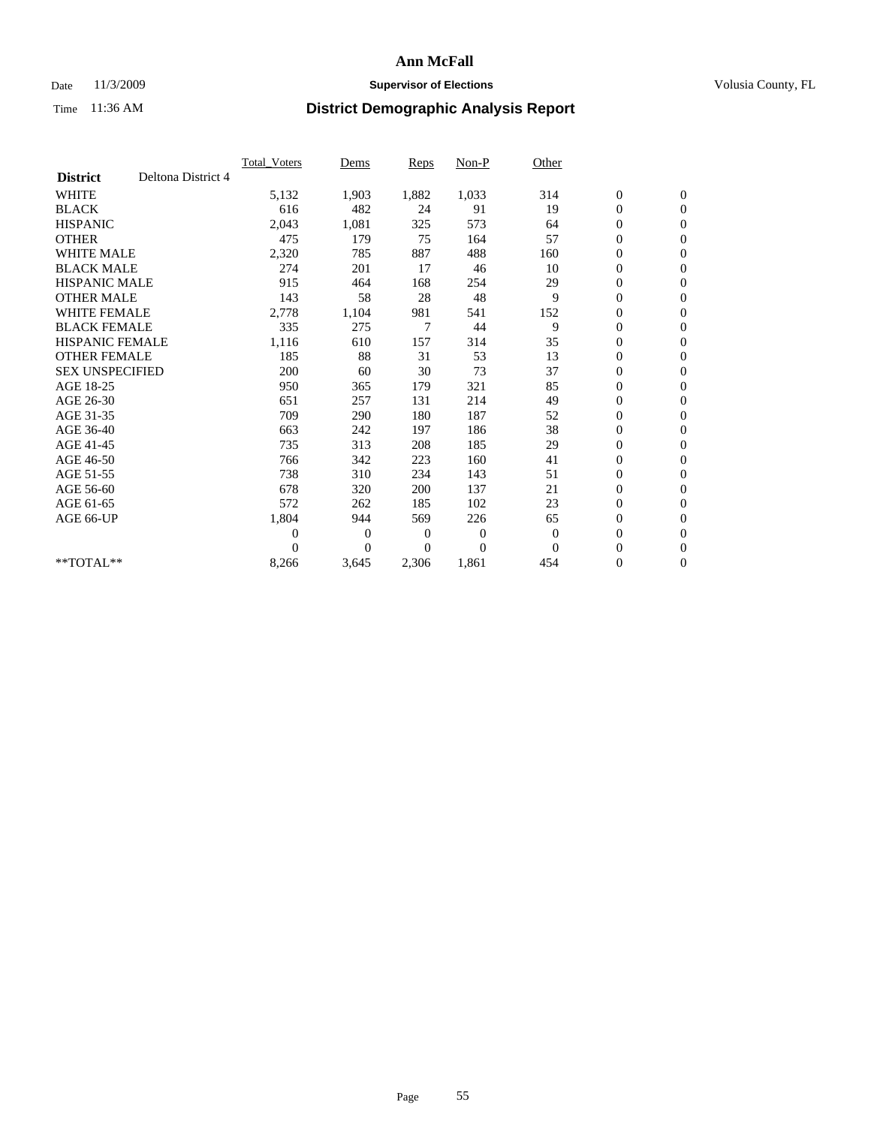### Date 11/3/2009 **Supervisor of Elections Supervisor of Elections** Volusia County, FL

|                        |                    | Total Voters | Dems           | <b>Reps</b>    | Non-P          | Other        |                  |              |  |
|------------------------|--------------------|--------------|----------------|----------------|----------------|--------------|------------------|--------------|--|
| <b>District</b>        | Deltona District 4 |              |                |                |                |              |                  |              |  |
| <b>WHITE</b>           |                    | 5,132        | 1,903          | 1,882          | 1,033          | 314          | $\boldsymbol{0}$ | $\mathbf{0}$ |  |
| <b>BLACK</b>           |                    | 616          | 482            | 24             | 91             | 19           | $\boldsymbol{0}$ | $\mathbf{0}$ |  |
| <b>HISPANIC</b>        |                    | 2,043        | 1,081          | 325            | 573            | 64           | $\overline{0}$   | $\mathbf{0}$ |  |
| <b>OTHER</b>           |                    | 475          | 179            | 75             | 164            | 57           | $\overline{0}$   | $\mathbf{0}$ |  |
| <b>WHITE MALE</b>      |                    | 2,320        | 785            | 887            | 488            | 160          | $\boldsymbol{0}$ | $\mathbf{0}$ |  |
| <b>BLACK MALE</b>      |                    | 274          | 201            | 17             | 46             | 10           | $\boldsymbol{0}$ | $\mathbf{0}$ |  |
| <b>HISPANIC MALE</b>   |                    | 915          | 464            | 168            | 254            | 29           | $\boldsymbol{0}$ | $\mathbf{0}$ |  |
| <b>OTHER MALE</b>      |                    | 143          | 58             | 28             | 48             | 9            | 0                | $\mathbf{0}$ |  |
| <b>WHITE FEMALE</b>    |                    | 2,778        | 1,104          | 981            | 541            | 152          | $\mathbf{0}$     | $\mathbf{0}$ |  |
| <b>BLACK FEMALE</b>    |                    | 335          | 275            | 7              | 44             | 9            | $\boldsymbol{0}$ | $\mathbf{0}$ |  |
| <b>HISPANIC FEMALE</b> |                    | 1,116        | 610            | 157            | 314            | 35           | $\boldsymbol{0}$ | $\mathbf{0}$ |  |
| <b>OTHER FEMALE</b>    |                    | 185          | 88             | 31             | 53             | 13           | $\overline{0}$   | $\mathbf{0}$ |  |
| <b>SEX UNSPECIFIED</b> |                    | 200          | 60             | 30             | 73             | 37           | $\mathbf{0}$     | $\mathbf{0}$ |  |
| AGE 18-25              |                    | 950          | 365            | 179            | 321            | 85           | $\boldsymbol{0}$ | $\mathbf{0}$ |  |
| AGE 26-30              |                    | 651          | 257            | 131            | 214            | 49           | $\overline{0}$   | $\mathbf{0}$ |  |
| AGE 31-35              |                    | 709          | 290            | 180            | 187            | 52           | $\boldsymbol{0}$ | $\mathbf{0}$ |  |
| AGE 36-40              |                    | 663          | 242            | 197            | 186            | 38           | $\boldsymbol{0}$ | $\mathbf{0}$ |  |
| AGE 41-45              |                    | 735          | 313            | 208            | 185            | 29           | $\overline{0}$   | $\mathbf{0}$ |  |
| AGE 46-50              |                    | 766          | 342            | 223            | 160            | 41           | $\mathbf{0}$     | $\mathbf{0}$ |  |
| AGE 51-55              |                    | 738          | 310            | 234            | 143            | 51           | $\boldsymbol{0}$ | $\mathbf{0}$ |  |
| AGE 56-60              |                    | 678          | 320            | 200            | 137            | 21           | $\boldsymbol{0}$ | $\mathbf{0}$ |  |
| AGE 61-65              |                    | 572          | 262            | 185            | 102            | 23           | $\boldsymbol{0}$ | $\mathbf{0}$ |  |
| AGE 66-UP              |                    | 1,804        | 944            | 569            | 226            | 65           | $\boldsymbol{0}$ | $\mathbf{0}$ |  |
|                        |                    | $\theta$     | $\overline{0}$ | $\overline{0}$ | $\mathbf{0}$   | $\mathbf{0}$ | $\boldsymbol{0}$ | $\mathbf{0}$ |  |
|                        |                    | $\Omega$     | $\theta$       | $\Omega$       | $\overline{0}$ | $\Omega$     | $\overline{0}$   | $\mathbf{0}$ |  |
| **TOTAL**              |                    | 8,266        | 3,645          | 2,306          | 1,861          | 454          | 0                | $\mathbf{0}$ |  |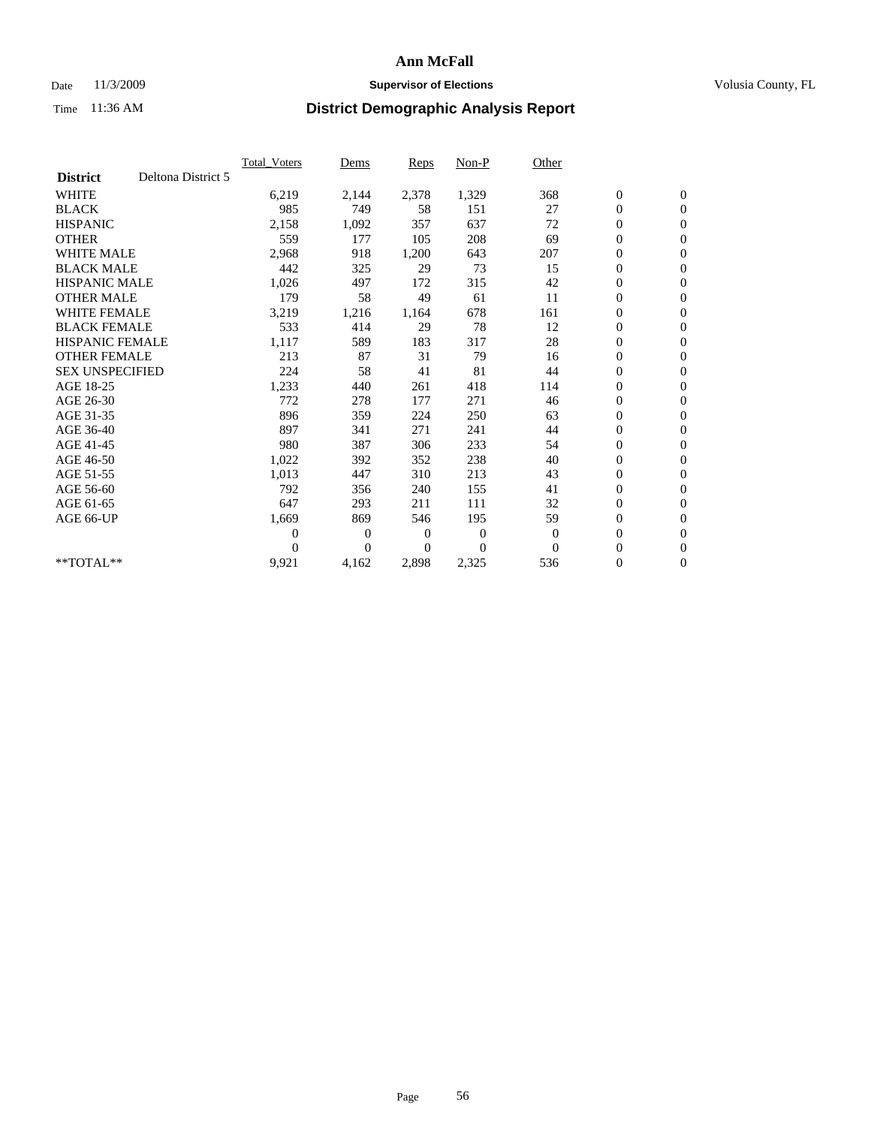### Date 11/3/2009 **Supervisor of Elections Supervisor of Elections** Volusia County, FL

|                        |                    | <b>Total Voters</b> | Dems           | <b>Reps</b>    | Non-P            | Other        |                  |                  |  |
|------------------------|--------------------|---------------------|----------------|----------------|------------------|--------------|------------------|------------------|--|
| <b>District</b>        | Deltona District 5 |                     |                |                |                  |              |                  |                  |  |
| <b>WHITE</b>           |                    | 6,219               | 2,144          | 2,378          | 1,329            | 368          | $\boldsymbol{0}$ | $\mathbf{0}$     |  |
| <b>BLACK</b>           |                    | 985                 | 749            | 58             | 151              | 27           | $\boldsymbol{0}$ | $\mathbf{0}$     |  |
| <b>HISPANIC</b>        |                    | 2,158               | 1,092          | 357            | 637              | 72           | $\overline{0}$   | $\mathbf{0}$     |  |
| <b>OTHER</b>           |                    | 559                 | 177            | 105            | 208              | 69           | $\boldsymbol{0}$ | $\mathbf{0}$     |  |
| <b>WHITE MALE</b>      |                    | 2,968               | 918            | 1,200          | 643              | 207          | $\boldsymbol{0}$ | $\mathbf{0}$     |  |
| <b>BLACK MALE</b>      |                    | 442                 | 325            | 29             | 73               | 15           | $\boldsymbol{0}$ | $\mathbf{0}$     |  |
| <b>HISPANIC MALE</b>   |                    | 1,026               | 497            | 172            | 315              | 42           | $\boldsymbol{0}$ | $\mathbf{0}$     |  |
| <b>OTHER MALE</b>      |                    | 179                 | 58             | 49             | 61               | 11           | $\boldsymbol{0}$ | $\mathbf{0}$     |  |
| <b>WHITE FEMALE</b>    |                    | 3,219               | 1,216          | 1,164          | 678              | 161          | $\mathbf{0}$     | $\mathbf{0}$     |  |
| <b>BLACK FEMALE</b>    |                    | 533                 | 414            | 29             | 78               | 12           | $\boldsymbol{0}$ | $\mathbf{0}$     |  |
| <b>HISPANIC FEMALE</b> |                    | 1,117               | 589            | 183            | 317              | 28           | $\boldsymbol{0}$ | $\mathbf{0}$     |  |
| <b>OTHER FEMALE</b>    |                    | 213                 | 87             | 31             | 79               | 16           | $\boldsymbol{0}$ | $\mathbf{0}$     |  |
| <b>SEX UNSPECIFIED</b> |                    | 224                 | 58             | 41             | 81               | 44           | $\mathbf{0}$     | $\mathbf{0}$     |  |
| AGE 18-25              |                    | 1,233               | 440            | 261            | 418              | 114          | $\boldsymbol{0}$ | $\mathbf{0}$     |  |
| AGE 26-30              |                    | 772                 | 278            | 177            | 271              | 46           | $\overline{0}$   | $\mathbf{0}$     |  |
| AGE 31-35              |                    | 896                 | 359            | 224            | 250              | 63           | $\boldsymbol{0}$ | $\mathbf{0}$     |  |
| AGE 36-40              |                    | 897                 | 341            | 271            | 241              | 44           | $\boldsymbol{0}$ | $\boldsymbol{0}$ |  |
| AGE 41-45              |                    | 980                 | 387            | 306            | 233              | 54           | $\overline{0}$   | $\mathbf{0}$     |  |
| AGE 46-50              |                    | 1,022               | 392            | 352            | 238              | 40           | $\mathbf{0}$     | $\mathbf{0}$     |  |
| AGE 51-55              |                    | 1,013               | 447            | 310            | 213              | 43           | $\boldsymbol{0}$ | $\mathbf{0}$     |  |
| AGE 56-60              |                    | 792                 | 356            | 240            | 155              | 41           | $\boldsymbol{0}$ | $\mathbf{0}$     |  |
| AGE 61-65              |                    | 647                 | 293            | 211            | 111              | 32           | $\boldsymbol{0}$ | $\mathbf{0}$     |  |
| AGE 66-UP              |                    | 1,669               | 869            | 546            | 195              | 59           | $\boldsymbol{0}$ | $\mathbf{0}$     |  |
|                        |                    | $\Omega$            | $\overline{0}$ | 0              | $\boldsymbol{0}$ | $\mathbf{0}$ | $\boldsymbol{0}$ | $\mathbf{0}$     |  |
|                        |                    | $\theta$            | $\theta$       | $\overline{0}$ | $\theta$         | $\Omega$     | $\overline{0}$   | $\mathbf{0}$     |  |
| **TOTAL**              |                    | 9,921               | 4,162          | 2,898          | 2,325            | 536          | $\boldsymbol{0}$ | $\mathbf{0}$     |  |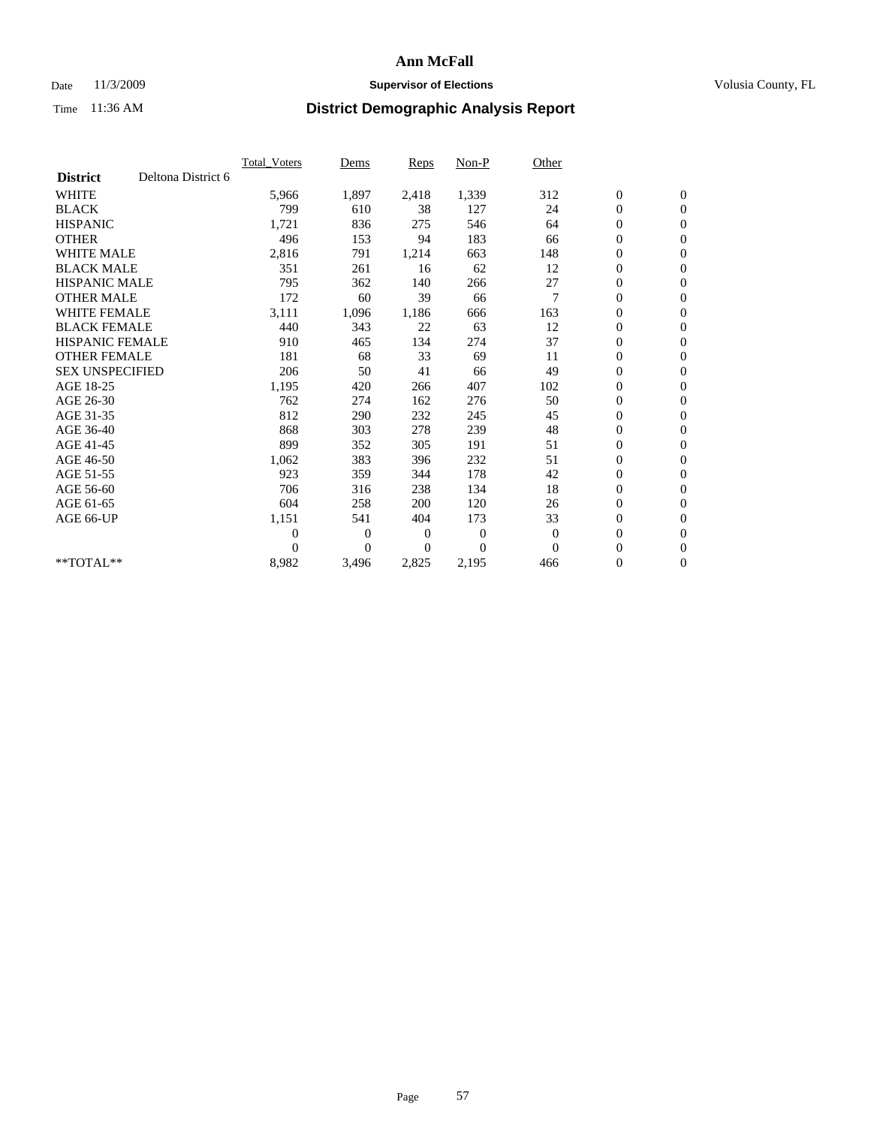### Date 11/3/2009 **Supervisor of Elections Supervisor of Elections** Volusia County, FL

|                        |                    | Total Voters   | Dems           | <b>Reps</b> | Non-P          | Other        |                  |                  |  |
|------------------------|--------------------|----------------|----------------|-------------|----------------|--------------|------------------|------------------|--|
| <b>District</b>        | Deltona District 6 |                |                |             |                |              |                  |                  |  |
| <b>WHITE</b>           |                    | 5,966          | 1,897          | 2,418       | 1,339          | 312          | $\boldsymbol{0}$ | $\boldsymbol{0}$ |  |
| <b>BLACK</b>           |                    | 799            | 610            | 38          | 127            | 24           | $\boldsymbol{0}$ | $\mathbf{0}$     |  |
| <b>HISPANIC</b>        |                    | 1,721          | 836            | 275         | 546            | 64           | $\overline{0}$   | $\mathbf{0}$     |  |
| <b>OTHER</b>           |                    | 496            | 153            | 94          | 183            | 66           | $\boldsymbol{0}$ | $\mathbf{0}$     |  |
| <b>WHITE MALE</b>      |                    | 2,816          | 791            | 1,214       | 663            | 148          | $\boldsymbol{0}$ | $\mathbf{0}$     |  |
| <b>BLACK MALE</b>      |                    | 351            | 261            | 16          | 62             | 12           | $\boldsymbol{0}$ | $\mathbf{0}$     |  |
| <b>HISPANIC MALE</b>   |                    | 795            | 362            | 140         | 266            | 27           | $\boldsymbol{0}$ | $\mathbf{0}$     |  |
| <b>OTHER MALE</b>      |                    | 172            | 60             | 39          | 66             | 7            | $\boldsymbol{0}$ | $\mathbf{0}$     |  |
| <b>WHITE FEMALE</b>    |                    | 3,111          | 1,096          | 1,186       | 666            | 163          | $\boldsymbol{0}$ | $\mathbf{0}$     |  |
| <b>BLACK FEMALE</b>    |                    | 440            | 343            | 22          | 63             | 12           | $\boldsymbol{0}$ | $\mathbf{0}$     |  |
| <b>HISPANIC FEMALE</b> |                    | 910            | 465            | 134         | 274            | 37           | $\boldsymbol{0}$ | $\mathbf{0}$     |  |
| <b>OTHER FEMALE</b>    |                    | 181            | 68             | 33          | 69             | 11           | $\mathbf{0}$     | $\mathbf{0}$     |  |
| <b>SEX UNSPECIFIED</b> |                    | 206            | 50             | 41          | 66             | 49           | $\boldsymbol{0}$ | $\mathbf{0}$     |  |
| AGE 18-25              |                    | 1,195          | 420            | 266         | 407            | 102          | 0                | $\mathbf{0}$     |  |
| AGE 26-30              |                    | 762            | 274            | 162         | 276            | 50           | $\boldsymbol{0}$ | $\mathbf{0}$     |  |
| AGE 31-35              |                    | 812            | 290            | 232         | 245            | 45           | $\boldsymbol{0}$ | $\boldsymbol{0}$ |  |
| AGE 36-40              |                    | 868            | 303            | 278         | 239            | 48           | $\boldsymbol{0}$ | $\mathbf{0}$     |  |
| AGE 41-45              |                    | 899            | 352            | 305         | 191            | 51           | $\overline{0}$   | $\mathbf{0}$     |  |
| AGE 46-50              |                    | 1,062          | 383            | 396         | 232            | 51           | $\boldsymbol{0}$ | $\mathbf{0}$     |  |
| AGE 51-55              |                    | 923            | 359            | 344         | 178            | 42           | $\boldsymbol{0}$ | $\mathbf{0}$     |  |
| AGE 56-60              |                    | 706            | 316            | 238         | 134            | 18           | $\boldsymbol{0}$ | $\mathbf{0}$     |  |
| AGE 61-65              |                    | 604            | 258            | 200         | 120            | 26           | $\boldsymbol{0}$ | $\mathbf{0}$     |  |
| AGE 66-UP              |                    | 1,151          | 541            | 404         | 173            | 33           | $\boldsymbol{0}$ | $\mathbf{0}$     |  |
|                        |                    | $\overline{0}$ | $\overline{0}$ | 0           | $\overline{0}$ | $\mathbf{0}$ | $\overline{0}$   | $\mathbf{0}$     |  |
|                        |                    | $\Omega$       | $\theta$       | $\Omega$    | $\Omega$       | $\Omega$     | $\boldsymbol{0}$ | $\mathbf{0}$     |  |
| $*$ TOTAL $**$         |                    | 8,982          | 3,496          | 2,825       | 2,195          | 466          | 0                | $\mathbf{0}$     |  |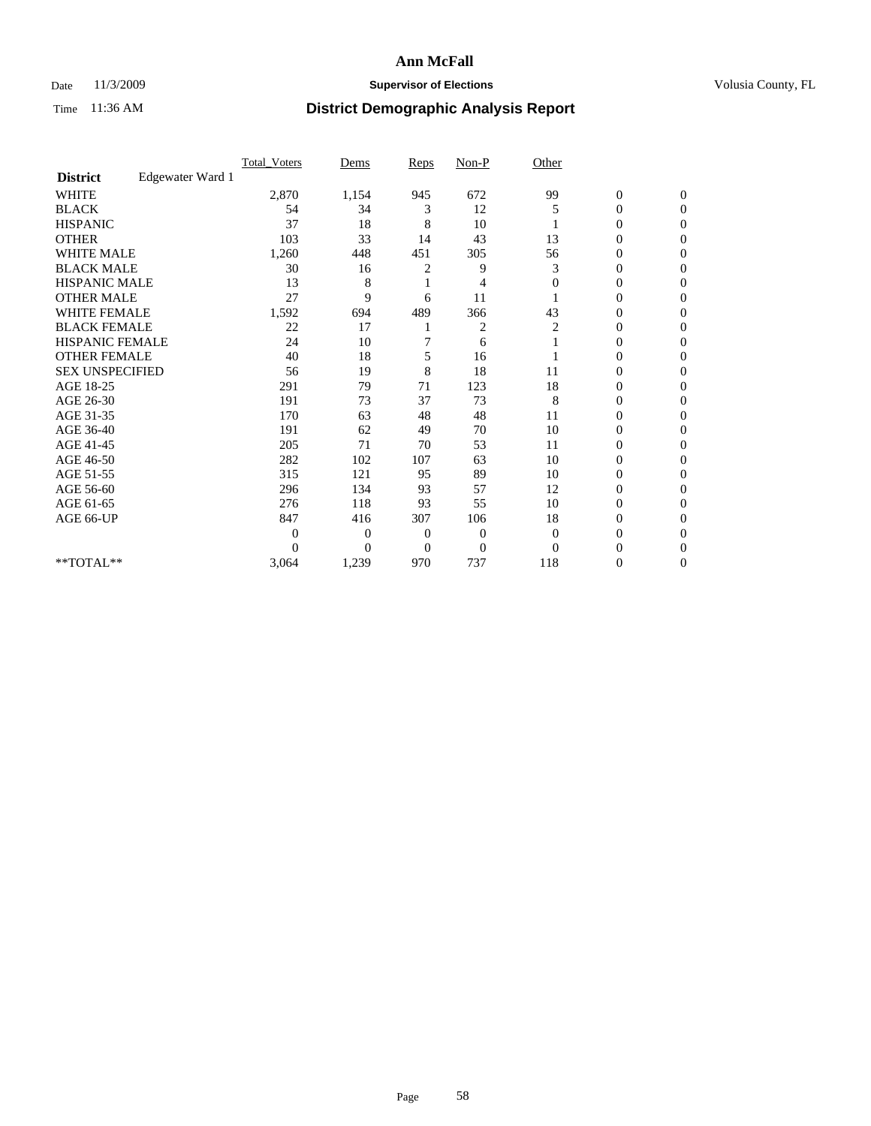## Date 11/3/2009 **Supervisor of Elections Supervisor of Elections** Volusia County, FL

|                        |                  | Total Voters | Dems           | Reps           | $Non-P$        | Other        |                  |                  |  |
|------------------------|------------------|--------------|----------------|----------------|----------------|--------------|------------------|------------------|--|
| <b>District</b>        | Edgewater Ward 1 |              |                |                |                |              |                  |                  |  |
| <b>WHITE</b>           |                  | 2,870        | 1,154          | 945            | 672            | 99           | $\boldsymbol{0}$ | $\boldsymbol{0}$ |  |
| <b>BLACK</b>           |                  | 54           | 34             | 3              | 12             | 5            | $\overline{0}$   | $\Omega$         |  |
| <b>HISPANIC</b>        |                  | 37           | 18             | 8              | 10             |              | 0                | $\Omega$         |  |
| <b>OTHER</b>           |                  | 103          | 33             | 14             | 43             | 13           | 0                | $\Omega$         |  |
| <b>WHITE MALE</b>      |                  | 1,260        | 448            | 451            | 305            | 56           | $\overline{0}$   | $\mathbf{0}$     |  |
| <b>BLACK MALE</b>      |                  | 30           | 16             | 2              | 9              | 3            | $\overline{0}$   | $\Omega$         |  |
| <b>HISPANIC MALE</b>   |                  | 13           | 8              |                | 4              | $\mathbf{0}$ | 0                | $\Omega$         |  |
| <b>OTHER MALE</b>      |                  | 27           | 9              | 6              | 11             |              | 0                | 0                |  |
| <b>WHITE FEMALE</b>    |                  | 1,592        | 694            | 489            | 366            | 43           | 0                | $\mathbf{0}$     |  |
| <b>BLACK FEMALE</b>    |                  | 22           | 17             |                | 2              | 2            | $\boldsymbol{0}$ | $\Omega$         |  |
| HISPANIC FEMALE        |                  | 24           | 10             |                | 6              |              | 0                | $\mathbf{0}$     |  |
| <b>OTHER FEMALE</b>    |                  | 40           | 18             | 5              | 16             |              | 0                | $\Omega$         |  |
| <b>SEX UNSPECIFIED</b> |                  | 56           | 19             | 8              | 18             | 11           | 0                | $\mathbf{0}$     |  |
| AGE 18-25              |                  | 291          | 79             | 71             | 123            | 18           | 0                | $\Omega$         |  |
| AGE 26-30              |                  | 191          | 73             | 37             | 73             | 8            | 0                | $\Omega$         |  |
| AGE 31-35              |                  | 170          | 63             | 48             | 48             | 11           | $\boldsymbol{0}$ | $\Omega$         |  |
| AGE 36-40              |                  | 191          | 62             | 49             | 70             | 10           | 0                | 0                |  |
| AGE 41-45              |                  | 205          | 71             | 70             | 53             | 11           | 0                | $\Omega$         |  |
| AGE 46-50              |                  | 282          | 102            | 107            | 63             | 10           | $\boldsymbol{0}$ | $\Omega$         |  |
| AGE 51-55              |                  | 315          | 121            | 95             | 89             | 10           | 0                | $\mathbf{0}$     |  |
| AGE 56-60              |                  | 296          | 134            | 93             | 57             | 12           | 0                | $\Omega$         |  |
| AGE 61-65              |                  | 276          | 118            | 93             | 55             | 10           | $\overline{0}$   | $\Omega$         |  |
| AGE 66-UP              |                  | 847          | 416            | 307            | 106            | 18           | 0                | $\Omega$         |  |
|                        |                  | 0            | $\overline{0}$ | 0              | $\mathbf{0}$   | $\mathbf{0}$ | 0                | $\Omega$         |  |
|                        |                  | $\theta$     | $\overline{0}$ | $\overline{0}$ | $\overline{0}$ | $\Omega$     | 0                | $\Omega$         |  |
| **TOTAL**              |                  | 3,064        | 1,239          | 970            | 737            | 118          | 0                | $\mathbf{0}$     |  |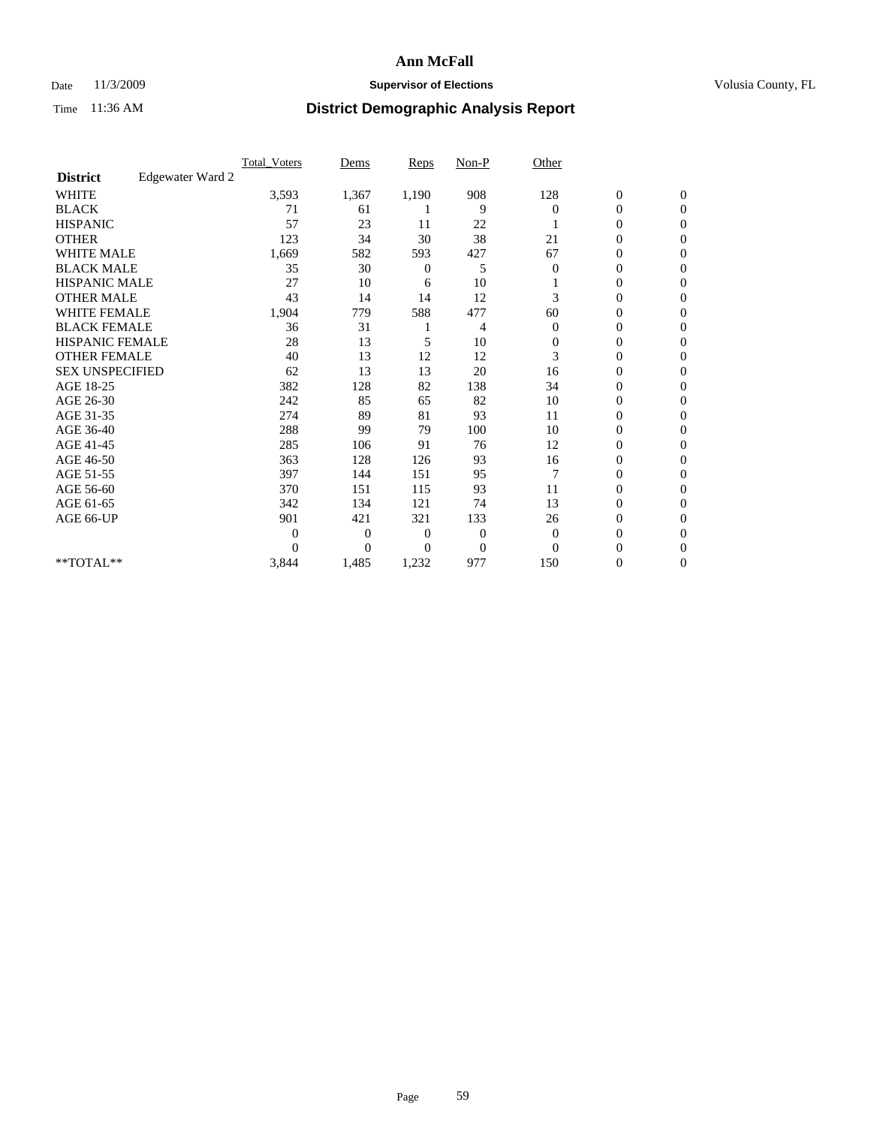### Date 11/3/2009 **Supervisor of Elections Supervisor of Elections** Volusia County, FL

|                        |                  | <b>Total_Voters</b> | Dems           | <b>Reps</b>    | $Non-P$        | Other        |                  |                |  |
|------------------------|------------------|---------------------|----------------|----------------|----------------|--------------|------------------|----------------|--|
| <b>District</b>        | Edgewater Ward 2 |                     |                |                |                |              |                  |                |  |
| <b>WHITE</b>           |                  | 3,593               | 1,367          | 1,190          | 908            | 128          | $\boldsymbol{0}$ | $\mathbf{0}$   |  |
| <b>BLACK</b>           |                  | 71                  | 61             |                | 9              | $\Omega$     | $\boldsymbol{0}$ | $\mathbf{0}$   |  |
| <b>HISPANIC</b>        |                  | 57                  | 23             | 11             | 22             |              | $\mathbf{0}$     | $\mathbf{0}$   |  |
| <b>OTHER</b>           |                  | 123                 | 34             | 30             | 38             | 21           | 0                | $\Omega$       |  |
| <b>WHITE MALE</b>      |                  | 1,669               | 582            | 593            | 427            | 67           | 0                | $\Omega$       |  |
| <b>BLACK MALE</b>      |                  | 35                  | 30             | 0              | 5              | $\Omega$     | $\boldsymbol{0}$ | $\Omega$       |  |
| HISPANIC MALE          |                  | 27                  | 10             | 6              | 10             |              | $\boldsymbol{0}$ | $\Omega$       |  |
| <b>OTHER MALE</b>      |                  | 43                  | 14             | 14             | 12             | 3            | 0                | $\mathbf{0}$   |  |
| <b>WHITE FEMALE</b>    |                  | 1,904               | 779            | 588            | 477            | 60           | 0                | $\Omega$       |  |
| <b>BLACK FEMALE</b>    |                  | 36                  | 31             |                | 4              | $\mathbf{0}$ | $\overline{0}$   | $\mathbf{0}$   |  |
| <b>HISPANIC FEMALE</b> |                  | 28                  | 13             | 5              | 10             | $\mathbf{0}$ | 0                | $\mathbf{0}$   |  |
| <b>OTHER FEMALE</b>    |                  | 40                  | 13             | 12             | 12             | 3            | $\theta$         | $\Omega$       |  |
| <b>SEX UNSPECIFIED</b> |                  | 62                  | 13             | 13             | 20             | 16           | $\overline{0}$   | $\mathbf{0}$   |  |
| AGE 18-25              |                  | 382                 | 128            | 82             | 138            | 34           | 0                | $\mathbf{0}$   |  |
| AGE 26-30              |                  | 242                 | 85             | 65             | 82             | 10           | $\overline{0}$   | $\mathbf{0}$   |  |
| AGE 31-35              |                  | 274                 | 89             | 81             | 93             | 11           | 0                | $\Omega$       |  |
| AGE 36-40              |                  | 288                 | 99             | 79             | 100            | 10           | 0                | $\mathbf{0}$   |  |
| AGE 41-45              |                  | 285                 | 106            | 91             | 76             | 12           | $\overline{0}$   | $\Omega$       |  |
| AGE 46-50              |                  | 363                 | 128            | 126            | 93             | 16           | $\overline{0}$   | $\mathbf{0}$   |  |
| AGE 51-55              |                  | 397                 | 144            | 151            | 95             | 7            | $\overline{0}$   | $\mathbf{0}$   |  |
| AGE 56-60              |                  | 370                 | 151            | 115            | 93             | 11           | $\overline{0}$   | $\Omega$       |  |
| AGE 61-65              |                  | 342                 | 134            | 121            | 74             | 13           | $\overline{0}$   | $\Omega$       |  |
| AGE 66-UP              |                  | 901                 | 421            | 321            | 133            | 26           | 0                | $\mathbf{0}$   |  |
|                        |                  | $\theta$            | $\overline{0}$ | $\mathbf{0}$   | 0              | $\mathbf{0}$ | 0                | $\Omega$       |  |
|                        |                  | $\theta$            | $\overline{0}$ | $\overline{0}$ | $\overline{0}$ | $\Omega$     | $\overline{0}$   | $\overline{0}$ |  |
| **TOTAL**              |                  | 3,844               | 1,485          | 1,232          | 977            | 150          | 0                | $\overline{0}$ |  |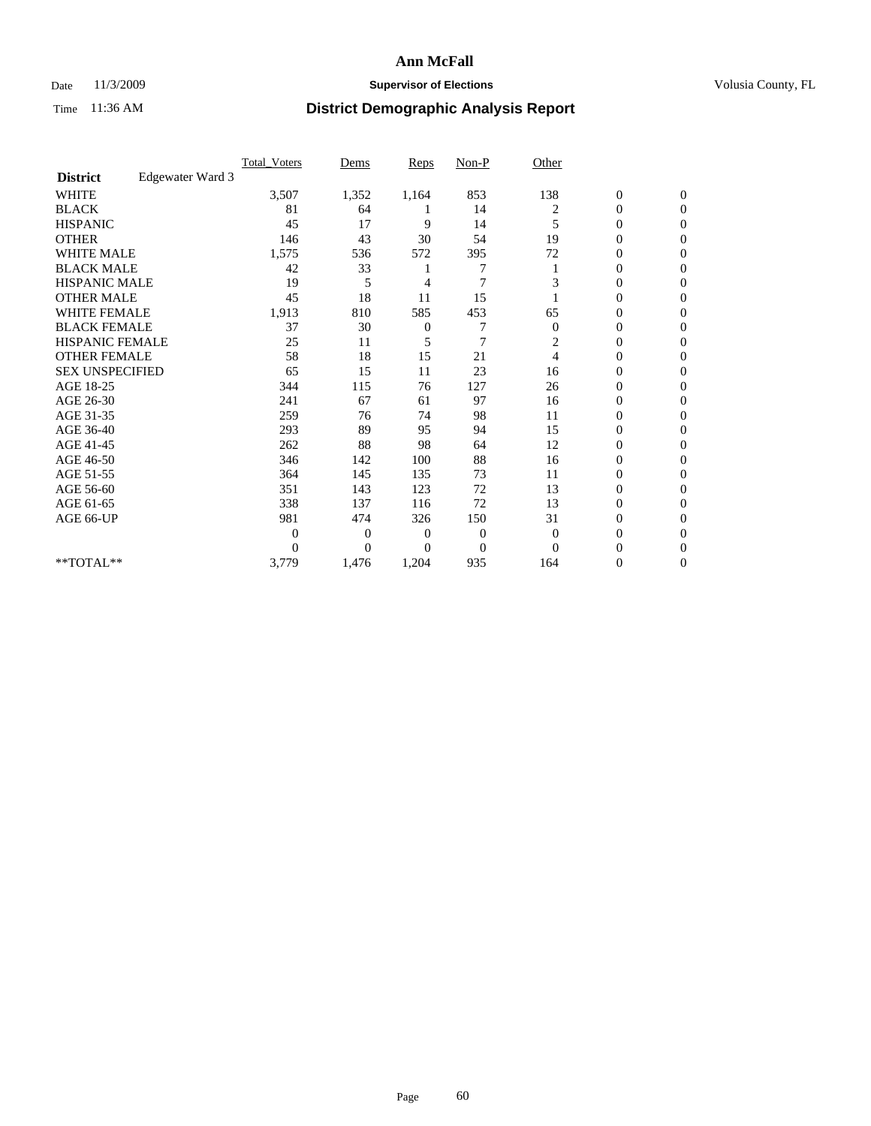## Date 11/3/2009 **Supervisor of Elections Supervisor of Elections** Volusia County, FL

|                        |                  | <b>Total Voters</b> | Dems           | <b>Reps</b>    | $Non-P$        | Other          |                  |                |  |
|------------------------|------------------|---------------------|----------------|----------------|----------------|----------------|------------------|----------------|--|
| <b>District</b>        | Edgewater Ward 3 |                     |                |                |                |                |                  |                |  |
| <b>WHITE</b>           |                  | 3,507               | 1,352          | 1,164          | 853            | 138            | $\boldsymbol{0}$ | $\mathbf{0}$   |  |
| <b>BLACK</b>           |                  | 81                  | 64             |                | 14             | 2              | $\boldsymbol{0}$ | $\mathbf{0}$   |  |
| <b>HISPANIC</b>        |                  | 45                  | 17             | 9              | 14             | 5              | $\mathbf{0}$     | $\Omega$       |  |
| <b>OTHER</b>           |                  | 146                 | 43             | 30             | 54             | 19             | 0                | $\Omega$       |  |
| <b>WHITE MALE</b>      |                  | 1,575               | 536            | 572            | 395            | 72             | 0                | $\Omega$       |  |
| <b>BLACK MALE</b>      |                  | 42                  | 33             |                |                |                | 0                | $\Omega$       |  |
| HISPANIC MALE          |                  | 19                  | 5              | 4              | $\overline{7}$ | 3              | $\boldsymbol{0}$ | $\Omega$       |  |
| <b>OTHER MALE</b>      |                  | 45                  | 18             | 11             | 15             |                | 0                | $\mathbf{0}$   |  |
| <b>WHITE FEMALE</b>    |                  | 1,913               | 810            | 585            | 453            | 65             | 0                | $\Omega$       |  |
| <b>BLACK FEMALE</b>    |                  | 37                  | 30             | $\mathbf{0}$   | 7              | $\mathbf{0}$   | $\overline{0}$   | $\mathbf{0}$   |  |
| <b>HISPANIC FEMALE</b> |                  | 25                  | 11             | 5              | $\overline{7}$ | 2              | 0                | $\mathbf{0}$   |  |
| <b>OTHER FEMALE</b>    |                  | 58                  | 18             | 15             | 21             | $\overline{4}$ | $\theta$         | $\Omega$       |  |
| <b>SEX UNSPECIFIED</b> |                  | 65                  | 15             | 11             | 23             | 16             | $\overline{0}$   | $\mathbf{0}$   |  |
| AGE 18-25              |                  | 344                 | 115            | 76             | 127            | 26             | 0                | $\mathbf{0}$   |  |
| AGE 26-30              |                  | 241                 | 67             | 61             | 97             | 16             | $\overline{0}$   | $\Omega$       |  |
| AGE 31-35              |                  | 259                 | 76             | 74             | 98             | 11             | 0                | $\Omega$       |  |
| AGE 36-40              |                  | 293                 | 89             | 95             | 94             | 15             | 0                | $\mathbf{0}$   |  |
| AGE 41-45              |                  | 262                 | 88             | 98             | 64             | 12             | $\mathbf{0}$     | $\Omega$       |  |
| AGE 46-50              |                  | 346                 | 142            | 100            | 88             | 16             | $\overline{0}$   | $\mathbf{0}$   |  |
| AGE 51-55              |                  | 364                 | 145            | 135            | 73             | 11             | $\overline{0}$   | $\mathbf{0}$   |  |
| AGE 56-60              |                  | 351                 | 143            | 123            | 72             | 13             | $\overline{0}$   | $\Omega$       |  |
| AGE 61-65              |                  | 338                 | 137            | 116            | 72             | 13             | $\overline{0}$   | $\Omega$       |  |
| AGE 66-UP              |                  | 981                 | 474            | 326            | 150            | 31             | 0                | $\overline{0}$ |  |
|                        |                  | $\boldsymbol{0}$    | $\overline{0}$ | $\overline{0}$ | 0              | $\overline{0}$ | 0                | $\Omega$       |  |
|                        |                  | $\theta$            | $\overline{0}$ | $\overline{0}$ | $\overline{0}$ | $\Omega$       | $\overline{0}$   | $\Omega$       |  |
| **TOTAL**              |                  | 3,779               | 1,476          | 1,204          | 935            | 164            | 0                | $\overline{0}$ |  |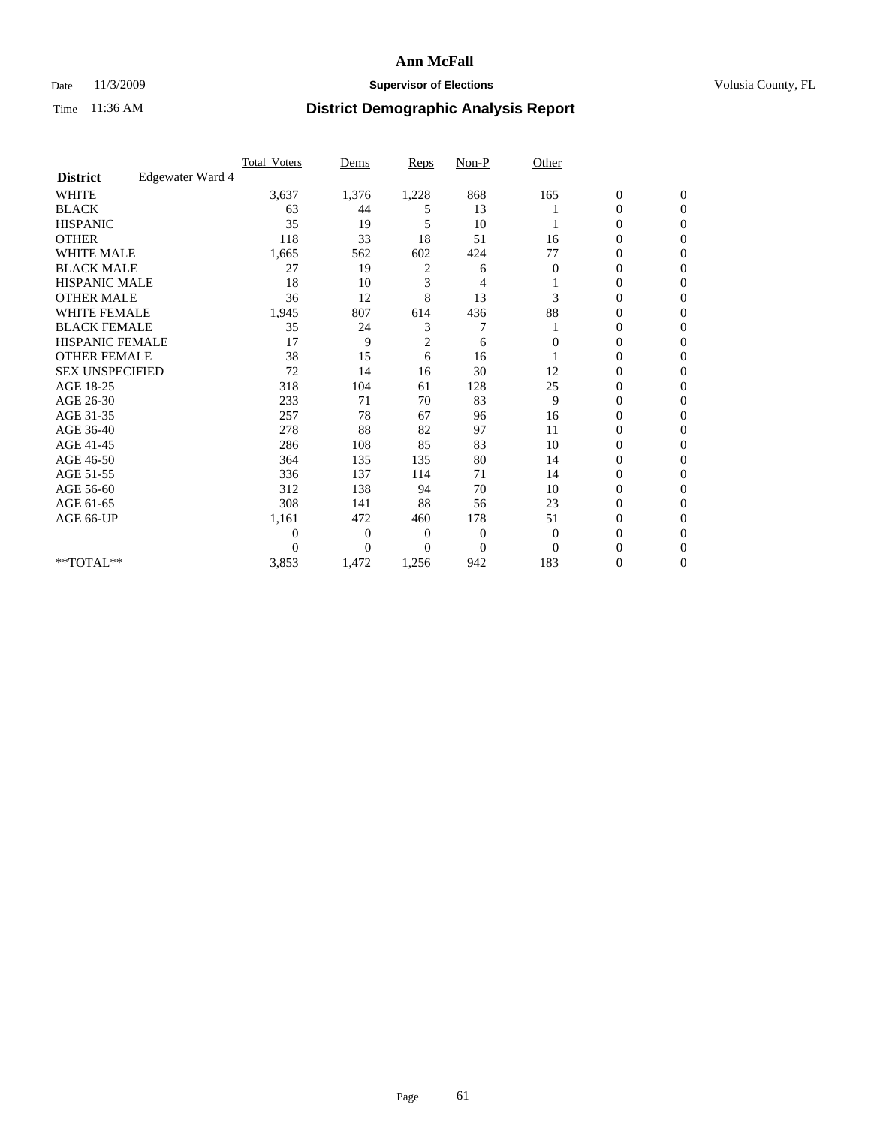### Date 11/3/2009 **Supervisor of Elections Supervisor of Elections** Volusia County, FL

|                        |                  | Total Voters   | Dems           | <b>Reps</b>    | $Non-P$        | Other          |                  |                  |  |
|------------------------|------------------|----------------|----------------|----------------|----------------|----------------|------------------|------------------|--|
| <b>District</b>        | Edgewater Ward 4 |                |                |                |                |                |                  |                  |  |
| <b>WHITE</b>           |                  | 3,637          | 1,376          | 1,228          | 868            | 165            | $\boldsymbol{0}$ | $\boldsymbol{0}$ |  |
| <b>BLACK</b>           |                  | 63             | 44             | 5              | 13             |                | $\boldsymbol{0}$ | $\mathbf{0}$     |  |
| <b>HISPANIC</b>        |                  | 35             | 19             | 5              | 10             |                | $\overline{0}$   | $\Omega$         |  |
| <b>OTHER</b>           |                  | 118            | 33             | 18             | 51             | 16             | 0                | $\Omega$         |  |
| <b>WHITE MALE</b>      |                  | 1,665          | 562            | 602            | 424            | 77             | $\overline{0}$   | $\mathbf{0}$     |  |
| <b>BLACK MALE</b>      |                  | 27             | 19             | $\overline{c}$ | 6              | 0              | $\overline{0}$   | $\Omega$         |  |
| <b>HISPANIC MALE</b>   |                  | 18             | 10             | 3              | 4              |                | 0                | $\Omega$         |  |
| <b>OTHER MALE</b>      |                  | 36             | 12             | 8              | 13             | 3              | 0                | 0                |  |
| <b>WHITE FEMALE</b>    |                  | 1,945          | 807            | 614            | 436            | 88             | 0                | $\mathbf{0}$     |  |
| <b>BLACK FEMALE</b>    |                  | 35             | 24             | 3              | 7              |                | 0                | $\Omega$         |  |
| <b>HISPANIC FEMALE</b> |                  | 17             | 9              | $\overline{2}$ | 6              | $\theta$       | 0                | $\overline{0}$   |  |
| <b>OTHER FEMALE</b>    |                  | 38             | 15             | 6              | 16             |                | 0                | $\Omega$         |  |
| <b>SEX UNSPECIFIED</b> |                  | 72             | 14             | 16             | 30             | 12             | $\overline{0}$   | $\overline{0}$   |  |
| AGE 18-25              |                  | 318            | 104            | 61             | 128            | 25             | 0                | $\overline{0}$   |  |
| AGE 26-30              |                  | 233            | 71             | 70             | 83             | 9              | $\overline{0}$   | $\Omega$         |  |
| AGE 31-35              |                  | 257            | 78             | 67             | 96             | 16             | $\boldsymbol{0}$ | $\Omega$         |  |
| AGE 36-40              |                  | 278            | 88             | 82             | 97             | 11             | 0                | 0                |  |
| AGE 41-45              |                  | 286            | 108            | 85             | 83             | 10             | 0                | $\Omega$         |  |
| AGE 46-50              |                  | 364            | 135            | 135            | 80             | 14             | 0                | $\Omega$         |  |
| AGE 51-55              |                  | 336            | 137            | 114            | 71             | 14             | 0                | $\mathbf{0}$     |  |
| AGE 56-60              |                  | 312            | 138            | 94             | 70             | 10             | $\overline{0}$   | $\Omega$         |  |
| AGE 61-65              |                  | 308            | 141            | 88             | 56             | 23             | $\overline{0}$   | $\overline{0}$   |  |
| AGE 66-UP              |                  | 1,161          | 472            | 460            | 178            | 51             | $\boldsymbol{0}$ | $\Omega$         |  |
|                        |                  | $\overline{0}$ | $\overline{0}$ | 0              | $\overline{0}$ | $\overline{0}$ | 0                | $\Omega$         |  |
|                        |                  | $\theta$       | $\overline{0}$ | $\Omega$       | $\Omega$       | $\Omega$       | 0                | $\Omega$         |  |
| **TOTAL**              |                  | 3,853          | 1,472          | 1,256          | 942            | 183            | 0                | $\mathbf{0}$     |  |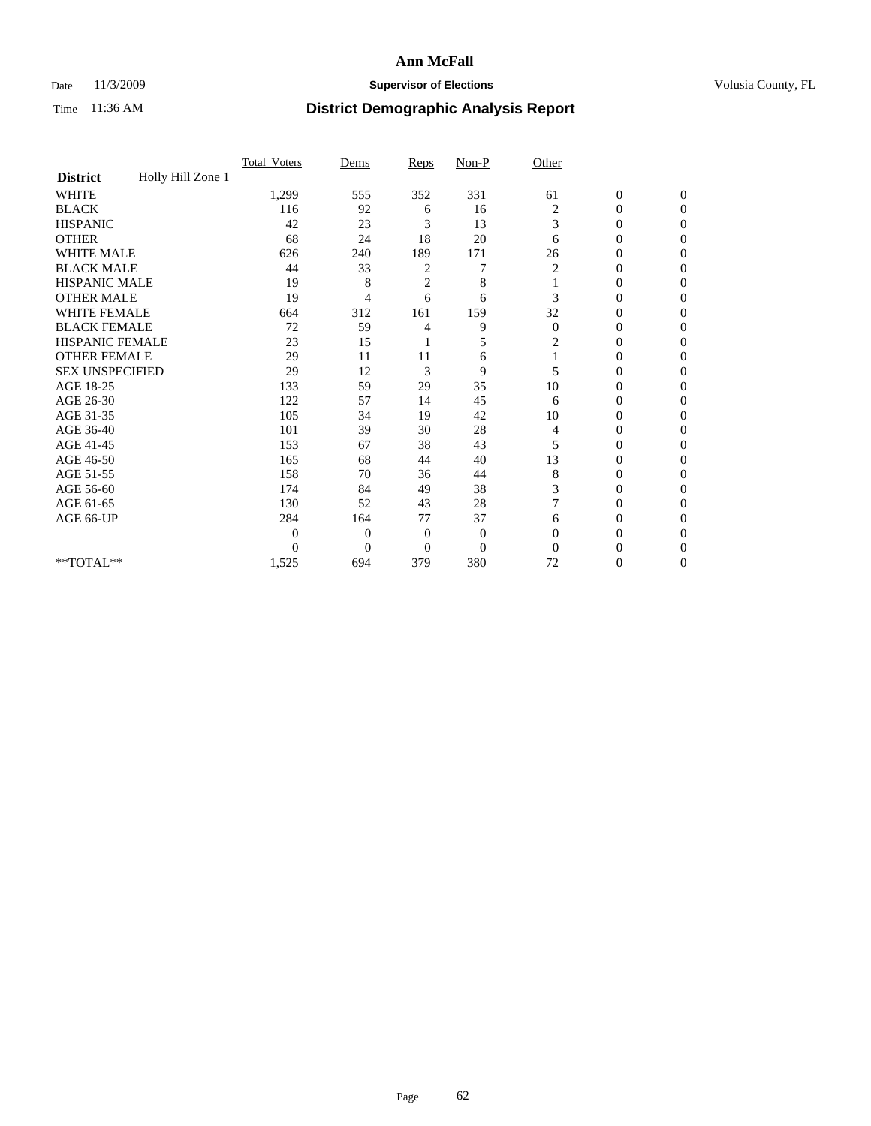## Date 11/3/2009 **Supervisor of Elections Supervisor of Elections** Volusia County, FL

|                        |                   | Total Voters     | Dems           | Reps           | $Non-P$          | Other        |                  |                |  |
|------------------------|-------------------|------------------|----------------|----------------|------------------|--------------|------------------|----------------|--|
| <b>District</b>        | Holly Hill Zone 1 |                  |                |                |                  |              |                  |                |  |
| <b>WHITE</b>           |                   | 1,299            | 555            | 352            | 331              | 61           | $\boldsymbol{0}$ | $\mathbf{0}$   |  |
| <b>BLACK</b>           |                   | 116              | 92             | 6              | 16               | 2            | $\overline{0}$   | $\mathbf{0}$   |  |
| <b>HISPANIC</b>        |                   | 42               | 23             | 3              | 13               | 3            | $\mathbf{0}$     | $\Omega$       |  |
| <b>OTHER</b>           |                   | 68               | 24             | 18             | 20               | 6            | 0                | $\Omega$       |  |
| <b>WHITE MALE</b>      |                   | 626              | 240            | 189            | 171              | 26           | 0                | 0              |  |
| <b>BLACK MALE</b>      |                   | 44               | 33             | 2              | 7                | 2            | $\mathbf{0}$     | $\Omega$       |  |
| HISPANIC MALE          |                   | 19               | 8              | $\overline{c}$ | 8                |              | $\overline{0}$   | $\Omega$       |  |
| <b>OTHER MALE</b>      |                   | 19               | 4              | 6              | 6                | 3            | 0                | 0              |  |
| <b>WHITE FEMALE</b>    |                   | 664              | 312            | 161            | 159              | 32           | 0                | $\Omega$       |  |
| <b>BLACK FEMALE</b>    |                   | 72               | 59             | 4              | 9                | $\mathbf{0}$ | $\overline{0}$   | $\overline{0}$ |  |
| <b>HISPANIC FEMALE</b> |                   | 23               | 15             |                | 5                | 2            | 0                | $\Omega$       |  |
| <b>OTHER FEMALE</b>    |                   | 29               | 11             | 11             | 6                |              | 0                | 0              |  |
| <b>SEX UNSPECIFIED</b> |                   | 29               | 12             | $\mathfrak{Z}$ | 9                | 5            | $\overline{0}$   | $\Omega$       |  |
| AGE 18-25              |                   | 133              | 59             | 29             | 35               | 10           | 0                | $\overline{0}$ |  |
| AGE 26-30              |                   | 122              | 57             | 14             | 45               | 6            | 0                | $\Omega$       |  |
| AGE 31-35              |                   | 105              | 34             | 19             | 42               | 10           | 0                | $\Omega$       |  |
| AGE 36-40              |                   | 101              | 39             | 30             | 28               | 4            | 0                | 0              |  |
| AGE 41-45              |                   | 153              | 67             | 38             | 43               | 5            | 0                | $\Omega$       |  |
| AGE 46-50              |                   | 165              | 68             | 44             | 40               | 13           | $\overline{0}$   | $\Omega$       |  |
| AGE 51-55              |                   | 158              | 70             | 36             | 44               | 8            | 0                | 0              |  |
| AGE 56-60              |                   | 174              | 84             | 49             | 38               | 3            | 0                | $\Omega$       |  |
| AGE 61-65              |                   | 130              | 52             | 43             | 28               | 7            | 0                | $\Omega$       |  |
| AGE 66-UP              |                   | 284              | 164            | 77             | 37               | 6            | 0                | 0              |  |
|                        |                   | $\boldsymbol{0}$ | $\overline{0}$ | $\overline{0}$ | $\boldsymbol{0}$ | $\Omega$     | 0                | $\Omega$       |  |
|                        |                   | $\theta$         | $\overline{0}$ | $\overline{0}$ | $\overline{0}$   | $\Omega$     | 0                | $\Omega$       |  |
| **TOTAL**              |                   | 1,525            | 694            | 379            | 380              | 72           | 0                | 0              |  |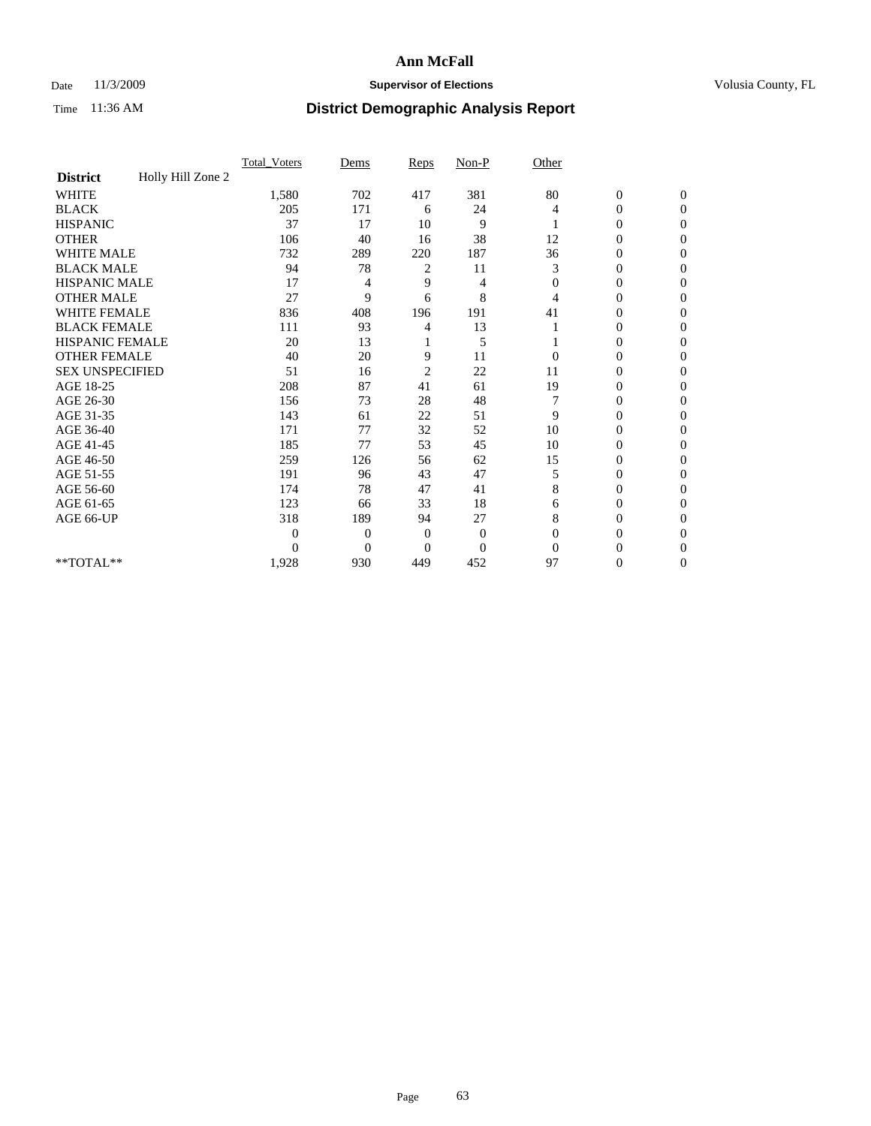## Date 11/3/2009 **Supervisor of Elections Supervisor of Elections** Volusia County, FL

|                        |                   | Total Voters | Dems           | Reps           | $Non-P$        | Other        |                  |              |  |
|------------------------|-------------------|--------------|----------------|----------------|----------------|--------------|------------------|--------------|--|
| <b>District</b>        | Holly Hill Zone 2 |              |                |                |                |              |                  |              |  |
| <b>WHITE</b>           |                   | 1,580        | 702            | 417            | 381            | 80           | $\boldsymbol{0}$ | $\mathbf{0}$ |  |
| <b>BLACK</b>           |                   | 205          | 171            | 6              | 24             | 4            | $\overline{0}$   | $\mathbf{0}$ |  |
| <b>HISPANIC</b>        |                   | 37           | 17             | 10             | 9              |              | 0                | $\Omega$     |  |
| <b>OTHER</b>           |                   | 106          | 40             | 16             | 38             | 12           | 0                | $\Omega$     |  |
| <b>WHITE MALE</b>      |                   | 732          | 289            | 220            | 187            | 36           | 0                | $\Omega$     |  |
| <b>BLACK MALE</b>      |                   | 94           | 78             | 2              | 11             | 3            | $\mathbf{0}$     | $\Omega$     |  |
| HISPANIC MALE          |                   | 17           | 4              | 9              | 4              | $\mathbf{0}$ | $\overline{0}$   | $\Omega$     |  |
| <b>OTHER MALE</b>      |                   | 27           | 9              | 6              | 8              | 4            | 0                | 0            |  |
| <b>WHITE FEMALE</b>    |                   | 836          | 408            | 196            | 191            | 41           | 0                | $\Omega$     |  |
| <b>BLACK FEMALE</b>    |                   | 111          | 93             | 4              | 13             |              | $\overline{0}$   | $\mathbf{0}$ |  |
| <b>HISPANIC FEMALE</b> |                   | 20           | 13             |                | 5              |              | 0                | $\Omega$     |  |
| <b>OTHER FEMALE</b>    |                   | 40           | 20             | 9              | 11             | $\Omega$     | 0                | 0            |  |
| <b>SEX UNSPECIFIED</b> |                   | 51           | 16             | $\overline{2}$ | 22             | 11           | 0                | $\Omega$     |  |
| AGE 18-25              |                   | 208          | 87             | 41             | 61             | 19           | 0                | $\mathbf{0}$ |  |
| AGE 26-30              |                   | 156          | 73             | 28             | 48             |              | 0                | $\Omega$     |  |
| AGE 31-35              |                   | 143          | 61             | 22             | 51             | 9            | 0                | $\Omega$     |  |
| AGE 36-40              |                   | 171          | 77             | 32             | 52             | 10           | 0                | 0            |  |
| AGE 41-45              |                   | 185          | 77             | 53             | 45             | 10           | 0                | $\Omega$     |  |
| AGE 46-50              |                   | 259          | 126            | 56             | 62             | 15           | $\overline{0}$   | $\Omega$     |  |
| AGE 51-55              |                   | 191          | 96             | 43             | 47             | 5            | 0                | 0            |  |
| AGE 56-60              |                   | 174          | 78             | 47             | 41             | 8            | 0                | $\Omega$     |  |
| AGE 61-65              |                   | 123          | 66             | 33             | 18             | 6            | 0                | $\Omega$     |  |
| AGE 66-UP              |                   | 318          | 189            | 94             | 27             | 8            | 0                | 0            |  |
|                        |                   | $\theta$     | $\overline{0}$ | $\mathbf{0}$   | $\mathbf{0}$   | $\Omega$     | 0                | $\Omega$     |  |
|                        |                   | $\theta$     | $\overline{0}$ | $\overline{0}$ | $\overline{0}$ | $\Omega$     | 0                | $\Omega$     |  |
| **TOTAL**              |                   | 1,928        | 930            | 449            | 452            | 97           | 0                | $\mathbf{0}$ |  |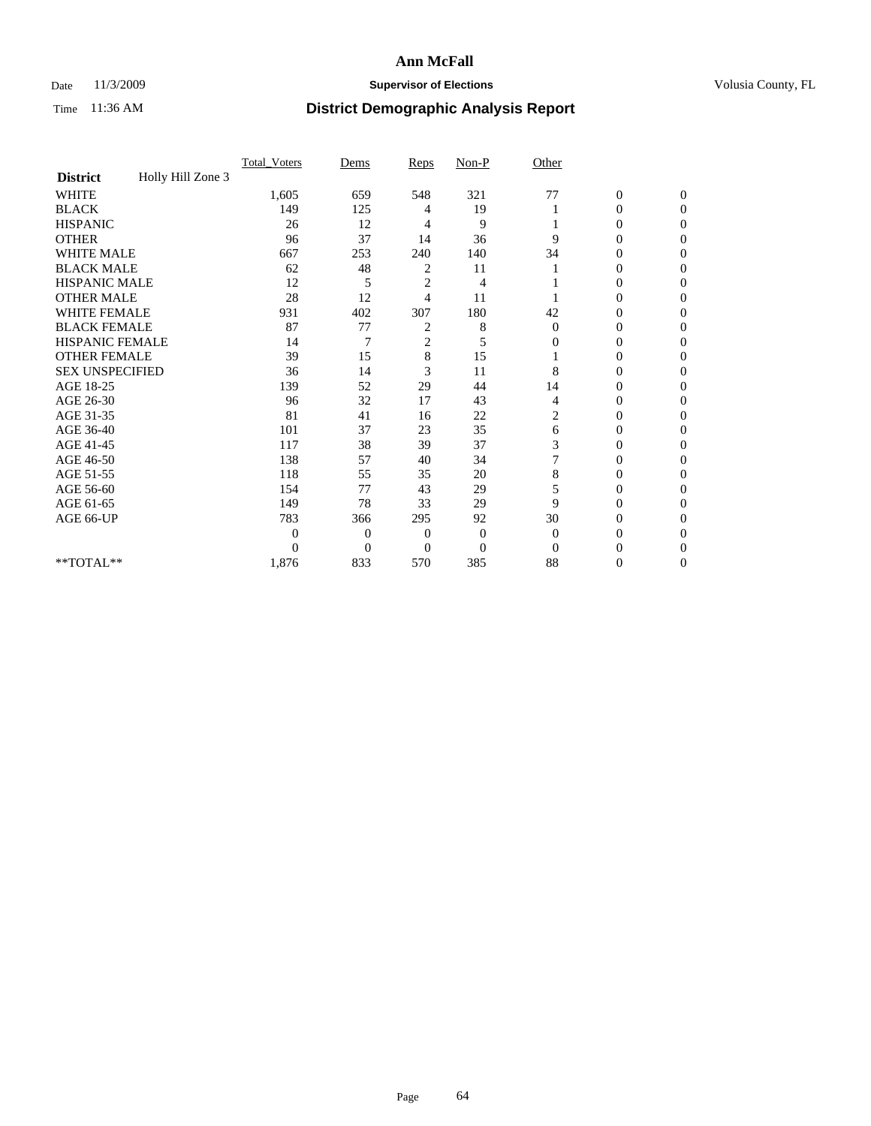## Date 11/3/2009 **Supervisor of Elections Supervisor of Elections** Volusia County, FL

|                        | Total Voters      | Dems           | Reps           | $Non-P$      | Other        |                  |                  |  |
|------------------------|-------------------|----------------|----------------|--------------|--------------|------------------|------------------|--|
| <b>District</b>        | Holly Hill Zone 3 |                |                |              |              |                  |                  |  |
| <b>WHITE</b>           | 1,605             | 659            | 548            | 321          | 77           | $\boldsymbol{0}$ | $\boldsymbol{0}$ |  |
| <b>BLACK</b>           | 149               | 125            | 4              | 19           |              | $\overline{0}$   | $\Omega$         |  |
| <b>HISPANIC</b>        | 26                | 12             | 4              | 9            |              | 0                | $\Omega$         |  |
| <b>OTHER</b>           | 96                | 37             | 14             | 36           | 9            | 0                | $\Omega$         |  |
| <b>WHITE MALE</b>      | 667               | 253            | 240            | 140          | 34           | 0                | $\Omega$         |  |
| <b>BLACK MALE</b>      | 62                | 48             | 2              | 11           |              | 0                | 0                |  |
| <b>HISPANIC MALE</b>   | 12                | 5              | $\overline{2}$ | 4            |              | 0                | 0                |  |
| <b>OTHER MALE</b>      | 28                | 12             | 4              | 11           |              | 0                | 0                |  |
| WHITE FEMALE           | 931               | 402            | 307            | 180          | 42           | 0                | $\Omega$         |  |
| <b>BLACK FEMALE</b>    | 87                | 77             | 2              | 8            | $\mathbf{0}$ | 0                | $\Omega$         |  |
| HISPANIC FEMALE        | 14                | 7              | $\overline{c}$ | 5            | 0            | 0                | 0                |  |
| <b>OTHER FEMALE</b>    | 39                | 15             | 8              | 15           |              | 0                | $\Omega$         |  |
| <b>SEX UNSPECIFIED</b> | 36                | 14             | 3              | 11           | 8            | 0                | 0                |  |
| AGE 18-25              | 139               | 52             | 29             | 44           | 14           | 0                | 0                |  |
| AGE 26-30              | 96                | 32             | 17             | 43           | 4            | 0                | $\Omega$         |  |
| AGE 31-35              | 81                | 41             | 16             | 22           | 2            | 0                | $\Omega$         |  |
| AGE 36-40              | 101               | 37             | 23             | 35           | 6            | 0                | 0                |  |
| AGE 41-45              | 117               | 38             | 39             | 37           | 3            | 0                | 0                |  |
| AGE 46-50              | 138               | 57             | 40             | 34           | 7            | $\overline{0}$   | $\Omega$         |  |
| AGE 51-55              | 118               | 55             | 35             | 20           | 8            | 0                | $\Omega$         |  |
| AGE 56-60              | 154               | 77             | 43             | 29           | 5            | 0                | 0                |  |
| AGE 61-65              | 149               | 78             | 33             | 29           | 9            | $\overline{0}$   | 0                |  |
| AGE 66-UP              | 783               | 366            | 295            | 92           | 30           | 0                | 0                |  |
|                        | $\overline{0}$    | $\overline{0}$ | 0              | $\mathbf{0}$ | $\mathbf{0}$ | 0                | 0                |  |
|                        | $\Omega$          | $\overline{0}$ | $\Omega$       | $\Omega$     | $\Omega$     | 0                | $\Omega$         |  |
| **TOTAL**              | 1,876             | 833            | 570            | 385          | 88           | 0                | $\overline{0}$   |  |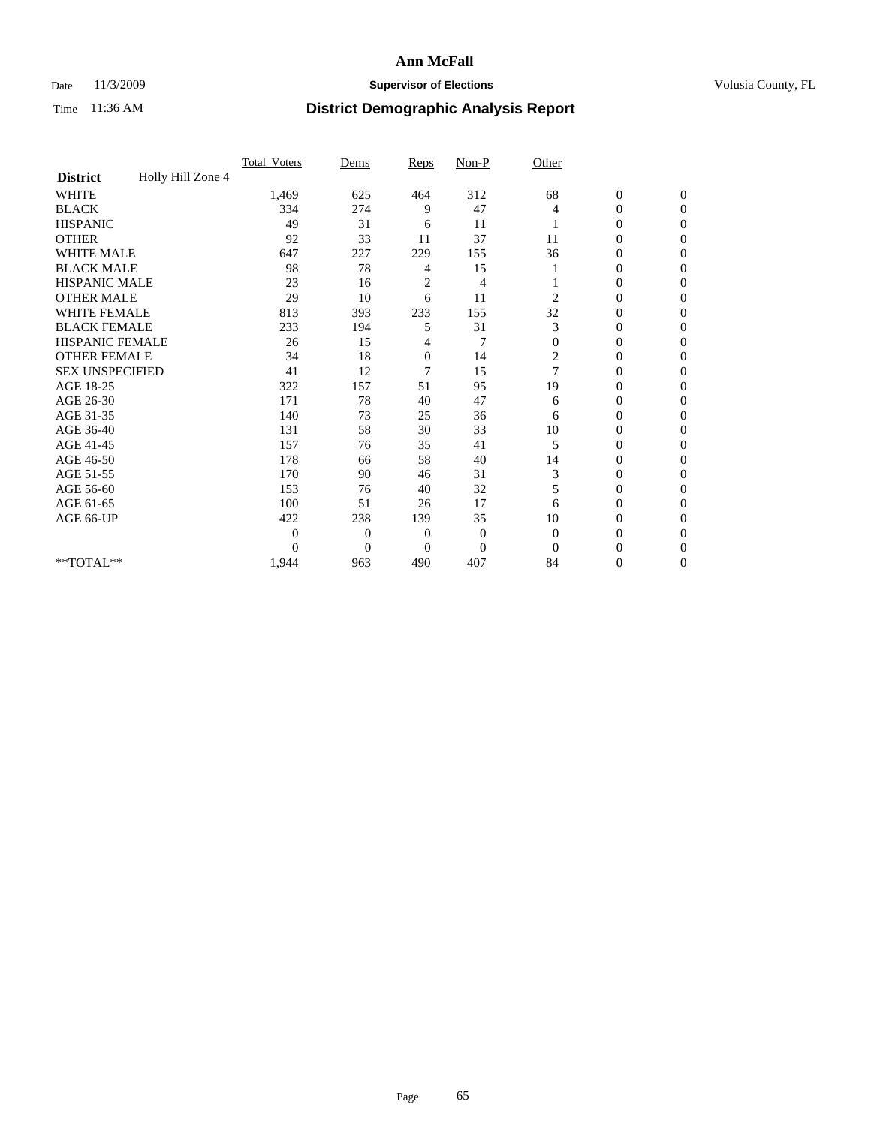## Date 11/3/2009 **Supervisor of Elections Supervisor of Elections** Volusia County, FL

|                        |                   | Total Voters   | Dems           | Reps           | $Non-P$        | Other          |                  |              |  |
|------------------------|-------------------|----------------|----------------|----------------|----------------|----------------|------------------|--------------|--|
| <b>District</b>        | Holly Hill Zone 4 |                |                |                |                |                |                  |              |  |
| <b>WHITE</b>           |                   | 1,469          | 625            | 464            | 312            | 68             | $\boldsymbol{0}$ | $\mathbf{0}$ |  |
| <b>BLACK</b>           |                   | 334            | 274            | 9              | 47             | 4              | $\overline{0}$   | $\mathbf{0}$ |  |
| <b>HISPANIC</b>        |                   | 49             | 31             | 6              | 11             |                | $\overline{0}$   | $\Omega$     |  |
| <b>OTHER</b>           |                   | 92             | 33             | 11             | 37             | 11             | 0                | $\Omega$     |  |
| <b>WHITE MALE</b>      |                   | 647            | 227            | 229            | 155            | 36             | 0                | $\Omega$     |  |
| <b>BLACK MALE</b>      |                   | 98             | 78             | 4              | 15             |                | $\mathbf{0}$     | $\Omega$     |  |
| HISPANIC MALE          |                   | 23             | 16             | $\overline{c}$ | 4              |                | $\boldsymbol{0}$ | $\Omega$     |  |
| <b>OTHER MALE</b>      |                   | 29             | 10             | 6              | 11             | 2              | 0                | 0            |  |
| <b>WHITE FEMALE</b>    |                   | 813            | 393            | 233            | 155            | 32             | 0                | $\Omega$     |  |
| <b>BLACK FEMALE</b>    |                   | 233            | 194            | 5              | 31             | 3              | $\overline{0}$   | $\mathbf{0}$ |  |
| <b>HISPANIC FEMALE</b> |                   | 26             | 15             | 4              | 7              | $\Omega$       | 0                | $\Omega$     |  |
| <b>OTHER FEMALE</b>    |                   | 34             | 18             | $\mathbf{0}$   | 14             | 2              | 0                | 0            |  |
| <b>SEX UNSPECIFIED</b> |                   | 41             | 12             | 7              | 15             | $\overline{7}$ | 0                | $\Omega$     |  |
| AGE 18-25              |                   | 322            | 157            | 51             | 95             | 19             | 0                | $\mathbf{0}$ |  |
| AGE 26-30              |                   | 171            | 78             | 40             | 47             | 6              | 0                | $\Omega$     |  |
| AGE 31-35              |                   | 140            | 73             | 25             | 36             | 6              | 0                | $\Omega$     |  |
| AGE 36-40              |                   | 131            | 58             | 30             | 33             | 10             | 0                | $\Omega$     |  |
| AGE 41-45              |                   | 157            | 76             | 35             | 41             | 5              | $\mathbf{0}$     | $\Omega$     |  |
| AGE 46-50              |                   | 178            | 66             | 58             | 40             | 14             | $\overline{0}$   | $\Omega$     |  |
| AGE 51-55              |                   | 170            | 90             | 46             | 31             | 3              | 0                | 0            |  |
| AGE 56-60              |                   | 153            | 76             | 40             | 32             | 5              | 0                | $\Omega$     |  |
| AGE 61-65              |                   | 100            | 51             | 26             | 17             | 6              | $\overline{0}$   | $\Omega$     |  |
| AGE 66-UP              |                   | 422            | 238            | 139            | 35             | 10             | 0                | 0            |  |
|                        |                   | $\overline{0}$ | $\overline{0}$ | $\mathbf{0}$   | $\mathbf{0}$   | $\Omega$       | 0                | $\Omega$     |  |
|                        |                   | $\theta$       | $\overline{0}$ | $\mathbf{0}$   | $\overline{0}$ | $\Omega$       | $\theta$         | $\Omega$     |  |
| **TOTAL**              |                   | 1,944          | 963            | 490            | 407            | 84             | 0                | $\mathbf{0}$ |  |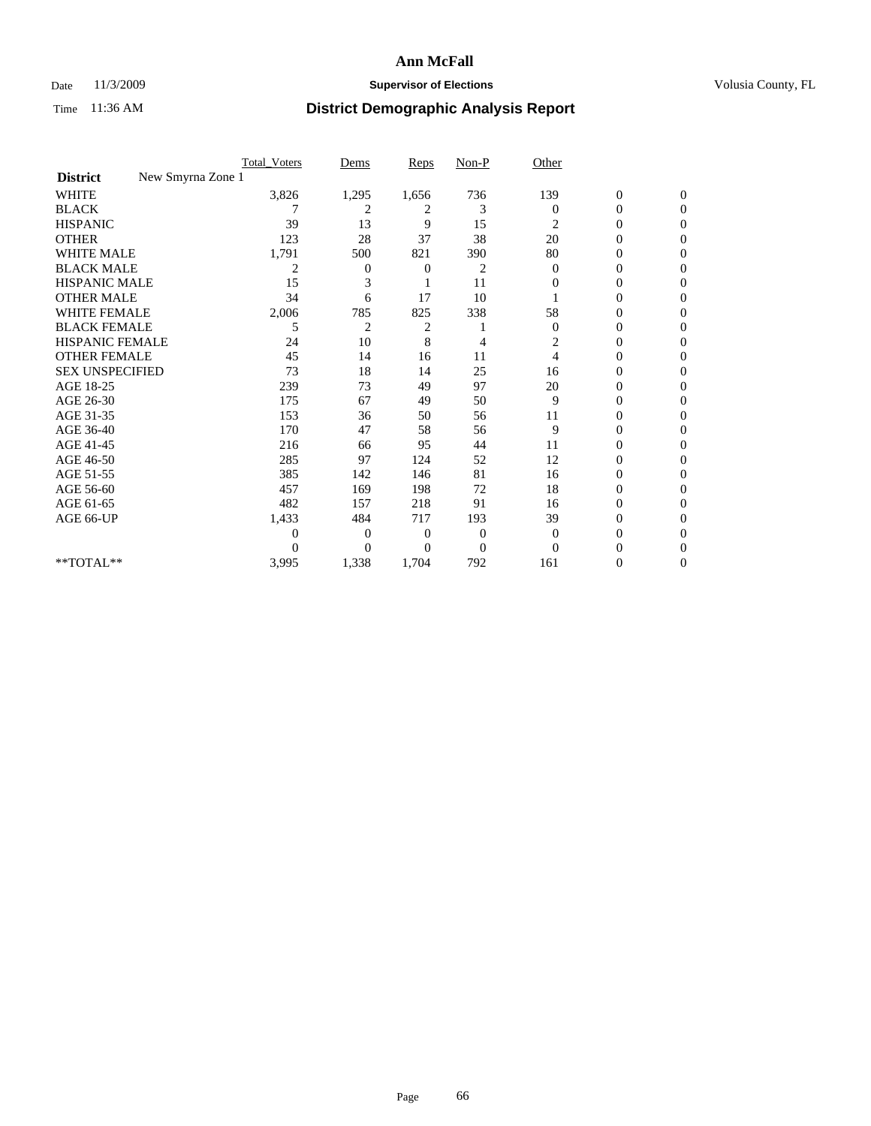## Date 11/3/2009 **Supervisor of Elections Supervisor of Elections** Volusia County, FL

|                                      | <b>Total_Voters</b> | Dems           | <b>Reps</b>    | $Non-P$        | Other          |                  |                |  |
|--------------------------------------|---------------------|----------------|----------------|----------------|----------------|------------------|----------------|--|
| New Smyrna Zone 1<br><b>District</b> |                     |                |                |                |                |                  |                |  |
| <b>WHITE</b>                         | 3,826               | 1,295          | 1,656          | 736            | 139            | $\boldsymbol{0}$ | $\mathbf{0}$   |  |
| <b>BLACK</b>                         |                     | 2              | 2              | 3              | $\Omega$       | $\boldsymbol{0}$ | $\mathbf{0}$   |  |
| <b>HISPANIC</b>                      | 39                  | 13             | 9              | 15             | 2              | 0                | $\Omega$       |  |
| <b>OTHER</b>                         | 123                 | 28             | 37             | 38             | 20             | 0                | $\Omega$       |  |
| <b>WHITE MALE</b>                    | 1,791               | 500            | 821            | 390            | 80             | 0                | 0              |  |
| <b>BLACK MALE</b>                    | 2                   | 0              | 0              | 2              | $\Omega$       | $\overline{0}$   | $\Omega$       |  |
| HISPANIC MALE                        | 15                  | 3              |                | 11             | 0              | 0                | $\Omega$       |  |
| <b>OTHER MALE</b>                    | 34                  | 6              | 17             | 10             |                | 0                | 0              |  |
| <b>WHITE FEMALE</b>                  | 2,006               | 785            | 825            | 338            | 58             | 0                | $\Omega$       |  |
| <b>BLACK FEMALE</b>                  | 5                   | $\overline{2}$ | 2              |                | $\mathbf{0}$   | $\overline{0}$   | $\overline{0}$ |  |
| <b>HISPANIC FEMALE</b>               | 24                  | 10             | 8              | 4              | 2              | 0                | 0              |  |
| <b>OTHER FEMALE</b>                  | 45                  | 14             | 16             | 11             | $\overline{4}$ | 0                | 0              |  |
| <b>SEX UNSPECIFIED</b>               | 73                  | 18             | 14             | 25             | 16             | 0                | $\Omega$       |  |
| AGE 18-25                            | 239                 | 73             | 49             | 97             | 20             | 0                | $\mathbf{0}$   |  |
| AGE 26-30                            | 175                 | 67             | 49             | 50             | 9              | 0                | $\Omega$       |  |
| AGE 31-35                            | 153                 | 36             | 50             | 56             | 11             | 0                | $\Omega$       |  |
| AGE 36-40                            | 170                 | 47             | 58             | 56             | 9              | 0                | 0              |  |
| AGE 41-45                            | 216                 | 66             | 95             | 44             | 11             | 0                | $\Omega$       |  |
| AGE 46-50                            | 285                 | 97             | 124            | 52             | 12             | $\overline{0}$   | $\Omega$       |  |
| AGE 51-55                            | 385                 | 142            | 146            | 81             | 16             | 0                | 0              |  |
| AGE 56-60                            | 457                 | 169            | 198            | 72             | 18             | 0                | $\Omega$       |  |
| AGE 61-65                            | 482                 | 157            | 218            | 91             | 16             | 0                | $\Omega$       |  |
| AGE 66-UP                            | 1,433               | 484            | 717            | 193            | 39             | 0                | 0              |  |
|                                      | 0                   | $\overline{0}$ | $\mathbf{0}$   | $\mathbf{0}$   | $\overline{0}$ | 0                | $\Omega$       |  |
|                                      | $\theta$            | $\overline{0}$ | $\overline{0}$ | $\overline{0}$ | $\Omega$       | 0                | $\Omega$       |  |
| **TOTAL**                            | 3,995               | 1,338          | 1,704          | 792            | 161            | 0                | 0              |  |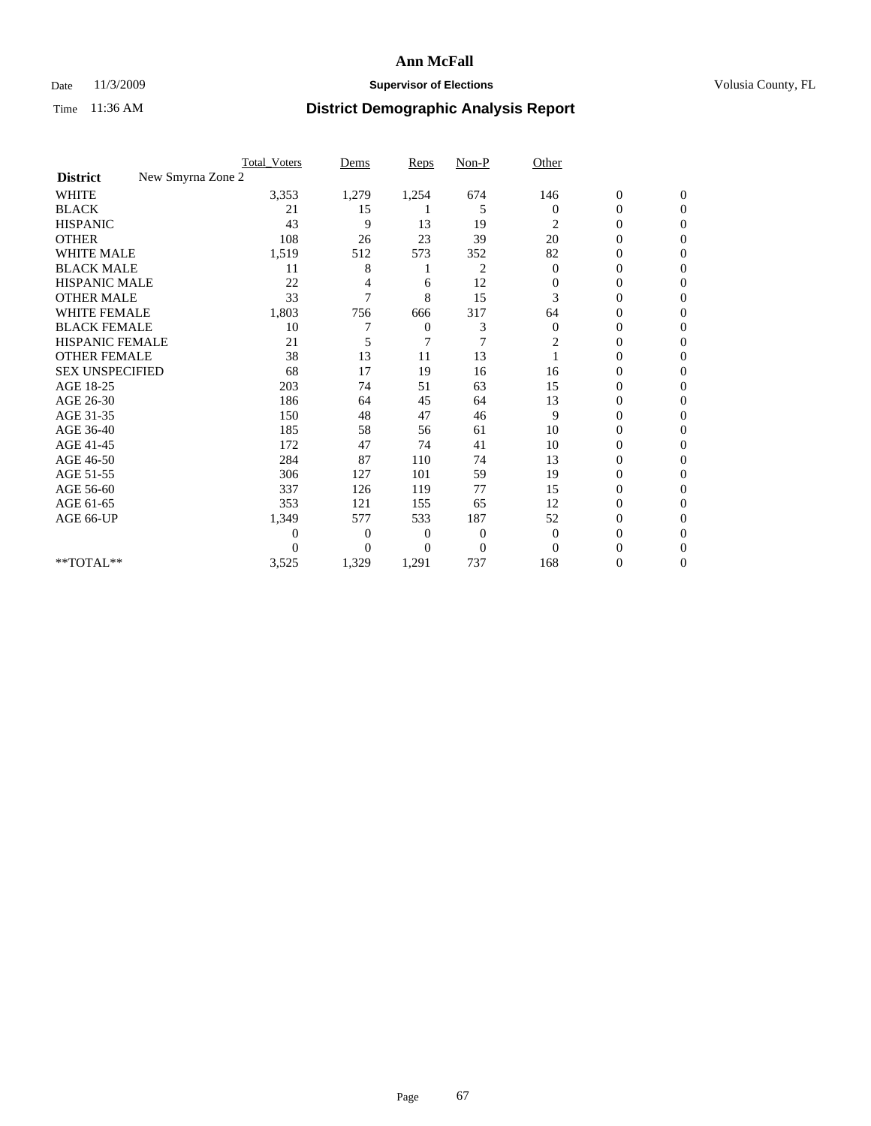## Date 11/3/2009 **Supervisor of Elections Supervisor of Elections** Volusia County, FL

|                        | <b>Total_Voters</b> | Dems           | <b>Reps</b> | $Non-P$        | Other          |                  |                  |  |
|------------------------|---------------------|----------------|-------------|----------------|----------------|------------------|------------------|--|
| <b>District</b>        | New Smyrna Zone 2   |                |             |                |                |                  |                  |  |
| <b>WHITE</b>           | 3,353               | 1,279          | 1,254       | 674            | 146            | $\boldsymbol{0}$ | $\boldsymbol{0}$ |  |
| <b>BLACK</b>           | 21                  | 15             |             | 5              | $\Omega$       | $\boldsymbol{0}$ | $\Omega$         |  |
| <b>HISPANIC</b>        | 43                  | 9              | 13          | 19             | 2              | 0                | $\Omega$         |  |
| <b>OTHER</b>           | 108                 | 26             | 23          | 39             | 20             | 0                | $\Omega$         |  |
| <b>WHITE MALE</b>      | 1,519               | 512            | 573         | 352            | 82             | $\mathbf{0}$     | $\mathbf{0}$     |  |
| <b>BLACK MALE</b>      | 11                  | 8              |             | 2              | $\bf{0}$       | 0                | $\Omega$         |  |
| <b>HISPANIC MALE</b>   | 22                  |                | 6           | 12             | 0              | 0                | 0                |  |
| <b>OTHER MALE</b>      | 33                  | 7              | 8           | 15             | 3              | 0                | 0                |  |
| WHITE FEMALE           | 1,803               | 756            | 666         | 317            | 64             | 0                | $\Omega$         |  |
| <b>BLACK FEMALE</b>    | 10                  |                | 0           | 3              | $\mathbf{0}$   | 0                | $\Omega$         |  |
| <b>HISPANIC FEMALE</b> | 21                  | 5              | 7           | 7              | $\overline{c}$ | 0                | $\Omega$         |  |
| <b>OTHER FEMALE</b>    | 38                  | 13             | 11          | 13             |                | 0                | $\Omega$         |  |
| <b>SEX UNSPECIFIED</b> | 68                  | 17             | 19          | 16             | 16             | 0                | $\Omega$         |  |
| AGE 18-25              | 203                 | 74             | 51          | 63             | 15             | 0                | 0                |  |
| AGE 26-30              | 186                 | 64             | 45          | 64             | 13             | 0                | $\Omega$         |  |
| AGE 31-35              | 150                 | 48             | 47          | 46             | 9              | $\boldsymbol{0}$ | $\Omega$         |  |
| AGE 36-40              | 185                 | 58             | 56          | 61             | 10             | 0                | 0                |  |
| AGE 41-45              | 172                 | 47             | 74          | 41             | 10             | 0                | $\Omega$         |  |
| AGE 46-50              | 284                 | 87             | 110         | 74             | 13             | 0                | $\Omega$         |  |
| AGE 51-55              | 306                 | 127            | 101         | 59             | 19             | 0                | $\mathbf{0}$     |  |
| AGE 56-60              | 337                 | 126            | 119         | 77             | 15             | 0                | 0                |  |
| AGE 61-65              | 353                 | 121            | 155         | 65             | 12             | 0                | $\Omega$         |  |
| AGE 66-UP              | 1,349               | 577            | 533         | 187            | 52             | 0                | 0                |  |
|                        | 0                   | 0              | 0           | 0              | $\mathbf{0}$   | 0                | $\Omega$         |  |
|                        | $\theta$            | $\overline{0}$ | $\Omega$    | $\overline{0}$ | $\Omega$       | 0                | $\Omega$         |  |
| **TOTAL**              | 3,525               | 1,329          | 1,291       | 737            | 168            | 0                | $\mathbf{0}$     |  |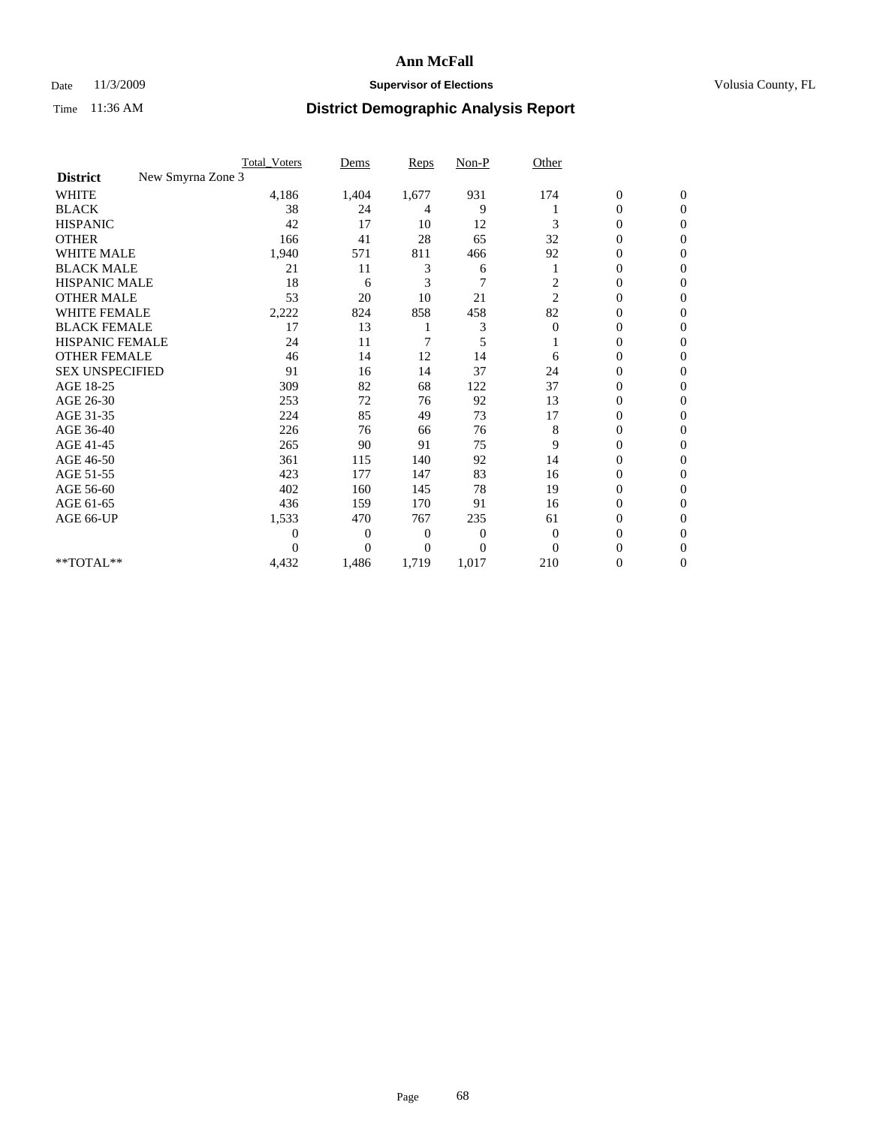## Date 11/3/2009 **Supervisor of Elections Supervisor of Elections** Volusia County, FL

|                                      | <b>Total_Voters</b> | Dems           | <b>Reps</b> | $Non-P$        | Other          |                  |                  |  |
|--------------------------------------|---------------------|----------------|-------------|----------------|----------------|------------------|------------------|--|
| New Smyrna Zone 3<br><b>District</b> |                     |                |             |                |                |                  |                  |  |
| <b>WHITE</b>                         | 4,186               | 1,404          | 1,677       | 931            | 174            | $\boldsymbol{0}$ | $\boldsymbol{0}$ |  |
| <b>BLACK</b>                         | 38                  | 24             | 4           | 9              |                | $\boldsymbol{0}$ | $\Omega$         |  |
| <b>HISPANIC</b>                      | 42                  | 17             | 10          | 12             | 3              | $\overline{0}$   | $\Omega$         |  |
| <b>OTHER</b>                         | 166                 | 41             | 28          | 65             | 32             | 0                | $\Omega$         |  |
| <b>WHITE MALE</b>                    | 1,940               | 571            | 811         | 466            | 92             | $\mathbf{0}$     | $\mathbf{0}$     |  |
| <b>BLACK MALE</b>                    | 21                  | 11             | 3           | 6              |                | $\mathbf{0}$     | $\Omega$         |  |
| <b>HISPANIC MALE</b>                 | 18                  | 6              | 3           | $\overline{7}$ | $\overline{c}$ | 0                | $\Omega$         |  |
| <b>OTHER MALE</b>                    | 53                  | 20             | 10          | 21             | $\overline{2}$ | 0                | 0                |  |
| WHITE FEMALE                         | 2,222               | 824            | 858         | 458            | 82             | 0                | $\mathbf{0}$     |  |
| <b>BLACK FEMALE</b>                  | 17                  | 13             |             | 3              | $\mathbf{0}$   | $\boldsymbol{0}$ | $\Omega$         |  |
| <b>HISPANIC FEMALE</b>               | 24                  | 11             | 7           | 5              |                | 0                | $\mathbf{0}$     |  |
| <b>OTHER FEMALE</b>                  | 46                  | 14             | 12          | 14             | 6              | 0                | $\Omega$         |  |
| <b>SEX UNSPECIFIED</b>               | 91                  | 16             | 14          | 37             | 24             | $\overline{0}$   | $\mathbf{0}$     |  |
| AGE 18-25                            | 309                 | 82             | 68          | 122            | 37             | 0                | $\Omega$         |  |
| AGE 26-30                            | 253                 | 72             | 76          | 92             | 13             | $\overline{0}$   | $\Omega$         |  |
| AGE 31-35                            | 224                 | 85             | 49          | 73             | 17             | $\boldsymbol{0}$ | $\Omega$         |  |
| AGE 36-40                            | 226                 | 76             | 66          | 76             | 8              | 0                | 0                |  |
| AGE 41-45                            | 265                 | 90             | 91          | 75             | 9              | 0                | $\Omega$         |  |
| AGE 46-50                            | 361                 | 115            | 140         | 92             | 14             | 0                | $\Omega$         |  |
| AGE 51-55                            | 423                 | 177            | 147         | 83             | 16             | 0                | $\mathbf{0}$     |  |
| AGE 56-60                            | 402                 | 160            | 145         | 78             | 19             | $\mathbf{0}$     | 0                |  |
| AGE 61-65                            | 436                 | 159            | 170         | 91             | 16             | 0                | $\mathbf{0}$     |  |
| AGE 66-UP                            | 1,533               | 470            | 767         | 235            | 61             | 0                | 0                |  |
|                                      | 0                   | 0              | 0           | 0              | $\overline{0}$ | 0                | $\Omega$         |  |
|                                      | $\theta$            | $\overline{0}$ | $\Omega$    | $\Omega$       | $\Omega$       | 0                | $\Omega$         |  |
| **TOTAL**                            | 4,432               | 1,486          | 1,719       | 1,017          | 210            | 0                | $\mathbf{0}$     |  |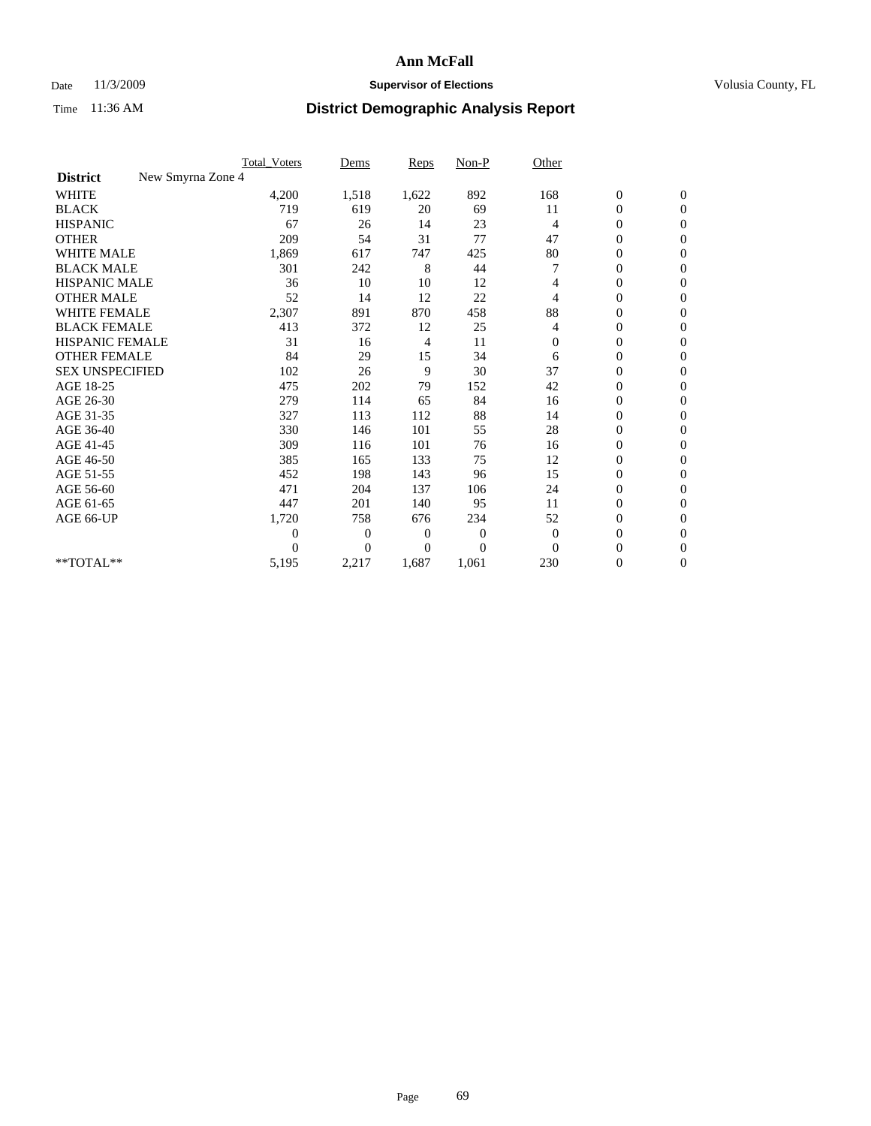## Date 11/3/2009 **Supervisor of Elections Supervisor of Elections** Volusia County, FL

|                                      | <b>Total_Voters</b> | Dems           | <b>Reps</b> | $Non-P$      | Other          |                  |                  |  |
|--------------------------------------|---------------------|----------------|-------------|--------------|----------------|------------------|------------------|--|
| New Smyrna Zone 4<br><b>District</b> |                     |                |             |              |                |                  |                  |  |
| <b>WHITE</b>                         | 4,200               | 1,518          | 1,622       | 892          | 168            | $\boldsymbol{0}$ | $\boldsymbol{0}$ |  |
| <b>BLACK</b>                         | 719                 | 619            | 20          | 69           | 11             | $\boldsymbol{0}$ | $\mathbf{0}$     |  |
| <b>HISPANIC</b>                      | 67                  | 26             | 14          | 23           | $\overline{4}$ | $\overline{0}$   | $\mathbf{0}$     |  |
| <b>OTHER</b>                         | 209                 | 54             | 31          | 77           | 47             | $\boldsymbol{0}$ | $\Omega$         |  |
| <b>WHITE MALE</b>                    | 1,869               | 617            | 747         | 425          | 80             | $\boldsymbol{0}$ | $\mathbf{0}$     |  |
| <b>BLACK MALE</b>                    | 301                 | 242            | 8           | 44           |                | $\overline{0}$   | $\mathbf{0}$     |  |
| <b>HISPANIC MALE</b>                 | 36                  | 10             | 10          | 12           | 4              | $\boldsymbol{0}$ | $\mathbf{0}$     |  |
| <b>OTHER MALE</b>                    | 52                  | 14             | 12          | 22           | 4              | 0                | $\mathbf{0}$     |  |
| WHITE FEMALE                         | 2,307               | 891            | 870         | 458          | 88             | $\overline{0}$   | $\mathbf{0}$     |  |
| <b>BLACK FEMALE</b>                  | 413                 | 372            | 12          | 25           | 4              | $\boldsymbol{0}$ | $\mathbf{0}$     |  |
| <b>HISPANIC FEMALE</b>               | 31                  | 16             | 4           | 11           | $\mathbf{0}$   | $\overline{0}$   | $\mathbf{0}$     |  |
| <b>OTHER FEMALE</b>                  | 84                  | 29             | 15          | 34           | 6              | $\mathbf{0}$     | $\Omega$         |  |
| <b>SEX UNSPECIFIED</b>               | 102                 | 26             | 9           | 30           | 37             | $\overline{0}$   | $\mathbf{0}$     |  |
| AGE 18-25                            | 475                 | 202            | 79          | 152          | 42             | $\mathbf{0}$     | $\mathbf{0}$     |  |
| AGE 26-30                            | 279                 | 114            | 65          | 84           | 16             | $\overline{0}$   | $\mathbf{0}$     |  |
| AGE 31-35                            | 327                 | 113            | 112         | 88           | 14             | $\boldsymbol{0}$ | $\mathbf{0}$     |  |
| AGE 36-40                            | 330                 | 146            | 101         | 55           | 28             | 0                | $\mathbf{0}$     |  |
| AGE 41-45                            | 309                 | 116            | 101         | 76           | 16             | $\overline{0}$   | $\mathbf{0}$     |  |
| AGE 46-50                            | 385                 | 165            | 133         | 75           | 12             | $\boldsymbol{0}$ | $\mathbf{0}$     |  |
| AGE 51-55                            | 452                 | 198            | 143         | 96           | 15             | $\boldsymbol{0}$ | $\mathbf{0}$     |  |
| AGE 56-60                            | 471                 | 204            | 137         | 106          | 24             | $\overline{0}$   | $\Omega$         |  |
| AGE 61-65                            | 447                 | 201            | 140         | 95           | 11             | $\overline{0}$   | $\mathbf{0}$     |  |
| AGE 66-UP                            | 1,720               | 758            | 676         | 234          | 52             | $\boldsymbol{0}$ | $\mathbf{0}$     |  |
|                                      | $\overline{0}$      | $\overline{0}$ | 0           | $\mathbf{0}$ | $\theta$       | $\overline{0}$   | $\mathbf{0}$     |  |
|                                      | $\theta$            | $\Omega$       | $\Omega$    | $\theta$     | $\Omega$       | $\boldsymbol{0}$ | $\mathbf{0}$     |  |
| **TOTAL**                            | 5,195               | 2,217          | 1,687       | 1,061        | 230            | 0                | $\mathbf{0}$     |  |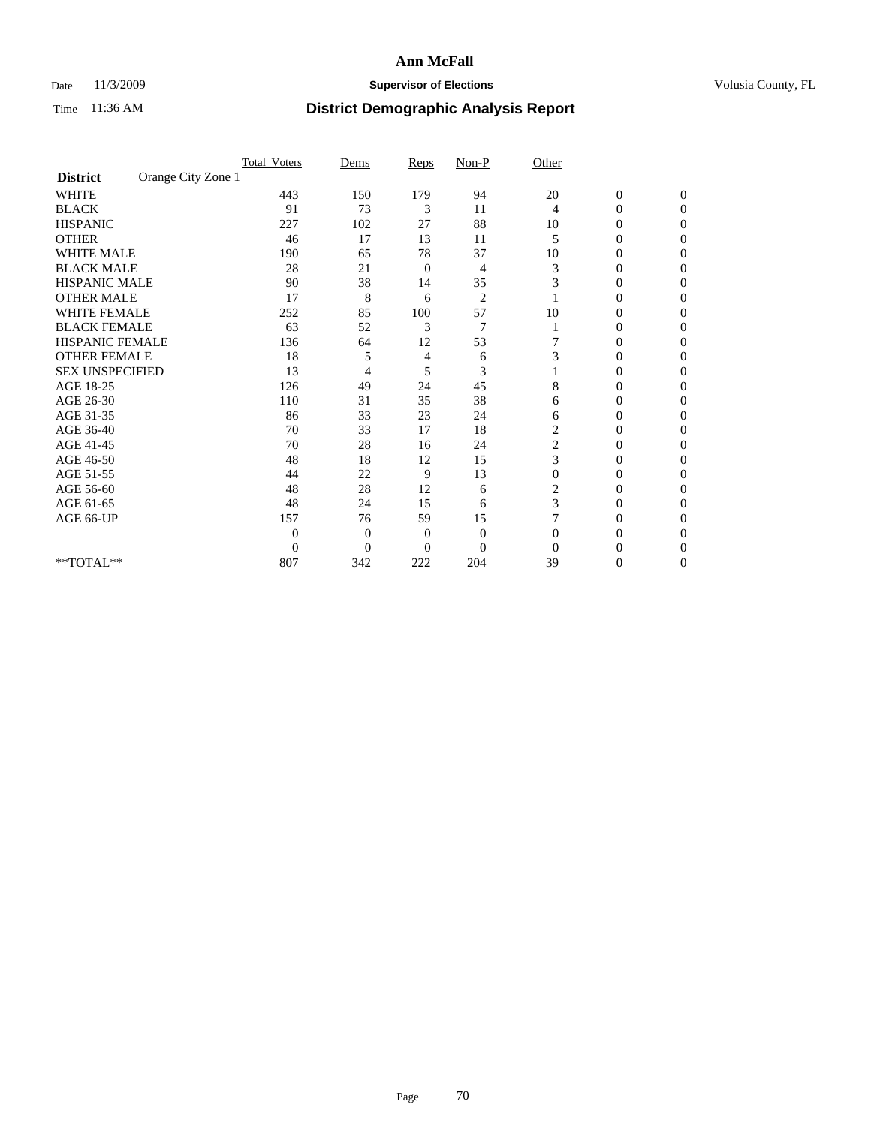## Date 11/3/2009 **Supervisor of Elections Supervisor of Elections** Volusia County, FL

|                        |                    | <b>Total_Voters</b> | Dems           | Reps           | $Non-P$        | Other    |                  |              |  |
|------------------------|--------------------|---------------------|----------------|----------------|----------------|----------|------------------|--------------|--|
| <b>District</b>        | Orange City Zone 1 |                     |                |                |                |          |                  |              |  |
| <b>WHITE</b>           |                    | 443                 | 150            | 179            | 94             | 20       | $\boldsymbol{0}$ | $\mathbf{0}$ |  |
| <b>BLACK</b>           |                    | 91                  | 73             | 3              | 11             | 4        | $\overline{0}$   | $\Omega$     |  |
| <b>HISPANIC</b>        |                    | 227                 | 102            | 27             | 88             | 10       | 0                | $\Omega$     |  |
| <b>OTHER</b>           |                    | 46                  | 17             | 13             | 11             | 5        | 0                | $\Omega$     |  |
| <b>WHITE MALE</b>      |                    | 190                 | 65             | 78             | 37             | 10       | 0                | 0            |  |
| <b>BLACK MALE</b>      |                    | 28                  | 21             | $\mathbf{0}$   | 4              | 3        | 0                | $\Omega$     |  |
| HISPANIC MALE          |                    | 90                  | 38             | 14             | 35             | 3        | 0                | $\Omega$     |  |
| <b>OTHER MALE</b>      |                    | 17                  | 8              | 6              | $\overline{2}$ |          | 0                | 0            |  |
| <b>WHITE FEMALE</b>    |                    | 252                 | 85             | 100            | 57             | 10       | 0                | $\Omega$     |  |
| <b>BLACK FEMALE</b>    |                    | 63                  | 52             | 3              | $\overline{7}$ |          | 0                | 0            |  |
| <b>HISPANIC FEMALE</b> |                    | 136                 | 64             | 12             | 53             |          | 0                | 0            |  |
| <b>OTHER FEMALE</b>    |                    | 18                  | 5              | 4              | 6              | 3        | 0                | 0            |  |
| <b>SEX UNSPECIFIED</b> |                    | 13                  | 4              | 5              | 3              |          | 0                | $\Omega$     |  |
| AGE 18-25              |                    | 126                 | 49             | 24             | 45             | 8        | 0                | $\Omega$     |  |
| AGE 26-30              |                    | 110                 | 31             | 35             | 38             | 6        | 0                | 0            |  |
| AGE 31-35              |                    | 86                  | 33             | 23             | 24             | 6        | 0                | $\Omega$     |  |
| AGE 36-40              |                    | 70                  | 33             | 17             | 18             | 2        | 0                | 0            |  |
| AGE 41-45              |                    | 70                  | 28             | 16             | 24             | 2        | 0                | $\Omega$     |  |
| AGE 46-50              |                    | 48                  | 18             | 12             | 15             | 3        | 0                | $\Omega$     |  |
| AGE 51-55              |                    | 44                  | 22             | 9              | 13             | $\theta$ | 0                | 0            |  |
| AGE 56-60              |                    | 48                  | 28             | 12             | 6              | 2        | 0                | 0            |  |
| AGE 61-65              |                    | 48                  | 24             | 15             | 6              | 3        | $\overline{0}$   | 0            |  |
| AGE 66-UP              |                    | 157                 | 76             | 59             | 15             |          | 0                | 0            |  |
|                        |                    | $\theta$            | $\overline{0}$ | $\mathbf{0}$   | $\mathbf{0}$   | $\Omega$ | 0                | 0            |  |
|                        |                    | $\boldsymbol{0}$    | $\overline{0}$ | $\overline{0}$ | $\overline{0}$ | $\Omega$ |                  | 0            |  |
| **TOTAL**              |                    | 807                 | 342            | 222            | 204            | 39       | 0                | 0            |  |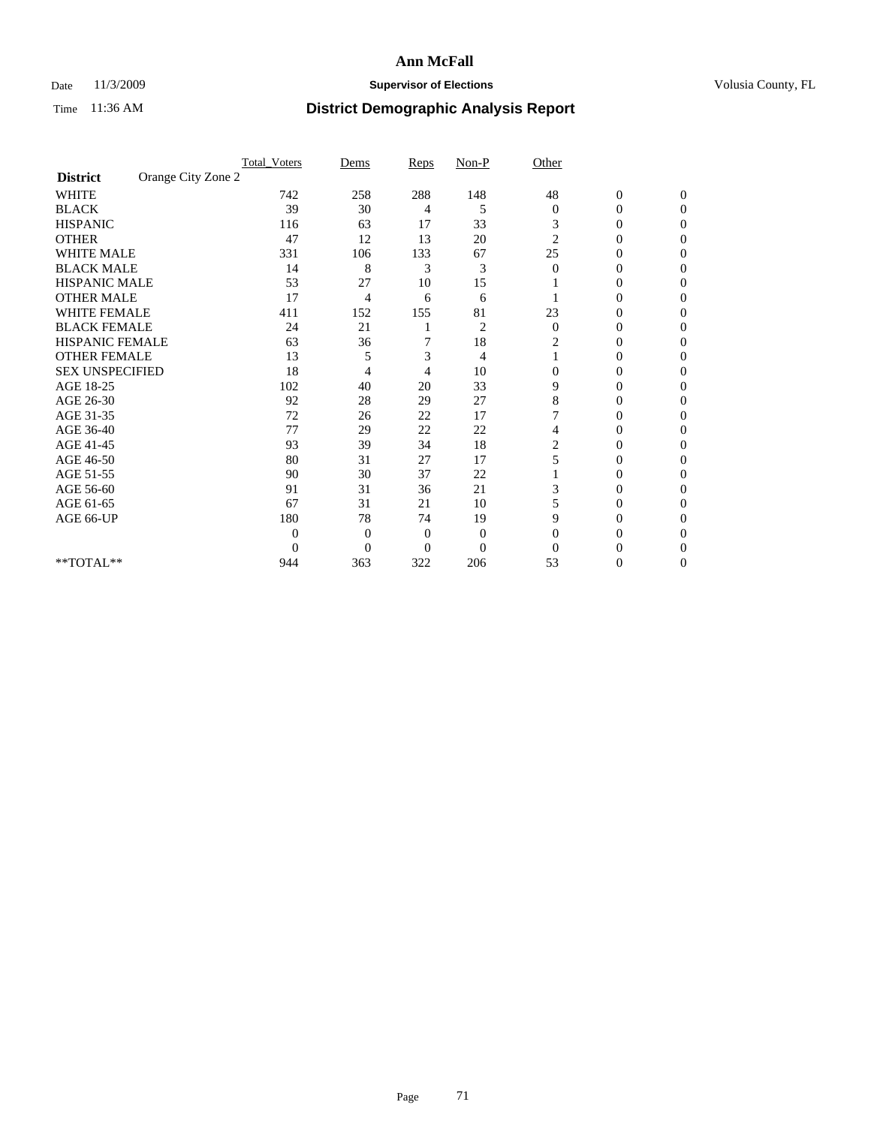## Date 11/3/2009 **Supervisor of Elections Supervisor of Elections** Volusia County, FL

|                        |                    | <b>Total_Voters</b> | Dems           | Reps           | $Non-P$        | Other          |                  |              |  |
|------------------------|--------------------|---------------------|----------------|----------------|----------------|----------------|------------------|--------------|--|
| <b>District</b>        | Orange City Zone 2 |                     |                |                |                |                |                  |              |  |
| <b>WHITE</b>           |                    | 742                 | 258            | 288            | 148            | 48             | $\boldsymbol{0}$ | $\mathbf{0}$ |  |
| <b>BLACK</b>           |                    | 39                  | 30             | 4              | 5              | $\mathbf{0}$   | $\overline{0}$   | $\Omega$     |  |
| <b>HISPANIC</b>        |                    | 116                 | 63             | 17             | 33             | 3              | 0                | $\Omega$     |  |
| <b>OTHER</b>           |                    | 47                  | 12             | 13             | 20             | $\overline{c}$ | 0                | $\Omega$     |  |
| <b>WHITE MALE</b>      |                    | 331                 | 106            | 133            | 67             | 25             | 0                | 0            |  |
| <b>BLACK MALE</b>      |                    | 14                  | 8              | 3              | 3              | $\Omega$       | 0                | $\Omega$     |  |
| HISPANIC MALE          |                    | 53                  | 27             | 10             | 15             |                | 0                | $\Omega$     |  |
| <b>OTHER MALE</b>      |                    | 17                  | 4              | 6              | 6              |                | 0                | 0            |  |
| <b>WHITE FEMALE</b>    |                    | 411                 | 152            | 155            | 81             | 23             | 0                | $\Omega$     |  |
| <b>BLACK FEMALE</b>    |                    | 24                  | 21             |                | $\overline{c}$ | $\mathbf{0}$   | $\overline{0}$   | 0            |  |
| <b>HISPANIC FEMALE</b> |                    | 63                  | 36             | 7              | 18             | 2              | 0                | 0            |  |
| <b>OTHER FEMALE</b>    |                    | 13                  | 5              | 3              | 4              |                | 0                | 0            |  |
| <b>SEX UNSPECIFIED</b> |                    | 18                  | 4              | 4              | 10             | $\overline{0}$ | 0                | $\Omega$     |  |
| AGE 18-25              |                    | 102                 | 40             | 20             | 33             | 9              | 0                | $\Omega$     |  |
| AGE 26-30              |                    | 92                  | 28             | 29             | 27             | 8              | 0                | 0            |  |
| AGE 31-35              |                    | 72                  | 26             | 22             | 17             |                | 0                | $\Omega$     |  |
| AGE 36-40              |                    | 77                  | 29             | 22             | 22             | 4              | 0                | 0            |  |
| AGE 41-45              |                    | 93                  | 39             | 34             | 18             | 2              | 0                | $\Omega$     |  |
| AGE 46-50              |                    | 80                  | 31             | 27             | 17             | 5              | 0                | $\Omega$     |  |
| AGE 51-55              |                    | 90                  | 30             | 37             | 22             |                | 0                | 0            |  |
| AGE 56-60              |                    | 91                  | 31             | 36             | 21             | 3              | 0                | 0            |  |
| AGE 61-65              |                    | 67                  | 31             | 21             | 10             | 5              | $\overline{0}$   | 0            |  |
| AGE 66-UP              |                    | 180                 | 78             | 74             | 19             | 9              | 0                | 0            |  |
|                        |                    | $\theta$            | $\overline{0}$ | $\overline{0}$ | $\overline{0}$ | $\Omega$       | 0                | 0            |  |
|                        |                    | $\theta$            | $\overline{0}$ | $\overline{0}$ | $\overline{0}$ | $\Omega$       |                  | 0            |  |
| **TOTAL**              |                    | 944                 | 363            | 322            | 206            | 53             | 0                | 0            |  |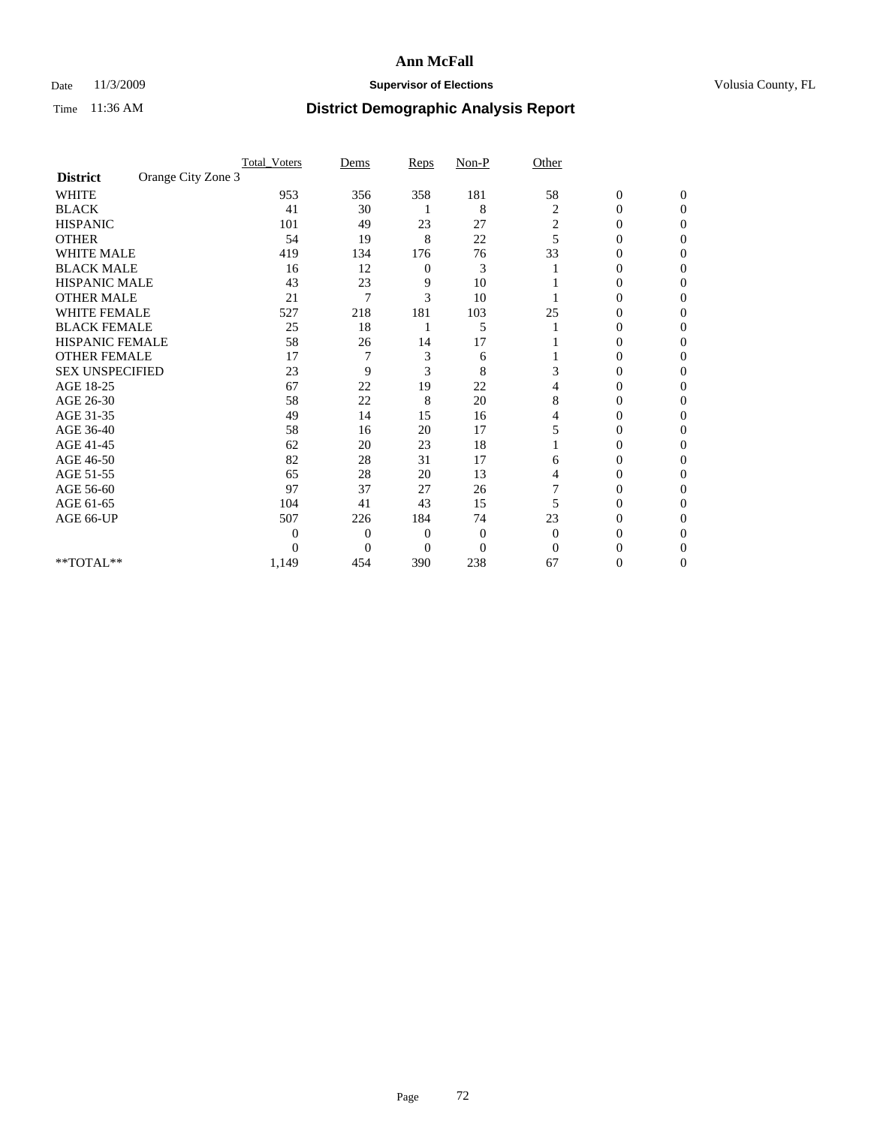## Date 11/3/2009 **Supervisor of Elections Supervisor of Elections** Volusia County, FL

|                        |                    | <b>Total_Voters</b> | Dems           | Reps           | $Non-P$        | Other    |                  |              |  |
|------------------------|--------------------|---------------------|----------------|----------------|----------------|----------|------------------|--------------|--|
| <b>District</b>        | Orange City Zone 3 |                     |                |                |                |          |                  |              |  |
| <b>WHITE</b>           |                    | 953                 | 356            | 358            | 181            | 58       | $\boldsymbol{0}$ | $\mathbf{0}$ |  |
| <b>BLACK</b>           |                    | 41                  | 30             |                | 8              | 2        | $\overline{0}$   | $\Omega$     |  |
| <b>HISPANIC</b>        |                    | 101                 | 49             | 23             | 27             | 2        | 0                | $\Omega$     |  |
| <b>OTHER</b>           |                    | 54                  | 19             | 8              | 22             | 5        | 0                | 0            |  |
| <b>WHITE MALE</b>      |                    | 419                 | 134            | 176            | 76             | 33       | $\theta$         | 0            |  |
| <b>BLACK MALE</b>      |                    | 16                  | 12             | 0              | 3              |          | 0                | $\Omega$     |  |
| HISPANIC MALE          |                    | 43                  | 23             | 9              | 10             |          | 0                | $\Omega$     |  |
| <b>OTHER MALE</b>      |                    | 21                  | 7              | 3              | 10             |          | 0                | 0            |  |
| <b>WHITE FEMALE</b>    |                    | 527                 | 218            | 181            | 103            | 25       | 0                | $\Omega$     |  |
| <b>BLACK FEMALE</b>    |                    | 25                  | 18             |                | 5              |          | 0                | 0            |  |
| <b>HISPANIC FEMALE</b> |                    | 58                  | 26             | 14             | 17             |          | 0                | 0            |  |
| <b>OTHER FEMALE</b>    |                    | 17                  |                | 3              | 6              |          | 0                | 0            |  |
| <b>SEX UNSPECIFIED</b> |                    | 23                  | 9              | 3              | 8              | 3        | 0                | 0            |  |
| AGE 18-25              |                    | 67                  | 22             | 19             | 22             | 4        | 0                | $\Omega$     |  |
| AGE 26-30              |                    | 58                  | 22             | 8              | 20             | 8        | 0                | 0            |  |
| AGE 31-35              |                    | 49                  | 14             | 15             | 16             | 4        | 0                | 0            |  |
| AGE 36-40              |                    | 58                  | 16             | 20             | 17             | 5        | 0                | 0            |  |
| AGE 41-45              |                    | 62                  | 20             | 23             | 18             |          | 0                | $\Omega$     |  |
| AGE 46-50              |                    | 82                  | 28             | 31             | 17             | 6        | 0                | $\Omega$     |  |
| AGE 51-55              |                    | 65                  | 28             | 20             | 13             | 4        | 0                | 0            |  |
| AGE 56-60              |                    | 97                  | 37             | 27             | 26             |          | 0                | 0            |  |
| AGE 61-65              |                    | 104                 | 41             | 43             | 15             | 5        | $\overline{0}$   | 0            |  |
| AGE 66-UP              |                    | 507                 | 226            | 184            | 74             | 23       | 0                | 0            |  |
|                        |                    | $\theta$            | $\overline{0}$ | $\overline{0}$ | $\mathbf{0}$   | $\Omega$ | 0                | 0            |  |
|                        |                    | 0                   | $\overline{0}$ | $\overline{0}$ | $\overline{0}$ | $\Omega$ |                  | 0            |  |
| **TOTAL**              |                    | 1,149               | 454            | 390            | 238            | 67       | 0                | 0            |  |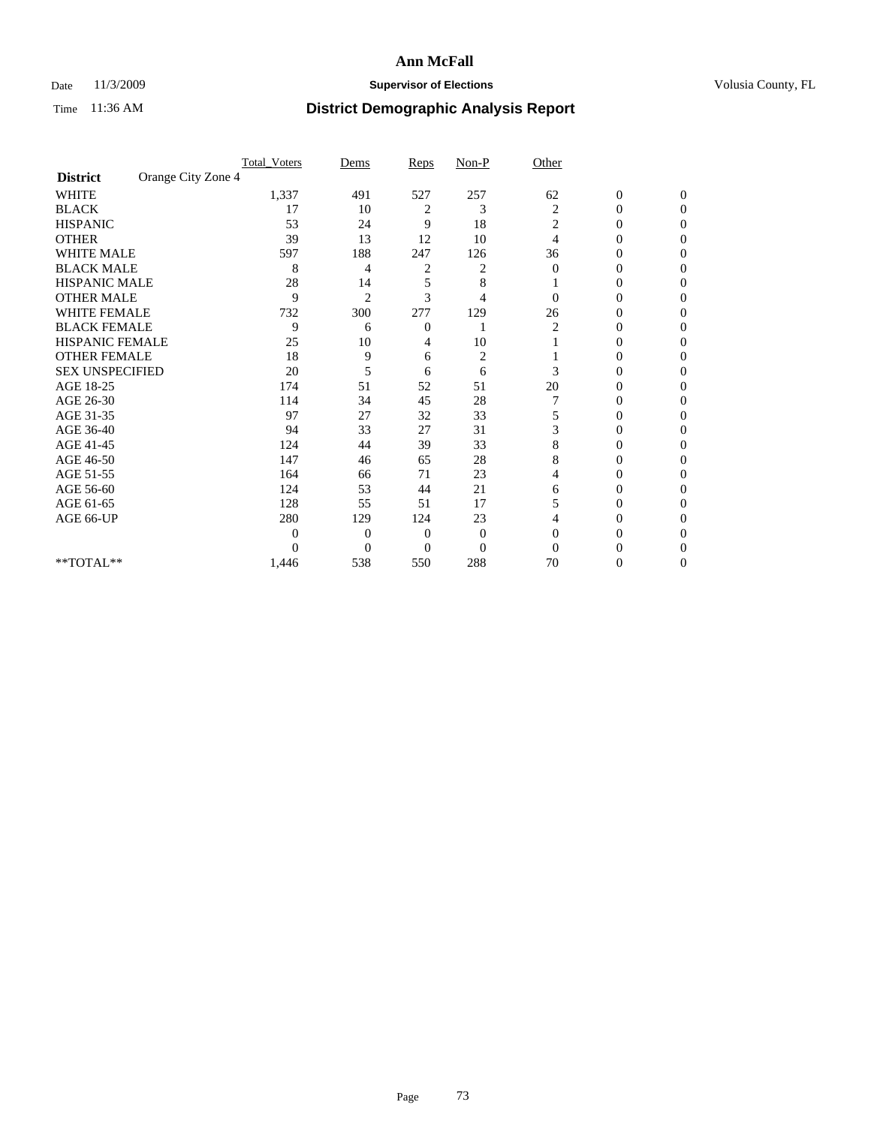### Date 11/3/2009 **Supervisor of Elections Supervisor of Elections** Volusia County, FL

|                        |                    | <b>Total_Voters</b> | Dems           | Reps           | $Non-P$        | Other          |                  |              |  |
|------------------------|--------------------|---------------------|----------------|----------------|----------------|----------------|------------------|--------------|--|
| <b>District</b>        | Orange City Zone 4 |                     |                |                |                |                |                  |              |  |
| <b>WHITE</b>           |                    | 1,337               | 491            | 527            | 257            | 62             | $\boldsymbol{0}$ | $\mathbf{0}$ |  |
| <b>BLACK</b>           |                    | 17                  | 10             | 2              | 3              | 2              | $\overline{0}$   | $\Omega$     |  |
| <b>HISPANIC</b>        |                    | 53                  | 24             | 9              | 18             | 2              | 0                | $\Omega$     |  |
| <b>OTHER</b>           |                    | 39                  | 13             | 12             | 10             | 4              | 0                | 0            |  |
| <b>WHITE MALE</b>      |                    | 597                 | 188            | 247            | 126            | 36             | 0                | 0            |  |
| <b>BLACK MALE</b>      |                    | 8                   | 4              | 2              | 2              | $\Omega$       | 0                | $\Omega$     |  |
| HISPANIC MALE          |                    | 28                  | 14             | 5              | 8              |                | 0                | $\Omega$     |  |
| <b>OTHER MALE</b>      |                    | 9                   | $\overline{2}$ | 3              | 4              | 0              | 0                | 0            |  |
| <b>WHITE FEMALE</b>    |                    | 732                 | 300            | 277            | 129            | 26             | 0                | $\Omega$     |  |
| <b>BLACK FEMALE</b>    |                    | 9                   | 6              | $\mathbf{0}$   |                | $\overline{c}$ | 0                | 0            |  |
| <b>HISPANIC FEMALE</b> |                    | 25                  | 10             | 4              | 10             |                | 0                | 0            |  |
| <b>OTHER FEMALE</b>    |                    | 18                  | 9              | 6              | $\overline{c}$ |                | 0                | 0            |  |
| <b>SEX UNSPECIFIED</b> |                    | 20                  | 5              | 6              | 6              | 3              | 0                | 0            |  |
| AGE 18-25              |                    | 174                 | 51             | 52             | 51             | 20             | 0                | $\Omega$     |  |
| AGE 26-30              |                    | 114                 | 34             | 45             | 28             |                | 0                | 0            |  |
| AGE 31-35              |                    | 97                  | 27             | 32             | 33             | 5              | 0                | 0            |  |
| AGE 36-40              |                    | 94                  | 33             | 27             | 31             | 3              | 0                | 0            |  |
| AGE 41-45              |                    | 124                 | 44             | 39             | 33             | 8              | 0                | $\Omega$     |  |
| AGE 46-50              |                    | 147                 | 46             | 65             | 28             | 8              | 0                | $\Omega$     |  |
| AGE 51-55              |                    | 164                 | 66             | 71             | 23             | 4              | 0                | 0            |  |
| AGE 56-60              |                    | 124                 | 53             | 44             | 21             | 6              | 0                | 0            |  |
| AGE 61-65              |                    | 128                 | 55             | 51             | 17             | 5              | $\overline{0}$   | 0            |  |
| AGE 66-UP              |                    | 280                 | 129            | 124            | 23             | 4              | 0                | 0            |  |
|                        |                    | 0                   | $\overline{0}$ | $\mathbf{0}$   | $\mathbf{0}$   | $\Omega$       | 0                | 0            |  |
|                        |                    | 0                   | $\overline{0}$ | $\overline{0}$ | $\overline{0}$ | $\Omega$       |                  | 0            |  |
| **TOTAL**              |                    | 1,446               | 538            | 550            | 288            | 70             | 0                | 0            |  |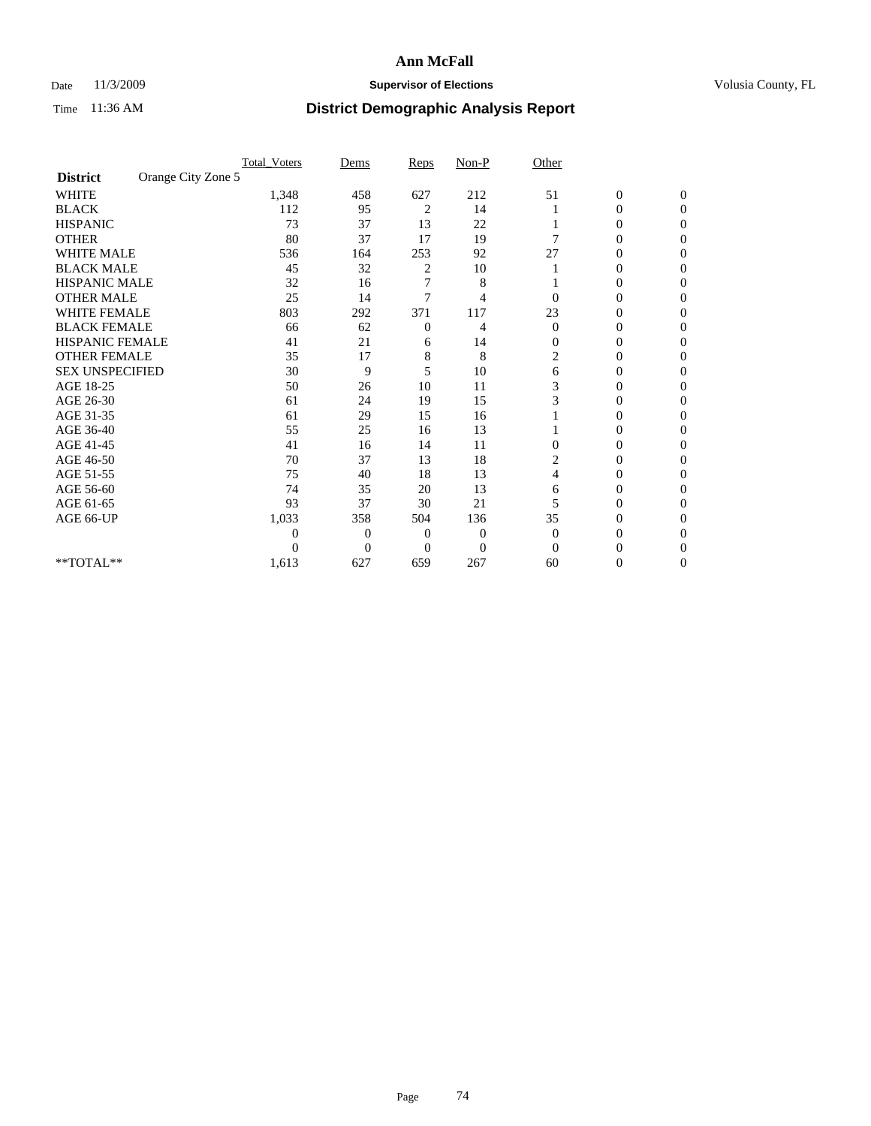### Date 11/3/2009 **Supervisor of Elections Supervisor of Elections** Volusia County, FL

|                        |                    | <b>Total_Voters</b> | Dems           | Reps             | $Non-P$        | Other          |                  |                  |  |
|------------------------|--------------------|---------------------|----------------|------------------|----------------|----------------|------------------|------------------|--|
| <b>District</b>        | Orange City Zone 5 |                     |                |                  |                |                |                  |                  |  |
| <b>WHITE</b>           |                    | 1,348               | 458            | 627              | 212            | 51             | $\boldsymbol{0}$ | $\boldsymbol{0}$ |  |
| <b>BLACK</b>           |                    | 112                 | 95             | 2                | 14             |                | $\overline{0}$   | $\Omega$         |  |
| <b>HISPANIC</b>        |                    | 73                  | 37             | 13               | 22             |                | 0                | $\Omega$         |  |
| <b>OTHER</b>           |                    | 80                  | 37             | 17               | 19             | 7              | 0                | $\Omega$         |  |
| <b>WHITE MALE</b>      |                    | 536                 | 164            | 253              | 92             | 27             | 0                | $\Omega$         |  |
| <b>BLACK MALE</b>      |                    | 45                  | 32             | 2                | 10             |                | 0                | 0                |  |
| <b>HISPANIC MALE</b>   |                    | 32                  | 16             | 7                | 8              |                | 0                | 0                |  |
| <b>OTHER MALE</b>      |                    | 25                  | 14             | 7                | 4              | $\Omega$       | 0                | 0                |  |
| <b>WHITE FEMALE</b>    |                    | 803                 | 292            | 371              | 117            | 23             | 0                | $\Omega$         |  |
| <b>BLACK FEMALE</b>    |                    | 66                  | 62             | $\boldsymbol{0}$ | 4              | $\mathbf{0}$   | 0                | $\Omega$         |  |
| HISPANIC FEMALE        |                    | 41                  | 21             | 6                | 14             | 0              | 0                | 0                |  |
| <b>OTHER FEMALE</b>    |                    | 35                  | 17             | 8                | 8              | $\overline{c}$ | 0                | $\Omega$         |  |
| <b>SEX UNSPECIFIED</b> |                    | 30                  | 9              | 5                | 10             | 6              | $\overline{0}$   | 0                |  |
| AGE 18-25              |                    | 50                  | 26             | 10               | 11             | 3              | 0                | 0                |  |
| AGE 26-30              |                    | 61                  | 24             | 19               | 15             | 3              | 0                | 0                |  |
| AGE 31-35              |                    | 61                  | 29             | 15               | 16             |                | 0                | $\Omega$         |  |
| AGE 36-40              |                    | 55                  | 25             | 16               | 13             |                | 0                | 0                |  |
| AGE 41-45              |                    | 41                  | 16             | 14               | 11             | $\Omega$       | 0                | 0                |  |
| AGE 46-50              |                    | 70                  | 37             | 13               | 18             | 2              | $\overline{0}$   | $\Omega$         |  |
| AGE 51-55              |                    | 75                  | 40             | 18               | 13             | 4              | 0                | $\overline{0}$   |  |
| AGE 56-60              |                    | 74                  | 35             | 20               | 13             | 6              | 0                | 0                |  |
| AGE 61-65              |                    | 93                  | 37             | 30               | 21             | 5              | $\overline{0}$   | 0                |  |
| AGE 66-UP              |                    | 1,033               | 358            | 504              | 136            | 35             | 0                | 0                |  |
|                        |                    | $\boldsymbol{0}$    | $\overline{0}$ | 0                | $\overline{0}$ | $\mathbf{0}$   | 0                | 0                |  |
|                        |                    | $\theta$            | $\overline{0}$ | $\Omega$         | $\overline{0}$ | $\Omega$       | 0                | $\Omega$         |  |
| **TOTAL**              |                    | 1,613               | 627            | 659              | 267            | 60             | 0                | $\overline{0}$   |  |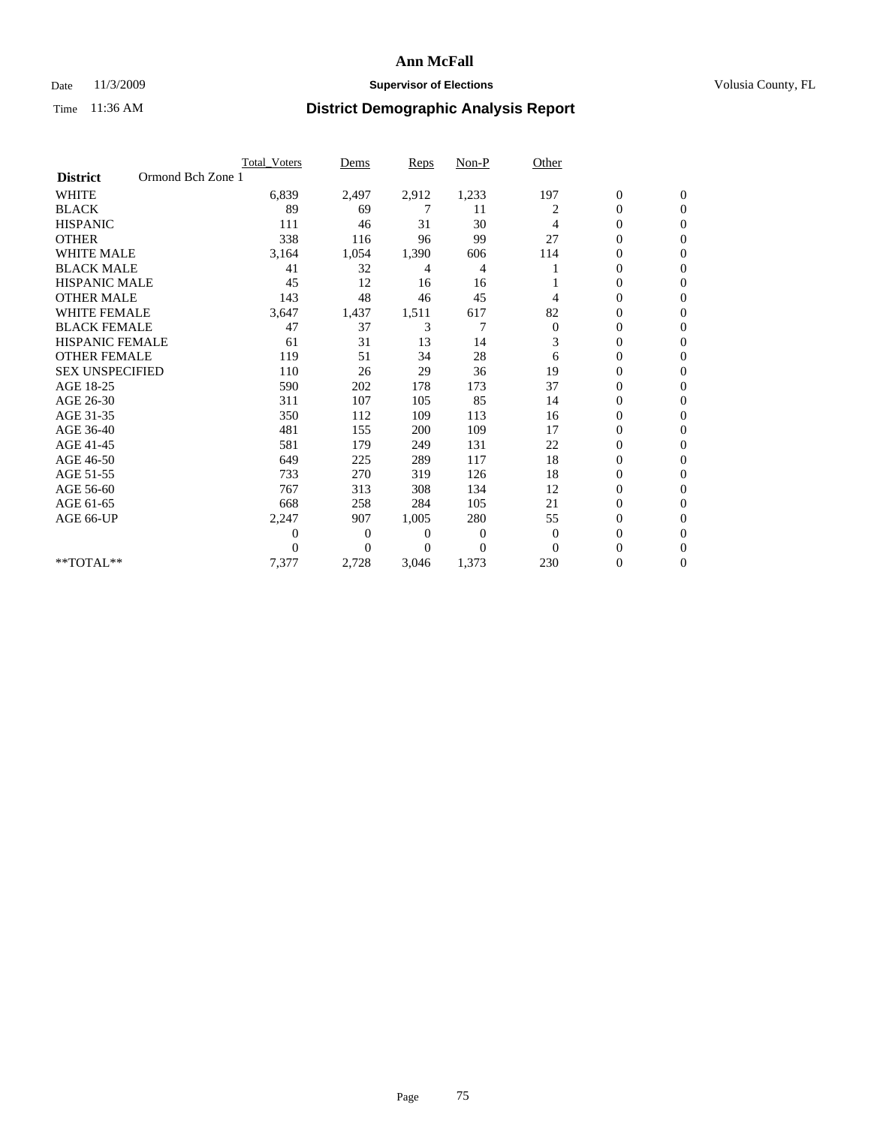### Date 11/3/2009 **Supervisor of Elections Supervisor of Elections** Volusia County, FL

|                        |                   | Total Voters | Dems     | <b>Reps</b> | Non-P    | Other            |                  |                  |  |
|------------------------|-------------------|--------------|----------|-------------|----------|------------------|------------------|------------------|--|
| <b>District</b>        | Ormond Bch Zone 1 |              |          |             |          |                  |                  |                  |  |
| <b>WHITE</b>           |                   | 6,839        | 2,497    | 2,912       | 1,233    | 197              | $\boldsymbol{0}$ | $\boldsymbol{0}$ |  |
| <b>BLACK</b>           |                   | 89           | 69       | 7           | 11       | 2                | $\overline{0}$   | $\mathbf{0}$     |  |
| <b>HISPANIC</b>        |                   | 111          | 46       | 31          | 30       | 4                | $\overline{0}$   | $\Omega$         |  |
| <b>OTHER</b>           |                   | 338          | 116      | 96          | 99       | 27               | 0                | $\Omega$         |  |
| <b>WHITE MALE</b>      |                   | 3,164        | 1,054    | 1,390       | 606      | 114              | 0                | $\mathbf{0}$     |  |
| <b>BLACK MALE</b>      |                   | 41           | 32       | 4           | 4        |                  | $\mathbf{0}$     | $\mathbf{0}$     |  |
| <b>HISPANIC MALE</b>   |                   | 45           | 12       | 16          | 16       |                  | 0                | $\Omega$         |  |
| <b>OTHER MALE</b>      |                   | 143          | 48       | 46          | 45       | 4                | 0                | $\Omega$         |  |
| <b>WHITE FEMALE</b>    |                   | 3,647        | 1,437    | 1,511       | 617      | 82               | 0                | $\mathbf{0}$     |  |
| <b>BLACK FEMALE</b>    |                   | 47           | 37       | 3           | 7        | $\boldsymbol{0}$ | $\boldsymbol{0}$ | $\Omega$         |  |
| <b>HISPANIC FEMALE</b> |                   | 61           | 31       | 13          | 14       | 3                | 0                | $\mathbf{0}$     |  |
| <b>OTHER FEMALE</b>    |                   | 119          | 51       | 34          | 28       | 6                | 0                | $\Omega$         |  |
| <b>SEX UNSPECIFIED</b> |                   | 110          | 26       | 29          | 36       | 19               | $\overline{0}$   | $\mathbf{0}$     |  |
| AGE 18-25              |                   | 590          | 202      | 178         | 173      | 37               | 0                | $\mathbf{0}$     |  |
| AGE 26-30              |                   | 311          | 107      | 105         | 85       | 14               | 0                | $\Omega$         |  |
| AGE 31-35              |                   | 350          | 112      | 109         | 113      | 16               | $\boldsymbol{0}$ | $\mathbf{0}$     |  |
| AGE 36-40              |                   | 481          | 155      | 200         | 109      | 17               | 0                | 0                |  |
| AGE 41-45              |                   | 581          | 179      | 249         | 131      | 22               | 0                | $\Omega$         |  |
| AGE 46-50              |                   | 649          | 225      | 289         | 117      | 18               | $\boldsymbol{0}$ | $\Omega$         |  |
| AGE 51-55              |                   | 733          | 270      | 319         | 126      | 18               | 0                | $\mathbf{0}$     |  |
| AGE 56-60              |                   | 767          | 313      | 308         | 134      | 12               | $\mathbf{0}$     | $\Omega$         |  |
| AGE 61-65              |                   | 668          | 258      | 284         | 105      | 21               | 0                | $\mathbf{0}$     |  |
| AGE 66-UP              |                   | 2,247        | 907      | 1,005       | 280      | 55               | $\boldsymbol{0}$ | $\mathbf{0}$     |  |
|                        |                   | 0            | 0        | 0           | 0        | $\mathbf{0}$     | 0                | $\Omega$         |  |
|                        |                   | $\theta$     | $\Omega$ | $\Omega$    | $\Omega$ | $\Omega$         | 0                | $\Omega$         |  |
| **TOTAL**              |                   | 7,377        | 2,728    | 3,046       | 1,373    | 230              | 0                | $\mathbf{0}$     |  |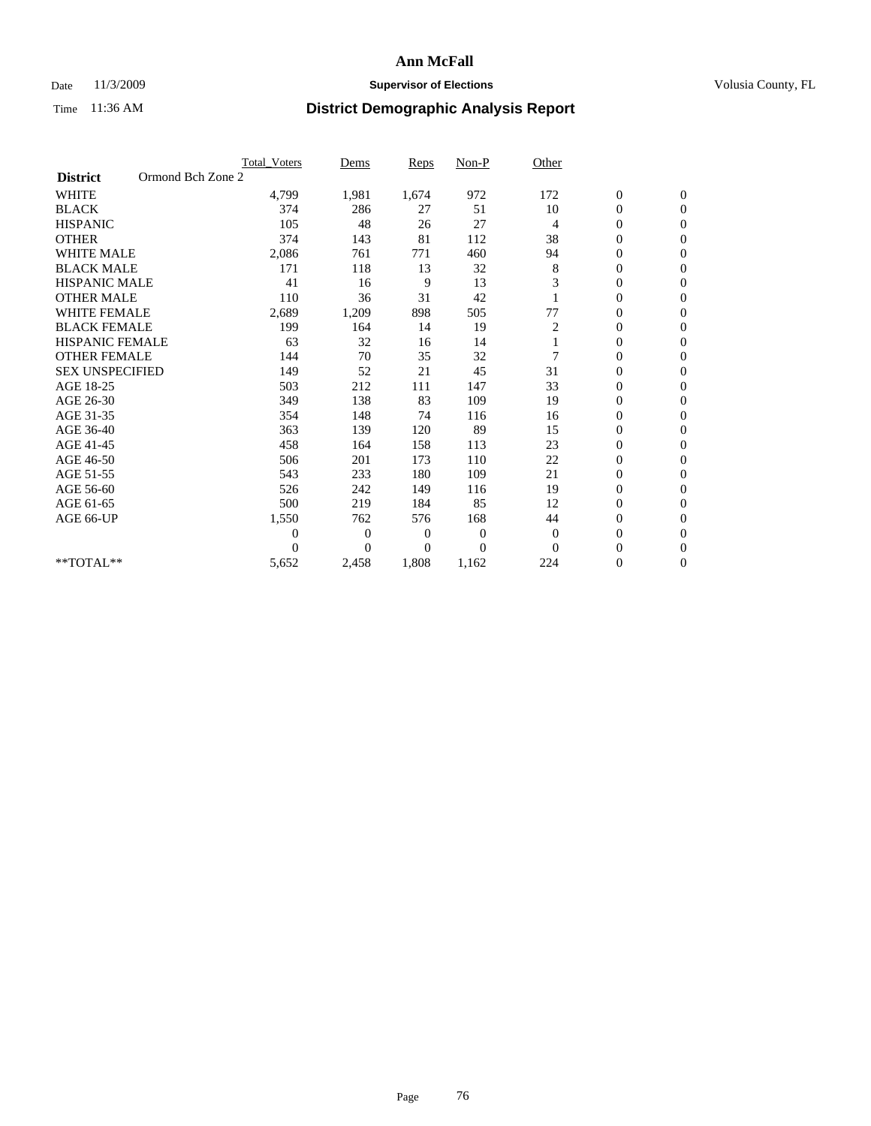### Date 11/3/2009 **Supervisor of Elections Supervisor of Elections** Volusia County, FL

|                        | <b>Total Voters</b> | Dems           | <b>Reps</b> | Non-P        | Other          |                  |                  |  |
|------------------------|---------------------|----------------|-------------|--------------|----------------|------------------|------------------|--|
| <b>District</b>        | Ormond Bch Zone 2   |                |             |              |                |                  |                  |  |
| <b>WHITE</b>           | 4,799               | 1,981          | 1,674       | 972          | 172            | $\boldsymbol{0}$ | $\boldsymbol{0}$ |  |
| <b>BLACK</b>           | 374                 | 286            | 27          | 51           | 10             | $\boldsymbol{0}$ | $\mathbf{0}$     |  |
| <b>HISPANIC</b>        | 105                 | 48             | 26          | 27           | $\overline{4}$ | $\overline{0}$   | $\mathbf{0}$     |  |
| <b>OTHER</b>           | 374                 | 143            | 81          | 112          | 38             | 0                | $\Omega$         |  |
| <b>WHITE MALE</b>      | 2,086               | 761            | 771         | 460          | 94             | $\overline{0}$   | $\mathbf{0}$     |  |
| <b>BLACK MALE</b>      | 171                 | 118            | 13          | 32           | 8              | $\overline{0}$   | $\mathbf{0}$     |  |
| <b>HISPANIC MALE</b>   | 41                  | 16             | 9           | 13           | 3              | $\overline{0}$   | $\mathbf{0}$     |  |
| <b>OTHER MALE</b>      | 110                 | 36             | 31          | 42           |                | 0                | $\mathbf{0}$     |  |
| <b>WHITE FEMALE</b>    | 2,689               | 1,209          | 898         | 505          | 77             | $\overline{0}$   | $\mathbf{0}$     |  |
| <b>BLACK FEMALE</b>    | 199                 | 164            | 14          | 19           | 2              | $\boldsymbol{0}$ | $\mathbf{0}$     |  |
| <b>HISPANIC FEMALE</b> | 63                  | 32             | 16          | 14           |                | $\boldsymbol{0}$ | $\mathbf{0}$     |  |
| <b>OTHER FEMALE</b>    | 144                 | 70             | 35          | 32           | 7              | $\mathbf{0}$     | $\mathbf{0}$     |  |
| <b>SEX UNSPECIFIED</b> | 149                 | 52             | 21          | 45           | 31             | $\overline{0}$   | $\mathbf{0}$     |  |
| AGE 18-25              | 503                 | 212            | 111         | 147          | 33             | $\mathbf{0}$     | $\mathbf{0}$     |  |
| AGE 26-30              | 349                 | 138            | 83          | 109          | 19             | $\overline{0}$   | $\mathbf{0}$     |  |
| AGE 31-35              | 354                 | 148            | 74          | 116          | 16             | $\boldsymbol{0}$ | $\mathbf{0}$     |  |
| AGE 36-40              | 363                 | 139            | 120         | 89           | 15             | 0                | $\mathbf{0}$     |  |
| AGE 41-45              | 458                 | 164            | 158         | 113          | 23             | $\overline{0}$   | $\mathbf{0}$     |  |
| AGE 46-50              | 506                 | 201            | 173         | 110          | 22             | $\boldsymbol{0}$ | $\mathbf{0}$     |  |
| AGE 51-55              | 543                 | 233            | 180         | 109          | 21             | $\boldsymbol{0}$ | $\mathbf{0}$     |  |
| AGE 56-60              | 526                 | 242            | 149         | 116          | 19             | $\overline{0}$   | $\Omega$         |  |
| AGE 61-65              | 500                 | 219            | 184         | 85           | 12             | $\overline{0}$   | $\mathbf{0}$     |  |
| AGE 66-UP              | 1,550               | 762            | 576         | 168          | 44             | $\boldsymbol{0}$ | $\mathbf{0}$     |  |
|                        | $\overline{0}$      | $\overline{0}$ | 0           | $\mathbf{0}$ | $\theta$       | $\overline{0}$   | $\mathbf{0}$     |  |
|                        | $\Omega$            | $\theta$       | $\Omega$    | $\Omega$     | $\Omega$       | $\overline{0}$   | $\mathbf{0}$     |  |
| **TOTAL**              | 5,652               | 2,458          | 1,808       | 1,162        | 224            | 0                | $\mathbf{0}$     |  |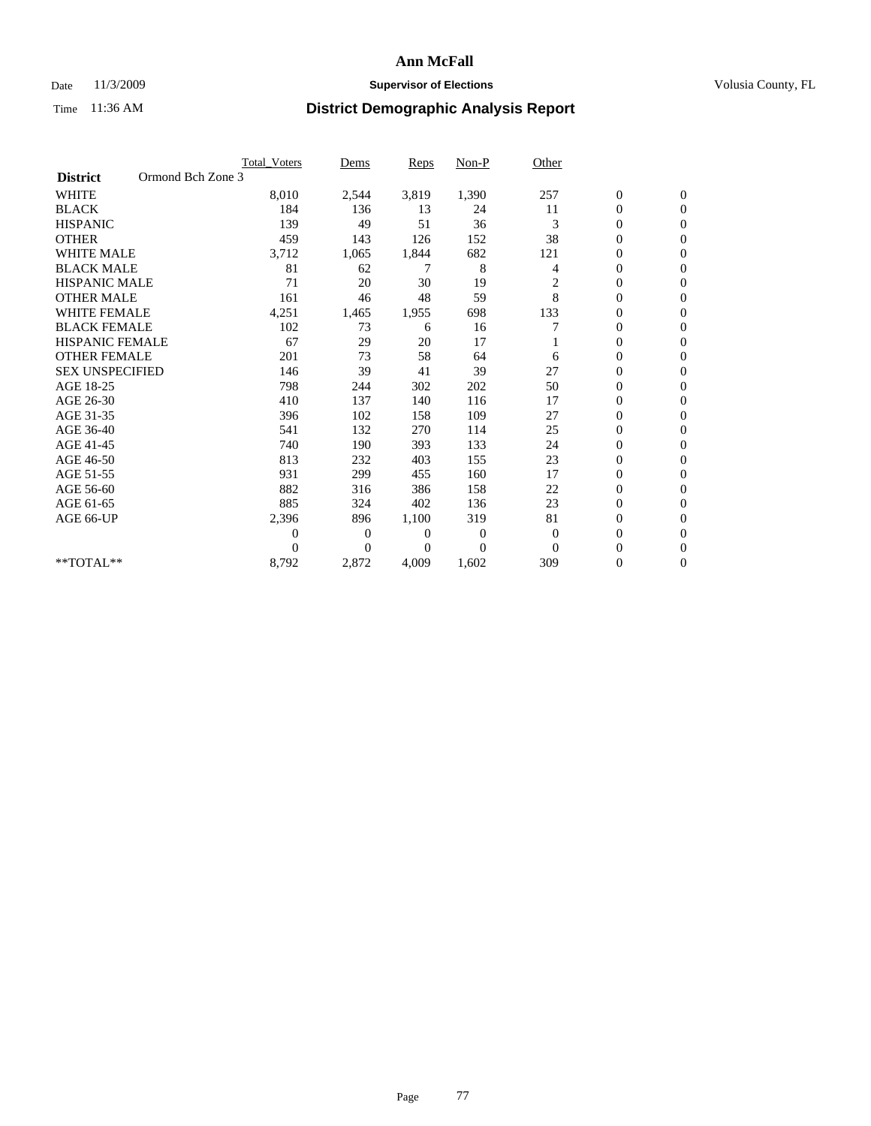#### Date 11/3/2009 **Supervisor of Elections Supervisor of Elections** Volusia County, FL

|                        |                   | <b>Total Voters</b> | Dems           | <b>Reps</b> | Non-P        | Other          |                  |                  |  |
|------------------------|-------------------|---------------------|----------------|-------------|--------------|----------------|------------------|------------------|--|
| <b>District</b>        | Ormond Bch Zone 3 |                     |                |             |              |                |                  |                  |  |
| <b>WHITE</b>           |                   | 8,010               | 2,544          | 3,819       | 1,390        | 257            | $\boldsymbol{0}$ | $\boldsymbol{0}$ |  |
| <b>BLACK</b>           |                   | 184                 | 136            | 13          | 24           | 11             | $\boldsymbol{0}$ | $\mathbf{0}$     |  |
| <b>HISPANIC</b>        |                   | 139                 | 49             | 51          | 36           | 3              | $\overline{0}$   | $\mathbf{0}$     |  |
| <b>OTHER</b>           |                   | 459                 | 143            | 126         | 152          | 38             | 0                | $\Omega$         |  |
| <b>WHITE MALE</b>      |                   | 3,712               | 1,065          | 1,844       | 682          | 121            | $\mathbf{0}$     | $\mathbf{0}$     |  |
| <b>BLACK MALE</b>      |                   | 81                  | 62             | 7           | 8            | 4              | $\boldsymbol{0}$ | $\mathbf{0}$     |  |
| <b>HISPANIC MALE</b>   |                   | 71                  | 20             | 30          | 19           | 2              | 0                | $\mathbf{0}$     |  |
| <b>OTHER MALE</b>      |                   | 161                 | 46             | 48          | 59           | 8              | 0                | $\mathbf{0}$     |  |
| <b>WHITE FEMALE</b>    |                   | 4,251               | 1,465          | 1,955       | 698          | 133            | 0                | $\mathbf{0}$     |  |
| <b>BLACK FEMALE</b>    |                   | 102                 | 73             | 6           | 16           |                | $\boldsymbol{0}$ | $\mathbf{0}$     |  |
| <b>HISPANIC FEMALE</b> |                   | 67                  | 29             | 20          | 17           |                | 0                | $\mathbf{0}$     |  |
| <b>OTHER FEMALE</b>    |                   | 201                 | 73             | 58          | 64           | 6              | $\overline{0}$   | $\Omega$         |  |
| <b>SEX UNSPECIFIED</b> |                   | 146                 | 39             | 41          | 39           | 27             | $\overline{0}$   | $\mathbf{0}$     |  |
| AGE 18-25              |                   | 798                 | 244            | 302         | 202          | 50             | $\mathbf{0}$     | $\mathbf{0}$     |  |
| AGE 26-30              |                   | 410                 | 137            | 140         | 116          | 17             | $\overline{0}$   | $\mathbf{0}$     |  |
| AGE 31-35              |                   | 396                 | 102            | 158         | 109          | 27             | $\boldsymbol{0}$ | $\mathbf{0}$     |  |
| AGE 36-40              |                   | 541                 | 132            | 270         | 114          | 25             | 0                | $\mathbf{0}$     |  |
| AGE 41-45              |                   | 740                 | 190            | 393         | 133          | 24             | 0                | $\mathbf{0}$     |  |
| AGE 46-50              |                   | 813                 | 232            | 403         | 155          | 23             | $\boldsymbol{0}$ | $\mathbf{0}$     |  |
| AGE 51-55              |                   | 931                 | 299            | 455         | 160          | 17             | $\boldsymbol{0}$ | $\mathbf{0}$     |  |
| AGE 56-60              |                   | 882                 | 316            | 386         | 158          | 22             | $\overline{0}$   | $\Omega$         |  |
| AGE 61-65              |                   | 885                 | 324            | 402         | 136          | 23             | $\overline{0}$   | $\mathbf{0}$     |  |
| AGE 66-UP              |                   | 2,396               | 896            | 1,100       | 319          | 81             | $\boldsymbol{0}$ | $\mathbf{0}$     |  |
|                        |                   | $\overline{0}$      | $\overline{0}$ | 0           | $\mathbf{0}$ | $\overline{0}$ | $\overline{0}$   | $\mathbf{0}$     |  |
|                        |                   | $\Omega$            | $\Omega$       | $\Omega$    | $\Omega$     | $\Omega$       | $\overline{0}$   | $\mathbf{0}$     |  |
| **TOTAL**              |                   | 8,792               | 2,872          | 4,009       | 1,602        | 309            | 0                | $\mathbf{0}$     |  |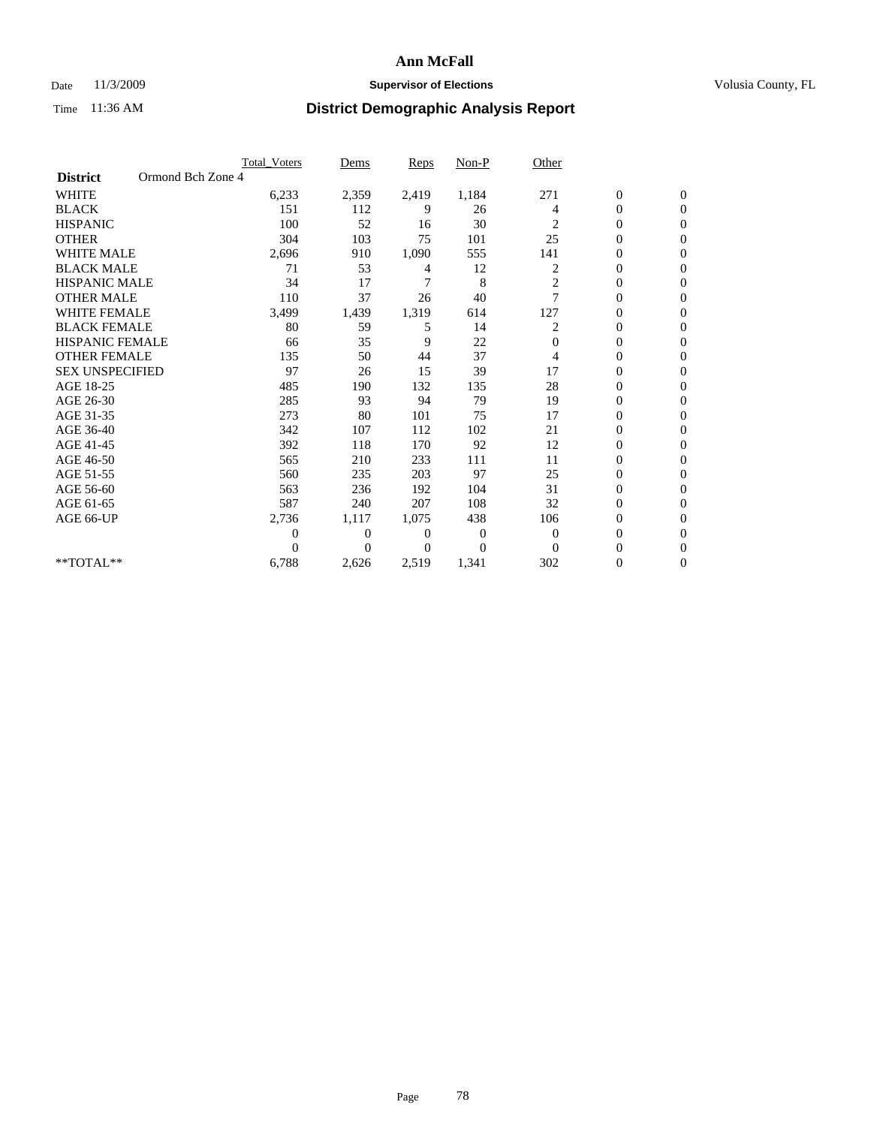#### Date 11/3/2009 **Supervisor of Elections Supervisor of Elections** Volusia County, FL

|                        | Total Voters      | Dems           | <b>Reps</b> | Non-P    | Other          |                  |                  |  |
|------------------------|-------------------|----------------|-------------|----------|----------------|------------------|------------------|--|
| <b>District</b>        | Ormond Bch Zone 4 |                |             |          |                |                  |                  |  |
| <b>WHITE</b>           | 6,233             | 2,359          | 2,419       | 1,184    | 271            | $\boldsymbol{0}$ | $\boldsymbol{0}$ |  |
| <b>BLACK</b>           | 151               | 112            | 9           | 26       | 4              | $\boldsymbol{0}$ | $\mathbf{0}$     |  |
| <b>HISPANIC</b>        | 100               | 52             | 16          | 30       | 2              | $\overline{0}$   | $\mathbf{0}$     |  |
| <b>OTHER</b>           | 304               | 103            | 75          | 101      | 25             | 0                | $\Omega$         |  |
| <b>WHITE MALE</b>      | 2,696             | 910            | 1,090       | 555      | 141            | $\mathbf{0}$     | $\mathbf{0}$     |  |
| <b>BLACK MALE</b>      | 71                | 53             | 4           | 12       | 2              | $\overline{0}$   | $\mathbf{0}$     |  |
| <b>HISPANIC MALE</b>   | 34                | 17             | 7           | 8        | $\overline{c}$ | 0                | $\Omega$         |  |
| <b>OTHER MALE</b>      | 110               | 37             | 26          | 40       | 7              | 0                | $\Omega$         |  |
| <b>WHITE FEMALE</b>    | 3,499             | 1,439          | 1,319       | 614      | 127            | $\overline{0}$   | $\mathbf{0}$     |  |
| <b>BLACK FEMALE</b>    | 80                | 59             | 5           | 14       | 2              | $\boldsymbol{0}$ | $\Omega$         |  |
| <b>HISPANIC FEMALE</b> | 66                | 35             | 9           | 22       | 0              | 0                | $\mathbf{0}$     |  |
| <b>OTHER FEMALE</b>    | 135               | 50             | 44          | 37       | 4              | $\overline{0}$   | $\Omega$         |  |
| <b>SEX UNSPECIFIED</b> | 97                | 26             | 15          | 39       | 17             | $\overline{0}$   | $\overline{0}$   |  |
| AGE 18-25              | 485               | 190            | 132         | 135      | 28             | 0                | $\mathbf{0}$     |  |
| AGE 26-30              | 285               | 93             | 94          | 79       | 19             | $\overline{0}$   | $\mathbf{0}$     |  |
| AGE 31-35              | 273               | 80             | 101         | 75       | 17             | $\boldsymbol{0}$ | $\overline{0}$   |  |
| AGE 36-40              | 342               | 107            | 112         | 102      | 21             | 0                | $\mathbf{0}$     |  |
| AGE 41-45              | 392               | 118            | 170         | 92       | 12             | $\overline{0}$   | $\Omega$         |  |
| AGE 46-50              | 565               | 210            | 233         | 111      | 11             | $\boldsymbol{0}$ | $\Omega$         |  |
| AGE 51-55              | 560               | 235            | 203         | 97       | 25             | $\boldsymbol{0}$ | $\mathbf{0}$     |  |
| AGE 56-60              | 563               | 236            | 192         | 104      | 31             | $\overline{0}$   | $\Omega$         |  |
| AGE 61-65              | 587               | 240            | 207         | 108      | 32             | $\overline{0}$   | $\overline{0}$   |  |
| AGE 66-UP              | 2,736             | 1,117          | 1,075       | 438      | 106            | 0                | $\mathbf{0}$     |  |
|                        | $\overline{0}$    | $\overline{0}$ | 0           | 0        | $\mathbf{0}$   | $\overline{0}$   | $\mathbf{0}$     |  |
|                        | $\theta$          | $\theta$       | $\Omega$    | $\Omega$ | $\Omega$       | $\overline{0}$   | $\Omega$         |  |
| **TOTAL**              | 6,788             | 2,626          | 2,519       | 1,341    | 302            | 0                | $\overline{0}$   |  |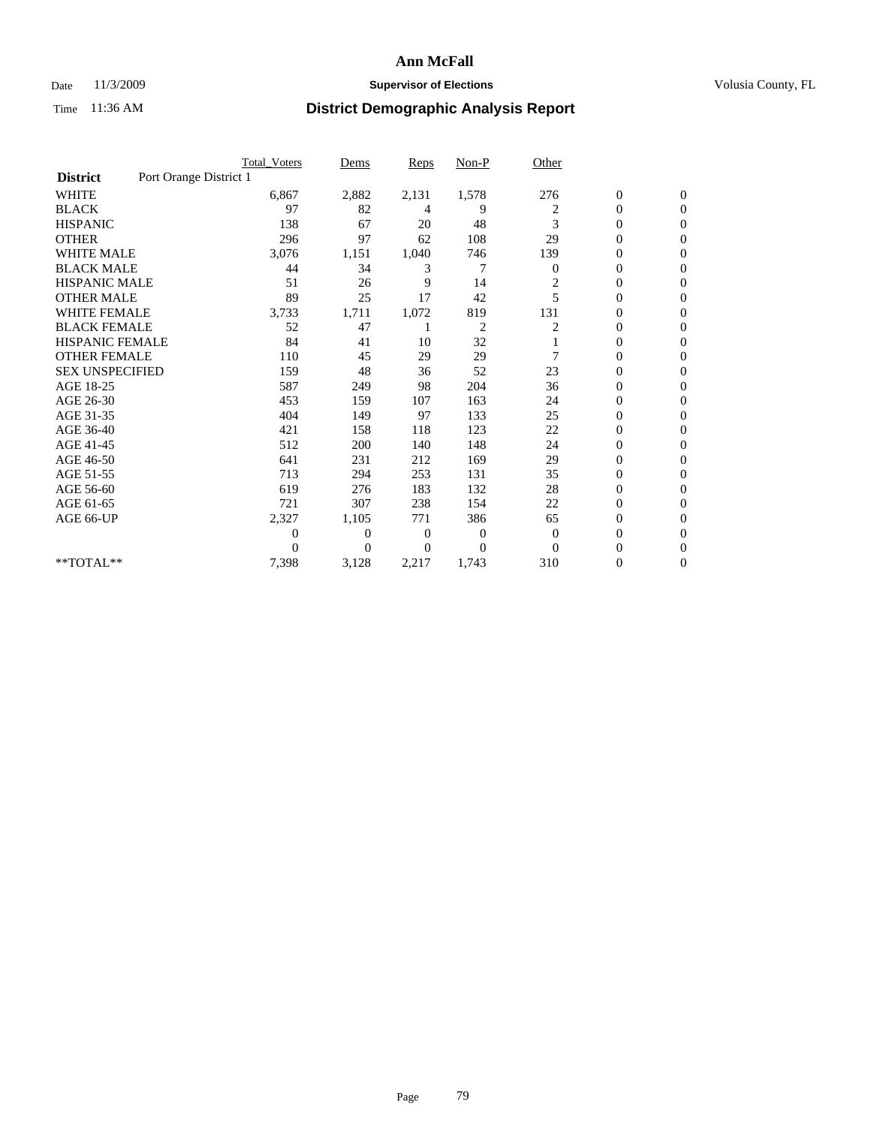#### Date 11/3/2009 **Supervisor of Elections Supervisor of Elections** Volusia County, FL

|                        |                        | <b>Total Voters</b> | Dems           | <b>Reps</b> | Non-P          | Other          |                  |                  |  |
|------------------------|------------------------|---------------------|----------------|-------------|----------------|----------------|------------------|------------------|--|
| <b>District</b>        | Port Orange District 1 |                     |                |             |                |                |                  |                  |  |
| <b>WHITE</b>           |                        | 6,867               | 2,882          | 2,131       | 1,578          | 276            | $\boldsymbol{0}$ | $\boldsymbol{0}$ |  |
| <b>BLACK</b>           |                        | 97                  | 82             | 4           | 9              | 2              | $\boldsymbol{0}$ | $\mathbf{0}$     |  |
| <b>HISPANIC</b>        |                        | 138                 | 67             | 20          | 48             | 3              | $\overline{0}$   | $\mathbf{0}$     |  |
| <b>OTHER</b>           |                        | 296                 | 97             | 62          | 108            | 29             | 0                | $\Omega$         |  |
| <b>WHITE MALE</b>      |                        | 3,076               | 1,151          | 1,040       | 746            | 139            | $\overline{0}$   | $\mathbf{0}$     |  |
| <b>BLACK MALE</b>      |                        | 44                  | 34             | 3           | 7              | $\mathbf{0}$   | $\overline{0}$   | $\mathbf{0}$     |  |
| <b>HISPANIC MALE</b>   |                        | 51                  | 26             | 9           | 14             | $\overline{c}$ | $\overline{0}$   | $\Omega$         |  |
| <b>OTHER MALE</b>      |                        | 89                  | 25             | 17          | 42             | 5              | $\boldsymbol{0}$ | $\mathbf{0}$     |  |
| WHITE FEMALE           |                        | 3,733               | 1,711          | 1,072       | 819            | 131            | $\overline{0}$   | $\mathbf{0}$     |  |
| <b>BLACK FEMALE</b>    |                        | 52                  | 47             |             | $\overline{c}$ | 2              | $\boldsymbol{0}$ | $\Omega$         |  |
| <b>HISPANIC FEMALE</b> |                        | 84                  | 41             | 10          | 32             |                | 0                | $\mathbf{0}$     |  |
| <b>OTHER FEMALE</b>    |                        | 110                 | 45             | 29          | 29             | 7              | $\overline{0}$   | $\Omega$         |  |
| <b>SEX UNSPECIFIED</b> |                        | 159                 | 48             | 36          | 52             | 23             | $\overline{0}$   | $\overline{0}$   |  |
| AGE 18-25              |                        | 587                 | 249            | 98          | 204            | 36             | $\overline{0}$   | $\mathbf{0}$     |  |
| AGE 26-30              |                        | 453                 | 159            | 107         | 163            | 24             | $\overline{0}$   | $\mathbf{0}$     |  |
| AGE 31-35              |                        | 404                 | 149            | 97          | 133            | 25             | $\boldsymbol{0}$ | $\overline{0}$   |  |
| AGE 36-40              |                        | 421                 | 158            | 118         | 123            | 22             | 0                | $\mathbf{0}$     |  |
| AGE 41-45              |                        | 512                 | 200            | 140         | 148            | 24             | $\overline{0}$   | $\Omega$         |  |
| AGE 46-50              |                        | 641                 | 231            | 212         | 169            | 29             | $\boldsymbol{0}$ | $\Omega$         |  |
| AGE 51-55              |                        | 713                 | 294            | 253         | 131            | 35             | $\boldsymbol{0}$ | $\mathbf{0}$     |  |
| AGE 56-60              |                        | 619                 | 276            | 183         | 132            | 28             | $\overline{0}$   | $\Omega$         |  |
| AGE 61-65              |                        | 721                 | 307            | 238         | 154            | 22             | $\overline{0}$   | $\mathbf{0}$     |  |
| AGE 66-UP              |                        | 2,327               | 1,105          | 771         | 386            | 65             | $\boldsymbol{0}$ | $\mathbf{0}$     |  |
|                        |                        | 0                   | $\overline{0}$ | 0           | 0              | $\mathbf{0}$   | $\overline{0}$   | $\mathbf{0}$     |  |
|                        |                        | $\theta$            | $\Omega$       | $\Omega$    | $\Omega$       | $\Omega$       | $\overline{0}$   | $\mathbf{0}$     |  |
| **TOTAL**              |                        | 7,398               | 3,128          | 2,217       | 1,743          | 310            | 0                | $\mathbf{0}$     |  |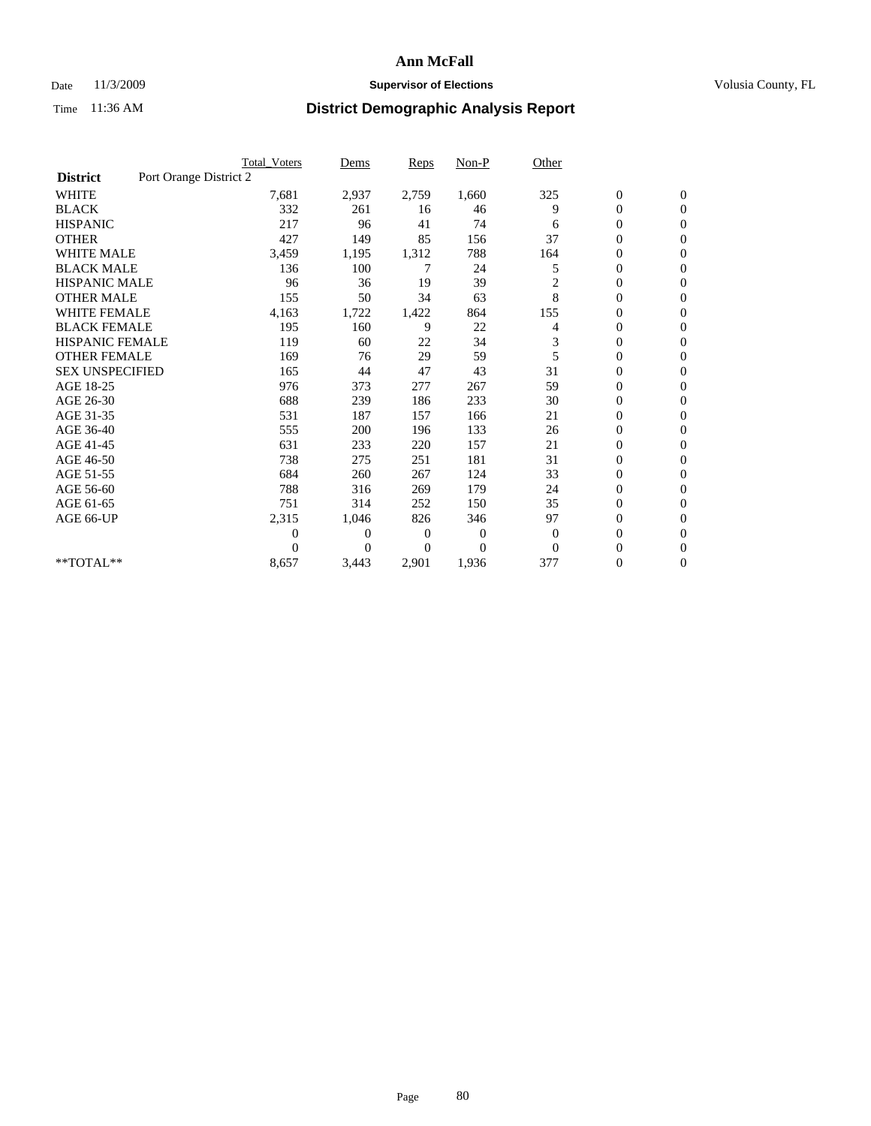### Date 11/3/2009 **Supervisor of Elections Supervisor of Elections** Volusia County, FL

|                        |                        | <b>Total Voters</b> | Dems           | <b>Reps</b> | $Non-P$        | Other          |                  |                  |  |
|------------------------|------------------------|---------------------|----------------|-------------|----------------|----------------|------------------|------------------|--|
| <b>District</b>        | Port Orange District 2 |                     |                |             |                |                |                  |                  |  |
| <b>WHITE</b>           |                        | 7,681               | 2,937          | 2,759       | 1,660          | 325            | $\boldsymbol{0}$ | $\boldsymbol{0}$ |  |
| <b>BLACK</b>           |                        | 332                 | 261            | 16          | 46             | 9              | $\boldsymbol{0}$ | $\mathbf{0}$     |  |
| <b>HISPANIC</b>        |                        | 217                 | 96             | 41          | 74             | 6              | $\overline{0}$   | $\mathbf{0}$     |  |
| <b>OTHER</b>           |                        | 427                 | 149            | 85          | 156            | 37             | $\boldsymbol{0}$ | $\Omega$         |  |
| <b>WHITE MALE</b>      |                        | 3,459               | 1,195          | 1,312       | 788            | 164            | $\overline{0}$   | $\mathbf{0}$     |  |
| <b>BLACK MALE</b>      |                        | 136                 | 100            | 7           | 24             | 5              | $\overline{0}$   | $\mathbf{0}$     |  |
| <b>HISPANIC MALE</b>   |                        | 96                  | 36             | 19          | 39             | $\overline{c}$ | $\overline{0}$   | $\mathbf{0}$     |  |
| <b>OTHER MALE</b>      |                        | 155                 | 50             | 34          | 63             | 8              | $\boldsymbol{0}$ | $\mathbf{0}$     |  |
| WHITE FEMALE           |                        | 4,163               | 1,722          | 1,422       | 864            | 155            | $\overline{0}$   | $\mathbf{0}$     |  |
| <b>BLACK FEMALE</b>    |                        | 195                 | 160            | 9           | 22             | 4              | $\boldsymbol{0}$ | $\mathbf{0}$     |  |
| <b>HISPANIC FEMALE</b> |                        | 119                 | 60             | 22          | 34             | 3              | 0                | $\mathbf{0}$     |  |
| <b>OTHER FEMALE</b>    |                        | 169                 | 76             | 29          | 59             | 5              | $\mathbf{0}$     | $\mathbf{0}$     |  |
| <b>SEX UNSPECIFIED</b> |                        | 165                 | 44             | 47          | 43             | 31             | $\overline{0}$   | $\mathbf{0}$     |  |
| AGE 18-25              |                        | 976                 | 373            | 277         | 267            | 59             | $\overline{0}$   | $\mathbf{0}$     |  |
| AGE 26-30              |                        | 688                 | 239            | 186         | 233            | 30             | $\overline{0}$   | $\mathbf{0}$     |  |
| AGE 31-35              |                        | 531                 | 187            | 157         | 166            | 21             | $\boldsymbol{0}$ | $\mathbf{0}$     |  |
| AGE 36-40              |                        | 555                 | 200            | 196         | 133            | 26             | 0                | $\mathbf{0}$     |  |
| AGE 41-45              |                        | 631                 | 233            | 220         | 157            | 21             | $\overline{0}$   | $\mathbf{0}$     |  |
| AGE 46-50              |                        | 738                 | 275            | 251         | 181            | 31             | $\boldsymbol{0}$ | $\mathbf{0}$     |  |
| AGE 51-55              |                        | 684                 | 260            | 267         | 124            | 33             | $\boldsymbol{0}$ | $\mathbf{0}$     |  |
| AGE 56-60              |                        | 788                 | 316            | 269         | 179            | 24             | $\overline{0}$   | $\Omega$         |  |
| AGE 61-65              |                        | 751                 | 314            | 252         | 150            | 35             | $\overline{0}$   | $\mathbf{0}$     |  |
| AGE 66-UP              |                        | 2,315               | 1,046          | 826         | 346            | 97             | $\boldsymbol{0}$ | $\mathbf{0}$     |  |
|                        |                        | $\overline{0}$      | $\overline{0}$ | 0           | $\overline{0}$ | $\mathbf{0}$   | $\overline{0}$   | $\mathbf{0}$     |  |
|                        |                        | $\theta$            | $\Omega$       | $\Omega$    | $\theta$       | $\mathbf{0}$   | $\overline{0}$   | $\mathbf{0}$     |  |
| **TOTAL**              |                        | 8,657               | 3,443          | 2,901       | 1,936          | 377            | 0                | $\mathbf{0}$     |  |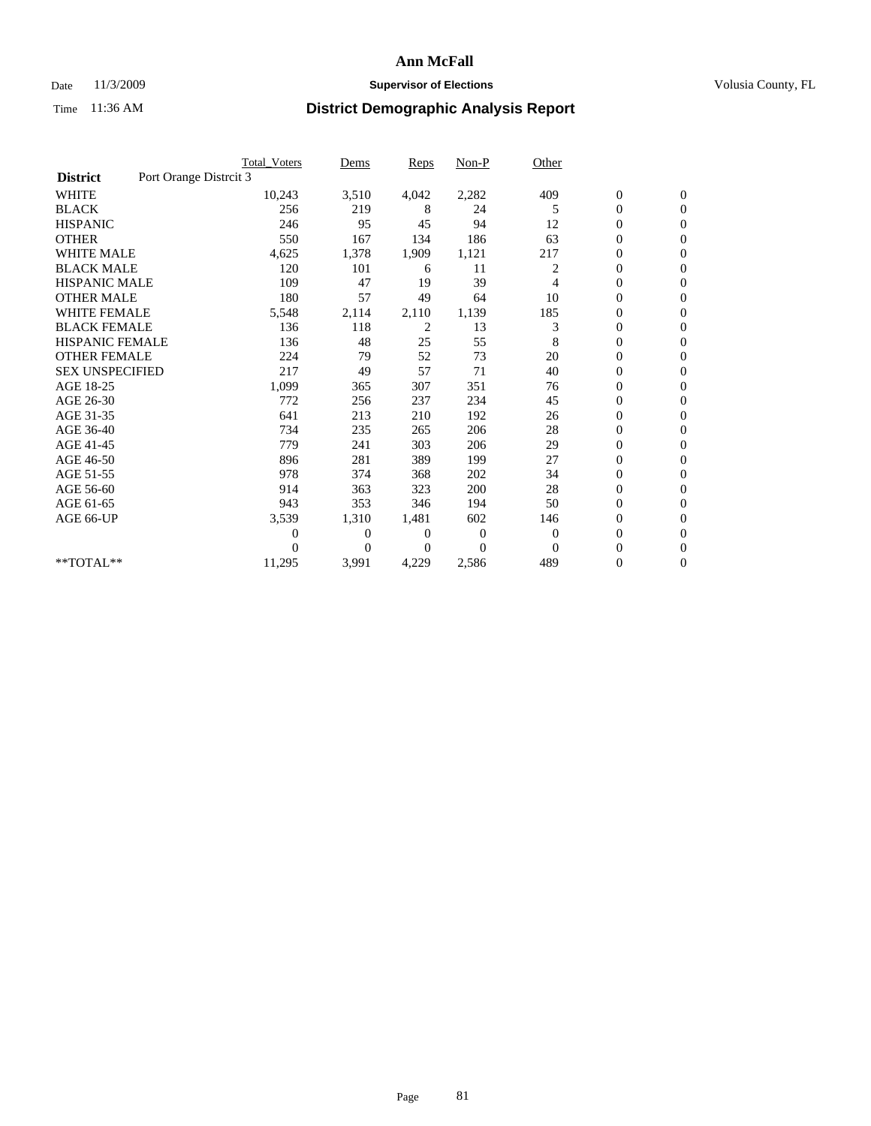#### Date 11/3/2009 **Supervisor of Elections Supervisor of Elections** Volusia County, FL

|                        |                        | <b>Total Voters</b> | Dems           | <b>Reps</b>  | $Non-P$      | Other        |                  |                  |
|------------------------|------------------------|---------------------|----------------|--------------|--------------|--------------|------------------|------------------|
| <b>District</b>        | Port Orange Distrcit 3 |                     |                |              |              |              |                  |                  |
| <b>WHITE</b>           |                        | 10,243              | 3,510          | 4,042        | 2,282        | 409          | $\boldsymbol{0}$ | $\boldsymbol{0}$ |
| <b>BLACK</b>           |                        | 256                 | 219            | 8            | 24           | 5            | $\overline{0}$   | $\mathbf{0}$     |
| <b>HISPANIC</b>        |                        | 246                 | 95             | 45           | 94           | 12           | $\overline{0}$   | $\mathbf{0}$     |
| <b>OTHER</b>           |                        | 550                 | 167            | 134          | 186          | 63           | $\overline{0}$   | $\mathbf{0}$     |
| <b>WHITE MALE</b>      |                        | 4,625               | 1,378          | 1,909        | 1,121        | 217          | $\boldsymbol{0}$ | $\mathbf{0}$     |
| <b>BLACK MALE</b>      |                        | 120                 | 101            | 6            | 11           | 2            | $\boldsymbol{0}$ | $\Omega$         |
| <b>HISPANIC MALE</b>   |                        | 109                 | 47             | 19           | 39           | 4            | $\overline{0}$   | $\overline{0}$   |
| <b>OTHER MALE</b>      |                        | 180                 | 57             | 49           | 64           | 10           | $\boldsymbol{0}$ | $\mathbf{0}$     |
| WHITE FEMALE           |                        | 5,548               | 2,114          | 2,110        | 1,139        | 185          | $\overline{0}$   | $\mathbf{0}$     |
| <b>BLACK FEMALE</b>    |                        | 136                 | 118            | 2            | 13           | 3            | $\boldsymbol{0}$ | $\Omega$         |
| <b>HISPANIC FEMALE</b> |                        | 136                 | 48             | 25           | 55           | 8            | $\boldsymbol{0}$ | $\mathbf{0}$     |
| <b>OTHER FEMALE</b>    |                        | 224                 | 79             | 52           | 73           | 20           | $\mathbf{0}$     | $\mathbf{0}$     |
| <b>SEX UNSPECIFIED</b> |                        | 217                 | 49             | 57           | 71           | 40           | $\boldsymbol{0}$ | $\Omega$         |
| AGE 18-25              |                        | 1,099               | 365            | 307          | 351          | 76           | $\overline{0}$   | $\mathbf{0}$     |
| AGE 26-30              |                        | 772                 | 256            | 237          | 234          | 45           | $\overline{0}$   | $\mathbf{0}$     |
| AGE 31-35              |                        | 641                 | 213            | 210          | 192          | 26           | $\boldsymbol{0}$ | $\mathbf{0}$     |
| AGE 36-40              |                        | 734                 | 235            | 265          | 206          | 28           | $\boldsymbol{0}$ | $\mathbf{0}$     |
| AGE 41-45              |                        | 779                 | 241            | 303          | 206          | 29           | $\boldsymbol{0}$ | $\mathbf{0}$     |
| AGE 46-50              |                        | 896                 | 281            | 389          | 199          | 27           | 0                | $\Omega$         |
| AGE 51-55              |                        | 978                 | 374            | 368          | 202          | 34           | $\boldsymbol{0}$ | $\mathbf{0}$     |
| AGE 56-60              |                        | 914                 | 363            | 323          | 200          | 28           | $\mathbf{0}$     | $\mathbf{0}$     |
| AGE 61-65              |                        | 943                 | 353            | 346          | 194          | 50           | $\boldsymbol{0}$ | $\Omega$         |
| AGE 66-UP              |                        | 3,539               | 1,310          | 1,481        | 602          | 146          | $\overline{0}$   | $\mathbf{0}$     |
|                        |                        | 0                   | $\overline{0}$ | 0            | $\mathbf{0}$ | $\mathbf{0}$ | $\boldsymbol{0}$ | $\mathbf{0}$     |
|                        |                        | 0                   | $\overline{0}$ | $\mathbf{0}$ | $\Omega$     | $\Omega$     | 0                | $\mathbf{0}$     |
| **TOTAL**              |                        | 11,295              | 3,991          | 4,229        | 2,586        | 489          | $\mathbf{0}$     | $\boldsymbol{0}$ |